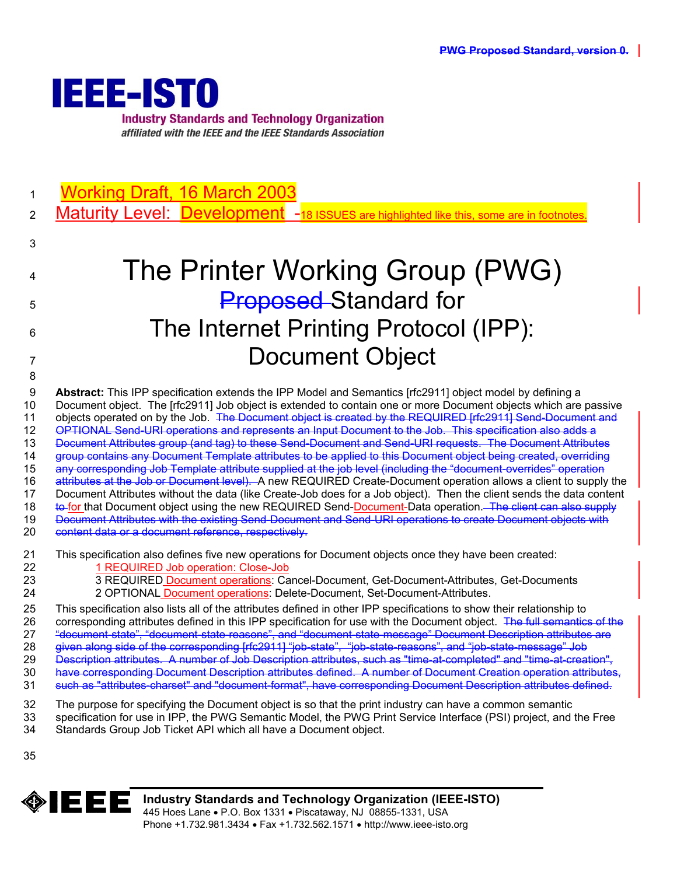

1 Working Draft, 16 March 2003

2 Maturity Level: Development -18 ISSUES are highlighted like this, some are in footnotes

# 4 The Printer Working Group (PWG) 5 **Proposed** Standard for 6 The Internet Printing Protocol (IPP): 7 Document Object

9 **Abstract:** This IPP specification extends the IPP Model and Semantics [rfc2911] object model by defining a 10 Document object. The [rfc2911] Job object is extended to contain one or more Document objects which are passive 11 objects operated on by the Job. The Document object is created by the REQUIRED [rfc2911] Send-Document and 12 OPTIONAL Send-URI operations and represents an Input Document to the Job. This specification also adds a 13 Document Attributes group (and tag) to these Send-Document and Send-URI requests. The Document Attributes 14 group contains any Document Template attributes to be applied to this Document object being created, overriding 15 any corresponding Job Template attribute supplied at the job level (including the "document-overrides" operation 16 attributes at the Job or Document level). A new REQUIRED Create-Document operation allows a client to supply the 17 Document Attributes without the data (like Create-Job does for a Job object). Then the client sends the data content 18 to for that Document object using the new REQUIRED Send-Document-Data operation. The client can also supply 19 Document Attributes with the existing Send-Document and Send-URI operations to create Document objects with 20 content data or a document reference, respectively.

# 21 This specification also defines five new operations for Document objects once they have been created:

- 22 1 REQUIRED Job operation: Close-Job
- 23 3 REQUIRED Document operations: Cancel-Document, Get-Document-Attributes, Get-Documents
- 24 2 OPTIONAL Document operations: Delete-Document, Set-Document-Attributes.

25 This specification also lists all of the attributes defined in other IPP specifications to show their relationship to 26 corresponding attributes defined in this IPP specification for use with the Document object. The full semantics of the 27 "document-state", "document-state-reasons", and "document-state-message" Document Description attributes are 28 given along side of the corresponding [rfc2911] "job-state", "job-state-reasons", and "job-state-message" Job 29 Description attributes. A number of Job Description attributes, such as "time-at-completed" and "time-at-creation", 30 have corresponding Document Description attributes defined. A number of Document Creation operation attributes,

- 31 such as "attributes-charset" and "document-format", have corresponding Document Description attributes defined.
- 32 The purpose for specifying the Document object is so that the print industry can have a common semantic
- 33 specification for use in IPP, the PWG Semantic Model, the PWG Print Service Interface (PSI) project, and the Free
- 34 Standards Group Job Ticket API which all have a Document object.
- 35

3

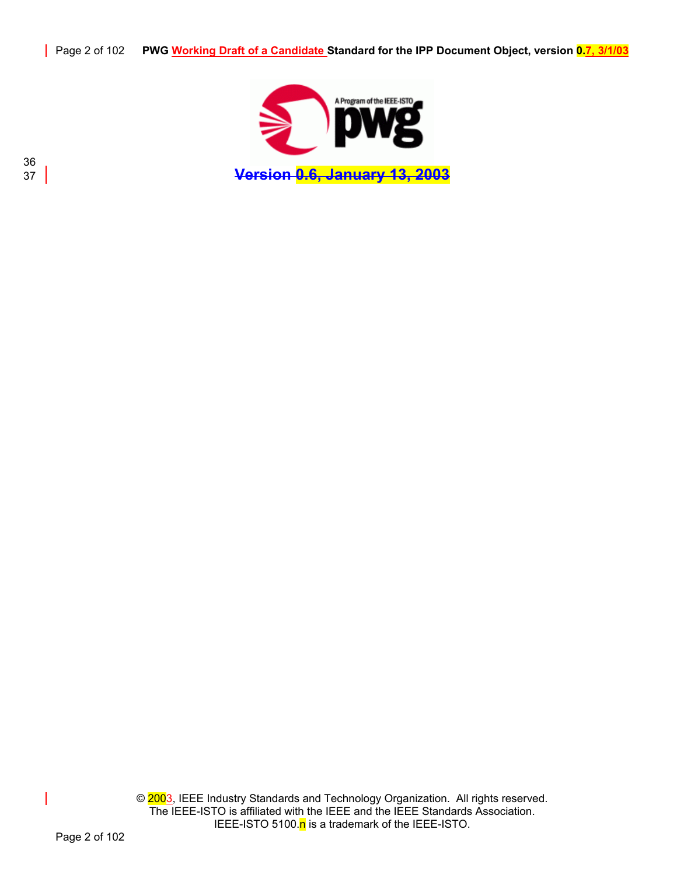

37 **Version 0.6, January 13, 2003**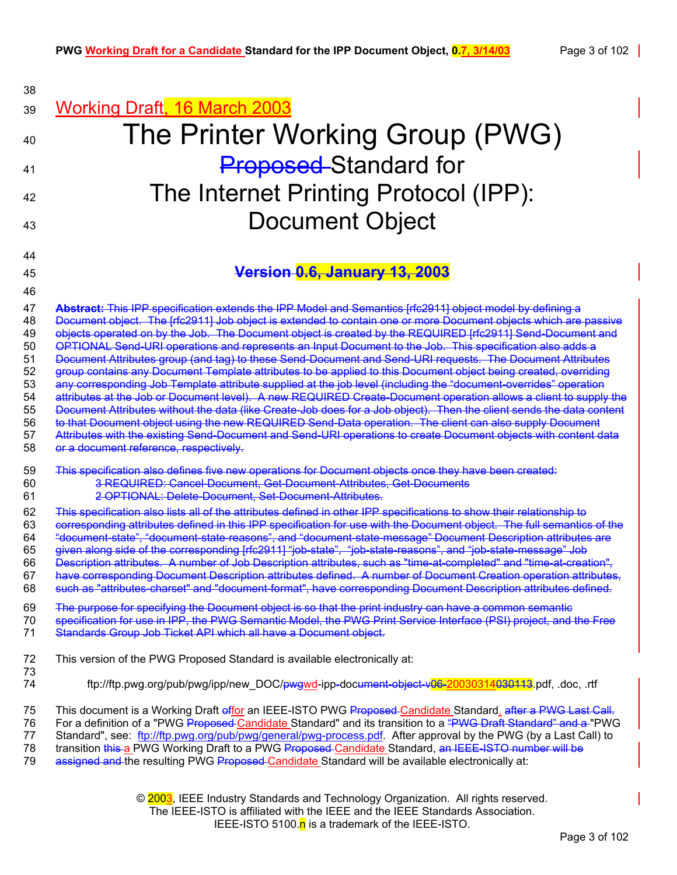| 38                                                                   |                                                                                                                                                                                                                                                                                                                                                                                                                                                                                                                                                                                                                                                                                                                                                                                                                                                                                                                                                                                                                                                                                                                                                                                                                                                                                                                                |
|----------------------------------------------------------------------|--------------------------------------------------------------------------------------------------------------------------------------------------------------------------------------------------------------------------------------------------------------------------------------------------------------------------------------------------------------------------------------------------------------------------------------------------------------------------------------------------------------------------------------------------------------------------------------------------------------------------------------------------------------------------------------------------------------------------------------------------------------------------------------------------------------------------------------------------------------------------------------------------------------------------------------------------------------------------------------------------------------------------------------------------------------------------------------------------------------------------------------------------------------------------------------------------------------------------------------------------------------------------------------------------------------------------------|
| 39                                                                   | <b>Working Draft, 16 March 2003</b>                                                                                                                                                                                                                                                                                                                                                                                                                                                                                                                                                                                                                                                                                                                                                                                                                                                                                                                                                                                                                                                                                                                                                                                                                                                                                            |
| 40                                                                   | The Printer Working Group (PWG)                                                                                                                                                                                                                                                                                                                                                                                                                                                                                                                                                                                                                                                                                                                                                                                                                                                                                                                                                                                                                                                                                                                                                                                                                                                                                                |
| 41                                                                   | <b>Proposed</b> Standard for                                                                                                                                                                                                                                                                                                                                                                                                                                                                                                                                                                                                                                                                                                                                                                                                                                                                                                                                                                                                                                                                                                                                                                                                                                                                                                   |
| 42                                                                   | The Internet Printing Protocol (IPP):                                                                                                                                                                                                                                                                                                                                                                                                                                                                                                                                                                                                                                                                                                                                                                                                                                                                                                                                                                                                                                                                                                                                                                                                                                                                                          |
|                                                                      | <b>Document Object</b>                                                                                                                                                                                                                                                                                                                                                                                                                                                                                                                                                                                                                                                                                                                                                                                                                                                                                                                                                                                                                                                                                                                                                                                                                                                                                                         |
| 43                                                                   |                                                                                                                                                                                                                                                                                                                                                                                                                                                                                                                                                                                                                                                                                                                                                                                                                                                                                                                                                                                                                                                                                                                                                                                                                                                                                                                                |
| 44                                                                   |                                                                                                                                                                                                                                                                                                                                                                                                                                                                                                                                                                                                                                                                                                                                                                                                                                                                                                                                                                                                                                                                                                                                                                                                                                                                                                                                |
| 45<br>46                                                             | Version 0.6, January 13, 2003                                                                                                                                                                                                                                                                                                                                                                                                                                                                                                                                                                                                                                                                                                                                                                                                                                                                                                                                                                                                                                                                                                                                                                                                                                                                                                  |
| 47<br>48<br>49<br>50<br>51<br>52<br>53<br>54<br>55<br>56<br>57<br>58 | Abstract: This IPP specification extends the IPP Model and Semantics [rfc2911] object model by defining a<br>Document object. The [rfc2911] Job object is extended to contain one or more Document objects which are passive<br>objects operated on by the Job. The Document object is created by the REQUIRED [rfc2911] Send Document and<br>OPTIONAL Send-URI operations and represents an Input Document to the Job. This specification also adds a<br>Document Attributes group (and tag) to these Send-Document and Send-URI requests. The Document Attributes<br>group contains any Document Template attributes to be applied to this Document object being created, overriding<br>any corresponding Job Template attribute supplied at the job level (including the "document-overrides" operation<br>attributes at the Job or Document level). A new REQUIRED Create-Document operation allows a client to supply the<br>Document Attributes without the data (like Create Job does for a Job object). Then the client sends the data content<br>to that Document object using the new REQUIRED Send-Data operation. The client can also supply Document<br>Attributes with the existing Send-Document and Send-URI operations to create Document objects with content data<br>or a document reference, respectively. |
| 59<br>60<br>61                                                       | This specification also defines five new operations for Document objects once they have been created:<br>3-REQUIRED: Cancel-Document, Get-Document-Attributes, Get-Documents<br>2 OPTIONAL: Delete Document, Set Document Attributes.                                                                                                                                                                                                                                                                                                                                                                                                                                                                                                                                                                                                                                                                                                                                                                                                                                                                                                                                                                                                                                                                                          |
| 62<br>63<br>64<br>65<br>66<br>67<br>68                               | This specification also lists all of the attributes defined in other IPP specifications to show their relationship to<br>corresponding attributes defined in this IPP specification for use with the Document object. The full semantics of the<br>"document state", "document state reasons", and "document state message" Document Description attributes are<br>given along side of the corresponding [rfc2911] "job-state", "job-state-reasons", and "job-state-message" Job<br>Description attributes. A number of Job Description attributes, such as "time-at-completed" and "time-at-creation",<br>have corresponding Document Description attributes defined. A number of Document Creation operation attributes,<br>such as "attributes-charset" and "document-format", have corresponding Document Description attributes defined                                                                                                                                                                                                                                                                                                                                                                                                                                                                                   |
| 69<br>70<br>71                                                       | The purpose for specifying the Document object is so that the print industry can have a common semantic<br>specification for use in IPP, the PWG Semantic Model, the PWG Print Service Interface (PSI) project, and the Free<br>Standards Group Job Ticket API which all have a Document object.                                                                                                                                                                                                                                                                                                                                                                                                                                                                                                                                                                                                                                                                                                                                                                                                                                                                                                                                                                                                                               |
| 72<br>73                                                             | This version of the PWG Proposed Standard is available electronically at:                                                                                                                                                                                                                                                                                                                                                                                                                                                                                                                                                                                                                                                                                                                                                                                                                                                                                                                                                                                                                                                                                                                                                                                                                                                      |
| 74                                                                   | ftp://ftp.pwg.org/pub/pwg/ipp/new_DOC/ <del>pwgwd</del> -ipp-document-object-v06-20030314030113.pdf, .doc, .rtf                                                                                                                                                                                                                                                                                                                                                                                                                                                                                                                                                                                                                                                                                                                                                                                                                                                                                                                                                                                                                                                                                                                                                                                                                |
| 75<br>76<br>77<br>78<br>79                                           | This document is a Working Draft effor an IEEE-ISTO PWG Proposed-Candidate Standard. after a PWG Last Call.<br>For a definition of a "PWG Proposed-Candidate Standard" and its transition to a "PWG Draft Standard" and a "PWG<br>Standard", see: ftp://ftp.pwg.org/pub/pwg/general/pwg-process.pdf. After approval by the PWG (by a Last Call) to<br>transition this a PWG Working Draft to a PWG Proposed Candidate Standard, an IEEE-ISTO number will be<br>assigned and the resulting PWG Proposed-Candidate Standard will be available electronically at:                                                                                                                                                                                                                                                                                                                                                                                                                                                                                                                                                                                                                                                                                                                                                                 |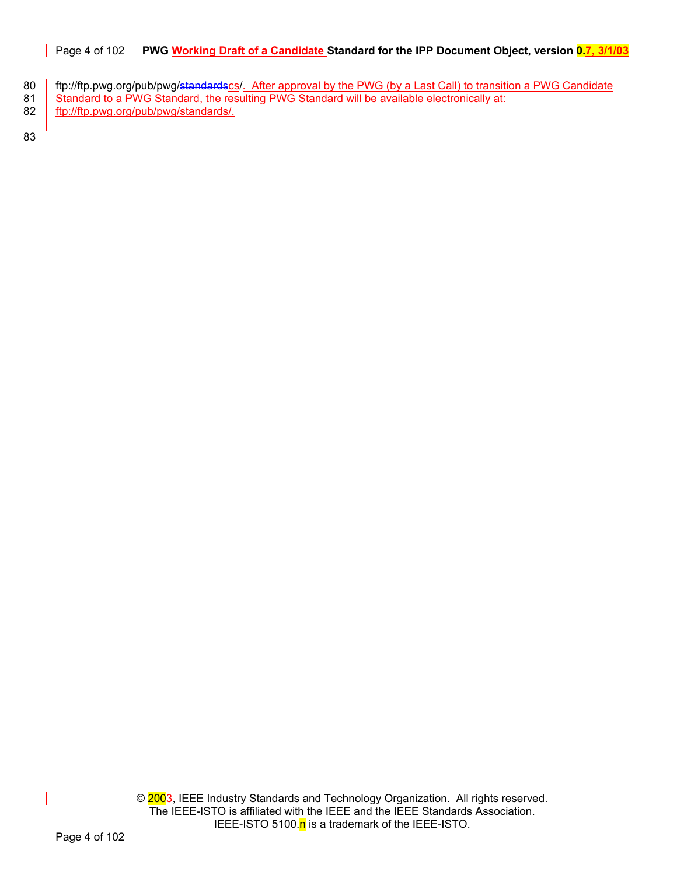# Page 4 of 102 **PWG Working Draft of a Candidate Standard for the IPP Document Object, version 0.7, 3/1/03**

- 80 ftp://ftp.pwg.org/pub/pwg/standardscs/. After approval by the PWG (by a Last Call) to transition a PWG Candidate
- 81 Standard to a PWG Standard, the resulting PWG Standard will be available electronically at:
- 82 ftp://ftp.pwg.org/pub/pwg/standards/.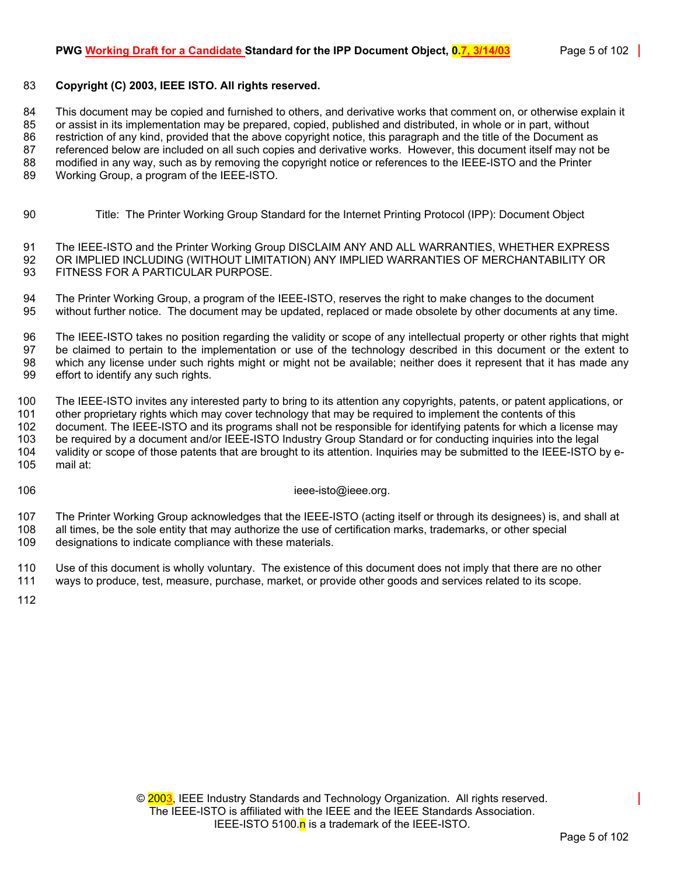# 83 **Copyright (C) 2003, IEEE ISTO. All rights reserved.**

84 This document may be copied and furnished to others, and derivative works that comment on, or otherwise explain it 85 or assist in its implementation may be prepared, copied, published and distributed, in whole or in part, without 86 restriction of any kind, provided that the above copyright notice, this paragraph and the title of the Document as 87 referenced below are included on all such copies and derivative works. However, this document itself may not be 88 modified in any way, such as by removing the copyright notice or references to the IEEE-ISTO and the Printer 89 Working Group, a program of the IEEE-ISTO.

90 Title: The Printer Working Group Standard for the Internet Printing Protocol (IPP): Document Object

91 The IEEE-ISTO and the Printer Working Group DISCLAIM ANY AND ALL WARRANTIES, WHETHER EXPRESS 92 OR IMPLIED INCLUDING (WITHOUT LIMITATION) ANY IMPLIED WARRANTIES OF MERCHANTABILITY OR 93 FITNESS FOR A PARTICULAR PURPOSE.

94 The Printer Working Group, a program of the IEEE-ISTO, reserves the right to make changes to the document 95 without further notice. The document may be updated, replaced or made obsolete by other documents at any time.

96 The IEEE-ISTO takes no position regarding the validity or scope of any intellectual property or other rights that might 97 be claimed to pertain to the implementation or use of the technology described in this document or the extent to 98 which any license under such rights might or might not be available; neither does it represent that it has made any 99 effort to identify any such rights.

100 The IEEE-ISTO invites any interested party to bring to its attention any copyrights, patents, or patent applications, or 101 other proprietary rights which may cover technology that may be required to implement the contents of this 102 document. The IEEE-ISTO and its programs shall not be responsible for identifying patents for which a license may 103 be required by a document and/or IEEE-ISTO Industry Group Standard or for conducting inquiries into the legal 104 validity or scope of those patents that are brought to its attention. Inquiries may be submitted to the IEEE-ISTO by e-

105 mail at:

106 ieee-isto@ieee.org.

107 The Printer Working Group acknowledges that the IEEE-ISTO (acting itself or through its designees) is, and shall at 108 all times, be the sole entity that may authorize the use of certification marks, trademarks, or other special 109 designations to indicate compliance with these materials.

110 Use of this document is wholly voluntary. The existence of this document does not imply that there are no other 111 ways to produce, test, measure, purchase, market, or provide other goods and services related to its scope.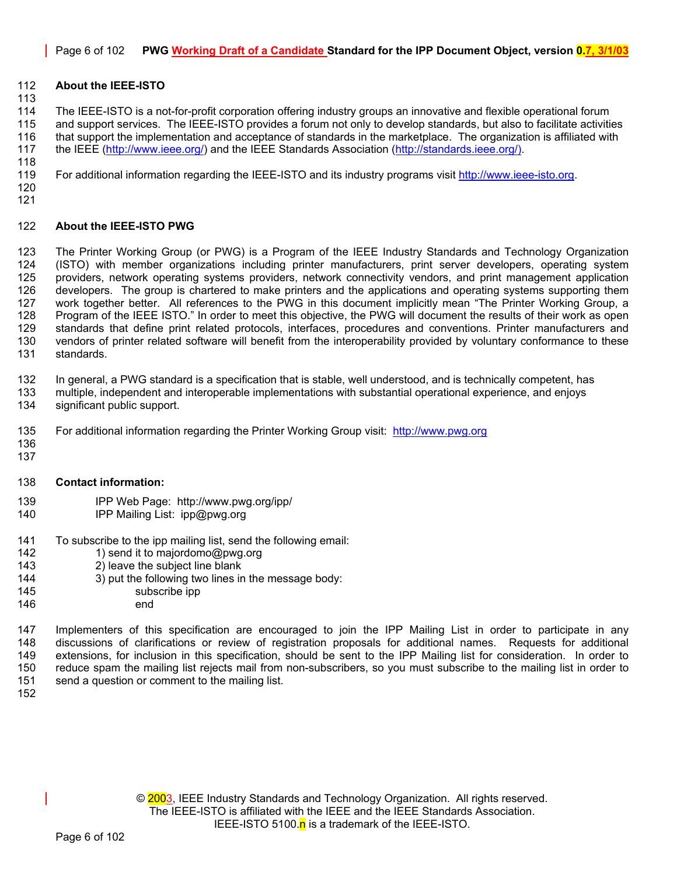# 112 **About the IEEE-ISTO**

114 The IEEE-ISTO is a not-for-profit corporation offering industry groups an innovative and flexible operational forum 115 and support services. The IEEE-ISTO provides a forum not only to develop standards, but also to facilitate activities 116 that support the implementation and acceptance of standards in the marketplace. The organization is affiliated with 117 the IEEE [\(http://www.ieee.org/\)](http://www.ieee.org/) and the IEEE Standards Association ([http://standards.ieee.org/\).](http://standards.ieee.org/)) 

119 For additional information regarding the IEEE-ISTO and its industry programs visit [http://www.ieee-isto.org.](http://www.ieee-isto.org/) 

120 121

118

113

#### 122 **About the IEEE-ISTO PWG**

123 The Printer Working Group (or PWG) is a Program of the IEEE Industry Standards and Technology Organization<br>124 (ISTO) with member organizations including printer manufacturers, print server developers, operating system 124 (ISTO) with member organizations including printer manufacturers, print server developers, operating system 125 providers, network operating systems providers, network connectivity vendors, and print management application 126 developers. The group is chartered to make printers and the applications and operating systems supporting them 127 work together better. All references to the PWG in this document implicitly mean "The Printer Working Group, a 128 Program of the IEEE ISTO." In order to meet this objective, the PWG will document the results of their work as open<br>129 standards that define print related protocols, interfaces, procedures and conventions. Printer man standards that define print related protocols, interfaces, procedures and conventions. Printer manufacturers and 130 vendors of printer related software will benefit from the interoperability provided by voluntary conformance to these 131 standards.

132 In general, a PWG standard is a specification that is stable, well understood, and is technically competent, has

- 133 multiple, independent and interoperable implementations with substantial operational experience, and enjoys
- 134 significant public support.
- 135 For additional information regarding the Printer Working Group visit: http://www.pwg.org
- 136 137
- 138 **Contact information:**
- 139 IPP Web Page: http://www.pwg.org/ipp/
- 140 **IPP Mailing List: ipp@pwg.org**
- 141 To subscribe to the ipp mailing list, send the following email:<br>142 1) send it to maiordomo@pwg.org
	- 1) send it to majordomo@pwg.org
- 143 2) leave the subject line blank
- 144 3) put the following two lines in the message body:
- 145 subscribe ipp
- 146 end

147 Implementers of this specification are encouraged to join the IPP Mailing List in order to participate in any 148 discussions of clarifications or review of registration proposals for additional names. Requests for additional 149 extensions, for inclusion in this specification, should be sent to the IPP Mailing list for consideration. In order to 150 reduce spam the mailing list rejects mail from non-subscribers, so you must subscribe to the mailing list in order to 151 send a question or comment to the mailing list.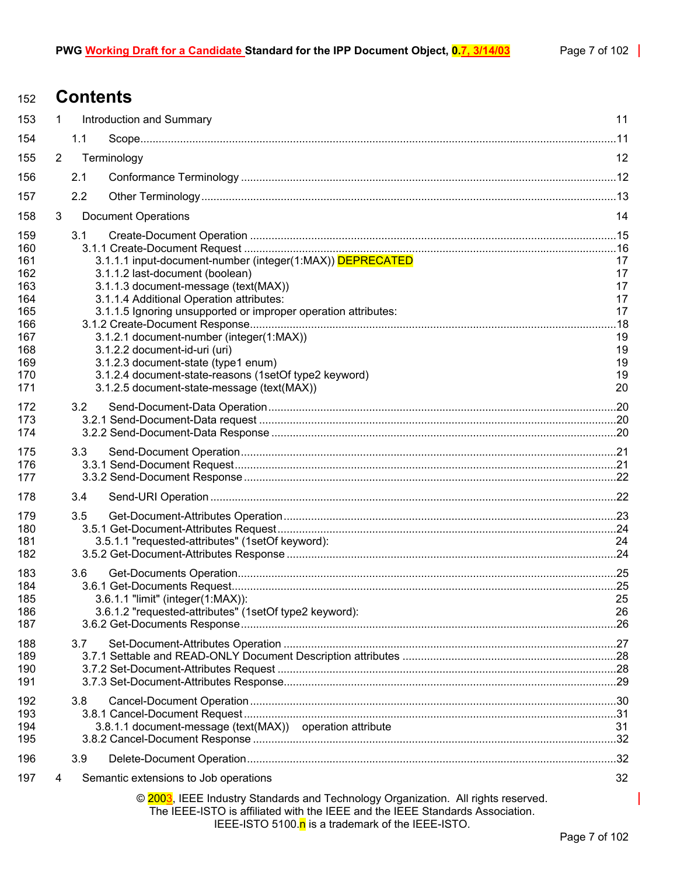# <sup>152</sup>**Contents**

| 153        | $\mathbf{1}$                  |     | Introduction and Summary                                                                                                                                                                                                | 11       |
|------------|-------------------------------|-----|-------------------------------------------------------------------------------------------------------------------------------------------------------------------------------------------------------------------------|----------|
| 154        |                               | 1.1 |                                                                                                                                                                                                                         |          |
| 155        | $\overline{2}$<br>Terminology |     |                                                                                                                                                                                                                         | 12       |
| 156        |                               | 2.1 |                                                                                                                                                                                                                         |          |
| 157        |                               | 2.2 |                                                                                                                                                                                                                         |          |
| 158        | 3                             |     | <b>Document Operations</b>                                                                                                                                                                                              | 14       |
| 159        |                               | 3.1 |                                                                                                                                                                                                                         |          |
| 160        |                               |     |                                                                                                                                                                                                                         |          |
| 161        |                               |     | 3.1.1.1 input-document-number (integer(1:MAX)) DEPRECATED                                                                                                                                                               | 17       |
| 162<br>163 |                               |     | 3.1.1.2 last-document (boolean)<br>3.1.1.3 document-message (text(MAX))                                                                                                                                                 | 17<br>17 |
| 164        |                               |     | 3.1.1.4 Additional Operation attributes:                                                                                                                                                                                | 17       |
| 165        |                               |     | 3.1.1.5 Ignoring unsupported or improper operation attributes:                                                                                                                                                          | 17       |
| 166        |                               |     |                                                                                                                                                                                                                         | .18      |
| 167        |                               |     | 3.1.2.1 document-number (integer(1:MAX))                                                                                                                                                                                | 19       |
| 168        |                               |     | 3.1.2.2 document-id-uri (uri)                                                                                                                                                                                           | 19       |
| 169        |                               |     | 3.1.2.3 document-state (type1 enum)                                                                                                                                                                                     | 19       |
| 170<br>171 |                               |     | 3.1.2.4 document-state-reasons (1setOf type2 keyword)<br>3.1.2.5 document-state-message (text(MAX))                                                                                                                     | 19<br>20 |
|            |                               |     |                                                                                                                                                                                                                         |          |
| 172<br>173 |                               | 3.2 |                                                                                                                                                                                                                         |          |
| 174        |                               |     |                                                                                                                                                                                                                         |          |
|            |                               |     |                                                                                                                                                                                                                         |          |
| 175<br>176 |                               | 3.3 |                                                                                                                                                                                                                         |          |
| 177        |                               |     |                                                                                                                                                                                                                         |          |
| 178        |                               | 3.4 |                                                                                                                                                                                                                         |          |
|            |                               |     |                                                                                                                                                                                                                         |          |
| 179<br>180 |                               | 3.5 |                                                                                                                                                                                                                         |          |
| 181        |                               |     | 3.5.1.1 "requested-attributes" (1setOf keyword):                                                                                                                                                                        | 24       |
| 182        |                               |     |                                                                                                                                                                                                                         |          |
| 183        |                               | 3.6 |                                                                                                                                                                                                                         |          |
| 184        |                               |     |                                                                                                                                                                                                                         |          |
| 185        |                               |     | 3.6.1.1 "limit" (integer(1:MAX)):                                                                                                                                                                                       | 25       |
| 186        |                               |     | 3.6.1.2 "requested-attributes" (1setOf type2 keyword):                                                                                                                                                                  | 26       |
| 187        |                               |     |                                                                                                                                                                                                                         |          |
| 188        |                               | 3.7 |                                                                                                                                                                                                                         |          |
| 189        |                               |     |                                                                                                                                                                                                                         |          |
| 190        |                               |     |                                                                                                                                                                                                                         |          |
| 191        |                               |     |                                                                                                                                                                                                                         |          |
| 192        |                               | 3.8 |                                                                                                                                                                                                                         |          |
| 193        |                               |     |                                                                                                                                                                                                                         |          |
| 194        |                               |     | 3.8.1.1 document-message (text(MAX)) operation attribute                                                                                                                                                                | 31       |
| 195        |                               |     |                                                                                                                                                                                                                         |          |
| 196        |                               | 3.9 |                                                                                                                                                                                                                         |          |
| 197        | 4                             |     | Semantic extensions to Job operations                                                                                                                                                                                   | 32       |
|            |                               |     | © 2003, IEEE Industry Standards and Technology Organization. All rights reserved.<br>The IEEE-ISTO is affiliated with the IEEE and the IEEE Standards Association.<br>IEEE-ISTO 5100.n is a trademark of the IEEE-ISTO. |          |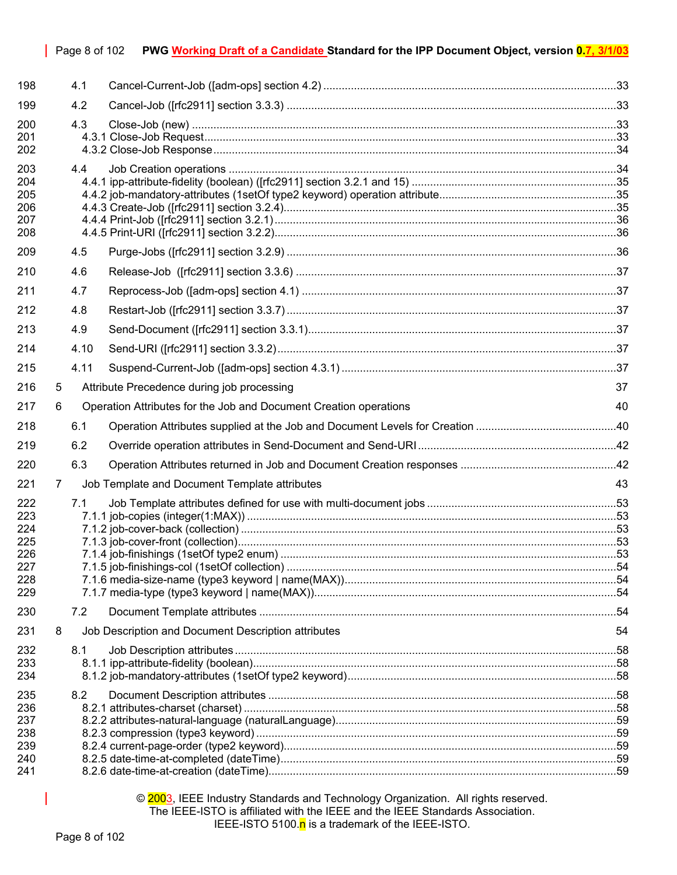| 198                                                  |   | 4.1                                                               |                                                     |         |
|------------------------------------------------------|---|-------------------------------------------------------------------|-----------------------------------------------------|---------|
| 199                                                  |   | 4.2                                                               |                                                     |         |
| 200<br>201<br>202                                    |   | 4.3                                                               |                                                     |         |
| 203<br>204<br>205<br>206<br>207<br>208<br>209        |   | 4.4                                                               |                                                     |         |
|                                                      |   | 4.5                                                               |                                                     |         |
| 210<br>211                                           |   | 4.6<br>4.7                                                        |                                                     |         |
| 212                                                  |   | 4.8                                                               |                                                     |         |
| 213                                                  |   | 4.9                                                               |                                                     |         |
| 214                                                  |   | 4.10                                                              |                                                     |         |
| 215                                                  |   | 4.11                                                              |                                                     |         |
| 216                                                  | 5 |                                                                   | Attribute Precedence during job processing          | 37      |
| 217                                                  | 6 | Operation Attributes for the Job and Document Creation operations |                                                     |         |
| 218                                                  |   | 6.1                                                               |                                                     |         |
| 219                                                  |   | 6.2                                                               |                                                     |         |
| 220                                                  |   | 6.3                                                               |                                                     |         |
| 221                                                  | 7 |                                                                   | Job Template and Document Template attributes       | 43      |
| 222<br>223<br>224<br>225<br>226<br>227<br>228<br>229 |   | 7.1                                                               |                                                     |         |
| 230                                                  |   | 7.2                                                               |                                                     |         |
| 231                                                  | 8 |                                                                   | Job Description and Document Description attributes | 54      |
| 232<br>233<br>234                                    |   | 8.1                                                               |                                                     |         |
| 235<br>236<br>237<br>ດດດ                             |   | 8.2                                                               | 00 separacecian (type 0 legitized)                  | $E^{0}$ |

Page 8 of 102 **PWG Working Draft of a Candidate Standard for the IPP Document Object, version 0.7, 3/1/03**

# 238 [8.2.3 compression \(type3 keyword\) ......................................................................................................................59](#page-58-1) 239 [8.2.4 current-page-order \(type2 keyword\).............................................................................................................59](#page-58-2) 240 [8.2.5 date-time-at-completed \(dateTime\)..............................................................................................................59](#page-58-3) 241 [8.2.6 date-time-at-creation \(dateTime\)..................................................................................................................59](#page-58-4)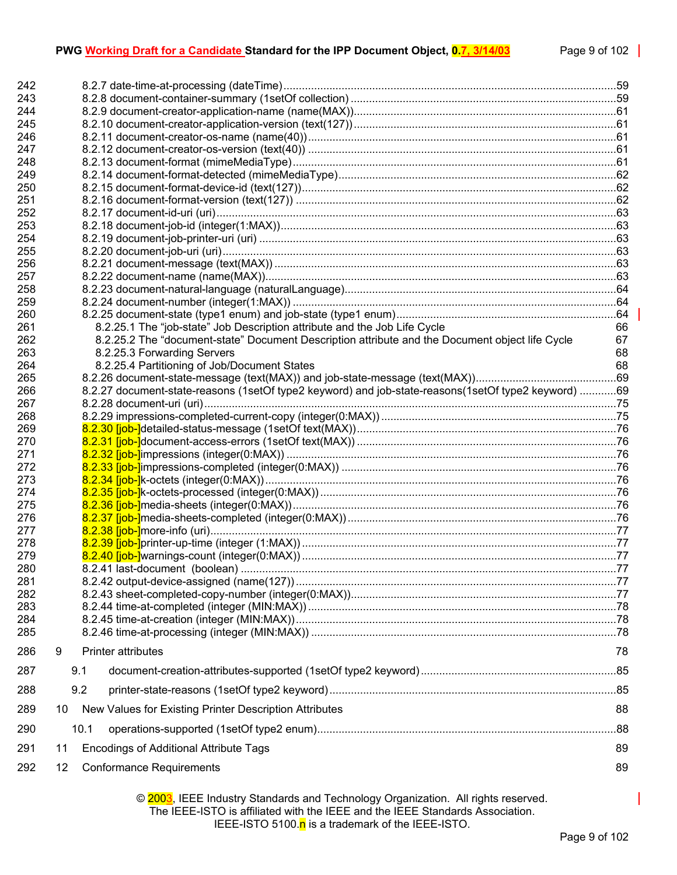# **PWG Working Draft for a Candidate Standard for the IPP Document Object, 0.7, 3/14/03** Page 9 of 102

| 242<br>243 |    |      |                                                                                                      |    |  |
|------------|----|------|------------------------------------------------------------------------------------------------------|----|--|
| 244        |    |      |                                                                                                      |    |  |
| 245        |    |      |                                                                                                      |    |  |
| 246        |    |      |                                                                                                      |    |  |
| 247        |    |      |                                                                                                      |    |  |
| 248        |    |      |                                                                                                      |    |  |
| 249<br>250 |    |      |                                                                                                      |    |  |
| 251        |    |      |                                                                                                      |    |  |
| 252        |    |      |                                                                                                      |    |  |
| 253        |    |      |                                                                                                      |    |  |
| 254        |    |      |                                                                                                      |    |  |
| 255        |    |      |                                                                                                      |    |  |
| 256        |    |      |                                                                                                      |    |  |
| 257        |    |      |                                                                                                      |    |  |
| 258        |    |      |                                                                                                      |    |  |
| 259        |    |      |                                                                                                      |    |  |
| 260        |    |      |                                                                                                      |    |  |
| 261        |    |      | 8.2.25.1 The "job-state" Job Description attribute and the Job Life Cycle                            | 66 |  |
| 262        |    |      | 8.2.25.2 The "document-state" Document Description attribute and the Document object life Cycle      | 67 |  |
| 263        |    |      | 8.2.25.3 Forwarding Servers                                                                          | 68 |  |
| 264        |    |      | 8.2.25.4 Partitioning of Job/Document States                                                         | 68 |  |
| 265        |    |      |                                                                                                      |    |  |
| 266        |    |      | 8.2.27 document-state-reasons (1setOf type2 keyword) and job-state-reasons (1setOf type2 keyword) 69 |    |  |
| 267        |    |      |                                                                                                      |    |  |
| 268        |    |      |                                                                                                      |    |  |
| 269        |    |      |                                                                                                      |    |  |
| 270        |    |      |                                                                                                      |    |  |
| 271        |    |      |                                                                                                      |    |  |
| 272        |    |      |                                                                                                      |    |  |
| 273        |    |      |                                                                                                      |    |  |
| 274        |    |      |                                                                                                      |    |  |
| 275        |    |      |                                                                                                      |    |  |
| 276        |    |      |                                                                                                      |    |  |
| 277        |    |      |                                                                                                      |    |  |
| 278        |    |      |                                                                                                      |    |  |
| 279        |    |      |                                                                                                      |    |  |
| 280        |    |      |                                                                                                      |    |  |
| 281        |    |      |                                                                                                      |    |  |
| 282        |    |      |                                                                                                      |    |  |
| 283        |    |      |                                                                                                      |    |  |
| 284        |    |      |                                                                                                      |    |  |
| 285        |    |      |                                                                                                      |    |  |
| 286        | 9  |      | <b>Printer attributes</b>                                                                            | 78 |  |
| 287        |    | 9.1  |                                                                                                      |    |  |
| 288        |    | 9.2  |                                                                                                      |    |  |
| 289        | 10 |      | New Values for Existing Printer Description Attributes                                               | 88 |  |
| 290        |    | 10.1 |                                                                                                      |    |  |
| 291        | 11 |      | <b>Encodings of Additional Attribute Tags</b>                                                        | 89 |  |
| 292        | 12 |      | <b>Conformance Requirements</b>                                                                      | 89 |  |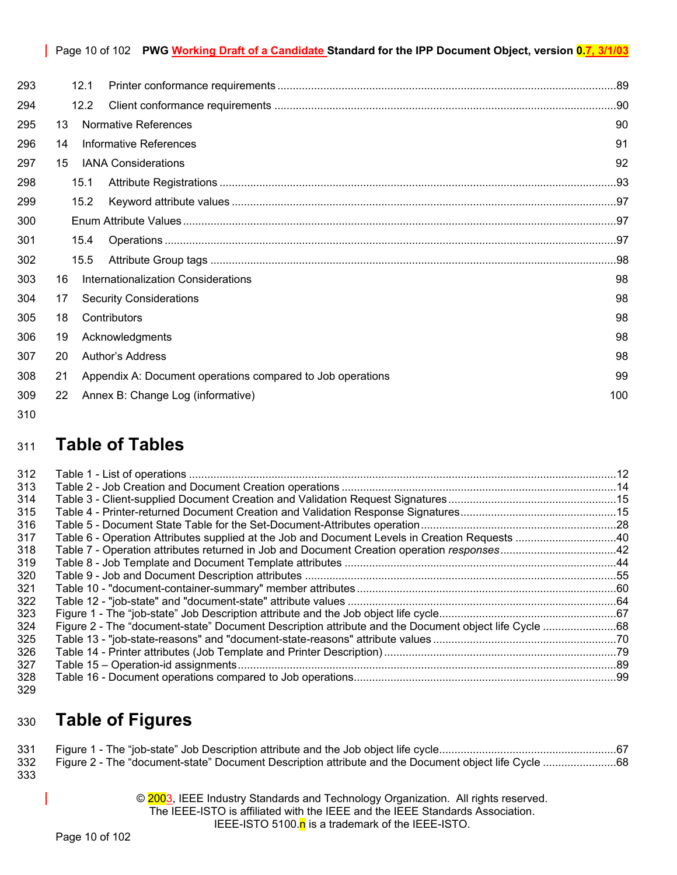|     |      | Page 10 of 102 PWG Working Draft of a Candidate Standard for the IPP Document Object, version 0.7, 3/1/03 |    |  |  |
|-----|------|-----------------------------------------------------------------------------------------------------------|----|--|--|
| 293 | 12.1 |                                                                                                           |    |  |  |
| 294 | 12.2 |                                                                                                           |    |  |  |
| 295 | 13   | Normative References                                                                                      | 90 |  |  |
| 296 | 14   | <b>Informative References</b>                                                                             | 91 |  |  |
| 297 | 15   | <b>IANA Considerations</b>                                                                                | 92 |  |  |
| 298 | 15.1 |                                                                                                           |    |  |  |
| 299 | 15.2 |                                                                                                           |    |  |  |
| 300 |      |                                                                                                           |    |  |  |
| 301 | 15.4 |                                                                                                           |    |  |  |
| 302 | 15.5 |                                                                                                           |    |  |  |
| 303 | 16   | <b>Internationalization Considerations</b>                                                                | 98 |  |  |
| 304 | 17   | <b>Security Considerations</b>                                                                            | 98 |  |  |
| 305 | 18   | Contributors                                                                                              | 98 |  |  |
| 306 | 19   | Acknowledgments                                                                                           | 98 |  |  |
| 307 | 20   | Author's Address<br>98                                                                                    |    |  |  |
| 308 | 21   | Appendix A: Document operations compared to Job operations                                                | 99 |  |  |
| 309 | 22   | Annex B: Change Log (informative)<br>100                                                                  |    |  |  |

310

# <sup>311</sup>**Table of Tables**

| 312 |  |
|-----|--|
| 313 |  |
| 314 |  |
| 315 |  |
| 316 |  |
| 317 |  |
| 318 |  |
| 319 |  |
| 320 |  |
| 321 |  |
| 322 |  |
| 323 |  |
| 324 |  |
| 325 |  |
| 326 |  |
| 327 |  |
| 328 |  |
| 329 |  |

# <sup>330</sup>**Table of Figures**

| 331 |  |
|-----|--|
| 332 |  |
| 333 |  |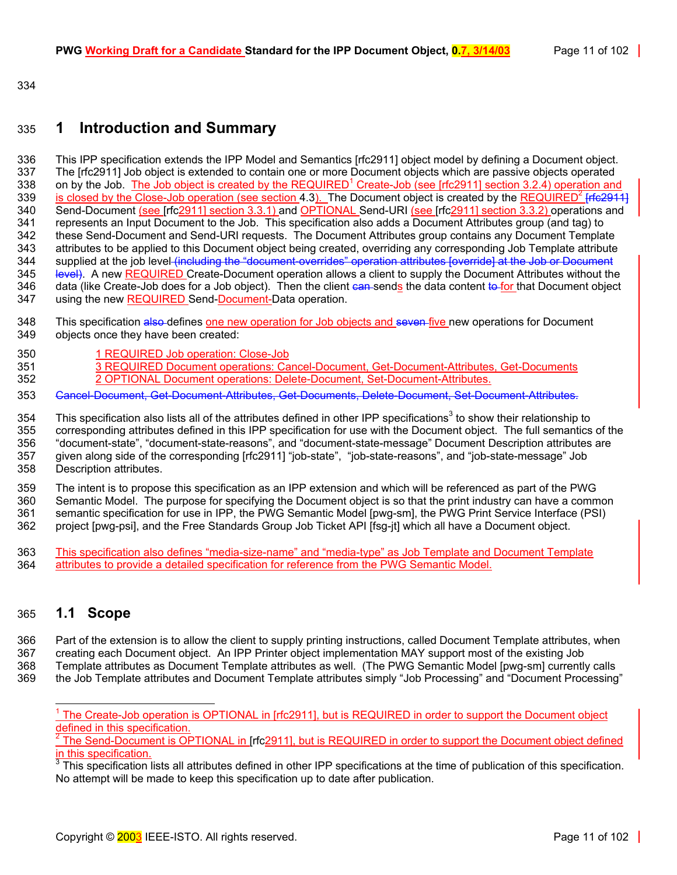334

# <span id="page-10-0"></span>335 **1 Introduction and Summary**

336 This IPP specification extends the IPP Model and Semantics [rfc2911] object model by defining a Document object. 337 The [rfc2911] Job object is extended to contain one or more Document objects which are passive objects operated 338 on by the Job. The Job object is created by the REQUIRED<sup>1</sup> Create-Job (see [rfc2911] section 3.2.4) operation and 339 is closed by the Close-Job operation (see section [4.3\)](#page-32-2). The Document object is created by the REQUIRED<sup>2</sup> [rfc2911] 340 Send-Document (see [rfc2911] section 3.3.1) and OPTIONAL Send-URI (see [rfc2911] section 3.3.2) operations and 341 represents an Input Document to the Job. This specification also adds a Document Attributes group (and tag) to 342 these Send-Document and Send-URI requests. The Document Attributes group contains any Document Template 343 attributes to be applied to this Document object being created, overriding any corresponding Job Template attribute<br>344 supplied at the job level (including the "document overrides" operation attributes foverridel at t 344 supplied at the job level <del>(including the "document overrides" operation attributes [override] at the Job or Document<br>345 Hevel). A new REQUIRED Create-Document operation allows a client to supply the Document Attribut</del> level). A new REQUIRED Create-Document operation allows a client to supply the Document Attributes without the 346 data (like Create-Job does for a Job object). Then the client can sends the data content to for that Document object 347 using the new REQUIRED Send-Document-Data operation.

- 348 This specification also defines one new operation for Job objects and seven five new operations for Document 349 objects once they have been created:
- 350 1 REQUIRED Job operation: Close-Job
- 351 3 REQUIRED Document operations: Cancel-Document, Get-Document-Attributes, Get-Documents 352 2 OPTIONAL Document operations: Delete-Document, Set-Document-Attributes.
- 353 Cancel-Document, Get-Document-Attributes, Get-Documents, Delete-Document, Set-Document-Attributes.

354 This specifica[t](#page-10-4)ion also lists all of the attributes defined in other IPP specifications<sup>3</sup> to show their relationship to 355 corresponding attributes defined in this IPP specification for use with the Document object. The full semantics of the 356 "document-state", "document-state-reasons", and "document-state-message" Document Description attributes are 357 given along side of the corresponding [rfc2911] "job-state", "job-state-reasons", and "job-state-message" Job 358 Description attributes.

359 The intent is to propose this specification as an IPP extension and which will be referenced as part of the PWG 360 Semantic Model. The purpose for specifying the Document object is so that the print industry can have a common 361 semantic specification for use in IPP, the PWG Semantic Model [pwg-sm], the PWG Print Service Interface (PSI) 362 project [pwg-psi], and the Free Standards Group Job Ticket API [fsg-jt] which all have a Document object.

363 This specification also defines "media-size-name" and "media-type" as Job Template and Document Template<br>364 attributes to provide a detailed specification for reference from the PWG Semantic Model. attributes to provide a detailed specification for reference from the PWG Semantic Model.

# <span id="page-10-1"></span>365 **1.1 Scope**

366 Part of the extension is to allow the client to supply printing instructions, called Document Template attributes, when 367 creating each Document object. An IPP Printer object implementation MAY support most of the existing Job

368 Template attributes as Document Template attributes as well. (The PWG Semantic Model [pwg-sm] currently calls

369 the Job Template attributes and Document Template attributes simply "Job Processing" and "Document Processing"

<span id="page-10-2"></span>l 1 The Create-Job operation is OPTIONAL in [rfc2911], but is REQUIRED in order to support the Document object defined in this specification.

<span id="page-10-3"></span><sup>2</sup> The Send-Document is OPTIONAL in [rfc2911], but is REQUIRED in order to support the Document object defined in this specification.

<span id="page-10-4"></span> $3$  This specification lists all attributes defined in other IPP specifications at the time of publication of this specification. No attempt will be made to keep this specification up to date after publication.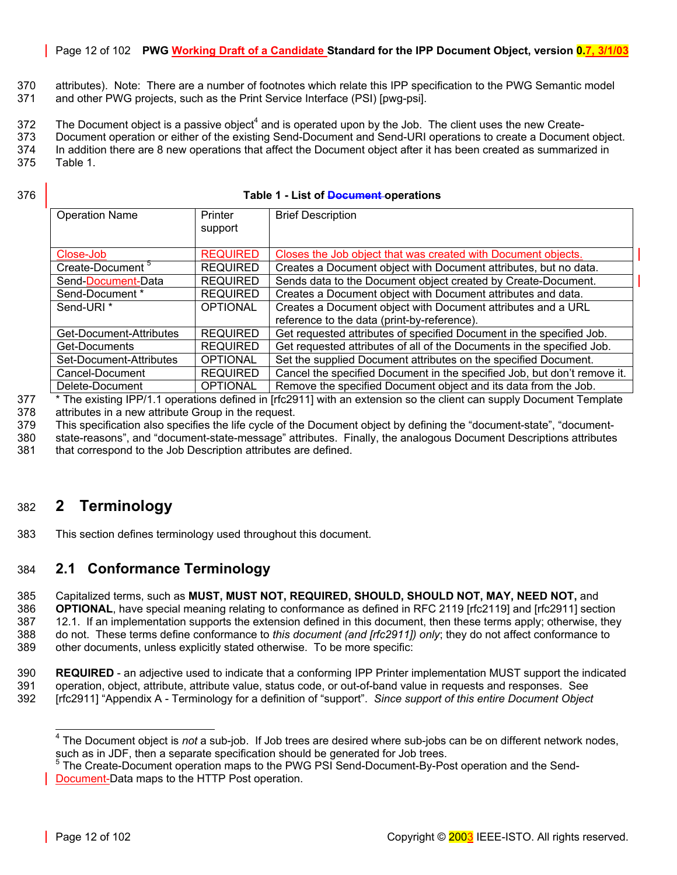# Page 12 of 102 **PWG Working Draft of a Candidate Standard for the IPP Document Object, version 0.7, 3/1/03**

- 370 attributes). Note: There are a number of footnotes which relate this IPP specification to the PWG Semantic model 371 and other PWG projects, such as the Print Service Interface (PSI) [pwg-psi].
- $372$  The Document object is a passive object<sup>4</sup> and is operated upon by the Job. The client uses the new Create-
- 373 Document operation or either of the existing Send-Document and Send-URI operations to create a Document object. 374 In addition there are 8 new operations that affect the Document object after it has been created as summarized in
- 375 [Table 1.](#page-11-2)
- 

#### 376 **Table 1 - List of Document operations**

<span id="page-11-2"></span>

| <b>Operation Name</b>                    | Printer<br>support | <b>Brief Description</b>                                                 |  |
|------------------------------------------|--------------------|--------------------------------------------------------------------------|--|
| Close-Job                                | <b>REQUIRED</b>    | Closes the Job object that was created with Document objects.            |  |
| Create-Document <sup>5</sup>             | <b>REQUIRED</b>    | Creates a Document object with Document attributes, but no data.         |  |
| Send-Document-Data                       | <b>REQUIRED</b>    | Sends data to the Document object created by Create-Document.            |  |
| Send-Document *                          | <b>REQUIRED</b>    | Creates a Document object with Document attributes and data.             |  |
| Send-URI <sup>*</sup><br><b>OPTIONAL</b> |                    | Creates a Document object with Document attributes and a URL             |  |
|                                          |                    | reference to the data (print-by-reference).                              |  |
| Get-Document-Attributes                  | <b>REQUIRED</b>    | Get requested attributes of specified Document in the specified Job.     |  |
| Get-Documents                            | <b>REQUIRED</b>    | Get requested attributes of all of the Documents in the specified Job.   |  |
| Set-Document-Attributes                  | <b>OPTIONAL</b>    | Set the supplied Document attributes on the specified Document.          |  |
| Cancel-Document                          | <b>REQUIRED</b>    | Cancel the specified Document in the specified Job, but don't remove it. |  |
| Delete-Document                          | <b>OPTIONAL</b>    | Remove the specified Document object and its data from the Job.          |  |

377 \* The existing IPP/1.1 operations defined in [rfc2911] with an extension so the client can supply Document Template 378 attributes in a new attribute Group in the request.

379 This specification also specifies the life cycle of the Document object by defining the "document-state", "document-

- 380 state-reasons", and "document-state-message" attributes. Finally, the analogous Document Descriptions attributes
- 381 that correspond to the Job Description attributes are defined.

# <span id="page-11-0"></span>382 **2 Terminology**

383 This section defines terminology used throughout this document.

# <span id="page-11-1"></span>384 **2.1 Conformance Terminology**

385 Capitalized terms, such as **MUST, MUST NOT, REQUIRED, SHOULD, SHOULD NOT, MAY, NEED NOT,** and 386 **OPTIONAL**, have special meaning relating to conformance as defined in RFC 2119 [rfc2119] and [rfc2911] section 387 12.1. If an implementation supports the extension defined in this document, then these terms apply; otherwise, they 388 do not. These terms define conformance to *this document (and [rfc2911]) only*; they do not affect conformance to

389 other documents, unless explicitly stated otherwise. To be more specific:

- 390 **REQUIRED**  an adjective used to indicate that a conforming IPP Printer implementation MUST support the indicated 391 operation, object, attribute, attribute value, status code, or out-of-band value in requests and responses. See 392 [rfc2911] "Appendix A - Terminology for a definition of "support". *Since support of this entire Document Object*
- 

<span id="page-11-3"></span> 4 The Document object is *not* a sub-job. If Job trees are desired where sub-jobs can be on different network nodes, such as in JDF, then a separate specification should be generated for Job trees.

<span id="page-11-4"></span><sup>&</sup>lt;sup>5</sup> The Create-Document operation maps to the PWG PSI Send-Document-By-Post operation and the Send-Document-Data maps to the HTTP Post operation.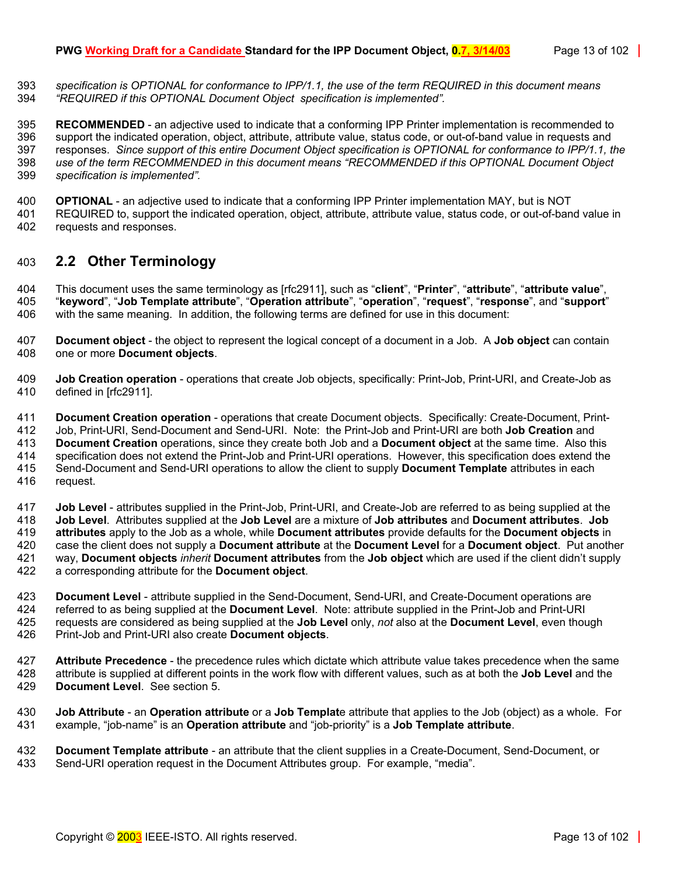393 *specification is OPTIONAL for conformance to IPP/1.1, the use of the term REQUIRED in this document means*  394 *"REQUIRED if this OPTIONAL Document Object specification is implemented".*

395 **RECOMMENDED** - an adjective used to indicate that a conforming IPP Printer implementation is recommended to 396 support the indicated operation, object, attribute, attribute value, status code, or out-of-band value in requests and 397 responses. *Since support of this entire Document Object specification is OPTIONAL for conformance to IPP/1.1, the*  398 *use of the term RECOMMENDED in this document means "RECOMMENDED if this OPTIONAL Document Object*  399 *specification is implemented".*

400 **OPTIONAL** - an adjective used to indicate that a conforming IPP Printer implementation MAY, but is NOT 401 REQUIRED to, support the indicated operation, object, attribute, attribute value, status code, or out-of-band value in 402 requests and responses.

# <span id="page-12-0"></span>403 **2.2 Other Terminology**

404 This document uses the same terminology as [rfc2911], such as "**client**", "**Printer**", "**attribute**", "**attribute value**", 405 "**keyword**", "**Job Template attribute**", "**Operation attribute**", "**operation**", "**request**", "**response**", and "**support**" 406 with the same meaning. In addition, the following terms are defined for use in this document:

- 407 **Document object** the object to represent the logical concept of a document in a Job. A **Job object** can contain 408 one or more **Document objects**.
- 409 **Job Creation operation** operations that create Job objects, specifically: Print-Job, Print-URI, and Create-Job as 410 defined in [rfc2911].

411 **Document Creation operation** - operations that create Document objects. Specifically: Create-Document, Print-412 Job, Print-URI, Send-Document and Send-URI. Note: the Print-Job and Print-URI are both **Job Creation** and 413 **Document Creation** operations, since they create both Job and a **Document object** at the same time. Also this 414 specification does not extend the Print-Job and Print-URI operations. However, this specification does extend the 415 Send-Document and Send-URI operations to allow the client to supply Document Template attributes in 415 Send-Document and Send-URI operations to allow the client to supply **Document Template** attributes in each 416 request.

417 **Job Level** - attributes supplied in the Print-Job, Print-URI, and Create-Job are referred to as being supplied at the 418 **Job Level**. Attributes supplied at the **Job Level** are a mixture of **Job attributes** and **Document attributes**. **Job**  419 **attributes** apply to the Job as a whole, while **Document attributes** provide defaults for the **Document objects** in 420 case the client does not supply a **Document attribute** at the **Document Level** for a **Document object**. Put another 421 way, **Document objects** *inherit* **Document attributes** from the **Job object** which are used if the client didn't supply 422 a corresponding attribute for the **Document object**.

- 423 **Document Level** attribute supplied in the Send-Document, Send-URI, and Create-Document operations are 424 referred to as being supplied at the **Document Level**. Note: attribute supplied in the Print-Job and Print-URI 425 requests are considered as being supplied at the **Job Level** only, *not* also at the **Document Level**, even though 426 Print-Job and Print-URI also create **Document objects**.
- 427 **Attribute Precedence** the precedence rules which dictate which attribute value takes precedence when the same 428 attribute is supplied at different points in the work flow with different values, such as at both the **Job Level** and the 429 **Document Level**. See section [5.](#page-36-6)
- 430 **Job Attribute** an **Operation attribute** or a **Job Templat**e attribute that applies to the Job (object) as a whole. For 431 example, "job-name" is an **Operation attribute** and "job-priority" is a **Job Template attribute**.
- 432 **Document Template attribute**  an attribute that the client supplies in a Create-Document, Send-Document, or 433 Send-URI operation request in the Document Attributes group. For example, "media".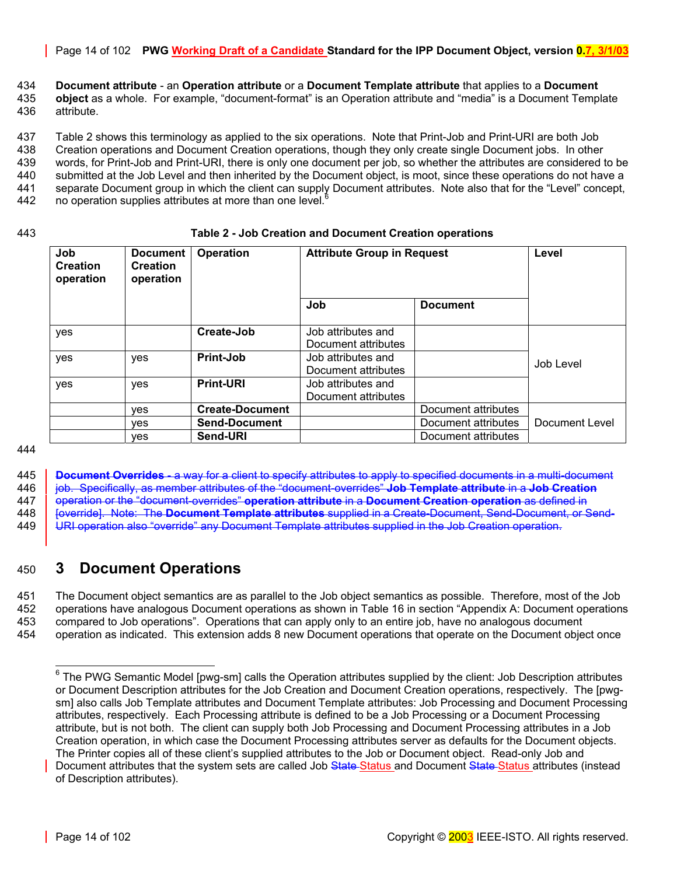Page 14 of 102 **PWG Working Draft of a Candidate Standard for the IPP Document Object, version 0.7, 3/1/03**

434 **Document attribute** - an **Operation attribute** or a **Document Template attribute** that applies to a **Document**  435 **object** as a whole. For example, "document-format" is an Operation attribute and "media" is a Document Template

436 attribute.

437 [Table 2](#page-13-1) shows this terminology as applied to the six operations. Note that Print-Job and Print-URI are both Job

438 Creation operations and Document Creation operations, though they only create single Document jobs. In other 439 words, for Print-Job and Print-URI, there is only one document per job, so whether the attributes are considered to be 440 submitted at the Job Level and then inherited by the Document object, is moot, since these operations do not have a 441 separate Document group in which the client can supply Document attributes. Note also that for the "Level" concept, 442  $\degree$  no operation supplies attributes at more than one level.<sup>[6](#page-13-2)</sup>

#### 443 **Table 2 - Job Creation and Document Creation operations**

<span id="page-13-1"></span>

| Job<br><b>Creation</b><br>operation | <b>Document</b><br><b>Creation</b><br>operation | <b>Operation</b>       | <b>Attribute Group in Request</b>         |                     | Level          |
|-------------------------------------|-------------------------------------------------|------------------------|-------------------------------------------|---------------------|----------------|
|                                     |                                                 |                        | Job                                       | <b>Document</b>     |                |
| yes                                 |                                                 | Create-Job             | Job attributes and<br>Document attributes |                     |                |
| yes                                 | yes                                             | Print-Job              | Job attributes and<br>Document attributes |                     | Job Level      |
| yes                                 | yes                                             | <b>Print-URI</b>       | Job attributes and<br>Document attributes |                     |                |
|                                     | <b>ves</b>                                      | <b>Create-Document</b> |                                           | Document attributes |                |
|                                     | ves                                             | <b>Send-Document</b>   |                                           | Document attributes | Document Level |
|                                     | ves                                             | Send-URI               |                                           | Document attributes |                |

444

445 **Document Overrides** - a way for a client to specify attributes to apply to specified documents in a multi-document 446 job. Specifically, as member attributes of the "document-overrides" **Job Template attribute** in a **Job Creation**

447 operation or the "document-overrides" **operation attribute** in a **Document Creation operation** as defined in 448 | <del>[override]. Note: The **Document Template attributes** supplied in a Create Document, Send-Document, or Send-</del>

449 URI operation also "override" any Document Template attributes supplied in the Job Creation operation.

# <span id="page-13-0"></span>450 **3 Document Operations**

451 The Document object semantics are as parallel to the Job object semantics as possible. Therefore, most of the Job 452 operations have analogous Document operations as shown in [Table 16](#page-98-1) in section "[Appendix A: Document operations](#page-98-0)  453 [compared to Job operations"](#page-98-0). Operations that can apply only to an entire job, have no analogous document 454 operation as indicated. This extension adds 8 new Document operations that operate on the Document object once

<span id="page-13-2"></span> $\overline{a}$ <sup>6</sup> The PWG Semantic Model [pwg-sm] calls the Operation attributes supplied by the client: Job Description attributes or Document Description attributes for the Job Creation and Document Creation operations, respectively. The [pwgsm] also calls Job Template attributes and Document Template attributes: Job Processing and Document Processing attributes, respectively. Each Processing attribute is defined to be a Job Processing or a Document Processing attribute, but is not both. The client can supply both Job Processing and Document Processing attributes in a Job Creation operation, in which case the Document Processing attributes server as defaults for the Document objects. The Printer copies all of these client's supplied attributes to the Job or Document object. Read-only Job and

Document attributes that the system sets are called Job State Status and Document State Status attributes (instead of Description attributes).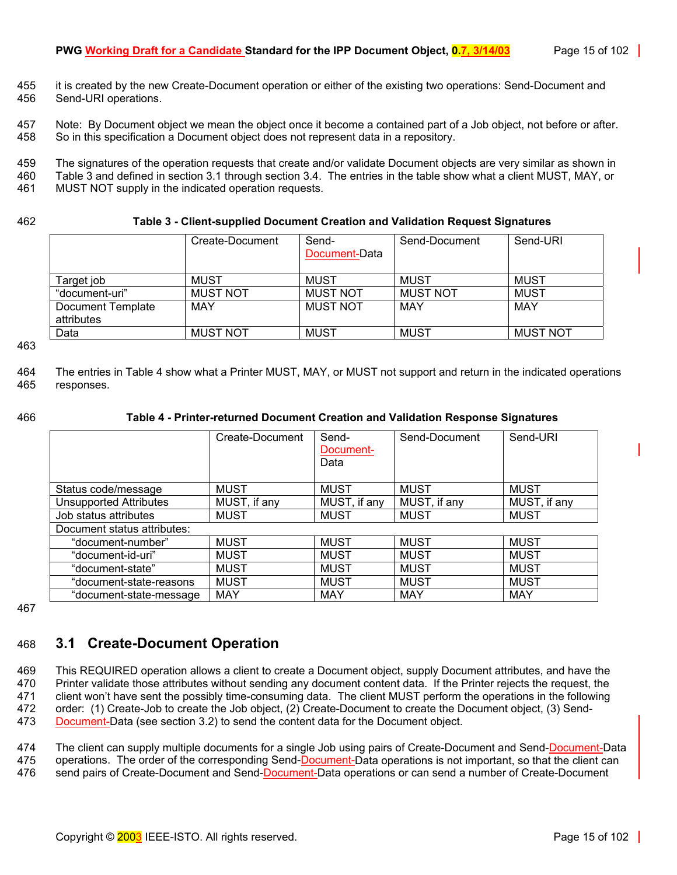- 455 it is created by the new Create-Document operation or either of the existing two operations: Send-Document and 456 Send-URI operations.
- 457 Note: By Document object we mean the object once it become a contained part of a Job object, not before or after. 458 So in this specification a Document object does not represent data in a repository.
- 459 The signatures of the operation requests that create and/or validate Document objects are very similar as shown in 460 [Table 3](#page-14-1) and defined in section [3.1 t](#page-14-0)hrough section [3.4.](#page-21-1) The entries in the table show what a client MUST, MAY, or 461 MUST, NAY, or
- MUST NOT supply in the indicated operation requests.

#### 462 **Table 3 - Client-supplied Document Creation and Validation Request Signatures**

<span id="page-14-1"></span>

|                                 | Create-Document | Send-<br>Document-Data | Send-Document   | Send-URI        |
|---------------------------------|-----------------|------------------------|-----------------|-----------------|
| Target job                      | <b>MUST</b>     | MUST                   | MUST            | <b>MUST</b>     |
| "document-uri"                  | <b>MUST NOT</b> | <b>MUST NOT</b>        | <b>MUST NOT</b> | <b>MUST</b>     |
| Document Template<br>attributes | MAY             | <b>MUST NOT</b>        | MAY             | MAY             |
| Data                            | <b>MUST NOT</b> | <b>MUST</b>            | <b>MUST</b>     | <b>MUST NOT</b> |

463

464 The entries in [Table 4](#page-14-2) show what a Printer MUST, MAY, or MUST not support and return in the indicated operations 465 responses.

#### 466 **Table 4 - Printer-returned Document Creation and Validation Response Signatures**

<span id="page-14-2"></span>

|                               | Create-Document | Send-        | Send-Document | Send-URI     |
|-------------------------------|-----------------|--------------|---------------|--------------|
|                               |                 | Document-    |               |              |
|                               |                 |              |               |              |
|                               |                 | Data         |               |              |
|                               |                 |              |               |              |
| Status code/message           | <b>MUST</b>     | <b>MUST</b>  | <b>MUST</b>   | <b>MUST</b>  |
| <b>Unsupported Attributes</b> | MUST, if any    | MUST, if any | MUST, if any  | MUST, if any |
| Job status attributes         | <b>MUST</b>     | <b>MUST</b>  | <b>MUST</b>   | <b>MUST</b>  |
| Document status attributes:   |                 |              |               |              |
| "document-number"             | <b>MUST</b>     | <b>MUST</b>  | <b>MUST</b>   | <b>MUST</b>  |
| "document-id-uri"             | <b>MUST</b>     | <b>MUST</b>  | <b>MUST</b>   | <b>MUST</b>  |
| "document-state"              | <b>MUST</b>     | <b>MUST</b>  | <b>MUST</b>   | <b>MUST</b>  |
| "document-state-reasons       | <b>MUST</b>     | <b>MUST</b>  | <b>MUST</b>   | <b>MUST</b>  |
| "document-state-message       | <b>MAY</b>      | <b>MAY</b>   | <b>MAY</b>    | <b>MAY</b>   |

467

# <span id="page-14-0"></span>468 **3.1 Create-Document Operation**

469 This REQUIRED operation allows a client to create a Document object, supply Document attributes, and have the 470 Printer validate those attributes without sending any document content data. If the Printer rejects the request, the 471 client won't have sent the possibly time-consuming data. The client MUST perform the operations in the following 472 order: (1) Create-Job to create the Job object, (2) Create-Document to create the Document object, (3) Send-473 Document-Data (see section [3.2\)](#page-19-1) to send the content data for the Document object.

474 The client can supply multiple documents for a single Job using pairs of Create-Document and Send-Document-Data 475 operations. The order of the corresponding Send-Document-Data operations is not important, so that the client can

476 send pairs of Create-Document and Send-Document-Data operations or can send a number of Create-Document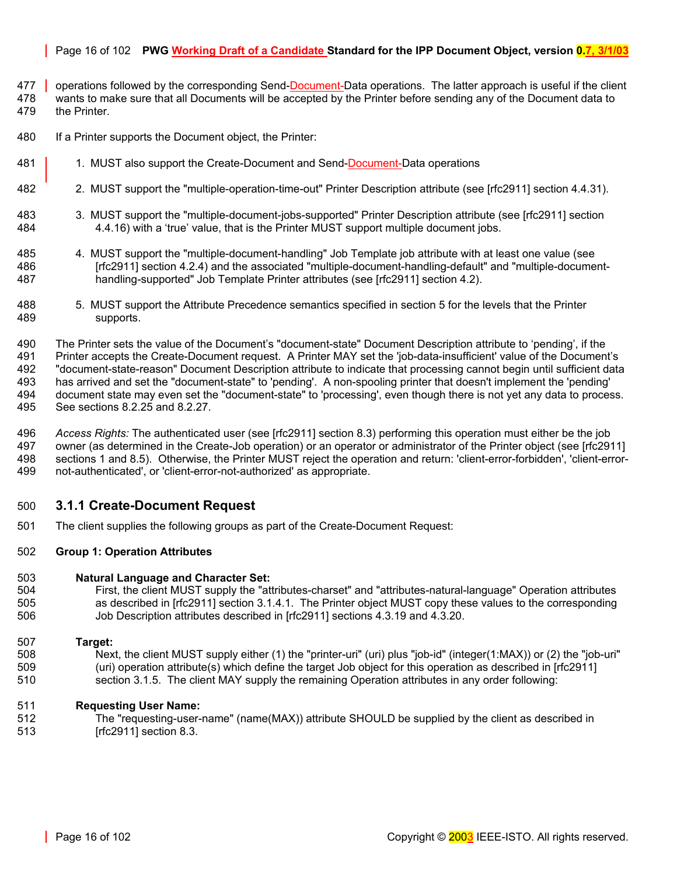### Page 16 of 102 **PWG Working Draft of a Candidate Standard for the IPP Document Object, version 0.7, 3/1/03**

- 477 operations followed by the corresponding Send-Document-Data operations. The latter approach is useful if the client 478 wants to make sure that all Documents will be accepted by the Printer before sending any of the Document data to 479 the Printer.
- 480 If a Printer supports the Document object, the Printer:
- 481 1. MUST also support the Create-Document and Send-Document-Data operations
- 482 2. MUST support the "multiple-operation-time-out" Printer Description attribute (see [rfc2911] section 4.4.31).
- 483 3. MUST support the "multiple-document-jobs-supported" Printer Description attribute (see [rfc2911] section 484 4.4.16) with a 'true' value, that is the Printer MUST support multiple document jobs.
- 485 4. MUST support the "multiple-document-handling" Job Template job attribute with at least one value (see 486 [rfc2911] section 4.2.4) and the associated "multiple-document-handling-default" and "multiple-document-487 handling-supported" Job Template Printer attributes (see [rfc2911] section 4.2).
- 488 5. MUST support the Attribute Precedence semantics specified in section [5 f](#page-36-6)or the levels that the Printer 489 supports.
- 490 The Printer sets the value of the Document's "document-state" Document Description attribute to 'pending', if the 491 Printer accepts the Create-Document request. A Printer MAY set the 'job-data-insufficient' value of the Document's 492 "document-state-reason" Document Description attribute to indicate that processing cannot begin until sufficient data 493 has arrived and set the "document-state" to 'pending'. A non-spooling printer that doesn't implement the 'pending' 494 document state may even set the "document-state" to 'processing', even though there is not yet any data to process. 495 See sections [8.2.25](#page-63-2) and [8.2.27.](#page-68-1)
- 496 *Access Rights:* The authenticated user (see [rfc2911] section 8.3) performing this operation must either be the job 497 owner (as determined in the Create-Job operation) or an operator or administrator of the Printer object (see [rfc2911] 498 sections 1 and 8.5). Otherwise, the Printer MUST reject the operation and return: 'client-error-forbidden', 'client-error-499 not-authenticated', or 'client-error-not-authorized' as appropriate.

# <span id="page-15-0"></span>500 **3.1.1 Create-Document Request**

501 The client supplies the following groups as part of the Create-Document Request:

#### 502 **Group 1: Operation Attributes**

#### 503 **Natural Language and Character Set:**

504 First, the client MUST supply the "attributes-charset" and "attributes-natural-language" Operation attributes 505 as described in [rfc2911] section 3.1.4.1. The Printer object MUST copy these values to the corresponding 506 Job Description attributes described in [rfc2911] sections 4.3.19 and 4.3.20.

#### 507 **Target:**

508 Next, the client MUST supply either (1) the "printer-uri" (uri) plus "job-id" (integer(1:MAX)) or (2) the "job-uri" 509 (uri) operation attribute(s) which define the target Job object for this operation as described in [rfc2911] 510 section 3.1.5. The client MAY supply the remaining Operation attributes in any order following:

#### 511 **Requesting User Name:**

512 The "requesting-user-name" (name(MAX)) attribute SHOULD be supplied by the client as described in 513 [rfc2911] section 8.3.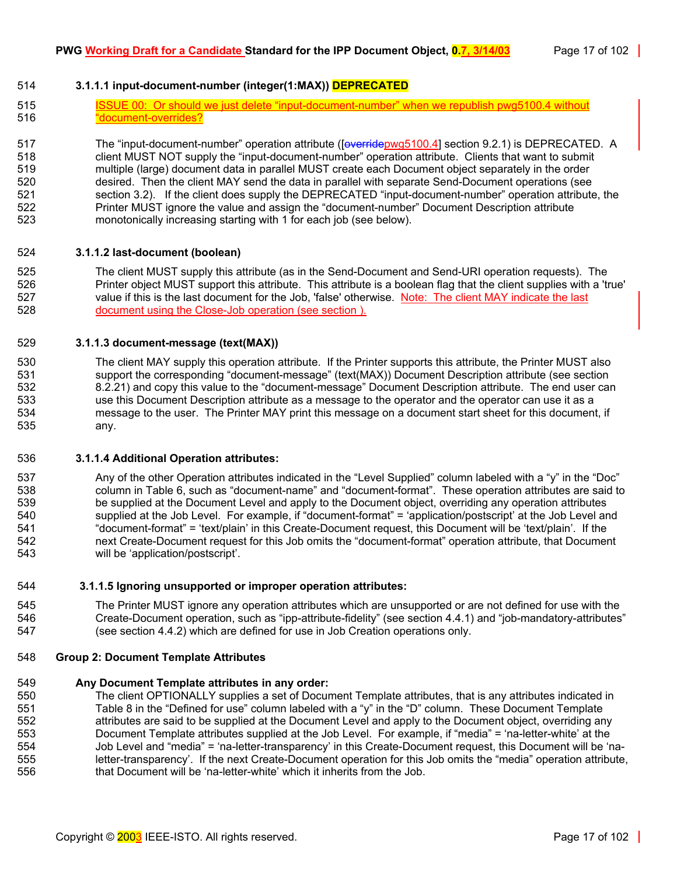# <span id="page-16-0"></span>514 **3.1.1.1 input-document-number (integer(1:MAX)) DEPRECATED**

515 **ISSUE 00: Or should we just delete "input-document-number" when we republish pwg5100.4 without** 516 "document-overrides?

517 The "input-document-number" operation attribute ([overridepwg5100.4] section 9.2.1) is DEPRECATED. A 518 client MUST NOT supply the "input-document-number" operation attribute. Clients that want to submit 519 multiple (large) document data in parallel MUST create each Document object separately in the order 520 desired. Then the client MAY send the data in parallel with separate Send-Document operations (see 521 section [3.2\)](#page-19-1). If the client does supply the DEPRECATED "input-document-number" operation attribute, the 522 Printer MUST ignore the value and assign the "document-number" Document Description attribute 523 monotonically increasing starting with 1 for each job (see below).

#### <span id="page-16-1"></span>524 **3.1.1.2 last-document (boolean)**

525 The client MUST supply this attribute (as in the Send-Document and Send-URI operation requests). The 526 Printer object MUST support this attribute. This attribute is a boolean flag that the client supplies with a 'true' 527 value if this is the last document for the Job, 'false' otherwise. Note: The client MAY indicate the last 528 document using the Close-Job operation (see section ).

#### <span id="page-16-2"></span>529 **3.1.1.3 document-message (text(MAX))**

530 The client MAY supply this operation attribute. If the Printer supports this attribute, the Printer MUST also 531 support the corresponding "document-message" (text(MAX)) Document Description attribute (see section 532 [8.2.21\)](#page-62-4) and copy this value to the "document-message" Document Description attribute. The end user can 533 use this Document Description attribute as a message to the operator and the operator can use it as a 534 message to the user. The Printer MAY print this message on a document start sheet for this document, if 535 any.

#### <span id="page-16-3"></span>536 **3.1.1.4 Additional Operation attributes:**

537 Any of the other Operation attributes indicated in the "Level Supplied" column labeled with a "y" in the "Doc" 538 column in [Table 6,](#page-39-2) such as "document-name" and "document-format". These operation attributes are said to 539 be supplied at the Document Level and apply to the Document object, overriding any operation attributes 540 supplied at the Job Level. For example, if "document-format" = 'application/postscript' at the Job Level and 541 "document-format" = 'text/plain' in this Create-Document request, this Document will be 'text/plain'. If the 542 next Create-Document request for this Job omits the "document-format" operation attribute, that Document 543 will be 'application/postscript'.

#### <span id="page-16-4"></span>544 **3.1.1.5 Ignoring unsupported or improper operation attributes:**

545 The Printer MUST ignore any operation attributes which are unsupported or are not defined for use with the 546 Create-Document operation, such as "ipp-attribute-fidelity" (see section [4.4.1\)](#page-34-0) and "job-mandatory-attributes" 547 (see section [4.4.2\)](#page-34-1) which are defined for use in Job Creation operations only.

#### 548 **Group 2: Document Template Attributes**

#### 549 **Any Document Template attributes in any order:**

550 The client OPTIONALLY supplies a set of Document Template attributes, that is any attributes indicated in 551 [Table 8](#page-43-0) in the "Defined for use" column labeled with a "y" in the "D" column. These Document Template 552 attributes are said to be supplied at the Document Level and apply to the Document object, overriding any 553 Document Template attributes supplied at the Job Level. For example, if "media" = 'na-letter-white' at the 554 Job Level and "media" = 'na-letter-transparency' in this Create-Document request, this Document will be 'na-555 letter-transparency'. If the next Create-Document operation for this Job omits the "media" operation attribute, 556 that Document will be 'na-letter-white' which it inherits from the Job.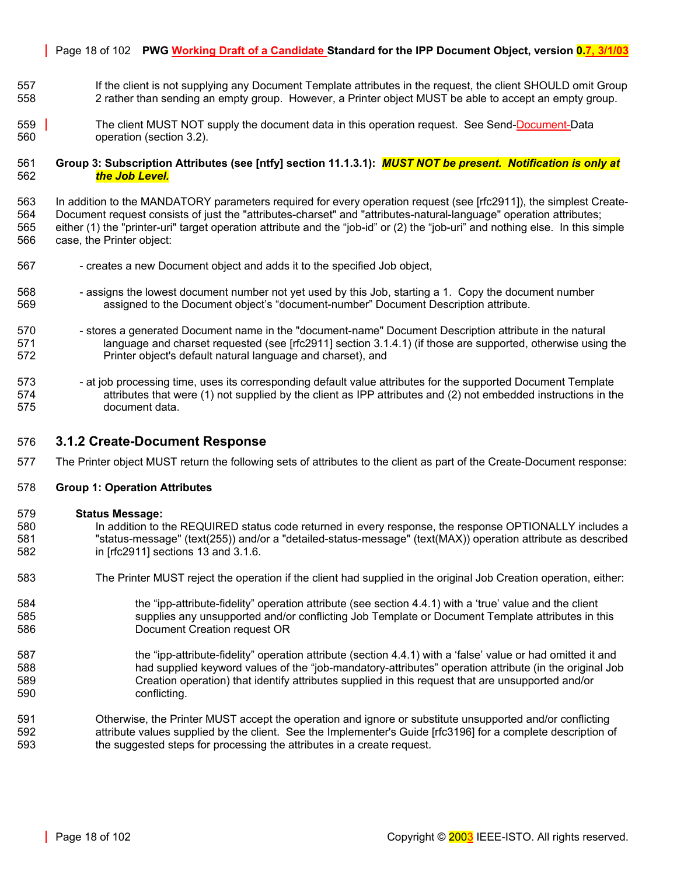#### Page 18 of 102 **PWG Working Draft of a Candidate Standard for the IPP Document Object, version 0.7, 3/1/03**

- 557 If the client is not supplying any Document Template attributes in the request, the client SHOULD omit Group 558 2 rather than sending an empty group. However, a Printer object MUST be able to accept an empty group.
- 559 The client MUST NOT supply the document data in this operation request. See Send-Document-Data 560 operation (section [3.2\)](#page-19-1).

#### 561 **Group 3: Subscription Attributes (see [ntfy] section 11.1.3.1):** *MUST NOT be present. Notification is only at*  562 *the Job Level.*

563 In addition to the MANDATORY parameters required for every operation request (see [rfc2911]), the simplest Create-564 Document request consists of just the "attributes-charset" and "attributes-natural-language" operation attributes; 565 either (1) the "printer-uri" target operation attribute and the "job-id" or (2) the "job-uri" and nothing else. In this simple 566 case, the Printer object:

- 567 creates a new Document object and adds it to the specified Job object,
- 568 sasigns the lowest document number not yet used by this Job, starting a 1. Copy the document number 569 assigned to the Document object's "document-number" Document Description attribute.
- 570 stores a generated Document name in the "document-name" Document Description attribute in the natural 571 language and charset requested (see [rfc2911] section 3.1.4.1) (if those are supported, otherwise using the 572 Printer object's default natural language and charset), and
- 573 at job processing time, uses its corresponding default value attributes for the supported Document Template 574 attributes that were (1) not supplied by the client as IPP attributes and (2) not embedded instructions in the 575 document data.

#### <span id="page-17-0"></span>576 **3.1.2 Create-Document Response**

577 The Printer object MUST return the following sets of attributes to the client as part of the Create-Document response:

#### 578 **Group 1: Operation Attributes**

#### 579 **Status Message:**

- 580 In addition to the REQUIRED status code returned in every response, the response OPTIONALLY includes a 581 "status-message" (text(255)) and/or a "detailed-status-message" (text(MAX)) operation attribute as described 582 in [rfc2911] sections 13 and 3.1.6.
- 583 The Printer MUST reject the operation if the client had supplied in the original Job Creation operation, either:
- 584 the "ipp-attribute-fidelity" operation attribute (see section [4.4.1\)](#page-34-0) with a 'true' value and the client 585 supplies any unsupported and/or conflicting Job Template or Document Template attributes in this 586 Document Creation request OR
- 587 the "ipp-attribute-fidelity" operation attribute (section [4.4.1\)](#page-34-0) with a 'false' value or had omitted it and 588 had supplied keyword values of the "job-mandatory-attributes" operation attribute (in the original Job 589 Creation operation) that identify attributes supplied in this request that are unsupported and/or 590 conflicting.
- 591 Otherwise, the Printer MUST accept the operation and ignore or substitute unsupported and/or conflicting 592 attribute values supplied by the client. See the Implementer's Guide [rfc3196] for a complete description of 593 the suggested steps for processing the attributes in a create request.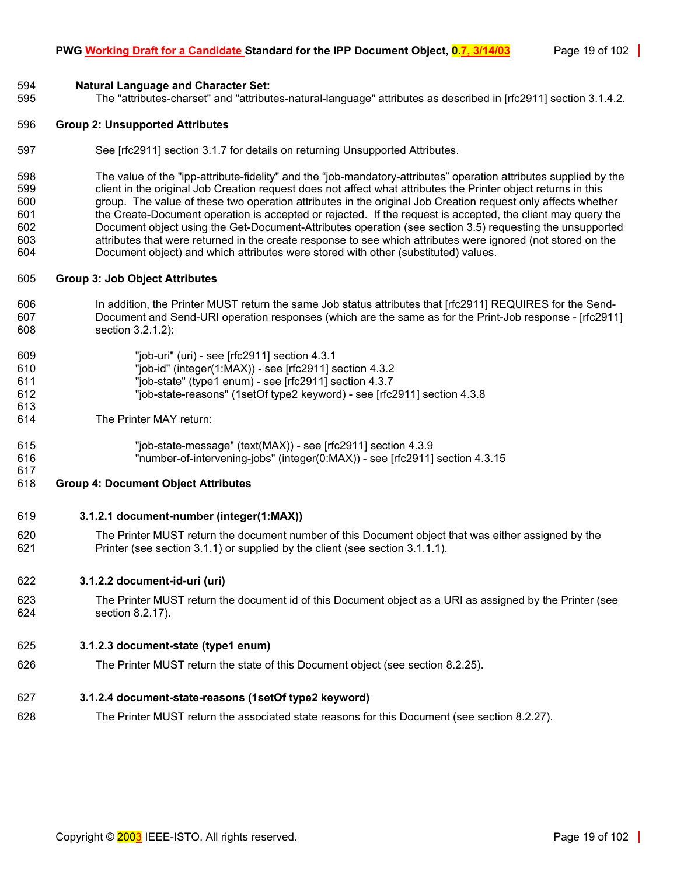#### 594 **Natural Language and Character Set:**

595 The "attributes-charset" and "attributes-natural-language" attributes as described in [rfc2911] section 3.1.4.2.

#### 596 **Group 2: Unsupported Attributes**

597 See [rfc2911] section 3.1.7 for details on returning Unsupported Attributes.

598 The value of the "ipp-attribute-fidelity" and the "job-mandatory-attributes" operation attributes supplied by the 599 client in the original Job Creation request does not affect what attributes the Printer object returns in this 600 group. The value of these two operation attributes in the original Job Creation request only affects whether 601 the Create-Document operation is accepted or rejected. If the request is accepted, the client may query the 602 Document object using the Get-Document-Attributes operation (see section [3.5\)](#page-22-0) requesting the unsupported 603 attributes that were returned in the create response to see which attributes were ignored (not stored on the 604 Document object) and which attributes were stored with other (substituted) values.

#### 605 **Group 3: Job Object Attributes**

- 606 In addition, the Printer MUST return the same Job status attributes that [rfc2911] REQUIRES for the Send-607 Document and Send-URI operation responses (which are the same as for the Print-Job response - [rfc2911] 608 section 3.2.1.2):
- 609 "job-uri" (uri) see [rfc2911] section 4.3.1 610 "job-id" (integer(1:MAX)) - see [rfc2911] section 4.3.2 611 "job-state" (type1 enum) - see [rfc2911] section 4.3.7 612 "job-state-reasons" (1setOf type2 keyword) - see [rfc2911] section 4.3.8
- 614 The Printer MAY return:

613

617

615 "job-state-message" (text(MAX)) - see [rfc2911] section 4.3.9 616 "number-of-intervening-jobs" (integer(0:MAX)) - see [rfc2911] section 4.3.15

#### 618 **Group 4: Document Object Attributes**

#### <span id="page-18-0"></span>619 **3.1.2.1 document-number (integer(1:MAX))**

620 The Printer MUST return the document number of this Document object that was either assigned by the 621 Printer (see section [3.1.1\)](#page-15-0) or supplied by the client (see section [3.1.1.1\)](#page-16-0).

#### <span id="page-18-1"></span>622 **3.1.2.2 document-id-uri (uri)**

623 The Printer MUST return the document id of this Document object as a URI as assigned by the Printer (see 624 section [8.2.17\)](#page-62-0).

#### <span id="page-18-2"></span>625 **3.1.2.3 document-state (type1 enum)**

626 The Printer MUST return the state of this Document object (see section [8.2.25\).](#page-63-2)

# <span id="page-18-3"></span>627 **3.1.2.4 document-state-reasons (1setOf type2 keyword)**

628 The Printer MUST return the associated state reasons for this Document (see section [8.2.27\).](#page-68-1)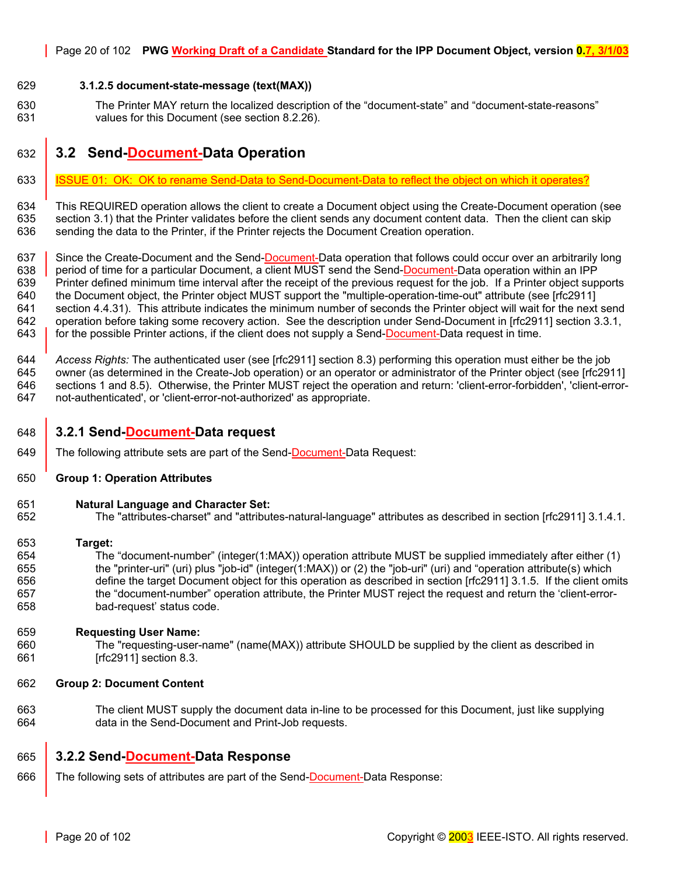#### <span id="page-19-0"></span>629 **3.1.2.5 document-state-message (text(MAX))**

630 The Printer MAY return the localized description of the "document-state" and "document-state-reasons" 631 values for this Document (see section [8.2.26\)](#page-68-0).

# <span id="page-19-1"></span>632 **3.2 Send-Document-Data Operation**

633 | ISSUE 01: OK: OK to rename Send-Data to Send-Document-Data to reflect the object on which it operates?

634 This REQUIRED operation allows the client to create a Document object using the Create-Document operation (see 635 section [3.1\)](#page-14-0) that the Printer validates before the client sends any document content data. Then the client can skip 636 sending the data to the Printer, if the Printer rejects the Document Creation operation.

637 Since the Create-Document and the Send-Document-Data operation that follows could occur over an arbitrarily long 638 period of time for a particular Document, a client MUST send the Send-Document-Data operation within an IPP 639 Printer defined minimum time interval after the receipt of the previous request for the job. If a Printer object supports 640 the Document object, the Printer object MUST support the "multiple-operation-time-out" attribute (see [rfc2911] 641 section 4.4.31). This attribute indicates the minimum number of seconds the Printer object will wait for the next send 642 operation before taking some recovery action. See the description under Send-Document in [rfc2911] section 3.3.1, 643 for the possible Printer actions, if the client does not supply a Send-Document-Data request in time.

644 *Access Rights:* The authenticated user (see [rfc2911] section 8.3) performing this operation must either be the job 645 owner (as determined in the Create-Job operation) or an operator or administrator of the Printer object (see [rfc2911] 646 sections 1 and 8.5). Otherwise, the Printer MUST reject the operation and return: 'client-error-forbidden', 'client-error-647 not-authenticated', or 'client-error-not-authorized' as appropriate.

#### <span id="page-19-2"></span>648 **3.2.1 Send-Document-Data request**

649 The following attribute sets are part of the Send-Document-Data Request:

#### 650 **Group 1: Operation Attributes**

#### 651 **Natural Language and Character Set:**

652 The "attributes-charset" and "attributes-natural-language" attributes as described in section [rfc2911] 3.1.4.1.

#### 653 **Target:**

654 The "document-number" (integer(1:MAX)) operation attribute MUST be supplied immediately after either (1) 655 the "printer-uri" (uri) plus "job-id" (integer(1:MAX)) or (2) the "job-uri" (uri) and "operation attribute(s) which 656 define the target Document object for this operation as described in section [rfc2911] 3.1.5. If the client omits 657 the "document-number" operation attribute, the Printer MUST reject the request and return the 'client-error-658 bad-request' status code.

#### 659 **Requesting User Name:**

660 The "requesting-user-name" (name(MAX)) attribute SHOULD be supplied by the client as described in 661 [rfc2911] section 8.3.

#### 662 **Group 2: Document Content**

663 The client MUST supply the document data in-line to be processed for this Document, just like supplying 664 data in the Send-Document and Print-Job requests.

# <span id="page-19-3"></span>665 **3.2.2 Send-Document-Data Response**

666 The following sets of attributes are part of the Send-Document-Data Response: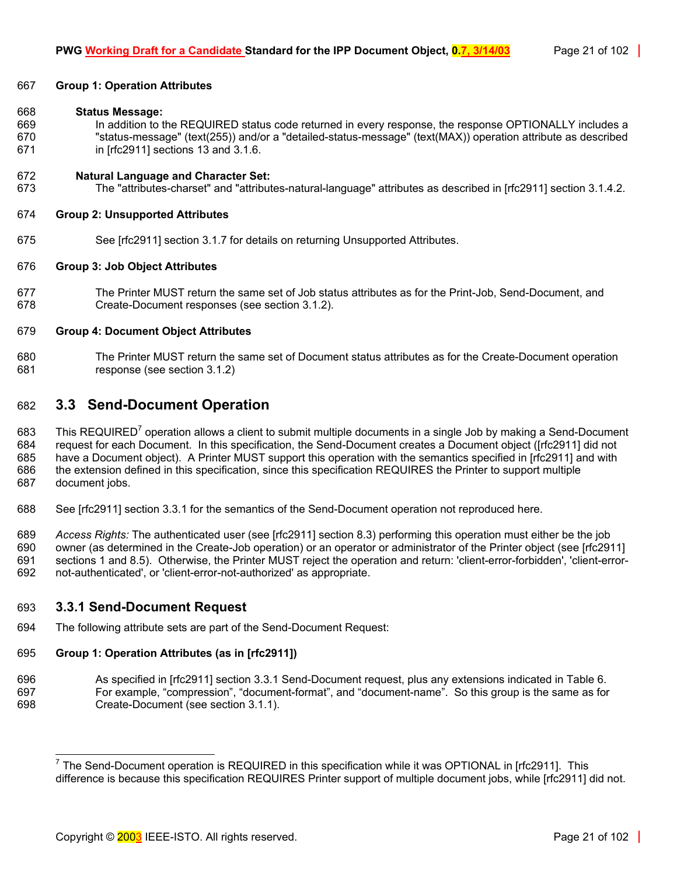#### 667 **Group 1: Operation Attributes**

#### 668 **Status Message:**

669 In addition to the REQUIRED status code returned in every response, the response OPTIONALLY includes a 670 "status-message" (text(255)) and/or a "detailed-status-message" (text(MAX)) operation attribute as described 671 in [rfc2911] sections 13 and 3.1.6.

#### 672 **Natural Language and Character Set:**

673 The "attributes-charset" and "attributes-natural-language" attributes as described in [rfc2911] section 3.1.4.2.

#### 674 **Group 2: Unsupported Attributes**

675 See [rfc2911] section 3.1.7 for details on returning Unsupported Attributes.

#### 676 **Group 3: Job Object Attributes**

677 The Printer MUST return the same set of Job status attributes as for the Print-Job, Send-Document, and 678 Create-Document responses (see section [3.1.2\)](#page-17-0).

#### 679 **Group 4: Document Object Attributes**

680 The Printer MUST return the same set of Document status attributes as for the Create-Document operation 681 response (see section [3.1.2\)](#page-17-0)

# <span id="page-20-0"></span>682 **3.3 Send-Document Operation**

683 This REQUIRED<sup>7</sup> operation allows a client to submit multiple documents in a single Job by making a Send-Document 684 request for each Document. In this specification, the Send-Document creates a Document object ([rfc2911] did not 685 have a Document object). A Printer MUST support this operation with the semantics specified in [rfc2911] and with 686 the extension defined in this specification, since this specification REQUIRES the Printer to support multiple 687 document jobs.

688 See [rfc2911] section 3.3.1 for the semantics of the Send-Document operation not reproduced here.

689 *Access Rights:* The authenticated user (see [rfc2911] section 8.3) performing this operation must either be the job 690 owner (as determined in the Create-Job operation) or an operator or administrator of the Printer object (see [rfc2911] 691 sections 1 and 8.5). Otherwise, the Printer MUST reject the operation and return: 'client-error-forbidden', 'client-error-692 not-authenticated', or 'client-error-not-authorized' as appropriate.

# <span id="page-20-1"></span>693 **3.3.1 Send-Document Request**

l

694 The following attribute sets are part of the Send-Document Request:

#### 695 **Group 1: Operation Attributes (as in [rfc2911])**

696 As specified in [rfc2911] section 3.3.1 Send-Document request, plus any extensions indicated in [Table 6.](#page-39-2)  697 For example, "compression", "document-format", and "document-name". So this group is the same as for 698 Create-Document (see section [3.1.1\)](#page-15-0).

<span id="page-20-2"></span><sup>&</sup>lt;sup>7</sup> The Send-Document operation is REQUIRED in this specification while it was OPTIONAL in [rfc2911]. This difference is because this specification REQUIRES Printer support of multiple document jobs, while [rfc2911] did not.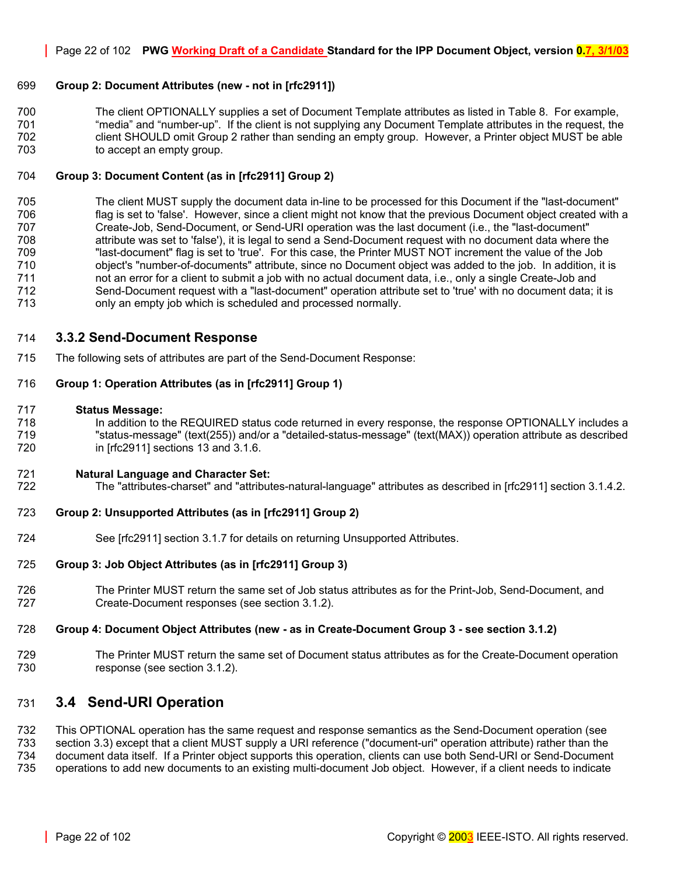# 699 **Group 2: Document Attributes (new - not in [rfc2911])**

700 The client OPTIONALLY supplies a set of Document Template attributes as listed in [Table 8.](#page-43-0) For example, 701 "media" and "number-up". If the client is not supplying any Document Template attributes in the request, the 702 client SHOULD omit Group 2 rather than sending an empty group. However, a Printer object MUST be able 703 to accept an empty group.

#### 704 **Group 3: Document Content (as in [rfc2911] Group 2)**

705 The client MUST supply the document data in-line to be processed for this Document if the "last-document" 706 flag is set to 'false'. However, since a client might not know that the previous Document object created with a 707 Create-Job, Send-Document, or Send-URI operation was the last document (i.e., the "last-document" 708 attribute was set to 'false'), it is legal to send a Send-Document request with no document data where the 709 "last-document" flag is set to 'true'. For this case, the Printer MUST NOT increment the value of the Job 710 object's "number-of-documents" attribute, since no Document object was added to the job. In addition, it is 711 not an error for a client to submit a job with no actual document data, i.e., only a single Create-Job and 712 Send-Document request with a "last-document" operation attribute set to 'true' with no document data; it is 713 only an empty job which is scheduled and processed normally.

# <span id="page-21-0"></span>714 **3.3.2 Send-Document Response**

715 The following sets of attributes are part of the Send-Document Response:

# 716 **Group 1: Operation Attributes (as in [rfc2911] Group 1)**

#### 717 **Status Message:**

718 In addition to the REQUIRED status code returned in every response, the response OPTIONALLY includes a 719 "status-message" (text(255)) and/or a "detailed-status-message" (text(MAX)) operation attribute as described 720 in [rfc2911] sections 13 and 3.1.6.

#### 721 **Natural Language and Character Set:**

722 The "attributes-charset" and "attributes-natural-language" attributes as described in [rfc2911] section 3.1.4.2.

# 723 **Group 2: Unsupported Attributes (as in [rfc2911] Group 2)**

724 See [rfc2911] section 3.1.7 for details on returning Unsupported Attributes.

# 725 **Group 3: Job Object Attributes (as in [rfc2911] Group 3)**

726 The Printer MUST return the same set of Job status attributes as for the Print-Job, Send-Document, and 727 Create-Document responses (see section [3.1.2\)](#page-17-0).

#### 728 **Group 4: Document Object Attributes (new - as in Create-Document Group 3 - see section [3.1.2\)](#page-17-0)**

729 The Printer MUST return the same set of Document status attributes as for the Create-Document operation 730 response (see section [3.1.2\)](#page-17-0).

# <span id="page-21-1"></span>731 **3.4 Send-URI Operation**

732 This OPTIONAL operation has the same request and response semantics as the Send-Document operation (see

section [3.3\)](#page-20-0) except that a client MUST supply a URI reference ("document-uri" operation attribute) rather than the

734 document data itself. If a Printer object supports this operation, clients can use both Send-URI or Send-Document 735 operations to add new documents to an existing multi-document Job object. However, if a client needs to indicate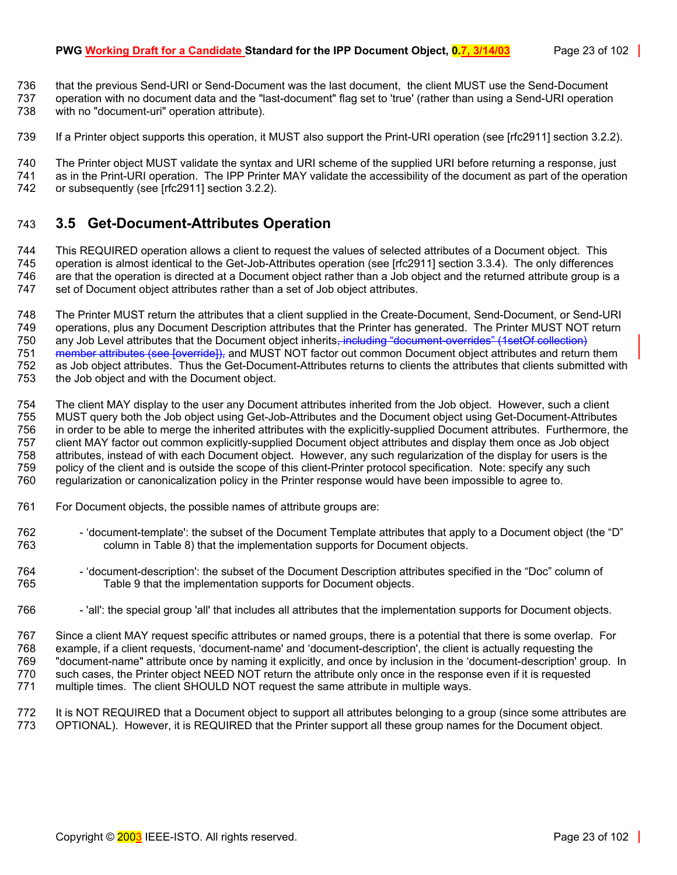#### **PWG Working Draft for a Candidate Standard for the IPP Document Object, 0.7, 3/14/03** Page 23 of 102

736 that the previous Send-URI or Send-Document was the last document, the client MUST use the Send-Document 737 operation with no document data and the "last-document" flag set to 'true' (rather than using a Send-URI operation

738 with no "document-uri" operation attribute).

739 If a Printer object supports this operation, it MUST also support the Print-URI operation (see [rfc2911] section 3.2.2).

740 The Printer object MUST validate the syntax and URI scheme of the supplied URI before returning a response, just<br>741 as in the Print-URI operation. The IPP Printer MAY validate the accessibility of the document as part 741 as in the Print-URI operation. The IPP Printer MAY validate the accessibility of the document as part of the operation 742 or subsequently (see Infc29111 section 3.2.2). or subsequently (see [rfc2911] section 3.2.2).

# <span id="page-22-0"></span>743 **3.5 Get-Document-Attributes Operation**

744 This REQUIRED operation allows a client to request the values of selected attributes of a Document object. This 745 operation is almost identical to the Get-Job-Attributes operation (see [rfc2911] section 3.3.4). The only differences 746 are that the operation is directed at a Document object rather than a Job object and the returned attribute group is a 747 set of Document object attributes rather than a set of Job object attributes.

748 The Printer MUST return the attributes that a client supplied in the Create-Document, Send-Document, or Send-URI operations, plus any Document Description attributes that the Printer has generated. The Printer MUST NOT return 750 any Job Level attributes that the Document object inherits, including "document-overrides" (1setOf collection) 751 member attributes (see [override]), and MUST NOT factor out common Document object attributes and return them 752 as Job object attributes. Thus the Get-Document-Attributes returns to clients the attributes that clients submitted with 753 the Job object and with the Document object.

754 The client MAY display to the user any Document attributes inherited from the Job object. However, such a client 755 MUST query both the Job object using Get-Job-Attributes and the Document object using Get-Document-Attributes 756 in order to be able to merge the inherited attributes with the explicitly-supplied Document attributes. Furthermore, the 757 client MAY factor out common explicitly-supplied Document object attributes and display them once as Job object 758 attributes, instead of with each Document object. However, any such regularization of the display for users is the 759 policy of the client and is outside the scope of this client-Printer protocol specification. Note: specify any such 760 regularization or canonicalization policy in the Printer response would have been impossible to agree to.

- 761 For Document objects, the possible names of attribute groups are:
- 762 'document-template': the subset of the Document Template attributes that apply to a Document object (the "D" 763 column in [Table 8\)](#page-43-0) that the implementation supports for Document objects.
- 764 'document-description': the subset of the Document Description attributes specified in the "Doc" column of 765 [Table 9](#page-54-0) that the implementation supports for Document objects.
- 766 'all': the special group 'all' that includes all attributes that the implementation supports for Document objects.

767 Since a client MAY request specific attributes or named groups, there is a potential that there is some overlap. For 768 example, if a client requests, 'document-name' and 'document-description', the client is actually requesting the 769 "document-name" attribute once by naming it explicitly, and once by inclusion in the 'document-description' group. In 770 such cases, the Printer object NEED NOT return the attribute only once in the response even if it is requested 771 multiple times. The client SHOULD NOT request the same attribute in multiple ways.

772 It is NOT REQUIRED that a Document object to support all attributes belonging to a group (since some attributes are<br>773 OPTIONAL). However, it is REQUIRED that the Printer support all these group names for the Document 773 OPTIONAL). However, it is REQUIRED that the Printer support all these group names for the Document object.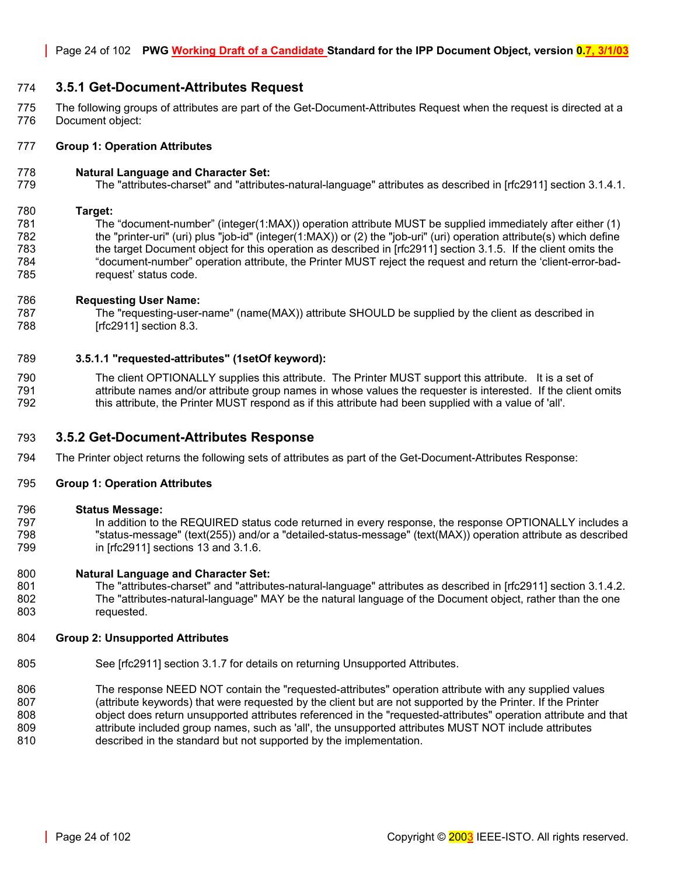# <span id="page-23-0"></span>774 **3.5.1 Get-Document-Attributes Request**

775 The following groups of attributes are part of the Get-Document-Attributes Request when the request is directed at a 776 Document object:

#### 777 **Group 1: Operation Attributes**

#### 778 **Natural Language and Character Set:**

779 The "attributes-charset" and "attributes-natural-language" attributes as described in [rfc2911] section 3.1.4.1.

#### 780 **Target:**

781 The "document-number" (integer(1:MAX)) operation attribute MUST be supplied immediately after either (1) 782 the "printer-uri" (uri) plus "job-id" (integer(1:MAX)) or (2) the "job-uri" (uri) operation attribute(s) which define 783 the target Document object for this operation as described in [rfc2911] section 3.1.5. If the client omits the 784 "document-number" operation attribute, the Printer MUST reject the request and return the 'client-error-bad-785 request' status code.

#### 786 **Requesting User Name:**

787 The "requesting-user-name" (name(MAX)) attribute SHOULD be supplied by the client as described in 788 [rfc2911] section 8.3.

#### <span id="page-23-1"></span>789 **3.5.1.1 "requested-attributes" (1setOf keyword):**

790 The client OPTIONALLY supplies this attribute. The Printer MUST support this attribute. It is a set of 791 attribute names and/or attribute group names in whose values the requester is interested. If the client omits 792 this attribute, the Printer MUST respond as if this attribute had been supplied with a value of 'all'.

#### <span id="page-23-2"></span>793 **3.5.2 Get-Document-Attributes Response**

794 The Printer object returns the following sets of attributes as part of the Get-Document-Attributes Response:

#### 795 **Group 1: Operation Attributes**

#### 796 **Status Message:**

797 In addition to the REQUIRED status code returned in every response, the response OPTIONALLY includes a 798 "status-message" (text(255)) and/or a "detailed-status-message" (text(MAX)) operation attribute as described 799 in [rfc2911] sections 13 and 3.1.6.

#### 800 **Natural Language and Character Set:**

801 The "attributes-charset" and "attributes-natural-language" attributes as described in [rfc2911] section 3.1.4.2. 802 The "attributes-natural-language" MAY be the natural language of the Document object, rather than the one 803 requested.

#### 804 **Group 2: Unsupported Attributes**

- 805 See [rfc2911] section 3.1.7 for details on returning Unsupported Attributes.
- 806 The response NEED NOT contain the "requested-attributes" operation attribute with any supplied values
- 807 (attribute keywords) that were requested by the client but are not supported by the Printer. If the Printer 808 object does return unsupported attributes referenced in the "requested-attributes" operation attribute and that 809 attribute included group names, such as 'all', the unsupported attributes MUST NOT include attributes
- 810 described in the standard but not supported by the implementation.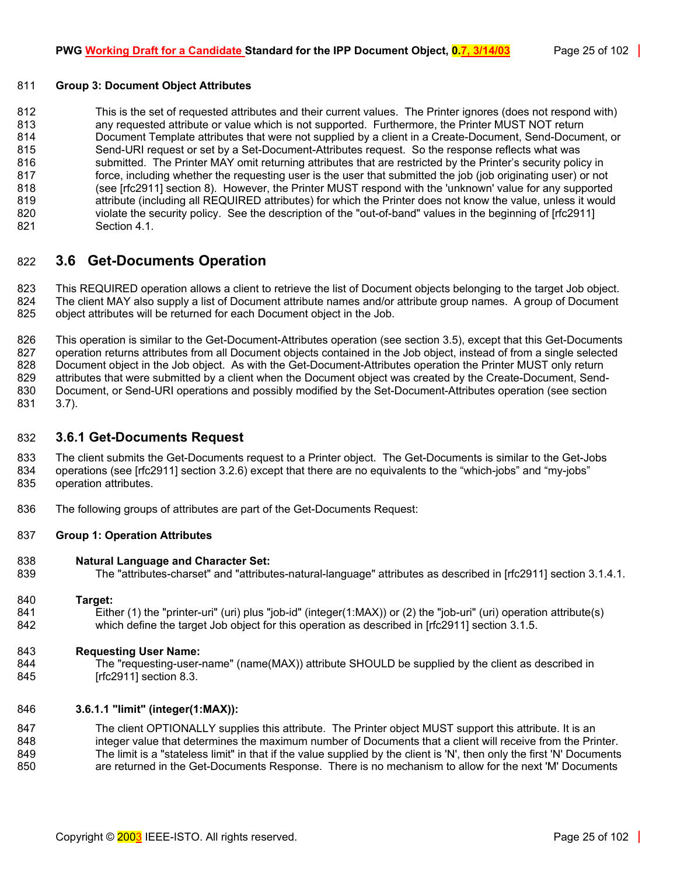#### 811 **Group 3: Document Object Attributes**

812 This is the set of requested attributes and their current values. The Printer ignores (does not respond with) 813 any requested attribute or value which is not supported. Furthermore, the Printer MUST NOT return 814 Document Template attributes that were not supplied by a client in a Create-Document, Send-Document, or 815 Send-URI request or set by a Set-Document-Attributes request. So the response reflects what was 816 submitted. The Printer MAY omit returning attributes that are restricted by the Printer's security policy in 817 force, including whether the requesting user is the user that submitted the job (job originating user) or not 818 (see [rfc2911] section 8). However, the Printer MUST respond with the 'unknown' value for any supported 819 attribute (including all REQUIRED attributes) for which the Printer does not know the value, unless it would 820 violate the security policy. See the description of the "out-of-band" values in the beginning of [rfc2911] 821 Section 4.1.

# <span id="page-24-0"></span>822 **3.6 Get-Documents Operation**

823 This REQUIRED operation allows a client to retrieve the list of Document objects belonging to the target Job object. 824 The client MAY also supply a list of Document attribute names and/or attribute group names. A group of Document 825 object attributes will be returned for each Document object in the Job.

826 This operation is similar to the Get-Document-Attributes operation (see section [3.5\)](#page-22-0), except that this Get-Documents 827 operation returns attributes from all Document objects contained in the Job object, instead of from a single selected 828 Document object in the Job object. As with the Get-Document-Attributes operation the Printer MUST only return<br>829 attributes that were submitted by a client when the Document object was created by the Create-Document. attributes that were submitted by a client when the Document object was created by the Create-Document, Send-830 Document, or Send-URI operations and possibly modified by the Set-Document-Attributes operation (see section 831 [3.7\)](#page-26-0).

# <span id="page-24-1"></span>832 **3.6.1 Get-Documents Request**

833 The client submits the Get-Documents request to a Printer object. The Get-Documents is similar to the Get-Jobs 834 operations (see [rfc2911] section 3.2.6) except that there are no equivalents to the "which-jobs" and "my-jobs" 835 operation attributes.

836 The following groups of attributes are part of the Get-Documents Request:

#### 837 **Group 1: Operation Attributes**

#### 838 **Natural Language and Character Set:**

839 The "attributes-charset" and "attributes-natural-language" attributes as described in [rfc2911] section 3.1.4.1.

#### 840 **Target:**

841 Either (1) the "printer-uri" (uri) plus "job-id" (integer(1:MAX)) or (2) the "job-uri" (uri) operation attribute(s) 842 which define the target Job object for this operation as described in [rfc2911] section 3.1.5.

#### 843 **Requesting User Name:**

844 The "requesting-user-name" (name(MAX)) attribute SHOULD be supplied by the client as described in 845 [rfc2911] section 8.3.

#### <span id="page-24-2"></span>846 **3.6.1.1 "limit" (integer(1:MAX)):**

847 The client OPTIONALLY supplies this attribute. The Printer object MUST support this attribute. It is an 848 integer value that determines the maximum number of Documents that a client will receive from the Printer. 849 The limit is a "stateless limit" in that if the value supplied by the client is 'N', then only the first 'N' Documents 850 are returned in the Get-Documents Response. There is no mechanism to allow for the next 'M' Documents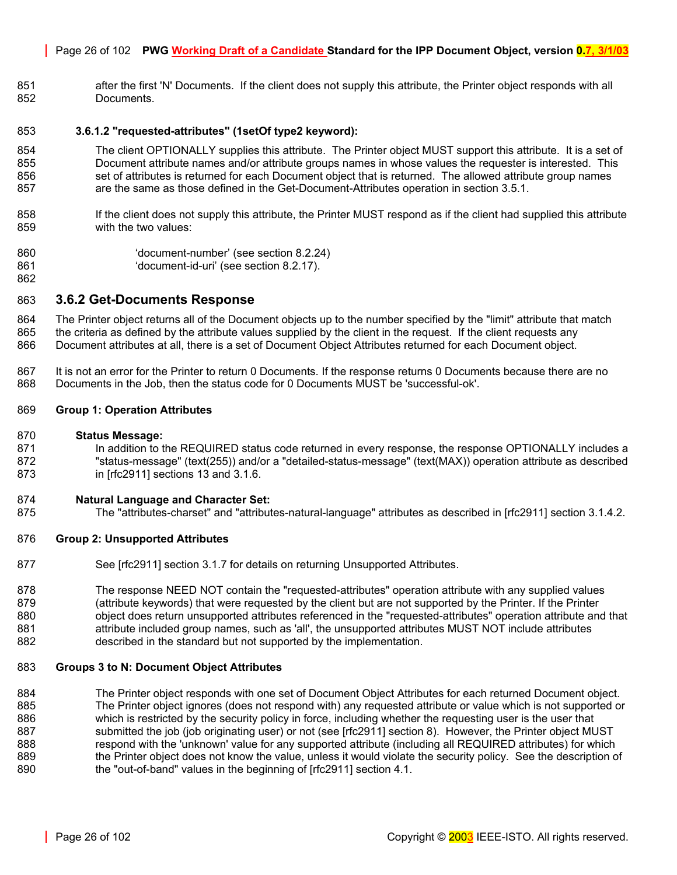#### Page 26 of 102 **PWG Working Draft of a Candidate Standard for the IPP Document Object, version 0.7, 3/1/03**

851 after the first 'N' Documents. If the client does not supply this attribute, the Printer object responds with all 852 Documents.

#### <span id="page-25-0"></span>853 **3.6.1.2 "requested-attributes" (1setOf type2 keyword):**

- 854 The client OPTIONALLY supplies this attribute. The Printer object MUST support this attribute. It is a set of 855 Document attribute names and/or attribute groups names in whose values the requester is interested. This 856 set of attributes is returned for each Document object that is returned. The allowed attribute group names 857 are the same as those defined in the Get-Document-Attributes operation in section [3.5.1.](#page-23-0)
- 858 If the client does not supply this attribute, the Printer MUST respond as if the client had supplied this attribute 859 with the two values:
- 860 'document-number' (see section [8.2.24\)](#page-63-1)
- 861 'document-id-uri' (see section [8.2.17\)](#page-62-0).

# <span id="page-25-1"></span>863 **3.6.2 Get-Documents Response**

864 The Printer object returns all of the Document objects up to the number specified by the "limit" attribute that match 865 the criteria as defined by the attribute values supplied by the client in the request. If the client requests any 866 Document attributes at all, there is a set of Document Object Attributes returned for each Document object.

867 It is not an error for the Printer to return 0 Documents. If the response returns 0 Documents because there are no<br>868 Documents in the Job, then the status code for 0 Documents MUST be 'successful-ok'. 868 Documents in the Job, then the status code for 0 Documents MUST be 'successful-ok'.

#### 869 **Group 1: Operation Attributes**

#### 870 **Status Message:**

862

871 In addition to the REQUIRED status code returned in every response, the response OPTIONALLY includes a 872 "status-message" (text(255)) and/or a "detailed-status-message" (text(MAX)) operation attribute as described 873 in [rfc2911] sections 13 and 3.1.6.

#### 874 **Natural Language and Character Set:**

875 The "attributes-charset" and "attributes-natural-language" attributes as described in [rfc2911] section 3.1.4.2.

#### 876 **Group 2: Unsupported Attributes**

877 See [rfc2911] section 3.1.7 for details on returning Unsupported Attributes.

878 The response NEED NOT contain the "requested-attributes" operation attribute with any supplied values 879 (attribute keywords) that were requested by the client but are not supported by the Printer. If the Printer 880 object does return unsupported attributes referenced in the "requested-attributes" operation attribute and that 881 attribute included group names, such as 'all', the unsupported attributes MUST NOT include attributes 882 described in the standard but not supported by the implementation.

#### 883 **Groups 3 to N: Document Object Attributes**

884 The Printer object responds with one set of Document Object Attributes for each returned Document object. 885 The Printer object ignores (does not respond with) any requested attribute or value which is not supported or 886 which is restricted by the security policy in force, including whether the requesting user is the user that 887 submitted the job (job originating user) or not (see [rfc2911] section 8). However, the Printer object MUST 888 respond with the 'unknown' value for any supported attribute (including all REQUIRED attributes) for which 889 the Printer object does not know the value, unless it would violate the security policy. See the description of 890 the "out-of-band" values in the beginning of [rfc2911] section 4.1.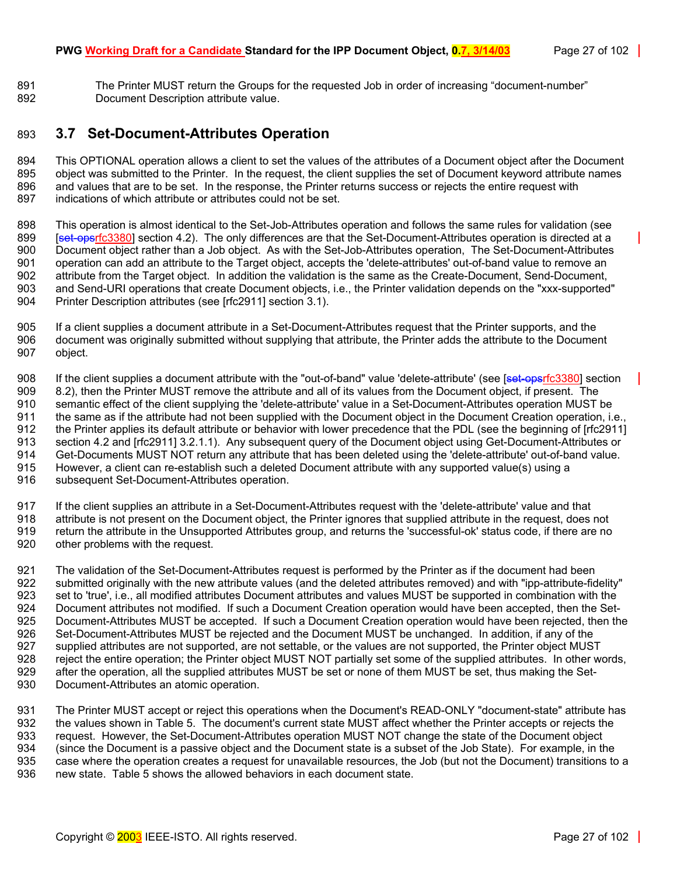891 The Printer MUST return the Groups for the requested Job in order of increasing "document-number" 892 Document Description attribute value.

# <span id="page-26-0"></span>893 **3.7 Set-Document-Attributes Operation**

894 This OPTIONAL operation allows a client to set the values of the attributes of a Document object after the Document 895 object was submitted to the Printer. In the request, the client supplies the set of Document keyword attribute names 896 and values that are to be set. In the response, the Printer returns success or rejects the entire request with 897 indications of which attribute or attributes could not be set.

898 This operation is almost identical to the Set-Job-Attributes operation and follows the same rules for validation (see 899 [set-opsrfc3380] section 4.2). The only differences are that the Set-Document-Attributes operation is directed at a<br>900 Document object rather than a Job object. As with the Set-Job-Attributes operation. The Set-Docume Document object rather than a Job object. As with the Set-Job-Attributes operation. The Set-Document-Attributes 901 operation can add an attribute to the Target object, accepts the 'delete-attributes' out-of-band value to remove an 902 attribute from the Target object. In addition the validation is the same as the Create-Document, Send-Document, 903 and Send-URI operations that create Document objects, i.e., the Printer validation depends on the "xxx-supported" 904 Printer Description attributes (see [rfc2911] section 3.1).

905 If a client supplies a document attribute in a Set-Document-Attributes request that the Printer supports, and the<br>906 document was originally submitted without supplying that attribute, the Printer adds the attribute t document was originally submitted without supplying that attribute, the Printer adds the attribute to the Document 907 object.

908 If the client supplies a document attribute with the "out-of-band" value 'delete-attribute' (see [set-opsrfc3380] section 909 8.2), then the Printer MUST remove the attribute and all of its values from the Document object, if present. The 910 semantic effect of the client supplying the 'delete-attribute' value in a Set-Document-Attributes operation MUST be 911 the same as if the attribute had not been supplied with the Document object in the Document Creation operation, i.e., 912 the Printer applies its default attribute or behavior with lower precedence that the PDL (see the beginning of [rfc2911] 913 section 4.2 and [rfc2911] 3.2.1.1). Any subsequent query of the Document object using Get-Document-Attributes or 914 Get-Documents MUST NOT return any attribute that has been deleted using the 'delete-attribute' out-of-band value. 915 However, a client can re-establish such a deleted Document attribute with any supported value(s) using a 916 subsequent Set-Document-Attributes operation.

917 If the client supplies an attribute in a Set-Document-Attributes request with the 'delete-attribute' value and that

918 attribute is not present on the Document object, the Printer ignores that supplied attribute in the request, does not 919 return the attribute in the Unsupported Attributes group, and returns the 'successful-ok' status code, if there are no 920 other problems with the request.

921 The validation of the Set-Document-Attributes request is performed by the Printer as if the document had been<br>922 submitted originally with the new attribute values (and the deleted attributes removed) and with "ipp-at submitted originally with the new attribute values (and the deleted attributes removed) and with "ipp-attribute-fidelity" 923 set to 'true', i.e., all modified attributes Document attributes and values MUST be supported in combination with the<br>924 Document attributes not modified. If such a Document Creation operation would have been accepted Document attributes not modified. If such a Document Creation operation would have been accepted, then the Set-925 Document-Attributes MUST be accepted. If such a Document Creation operation would have been rejected, then the 926 Set-Document-Attributes MUST be rejected and the Document MUST be unchanged. In addition, if any of the 927<br>927 Supplied attributes are not supported, are not settable, or the values are not supported, the Printer obje supplied attributes are not supported, are not settable, or the values are not supported, the Printer object MUST 928 reject the entire operation; the Printer object MUST NOT partially set some of the supplied attributes. In other words, 929 after the operation, all the supplied attributes MUST be set or none of them MUST be set, thus making the Set-930 Document-Attributes an atomic operation.

931 The Printer MUST accept or reject this operations when the Document's READ-ONLY "document-state" attribute has 932 the values shown in [Table 5.](#page-27-2) The document's current state MUST affect whether the Printer accepts or rejects the<br>933 request. However, the Set-Document-Attributes operation MUST NOT change the state of the Document obj request. However, the Set-Document-Attributes operation MUST NOT change the state of the Document object 934 (since the Document is a passive object and the Document state is a subset of the Job State). For example, in the 935 case where the operation creates a request for unavailable resources, the Job (but not the Document) transitions to a 936 new state. [Table 5 s](#page-27-2)hows the allowed behaviors in each document state.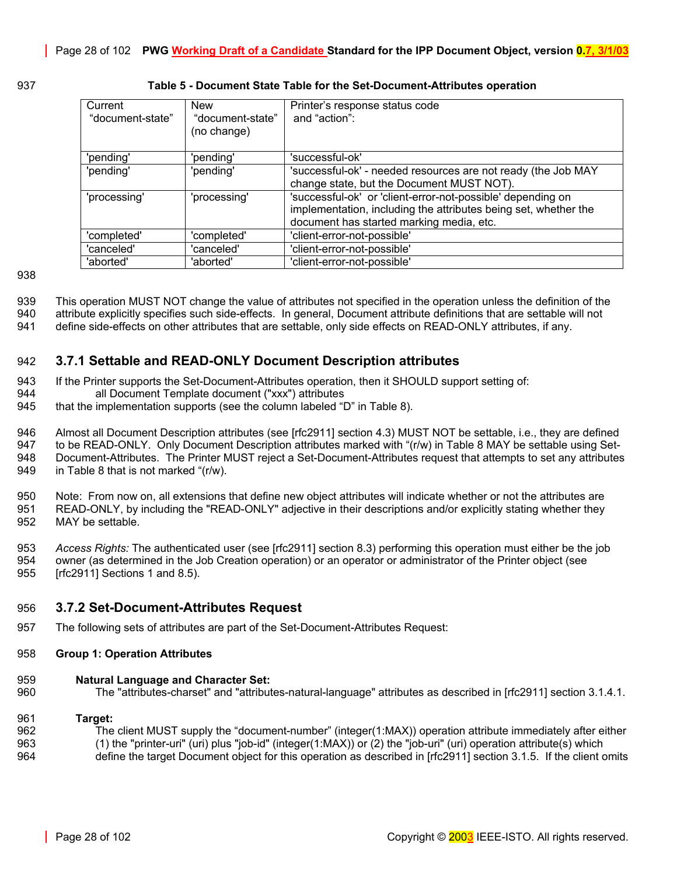<span id="page-27-2"></span>

| Current<br>"document-state" | <b>New</b><br>"document-state"<br>(no change) | Printer's response status code<br>and "action":                                                                                                                            |
|-----------------------------|-----------------------------------------------|----------------------------------------------------------------------------------------------------------------------------------------------------------------------------|
| 'pending'                   | 'pending'                                     | 'successful-ok'                                                                                                                                                            |
| 'pending'                   | 'pending'                                     | 'successful-ok' - needed resources are not ready (the Job MAY<br>change state, but the Document MUST NOT).                                                                 |
| 'processing'                | 'processing'                                  | 'successful-ok' or 'client-error-not-possible' depending on<br>implementation, including the attributes being set, whether the<br>document has started marking media, etc. |
| 'completed'                 | 'completed'                                   | 'client-error-not-possible'                                                                                                                                                |
| 'canceled'                  | 'canceled'                                    | 'client-error-not-possible'                                                                                                                                                |
| 'aborted'                   | 'aborted'                                     | 'client-error-not-possible'                                                                                                                                                |

#### 937 **Table 5 - Document State Table for the Set-Document-Attributes operation**

938

939 This operation MUST NOT change the value of attributes not specified in the operation unless the definition of the

- 940 attribute explicitly specifies such side-effects. In general, Document attribute definitions that are settable will not
- 941 define side-effects on other attributes that are settable, only side effects on READ-ONLY attributes, if any.

# <span id="page-27-0"></span>942 **3.7.1 Settable and READ-ONLY Document Description attributes**

- 943 If the Printer supports the Set-Document-Attributes operation, then it SHOULD support setting of:
- 944 all Document Template document ("xxx") attributes
- 945 that the implementation supports (see the column labeled "D" in [Table 8\)](#page-43-0).

946 Almost all Document Description attributes (see [rfc2911] section 4.3) MUST NOT be settable, i.e., they are defined

947 to be READ-ONLY. Only Document Description attributes marked with "(r/w) in [Table 8 M](#page-43-0)AY be settable using Set-948 Document-Attributes. The Printer MUST reject a Set-Document-Attributes request that attempts to set any attributes 949 in [Table 8](#page-43-0) that is not marked "(r/w).

950 Note: From now on, all extensions that define new object attributes will indicate whether or not the attributes are 951 READ-ONLY, by including the "READ-ONLY" adjective in their descriptions and/or explicitly stating whether they 952 MAY be settable.

953 *Access Rights:* The authenticated user (see [rfc2911] section 8.3) performing this operation must either be the job 954 owner (as determined in the Job Creation operation) or an operator or administrator of the Printer object (see

955 [rfc2911] Sections 1 and 8.5).

# <span id="page-27-1"></span>956 **3.7.2 Set-Document-Attributes Request**

957 The following sets of attributes are part of the Set-Document-Attributes Request:

#### 958 **Group 1: Operation Attributes**

#### 959 **Natural Language and Character Set:**

960 The "attributes-charset" and "attributes-natural-language" attributes as described in [rfc2911] section 3.1.4.1.

#### 961 **Target:**

- 962 The client MUST supply the "document-number" (integer(1:MAX)) operation attribute immediately after either
- 963 (1) the "printer-uri" (uri) plus "job-id" (integer(1:MAX)) or (2) the "job-uri" (uri) operation attribute(s) which
- 964 define the target Document object for this operation as described in [rfc2911] section 3.1.5. If the client omits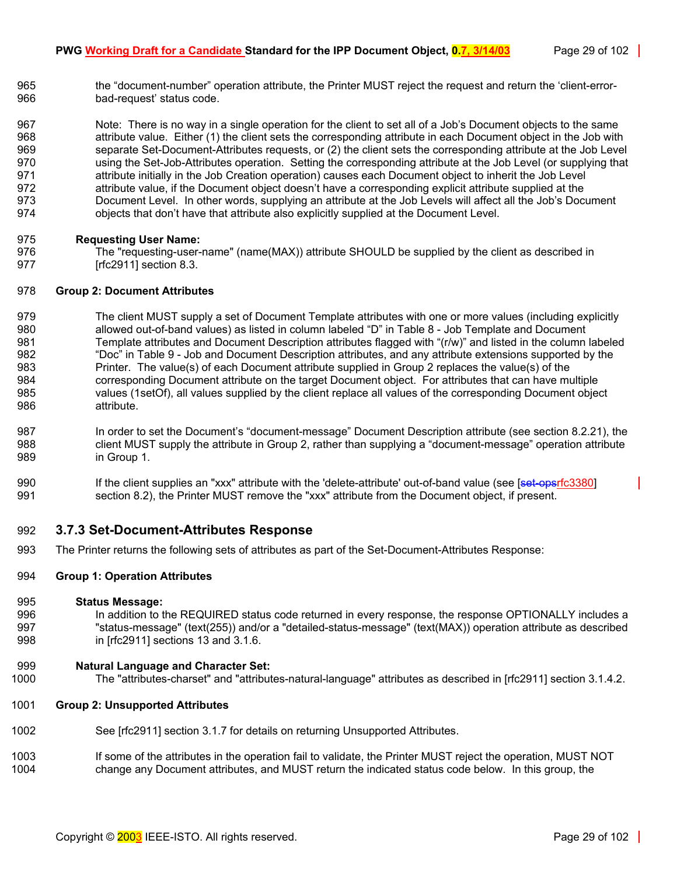965 the "document-number" operation attribute, the Printer MUST reject the request and return the 'client-error-966 bad-request' status code.

967 Note: There is no way in a single operation for the client to set all of a Job's Document objects to the same 968 attribute value. Either (1) the client sets the corresponding attribute in each Document object in the Job with 969 separate Set-Document-Attributes requests, or (2) the client sets the corresponding attribute at the Job Level 970 using the Set-Job-Attributes operation. Setting the corresponding attribute at the Job Level (or supplying that 971 **attribute initially in the Job Creation operation**) causes each Document object to inherit the Job Level 972 attribute value, if the Document object doesn't have a corresponding explicit attribute supplied at the 973 Document Level. In other words, supplying an attribute at the Job Levels will affect all the Job's Document 974 objects that don't have that attribute also explicitly supplied at the Document Level.

# 975 **Requesting User Name:**

976 The "requesting-user-name" (name(MAX)) attribute SHOULD be supplied by the client as described in 977  $[rfc2911]$  section 8.3.

#### 978 **Group 2: Document Attributes**

- 979 The client MUST supply a set of Document Template attributes with one or more values (including explicitly 980 allowed out-of-band values) as listed in column labeled "D" in [Table 8 - Job Template and Document](#page-43-0)  981 [Template attributes a](#page-43-0)nd Document Description attributes flagged with "(r/w)" and listed in the column labeled 982 "Doc" in [Table 9 - Job and Document Description attributes,](#page-54-0) and any attribute extensions supported by the 983 Printer. The value(s) of each Document attribute supplied in Group 2 replaces the value(s) of the 984 corresponding Document attribute on the target Document object. For attributes that can have multiple 985 values (1setOf), all values supplied by the client replace all values of the corresponding Document object 986 attribute.
- 987 In order to set the Document's "document-message" Document Description attribute (see section [8.2.21\)](#page-62-4), the 988 client MUST supply the attribute in Group 2, rather than supplying a "document-message" operation attribute 989 in Group 1.
- 990 If the client supplies an "xxx" attribute with the 'delete-attribute' out-of-band value (see [set-opsrfc3380] 991 section 8.2), the Printer MUST remove the "xxx" attribute from the Document object, if present.

# <span id="page-28-0"></span>992 **3.7.3 Set-Document-Attributes Response**

993 The Printer returns the following sets of attributes as part of the Set-Document-Attributes Response:

#### 994 **Group 1: Operation Attributes**

#### 995 **Status Message:**

- 996 In addition to the REQUIRED status code returned in every response, the response OPTIONALLY includes a 997 "status-message" (text(255)) and/or a "detailed-status-message" (text(MAX)) operation attribute as described 998 in [rfc2911] sections 13 and 3.1.6.
- 999 **Natural Language and Character Set:**
- 1000 The "attributes-charset" and "attributes-natural-language" attributes as described in [rfc2911] section 3.1.4.2.
- 1001 **Group 2: Unsupported Attributes**
- 1002 See [rfc2911] section 3.1.7 for details on returning Unsupported Attributes.
- 1003 If some of the attributes in the operation fail to validate, the Printer MUST reject the operation, MUST NOT 1004 change any Document attributes, and MUST return the indicated status code below. In this group, the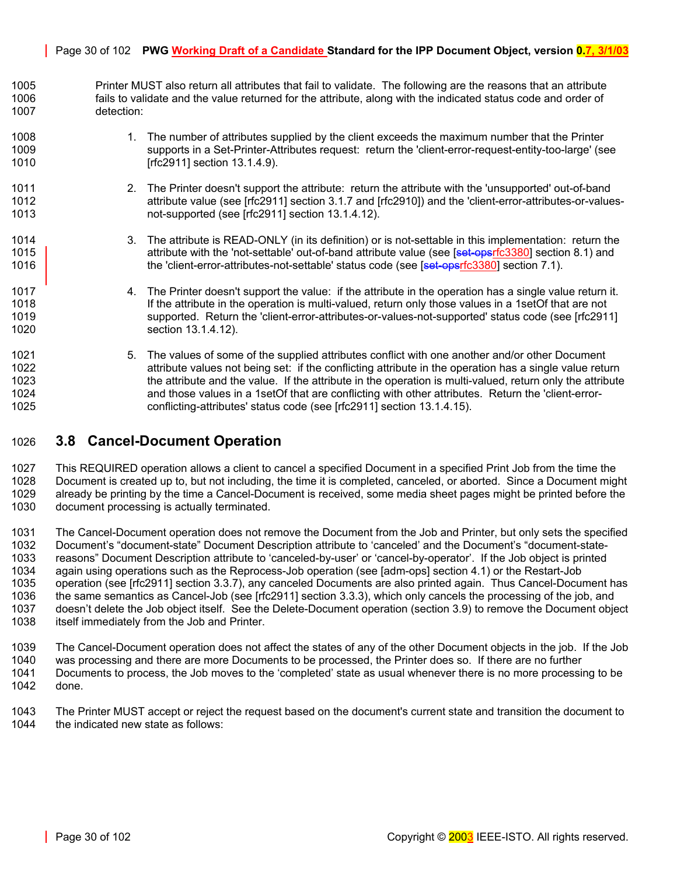#### Page 30 of 102 **PWG Working Draft of a Candidate Standard for the IPP Document Object, version 0.7, 3/1/03**

1005 Printer MUST also return all attributes that fail to validate. The following are the reasons that an attribute 1006 fails to validate and the value returned for the attribute, along with the indicated status code and order of 1007 detection:

- 1008 1. The number of attributes supplied by the client exceeds the maximum number that the Printer 1009 supports in a Set-Printer-Attributes request: return the 'client-error-request-entity-too-large' (see 1010 [rfc2911] section 13.1.4.9).
- 1011 2. The Printer doesn't support the attribute: return the attribute with the 'unsupported' out-of-band 1012 attribute value (see [rfc2911] section 3.1.7 and [rfc2910]) and the 'client-error-attributes-or-values-1013 not-supported (see [rfc2911] section 13.1.4.12).
- 1014 3. The attribute is READ-ONLY (in its definition) or is not-settable in this implementation: return the 1015 **attribute with the 'not-settable' out-of-band attribute value (see [set-opsrfc3380] section 8.1) and** 1016 **the 'client-error-attributes-not-settable' status code (see [set-opsrfc3380] section 7.1).**
- 1017 4. The Printer doesn't support the value: if the attribute in the operation has a single value return it. 1018 If the attribute in the operation is multi-valued, return only those values in a 1setOf that are not 1019 supported. Return the 'client-error-attributes-or-values-not-supported' status code (see [rfc2911] 1020 section 13.1.4.12).
- 1021 5. The values of some of the supplied attributes conflict with one another and/or other Document 1022 **attribute values not being set:** if the conflicting attribute in the operation has a single value return 1023 the attribute and the value. If the attribute in the operation is multi-valued, return only the attribute 1024 and those values in a 1setOf that are conflicting with other attributes. Return the 'client-error-1025 conflicting-attributes' status code (see [rfc2911] section 13.1.4.15).

# <span id="page-29-0"></span>1026 **3.8 Cancel-Document Operation**

1027 This REQUIRED operation allows a client to cancel a specified Document in a specified Print Job from the time the 1028 Document is created up to, but not including, the time it is completed, canceled, or aborted. Since a Document might 1029 already be printing by the time a Cancel-Document is received, some media sheet pages might be printed before the 1030 document processing is actually terminated.

1031 The Cancel-Document operation does not remove the Document from the Job and Printer, but only sets the specified 1032 Document's "document-state" Document Description attribute to 'canceled' and the Document's "document-state-1033 reasons" Document Description attribute to 'canceled-by-user' or 'cancel-by-operator'. If the Job object is printed 1034 again using operations such as the Reprocess-Job operation (see [adm-ops] section 4.1) or the Restart-Job 1035 operation (see [rfc2911] section 3.3.7), any canceled Documents are also printed again. Thus Cancel-Document has 1036 the same semantics as Cancel-Job (see [rfc2911] section 3.3.3), which only cancels the processing of the job, and 1037 doesn't delete the Job object itself. See the Delete-Document operation (section [3.9\)](#page-31-1) to remove the Document object 1038 itself immediately from the Job and Printer.

1039 The Cancel-Document operation does not affect the states of any of the other Document objects in the job. If the Job 1040 was processing and there are more Documents to be processed, the Printer does so. If there are no further 1041 Documents to process, the Job moves to the 'completed' state as usual whenever there is no more processing to be 1042 done.

1043 The Printer MUST accept or reject the request based on the document's current state and transition the document to 1044 the indicated new state as follows: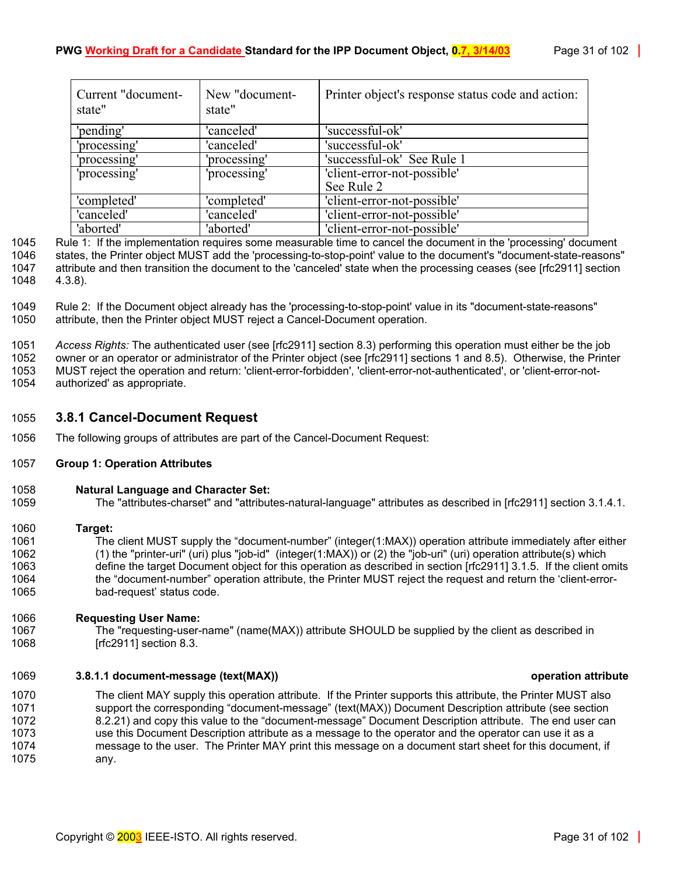| Current "document-<br>state" | New "document-<br>state" | Printer object's response status code and action: |
|------------------------------|--------------------------|---------------------------------------------------|
| 'pending'                    | 'canceled'               | 'successful-ok'                                   |
| 'processing'                 | 'canceled'               | 'successful-ok'                                   |
| 'processing'                 | 'processing'             | 'successful-ok' See Rule 1                        |
| 'processing'                 | 'processing'             | 'client-error-not-possible'<br>See Rule 2         |
| 'completed'                  | 'completed'              | 'client-error-not-possible'                       |
| 'canceled'                   | 'canceled'               | 'client-error-not-possible'                       |
| 'aborted'                    | 'aborted'                | 'client-error-not-possible'                       |

1045 Rule 1: If the implementation requires some measurable time to cancel the document in the 'processing' document 1046 states, the Printer object MUST add the 'processing-to-stop-point' value to the document's "document-state-reasons" 1047 attribute and then transition the document to the 'canceled' state when the processing ceases (see [rfc2911] section 1048 4.3.8).

1049 Rule 2: If the Document object already has the 'processing-to-stop-point' value in its "document-state-reasons" 1050 attribute, then the Printer object MUST reject a Cancel-Document operation.

1051 *Access Rights:* The authenticated user (see [rfc2911] section 8.3) performing this operation must either be the job 1052 owner or an operator or administrator of the Printer object (see [rfc2911] sections 1 and 8.5). Otherwise, the Printer 1053 MUST reject the operation and return: 'client-error-forbidden', 'client-error-not-authenticated', or 'client-error-not-1054 authorized' as appropriate.

# <span id="page-30-0"></span>1055 **3.8.1 Cancel-Document Request**

1056 The following groups of attributes are part of the Cancel-Document Request:

# 1057 **Group 1: Operation Attributes**

1058 **Natural Language and Character Set:** 

1059 The "attributes-charset" and "attributes-natural-language" attributes as described in [rfc2911] section 3.1.4.1.

1060 **Target:** 

1061 The client MUST supply the "document-number" (integer(1:MAX)) operation attribute immediately after either 1062 (1) the "printer-uri" (uri) plus "job-id" (integer(1:MAX)) or (2) the "job-uri" (uri) operation attribute(s) which 1063 define the target Document object for this operation as described in section [rfc2911] 3.1.5. If the client omits 1064 the "document-number" operation attribute, the Printer MUST reject the request and return the 'client-error-1065 bad-request' status code.

#### 1066 **Requesting User Name:**

1067 The "requesting-user-name" (name(MAX)) attribute SHOULD be supplied by the client as described in 1068 [rfc2911] section 8.3.

#### <span id="page-30-1"></span>1069 **3.8.1.1 document-message (text(MAX)) operation attribute**

1070 The client MAY supply this operation attribute. If the Printer supports this attribute, the Printer MUST also 1071 support the corresponding "document-message" (text(MAX)) Document Description attribute (see section 1072 [8.2.21\)](#page-62-4) and copy this value to the "document-message" Document Description attribute. The end user can 1073 use this Document Description attribute as a message to the operator and the operator can use it as a 1074 message to the user. The Printer MAY print this message on a document start sheet for this document, if 1075 any.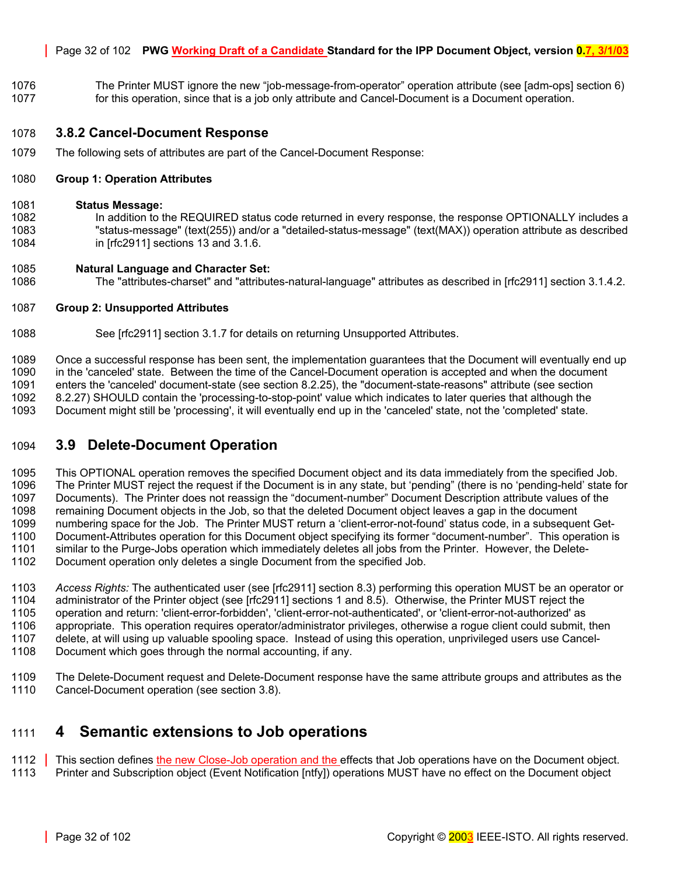#### Page 32 of 102 **PWG Working Draft of a Candidate Standard for the IPP Document Object, version 0.7, 3/1/03**

1076 The Printer MUST ignore the new "job-message-from-operator" operation attribute (see [adm-ops] section 6) 1077 for this operation, since that is a job only attribute and Cancel-Document is a Document operation.

# <span id="page-31-0"></span>1078 **3.8.2 Cancel-Document Response**

1079 The following sets of attributes are part of the Cancel-Document Response:

#### 1080 **Group 1: Operation Attributes**

#### 1081 **Status Message:**

1082 In addition to the REQUIRED status code returned in every response, the response OPTIONALLY includes a 1083 "status-message" (text(255)) and/or a "detailed-status-message" (text(MAX)) operation attribute as described 1084 in [rfc2911] sections 13 and 3.1.6.

#### 1085 **Natural Language and Character Set:**

1086 The "attributes-charset" and "attributes-natural-language" attributes as described in [rfc2911] section 3.1.4.2.

# 1087 **Group 2: Unsupported Attributes**

1088 See [rfc2911] section 3.1.7 for details on returning Unsupported Attributes.

1089 Once a successful response has been sent, the implementation guarantees that the Document will eventually end up<br>1090 in the 'canceled' state. Between the time of the Cancel-Document operation is accepted and when the in the 'canceled' state. Between the time of the Cancel-Document operation is accepted and when the document 1091 enters the 'canceled' document-state (see section [8.2.25\)](#page-63-2), the "document-state-reasons" attribute (see section 1092 [8.2.27\)](#page-68-1) SHOULD contain the 'processing-to-stop-point' value which indicates to later queries that although the 1093 Document might still be 'processing', it will eventually end up in the 'canceled' state, not the 'completed' state.

# <span id="page-31-1"></span>1094 **3.9 Delete-Document Operation**

1095 This OPTIONAL operation removes the specified Document object and its data immediately from the specified Job. 1096 The Printer MUST reject the request if the Document is in any state, but 'pending" (there is no 'pending-held' state for 1097 Documents). The Printer does not reassign the "document-number" Document Description attribute values of the 1098 remaining Document objects in the Job, so that the deleted Document object leaves a gap in the document 1099 numbering space for the Job. The Printer MUST return a 'client-error-not-found' status code, in a subsequent Get-1100 Document-Attributes operation for this Document object specifying its former "document-number". This operation is 1101 similar to the Purge-Jobs operation which immediately deletes all jobs from the Printer. However, the Delete-

- 1102 Document operation only deletes a single Document from the specified Job.
- 1103 *Access Rights:* The authenticated user (see [rfc2911] section 8.3) performing this operation MUST be an operator or 1104 administrator of the Printer object (see [rfc2911] sections 1 and 8.5). Otherwise, the Printer MUST reject the 1105 operation and return: 'client-error-forbidden', 'client-error-not-authenticated', or 'client-error-not-authorized' as<br>1106 appropriate. This operation requires operator/administrator privileges, otherwise a roque clie appropriate. This operation requires operator/administrator privileges, otherwise a roque client could submit, then 1107 delete, at will using up valuable spooling space. Instead of using this operation, unprivileged users use Cancel-1108 Document which goes through the normal accounting, if any.
- 1109 The Delete-Document request and Delete-Document response have the same attribute groups and attributes as the 1110 Cancel-Document operation (see section [3.8\)](#page-29-0).

# <span id="page-31-2"></span>1111 **4 Semantic extensions to Job operations**

- 1112 This section defines the new Close-Job operation and the effects that Job operations have on the Document object.
- 1113 Printer and Subscription object (Event Notification [ntfy]) operations MUST have no effect on the Document object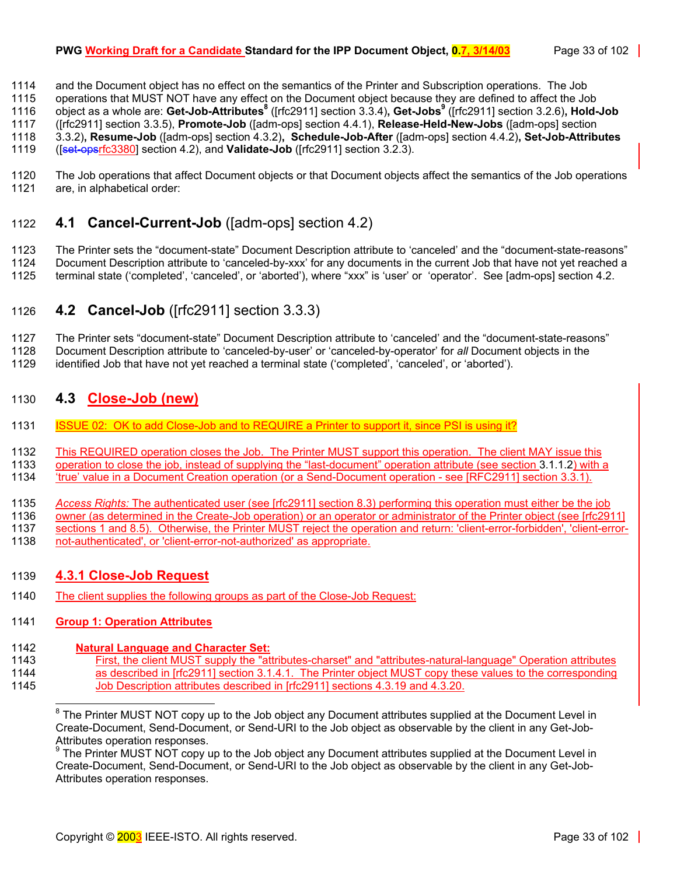# **PWG Working Draft for a Candidate Standard for the IPP Document Object, 0.7, 3/14/03** Page 33 of 102

1114 and the Document object has no effect on the semantics of the Printer and Subscription operations. The Job

1115 operations that MUST NOT have any effect on the Document object because they are defined to affect the Job object as a whole are: **Get-Job-Attributes**<sup>8</sup> ([rfc2911] section 3.3.4)**, Get-Jobs**<sup>9</sup> ([rfc2911] section 3.2.6), **Hold-Job** 

1117 ([rfc2911] section 3.3.5), **Promote-Job** ([adm-ops] section 4.4.1), **Release-Held-New-Jobs** ([adm-ops] section

1118 3.3.2)**, Resume-Job** ([adm-ops] section 4.3.2)**, Schedule-Job-After** ([adm-ops] section 4.4.2)**, Set-Job-Attributes**

1119 ([set-opsrfc3380] section 4.2), and **Validate-Job** ([rfc2911] section 3.2.3).

1120 The Job operations that affect Document objects or that Document objects affect the semantics of the Job operations 1121 are, in alphabetical order:

# <span id="page-32-0"></span>1122 **4.1 Cancel-Current-Job** ([adm-ops] section 4.2)

1123 The Printer sets the "document-state" Document Description attribute to 'canceled' and the "document-state-reasons"

1124 Document Description attribute to 'canceled-by-xxx' for any documents in the current Job that have not yet reached a 1125 terminal state ('completed', 'canceled', or 'aborted'), where "xxx" is 'user' or 'operator'. See [adm-ops] section 4.2.

# <span id="page-32-1"></span>1126 **4.2 Cancel-Job** ([rfc2911] section 3.3.3)

1127 The Printer sets "document-state" Document Description attribute to 'canceled' and the "document-state-reasons"

1128 Document Description attribute to 'canceled-by-user' or 'canceled-by-operator' for *all* Document objects in the

1129 identified Job that have not yet reached a terminal state ('completed', 'canceled', or 'aborted').

# <span id="page-32-2"></span>1130 **4.3 Close-Job (new)**

- 1131 ISSUE 02: OK to add Close-Job and to REQUIRE a Printer to support it, since PSI is using it?
- 1132 This REQUIRED operation closes the Job. The Printer MUST support this operation. The client MAY issue this
- 1133 operation to close the job, instead of supplying the "last-document" operation attribute (see section [3.1.1.2\)](#page-16-1) with a
- 1134 'true' value in a Document Creation operation (or a Send-Document operation see [RFC2911] section 3.3.1).
- 1135 *Access Rights:* The authenticated user (see [rfc2911] section 8.3) performing this operation must either be the job

1136 owner (as determined in the Create-Job operation) or an operator or administrator of the Printer object (see [rfc2911]

1137 sections 1 and 8.5). Otherwise, the Printer MUST reject the operation and return: 'client-error-forbidden', 'client-error-<br>1138 not-authenticated', or 'client-error-not-authorized' as appropriate.

not-authenticated', or 'client-error-not-authorized' as appropriate.

# <span id="page-32-3"></span>1139 **4.3.1 Close-Job Request**

1140 The client supplies the following groups as part of the Close-Job Request:

# 1141 **Group 1: Operation Attributes**

# 1142 **Natural Language and Character Set:**

1143 First, the client MUST supply the "attributes-charset" and "attributes-natural-language" Operation attributes 1144 as described in [rfc2911] section 3.1.4.1. The Printer object MUST copy these values to the corresponding 1145 Job Description attributes described in [rfc2911] sections 4.3.19 and 4.3.20.

<span id="page-32-5"></span> The Printer MUST NOT copy up to the Job object any Document attributes supplied at the Document Level in Create-Document, Send-Document, or Send-URI to the Job object as observable by the client in any Get-Job-Attributes operation responses.

<span id="page-32-4"></span> $\overline{a}$ <sup>8</sup> The Printer MUST NOT copy up to the Job object any Document attributes supplied at the Document Level in Create-Document, Send-Document, or Send-URI to the Job object as observable by the client in any Get-Job-Attributes operation responses.<br><sup>9</sup> The Printer MUST NOT copy u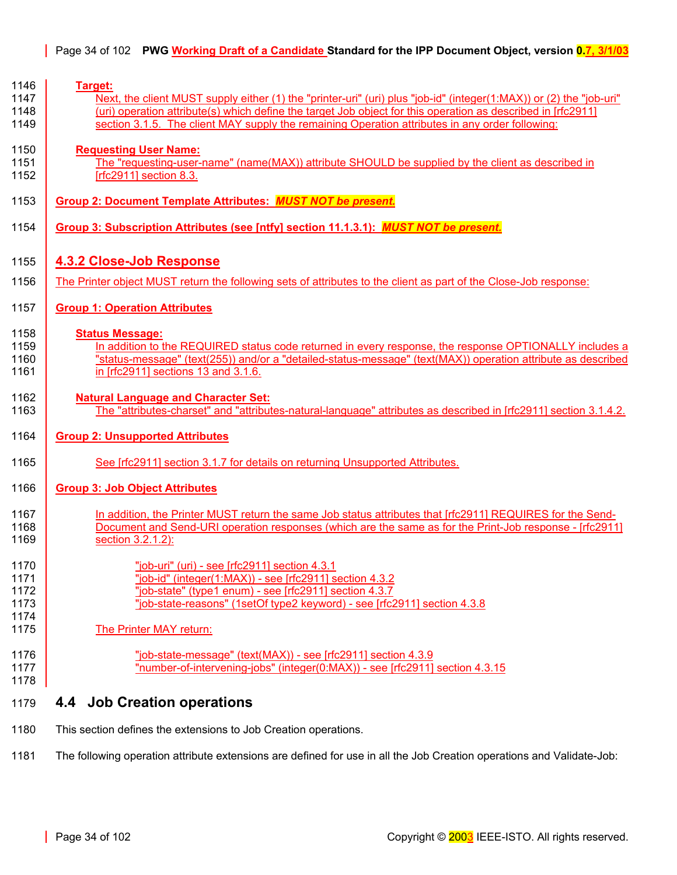<span id="page-33-0"></span>

| 1146<br>1147<br>1148<br>1149         | Target:<br>Next, the client MUST supply either (1) the "printer-uri" (uri) plus "job-id" (integer(1:MAX)) or (2) the "job-uri"<br>(uri) operation attribute(s) which define the target Job object for this operation as described in [rfc2911]<br>section 3.1.5. The client MAY supply the remaining Operation attributes in any order following: |
|--------------------------------------|---------------------------------------------------------------------------------------------------------------------------------------------------------------------------------------------------------------------------------------------------------------------------------------------------------------------------------------------------|
| 1150<br>1151<br>1152                 | <b>Requesting User Name:</b><br>The "requesting-user-name" (name(MAX)) attribute SHOULD be supplied by the client as described in<br>[rfc2911] section 8.3.                                                                                                                                                                                       |
| 1153                                 | Group 2: Document Template Attributes: MUST NOT be present.                                                                                                                                                                                                                                                                                       |
| 1154                                 | Group 3: Subscription Attributes (see [ntfy] section 11.1.3.1): MUST NOT be present.                                                                                                                                                                                                                                                              |
| 1155                                 | <b>4.3.2 Close-Job Response</b>                                                                                                                                                                                                                                                                                                                   |
| 1156                                 | The Printer object MUST return the following sets of attributes to the client as part of the Close-Job response:                                                                                                                                                                                                                                  |
| 1157                                 | <b>Group 1: Operation Attributes</b>                                                                                                                                                                                                                                                                                                              |
| 1158<br>1159<br>1160<br>1161         | <b>Status Message:</b><br>In addition to the REQUIRED status code returned in every response, the response OPTIONALLY includes a<br>"status-message" (text(255)) and/or a "detailed-status-message" (text(MAX)) operation attribute as described<br>in [rfc2911] sections 13 and 3.1.6.                                                           |
| 1162<br>1163                         | <b>Natural Language and Character Set:</b><br>The "attributes-charset" and "attributes-natural-language" attributes as described in [rfc2911] section 3.1.4.2.                                                                                                                                                                                    |
| 1164                                 | <b>Group 2: Unsupported Attributes</b>                                                                                                                                                                                                                                                                                                            |
| 1165                                 | See [rfc2911] section 3.1.7 for details on returning Unsupported Attributes.                                                                                                                                                                                                                                                                      |
| 1166                                 | <b>Group 3: Job Object Attributes</b>                                                                                                                                                                                                                                                                                                             |
| 1167<br>1168<br>1169                 | In addition, the Printer MUST return the same Job status attributes that [rfc2911] REQUIRES for the Send-<br>Document and Send-URI operation responses (which are the same as for the Print-Job response - [rfc2911]<br>section 3.2.1.2):                                                                                                         |
| 1170<br>1171<br>1172<br>1173<br>1174 | "job-uri" (uri) - see [rfc2911] section 4.3.1<br>"job-id" (integer(1:MAX)) - see [rfc2911] section 4.3.2<br>"job-state" (type1 enum) - see [rfc2911] section 4.3.7<br>"job-state-reasons" (1setOf type2 keyword) - see [rfc2911] section 4.3.8                                                                                                    |
| 1175                                 | <b>The Printer MAY return:</b>                                                                                                                                                                                                                                                                                                                    |
| 1176<br>1177<br>1178                 | "job-state-message" (text(MAX)) - see [rfc2911] section 4.3.9<br>"number-of-intervening-jobs" (integer(0:MAX)) - see [rfc2911] section 4.3.15                                                                                                                                                                                                     |
| 1179                                 | <b>Job Creation operations</b><br>4.4                                                                                                                                                                                                                                                                                                             |
| 1180                                 | This section defines the extensions to Job Creation operations.                                                                                                                                                                                                                                                                                   |

<span id="page-33-1"></span>1181 The following operation attribute extensions are defined for use in all the Job Creation operations and Validate-Job: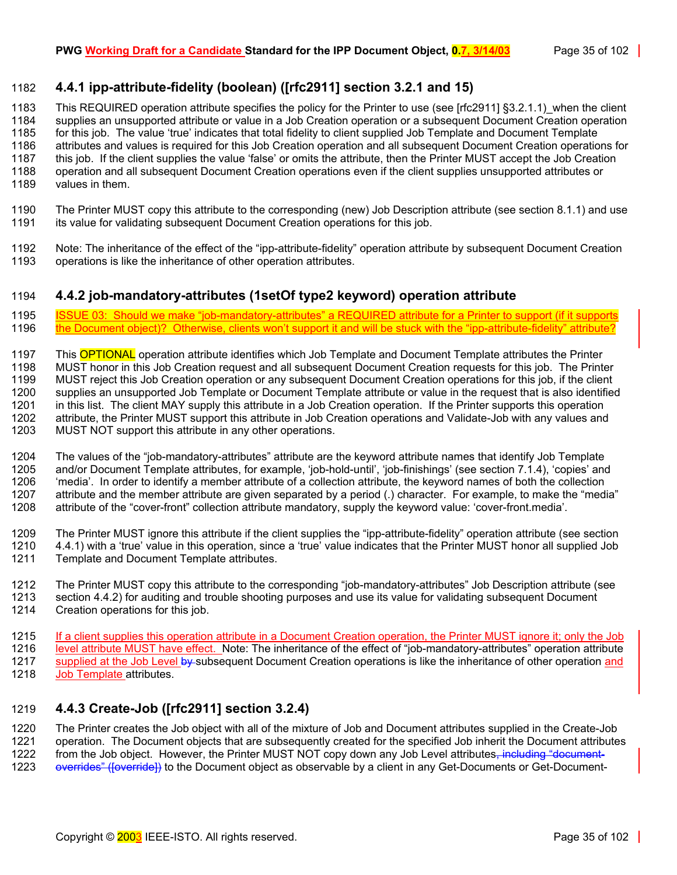# <span id="page-34-0"></span>1182 **4.4.1 ipp-attribute-fidelity (boolean) ([rfc2911] section 3.2.1 and 15)**

1183 This REQUIRED operation attribute specifies the policy for the Printer to use (see [rfc2911] §3.2.1.1) when the client 1184 supplies an unsupported attribute or value in a Job Creation operation or a subsequent Document Creation operation 1185 for this job. The value 'true' indicates that total fidelity to client supplied Job Template and Document Template 1186 attributes and values is required for this Job Creation operation and all subsequent Document Creation operations for 1187 this job. If the client supplies the value 'false' or omits the attribute, then the Printer MUST accept the Job Creation<br>1188 operation and all subsequent Document Creation operations even if the client supplies unsup operation and all subsequent Document Creation operations even if the client supplies unsupported attributes or 1189 values in them.

- 1190 The Printer MUST copy this attribute to the corresponding (new) Job Description attribute (see section [8.1.1\)](#page-57-1) and use 1191 its value for validating subsequent Document Creation operations for this job.
- 1192 Note: The inheritance of the effect of the "ipp-attribute-fidelity" operation attribute by subsequent Document Creation<br>1193 operations is like the inheritance of other operation attributes. operations is like the inheritance of other operation attributes.

# <span id="page-34-1"></span>1194 **4.4.2 job-mandatory-attributes (1setOf type2 keyword) operation attribute**

1195 ISSUE 03: Should we make "job-mandatory-attributes" a REQUIRED attribute for a Printer to support (if it supports<br>1196 the Document object)? Otherwise, clients won't support it and will be stuck with the "ipp-attribut the Document object)? Otherwise, clients won't support it and will be stuck with the "ipp-attribute-fidelity" attribute?

1197 This **OPTIONAL** operation attribute identifies which Job Template and Document Template attributes the Printer 1198 MUST honor in this Job Creation request and all subsequent Document Creation requests for this job. The Printer 1199 MUST reject this Job Creation operation or any subsequent Document Creation operations for this job, if the client 1200 supplies an unsupported Job Template or Document Template attribute or value in the request that is also identified 1201 in this list. The client MAY supply this attribute in a Job Creation operation. If the Printer supports this operation 1202 attribute, the Printer MUST support this attribute in Job Creation operations and Validate-Job with any values and 1203 MUST NOT support this attribute in any other operations.

1204 The values of the "job-mandatory-attributes" attribute are the keyword attribute names that identify Job Template 1205 and/or Document Template attributes, for example, 'job-hold-until', 'job-finishings' (see section [7.1.4\)](#page-52-4), 'copies' and 1206 'media'. In order to identify a member attribute of a collection attribute, the keyword names of both the collection 1207 attribute and the member attribute are given separated by a period (.) character. For example, to make the "media" 1208 attribute of the "cover-front" collection attribute mandatory, supply the keyword value: 'cover-front.media'.

1209 The Printer MUST ignore this attribute if the client supplies the "ipp-attribute-fidelity" operation attribute (see section 1210 [4.4.1\)](#page-34-0) with a 'true' value in this operation, since a 'true' value indicates that the Printer MUST honor all supplied Job<br>1211 Template and Document Template attributes. Template and Document Template attributes.

1212 The Printer MUST copy this attribute to the corresponding "job-mandatory-attributes" Job Description attribute (see 1213 section [4.4.2\)](#page-34-1) for auditing and trouble shooting purposes and use its value for validating subsequent Document 1214 Creation operations for this job.

1215 If a client supplies this operation attribute in a Document Creation operation, the Printer MUST ignore it; only the Job 1216 level attribute MUST have effect. Note: The inheritance of the effect of "job-mandatory-attributes" operation attribute 1217 supplied at the Job Level by subsequent Document Creation operations is like the inheritance of other operation and 1218 Job Template attributes.

# <span id="page-34-2"></span>1219 **4.4.3 Create-Job ([rfc2911] section 3.2.4)**

1220 The Printer creates the Job object with all of the mixture of Job and Document attributes supplied in the Create-Job 1221 operation. The Document objects that are subsequently created for the specified Job inherit the Document attributes 1222 from the Job object. However, the Printer MUST NOT copy down any Job Level attributes. Including from the Job object. However, the Printer MUST NOT copy down any Job Level attributes, including "document-

1223 overrides" (foverride) to the Document object as observable by a client in any Get-Documents or Get-Document-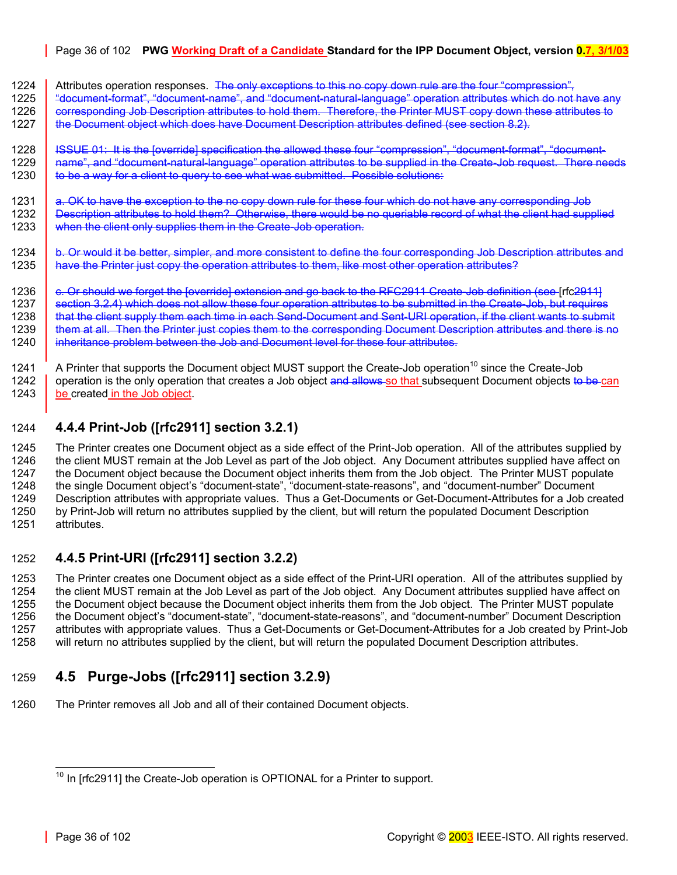# Page 36 of 102 **PWG Working Draft of a Candidate Standard for the IPP Document Object, version 0.7, 3/1/03**

1224 Attributes operation responses. The only exceptions to this no copy down rule are the four "compression",

1225 | "document-format", "document-name", and "document-natural-language" operation attributes which do not have any 1226 corresponding Job Description attributes to hold them. Therefore, the Printer MUST copy down these attributes to 1227 the Document object which does have Document Description attributes defined (see section [8.2\)](#page-57-3).

1228 ISSUE 01: It is the [override] specification the allowed these four "compression", "document-format", "document-<br>1229 I name", and "document-natural-language" operation attributes to be supplied in the Create-Job requ name", and "document-natural-language" operation attributes to be supplied in the Create-Job request. There needs 1230 **to be a way for a client to query to see what was submitted. Possible solutions:** 

1231 a. OK to have the exception to the no copy down rule for these four which do not have any corresponding Job 1232 Bescription attributes to hold them? Otherwise, there would be no queriable record of what the client had supplied 1233 when the client only supplies them in the Create-Job operation.

1234 b. Or would it be better, simpler, and more consistent to define the four corresponding Job Description attributes and 1235 | have the Printer just copy the operation attributes to them, like most other operation attributes?

1236 c. Or should we forget the [override] extension and go back to the RFC2911 Create-Job definition (see Infc29111 1237 section 3.2.4) which does not allow these four operation attributes to be submitted in the Create-Job, but requires<br>1238 that the client supply them each time in each Send-Document and Sent-URI operation. if the clien that the client supply them each time in each Send-Document and Sent-URI operation, if the client wants to submit 1239 **h** them at all. Then the Printer just copies them to the corresponding Document Description attributes and there is no 1240 inheritance problem between the Job and Document level for these four attributes.

1241 A Printer that supports the Document object MUST support the Create-Job operation<sup>10</sup> since the Create-Job 1242 operation is the only operation that creates a Job object and allows so that subsequent Document objects to be can 1243 be created in the Job object.

# <span id="page-35-0"></span>1244 **4.4.4 Print-Job ([rfc2911] section 3.2.1)**

1245 The Printer creates one Document object as a side effect of the Print-Job operation. All of the attributes supplied by 1246 the client MUST remain at the Job Level as part of the Job object. Any Document attributes supplied have affect on<br>1247 the Document object because the Document object inherits them from the Job object. The Printer MU 1247 the Document object because the Document object inherits them from the Job object. The Printer MUST populate 1248 the single Document object's "document-state". "document-state-reasons", and "document-number" Document the single Document object's "document-state", "document-state-reasons", and "document-number" Document 1249 Description attributes with appropriate values. Thus a Get-Documents or Get-Document-Attributes for a Job created 1250 by Print-Job will return no attributes supplied by the client, but will return the populated Document Description<br>1251 attributes. attributes.

# <span id="page-35-1"></span>1252 **4.4.5 Print-URI ([rfc2911] section 3.2.2)**

1253 The Printer creates one Document object as a side effect of the Print-URI operation. All of the attributes supplied by<br>1254 the client MUST remain at the Job Level as part of the Job object. Any Document attributes su the client MUST remain at the Job Level as part of the Job object. Any Document attributes supplied have affect on 1255 the Document object because the Document object inherits them from the Job object. The Printer MUST populate 1256 the Document object's "document-state", "document-state-reasons", and "document-number" Document Description 1257 attributes with appropriate values. Thus a Get-Documents or Get-Document-Attributes for a Job created by Print-Job 1258 will return no attributes supplied by the client, but will return the populated Document Description attributes.

# <span id="page-35-2"></span>1259 **4.5 Purge-Jobs ([rfc2911] section 3.2.9)**

1260 The Printer removes all Job and all of their contained Document objects.

<span id="page-35-3"></span>l  $10$  In [rfc2911] the Create-Job operation is OPTIONAL for a Printer to support.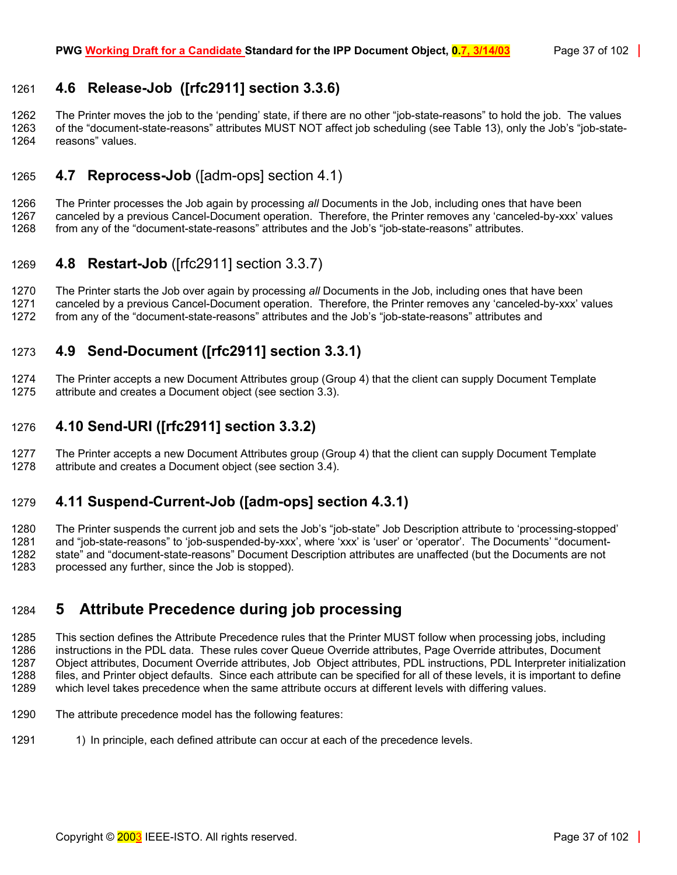# 1261 **4.6 Release-Job ([rfc2911] section 3.3.6)**

1262 The Printer moves the job to the 'pending' state, if there are no other "job-state-reasons" to hold the job. The values 1263 of the "document-state-reasons" attributes MUST NOT affect job scheduling (see [Table 13\)](#page-69-0), only the Job's "job-state-1264 reasons" values.

# 1265 **4.7 Reprocess-Job** ([adm-ops] section 4.1)

1266 The Printer processes the Job again by processing *all* Documents in the Job, including ones that have been 1267 canceled by a previous Cancel-Document operation. Therefore, the Printer removes any 'canceled-by-xxx' values 1268 from any of the "document-state-reasons" attributes and the Job's "job-state-reasons" attributes.

# 1269 **4.8 Restart-Job** ([rfc2911] section 3.3.7)

1270 The Printer starts the Job over again by processing *all* Documents in the Job, including ones that have been 1271 canceled by a previous Cancel-Document operation. Therefore, the Printer removes any 'canceled-by-xxx' values 1272 from any of the "document-state-reasons" attributes and the Job's "job-state-reasons" attributes and

# 1273 **4.9 Send-Document ([rfc2911] section 3.3.1)**

1274 The Printer accepts a new Document Attributes group (Group 4) that the client can supply Document Template 1275 attribute and creates a Document object (see section [3.3\)](#page-20-0).

# 1276 **4.10 Send-URI ([rfc2911] section 3.3.2)**

1277 The Printer accepts a new Document Attributes group (Group 4) that the client can supply Document Template 1278 attribute and creates a Document object (see section [3.4\)](#page-21-0).

# 1279 **4.11 Suspend-Current-Job ([adm-ops] section 4.3.1)**

1280 The Printer suspends the current job and sets the Job's "job-state" Job Description attribute to 'processing-stopped' 1281 and "job-state-reasons" to 'job-suspended-by-xxx', where 'xxx' is 'user' or 'operator'. The Documents' "document-1282 state" and "document-state-reasons" Document Description attributes are unaffected (but the Documents are not 1283 processed any further, since the Job is stopped).

# <span id="page-36-0"></span>1284 **5 Attribute Precedence during job processing**

1285 This section defines the Attribute Precedence rules that the Printer MUST follow when processing jobs, including 1286 instructions in the PDL data. These rules cover Queue Override attributes, Page Override attributes, Document 1287 Object attributes, Document Override attributes, Job Object attributes, PDL instructions, PDL Interpreter initialization<br>1288 files, and Printer object defaults. Since each attribute can be specified for all of these files, and Printer object defaults. Since each attribute can be specified for all of these levels, it is important to define 1289 which level takes precedence when the same attribute occurs at different levels with differing values.

- 1290 The attribute precedence model has the following features:
- 1291 1) In principle, each defined attribute can occur at each of the precedence levels.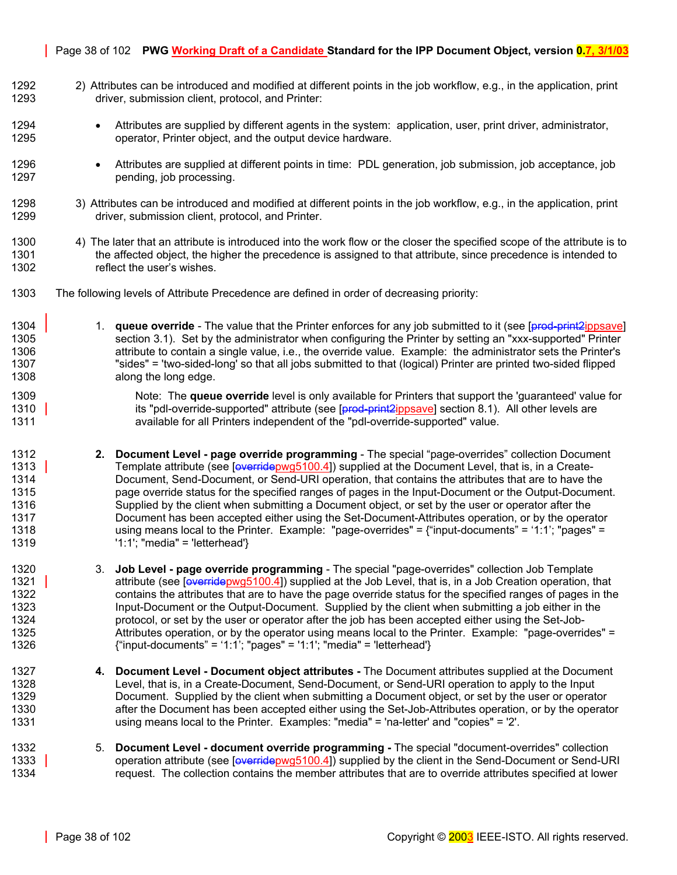#### Page 38 of 102 **PWG Working Draft of a Candidate Standard for the IPP Document Object, version 0.7, 3/1/03**

- 1292 2) Attributes can be introduced and modified at different points in the job workflow, e.g., in the application, print 1293 driver, submission client, protocol, and Printer:
- 1294 Attributes are supplied by different agents in the system: application, user, print driver, administrator, 1295 operator, Printer object, and the output device hardware.
- 1296 Attributes are supplied at different points in time: PDL generation, job submission, job acceptance, job 1297 pending, job processing.
- 1298 3) Attributes can be introduced and modified at different points in the job workflow, e.g., in the application, print 1299 driver, submission client, protocol, and Printer.
- 1300 4) The later that an attribute is introduced into the work flow or the closer the specified scope of the attribute is to 1301 the affected object, the higher the precedence is assigned to that attribute, since precedence is intended to 1302 reflect the user's wishes.
- 1303 The following levels of Attribute Precedence are defined in order of decreasing priority:
- 1304 1. **queue override** The value that the Printer enforces for any job submitted to it (see [prod-print2ippsave] 1305 section 3.1). Set by the administrator when configuring the Printer by setting an "xxx-supported" Printer 1306 attribute to contain a single value, i.e., the override value. Example: the administrator sets the Printer's 1307 "sides" = 'two-sided-long' so that all jobs submitted to that (logical) Printer are printed two-sided flipped 1308 along the long edge.
- 1309 Note: The **queue override** level is only available for Printers that support the 'guaranteed' value for 1310 **its "pdl-override-supported" attribute (see [prod-print2ippsave] section 8.1).** All other levels are 1311 available for all Printers independent of the "pdl-override-supported" value.
- 1312 **2. Document Level page override programming** The special "page-overrides" collection Document 1313 Template attribute (see [overridepwg5100.4]) supplied at the Document Level, that is, in a Create-1314 Document, Send-Document, or Send-URI operation, that contains the attributes that are to have the 1315 page override status for the specified ranges of pages in the Input-Document or the Output-Document. 1316 Supplied by the client when submitting a Document object, or set by the user or operator after the 1317 Document has been accepted either using the Set-Document-Attributes operation, or by the operator 1318 using means local to the Printer. Example: "page-overrides" = {"input-documents" = '1:1'; "pages" = 1319 '1:1'; "media" = 'letterhead'}
- 1320 3. **Job Level page override programming** The special "page-overrides" collection Job Template 1321 attribute (see [overridepwg5100.4]) supplied at the Job Level, that is, in a Job Creation operation, that 1322 contains the attributes that are to have the page override status for the specified ranges of pages in the 1323 Input-Document or the Output-Document. Supplied by the client when submitting a job either in the 1324 protocol, or set by the user or operator after the job has been accepted either using the Set-Job-1325 Attributes operation, or by the operator using means local to the Printer. Example: "page-overrides" = 1326 {"input-documents" = '1:1'; "pages" = '1:1'; "media" = 'letterhead'}
- 1327 **4. Document Level Document object attributes** The Document attributes supplied at the Document 1328 Level, that is, in a Create-Document, Send-Document, or Send-URI operation to apply to the Input 1329 Document. Supplied by the client when submitting a Document object, or set by the user or operator 1330 after the Document has been accepted either using the Set-Job-Attributes operation, or by the operator 1331 using means local to the Printer. Examples: "media" = 'na-letter' and "copies" = '2'.
- 1332 5. **Document Level document override programming** The special "document-overrides" collection 1333 operation attribute (see [overridepwg5100.4]) supplied by the client in the Send-Document or Send-URI 1334 request. The collection contains the member attributes that are to override attributes specified at lower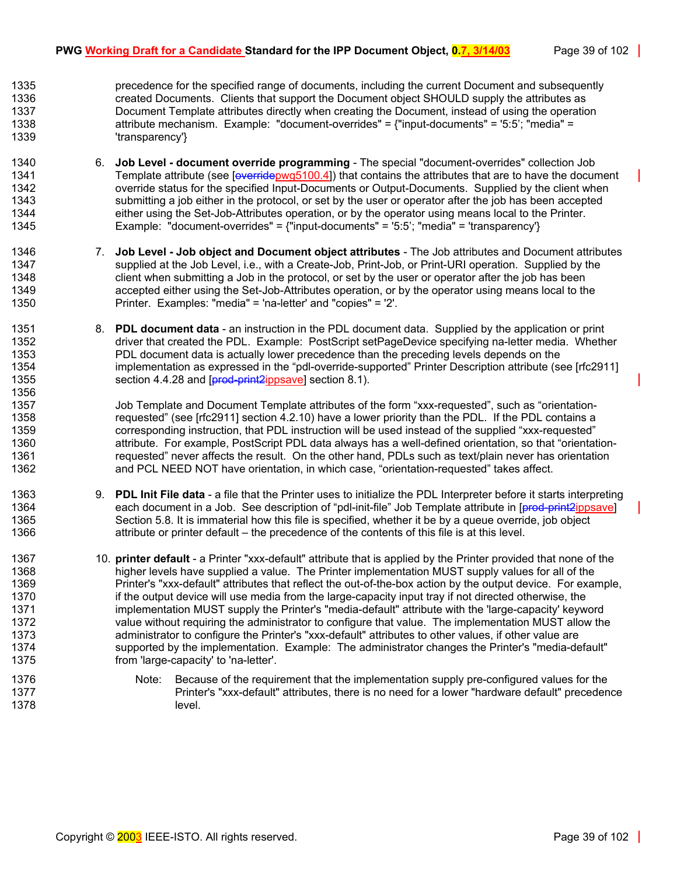1335 precedence for the specified range of documents, including the current Document and subsequently 1336 created Documents. Clients that support the Document object SHOULD supply the attributes as 1337 Document Template attributes directly when creating the Document, instead of using the operation 1338 attribute mechanism. Example: "document-overrides" = {"input-documents" = '5:5'; "media" = 1339 'transparency'}

- 1340 6. **Job Level document override programming** The special "document-overrides" collection Job 1341 Template attribute (see [overridepwg5100.4]) that contains the attributes that are to have the document 1342 override status for the specified Input-Documents or Output-Documents. Supplied by the client when 1343 submitting a job either in the protocol, or set by the user or operator after the job has been accepted 1344 either using the Set-Job-Attributes operation, or by the operator using means local to the Printer. 1345 Example: "document-overrides" = {"input-documents" = '5:5'; "media" = 'transparency'}
- 1346 7. **Job Level Job object and Document object attributes** The Job attributes and Document attributes 1347 supplied at the Job Level, i.e., with a Create-Job, Print-Job, or Print-URI operation. Supplied by the 1348 client when submitting a Job in the protocol, or set by the user or operator after the job has been 1349 accepted either using the Set-Job-Attributes operation, or by the operator using means local to the 1350 Printer. Examples: "media" = 'na-letter' and "copies" = '2'.
- 1351 8. **PDL document data**  an instruction in the PDL document data. Supplied by the application or print 1352 driver that created the PDL. Example: PostScript setPageDevice specifying na-letter media. Whether 1353 PDL document data is actually lower precedence than the preceding levels depends on the 1354 implementation as expressed in the "pdl-override-supported" Printer Description attribute (see [rfc2911] 1355 section 4.4.28 and [**prod-print2ippsave**] section 8.1). 1356

1357 Job Template and Document Template attributes of the form "xxx-requested", such as "orientation-1358 requested" (see [rfc2911] section 4.2.10) have a lower priority than the PDL. If the PDL contains a 1359 corresponding instruction, that PDL instruction will be used instead of the supplied "xxx-requested" 1360 attribute. For example, PostScript PDL data always has a well-defined orientation, so that "orientation-1361 requested" never affects the result. On the other hand, PDLs such as text/plain never has orientation 1362 and PCL NEED NOT have orientation, in which case, "orientation-requested" takes affect.

- 1363 9. **PDL Init File data**  a file that the Printer uses to initialize the PDL Interpreter before it starts interpreting 1364 each document in a Job. See description of "pdl-init-file" Job Template attribute in [prod-print2ippsave] 1365 Section 5.8. It is immaterial how this file is specified, whether it be by a queue override, job object 1366 attribute or printer default – the precedence of the contents of this file is at this level.
- 1367 10. **printer default**  a Printer "xxx-default" attribute that is applied by the Printer provided that none of the 1368 higher levels have supplied a value. The Printer implementation MUST supply values for all of the 1369 Printer's "xxx-default" attributes that reflect the out-of-the-box action by the output device. For example, 1370 if the output device will use media from the large-capacity input tray if not directed otherwise, the 1371 implementation MUST supply the Printer's "media-default" attribute with the 'large-capacity' keyword 1372 value without requiring the administrator to configure that value. The implementation MUST allow the 1373 administrator to configure the Printer's "xxx-default" attributes to other values, if other value are 1374 supported by the implementation. Example: The administrator changes the Printer's "media-default" 1375 from 'large-capacity' to 'na-letter'.
- 1376 Note: Because of the requirement that the implementation supply pre-configured values for the 1377 Printer's "xxx-default" attributes, there is no need for a lower "hardware default" precedence 1378 level.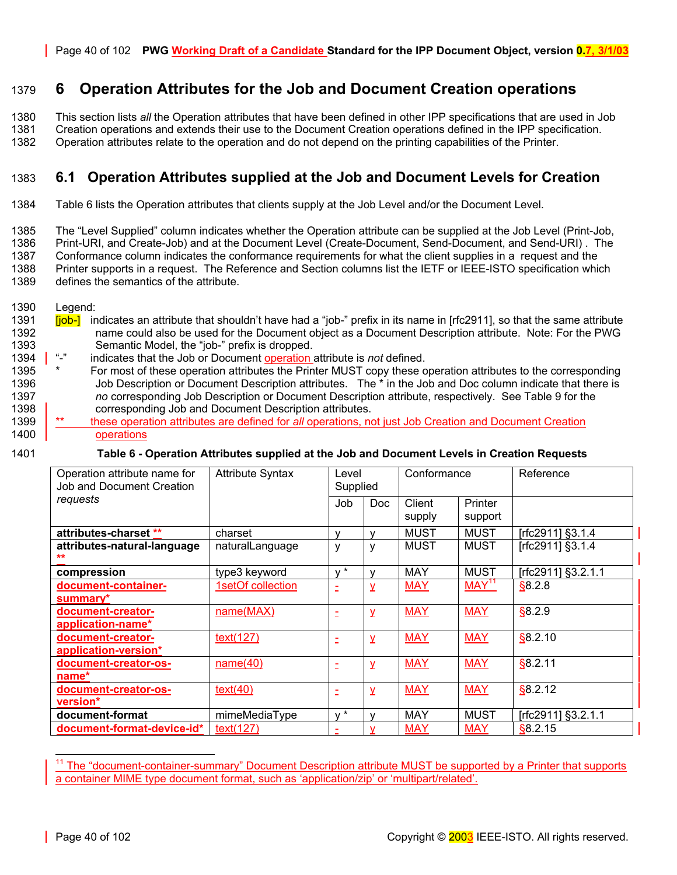# 1379 **6 Operation Attributes for the Job and Document Creation operations**

1380 This section lists *all* the Operation attributes that have been defined in other IPP specifications that are used in Job

1381 Creation operations and extends their use to the Document Creation operations defined in the IPP specification.

1382 Operation attributes relate to the operation and do not depend on the printing capabilities of the Printer.

# 1383 **6.1 Operation Attributes supplied at the Job and Document Levels for Creation**

1384 [Table 6](#page-39-0) lists the Operation attributes that clients supply at the Job Level and/or the Document Level.

1385 The "Level Supplied" column indicates whether the Operation attribute can be supplied at the Job Level (Print-Job,

1386 Print-URI, and Create-Job) and at the Document Level (Create-Document, Send-Document, and Send-URI) . The 1387 Conformance column indicates the conformance requirements for what the client supplies in a request and the 1388 Printer supports in a request. The Reference and Section columns list the IETF or IEEE-ISTO specification which

1389 defines the semantics of the attribute.

1390 Legend:

- 1391 **[job-]** indicates an attribute that shouldn't have had a "job-" prefix in its name in [rfc2911], so that the same attribute 1392 name could also be used for the Document object as a Document Description attribute. Note: For the PWG 1393 Semantic Model, the "job-" prefix is dropped.<br>
1394 | "-" indicates that the Job or Document operation
- 1394 "-" indicates that the Job or Document operation attribute is *not* defined.
- 1395 \* For most of these operation attributes the Printer MUST copy these operation attributes to the corresponding 1396 Job Description or Document Description attributes. The \* in the Job and Doc column indicate that there is 1397 *no* corresponding Job Description or Document Description attribute, respectively. See [Table 9 f](#page-54-0)or the 1398 **Corresponding Job and Document Description attributes.**
- 1399 \*\* these operation attributes are defined for *all* operations, not just Job Creation and Document Creation 1400 operations
- 

#### 1401 **Table 6 - Operation Attributes supplied at the Job and Document Levels in Creation Requests**

<span id="page-39-0"></span>

| Operation attribute name for<br><b>Job and Document Creation</b> | <b>Attribute Syntax</b> | Level<br>Supplied |            | Conformance      |                    | Reference          |
|------------------------------------------------------------------|-------------------------|-------------------|------------|------------------|--------------------|--------------------|
| requests                                                         |                         | Job               | <b>Doc</b> | Client<br>supply | Printer<br>support |                    |
| attributes-charset **                                            | charset                 | v                 |            | <b>MUST</b>      | <b>MUST</b>        | [rfc2911] §3.1.4   |
| attributes-natural-language                                      | naturalLanguage         | ٧                 | v          | MUST             | <b>MUST</b>        | [rfc2911] §3.1.4   |
| compression                                                      | type3 keyword           | $V^*$             |            | MAY              | <b>MUST</b>        | [rfc2911] §3.2.1.1 |
| document-container-<br>summary*                                  | 1setOf collection       |                   | ۷          | <b>MAY</b>       | MAY <sup>11</sup>  | \$8.2.8            |
| document-creator-<br>application-name*                           | name(MAX)               | Ė                 | y          | <b>MAY</b>       | <b>MAY</b>         | \$8.2.9            |
| document-creator-<br>application-version*                        | text(127)               | Ξ                 | y          | <b>MAY</b>       | <b>MAY</b>         | \$8.2.10           |
| document-creator-os-<br>name*                                    | name(40)                | Ē                 | y          | <b>MAY</b>       | <b>MAY</b>         | §8.2.11            |
| document-creator-os-<br>version*                                 | text(40)                | Ξ                 | y          | <b>MAY</b>       | <b>MAY</b>         | \$8.2.12           |
| document-format                                                  | mimeMediaType           | $V^*$             |            | <b>MAY</b>       | <b>MUST</b>        | [rfc2911] §3.2.1.1 |
| document-format-device-id*                                       | text(127)               |                   |            | <b>MAY</b>       | <b>MAY</b>         | \$8.2.15           |

<span id="page-39-1"></span>l The "document-container-summary" Document Description attribute MUST be supported by a Printer that supports a container MIME type document format, such as 'application/zip' or 'multipart/related'.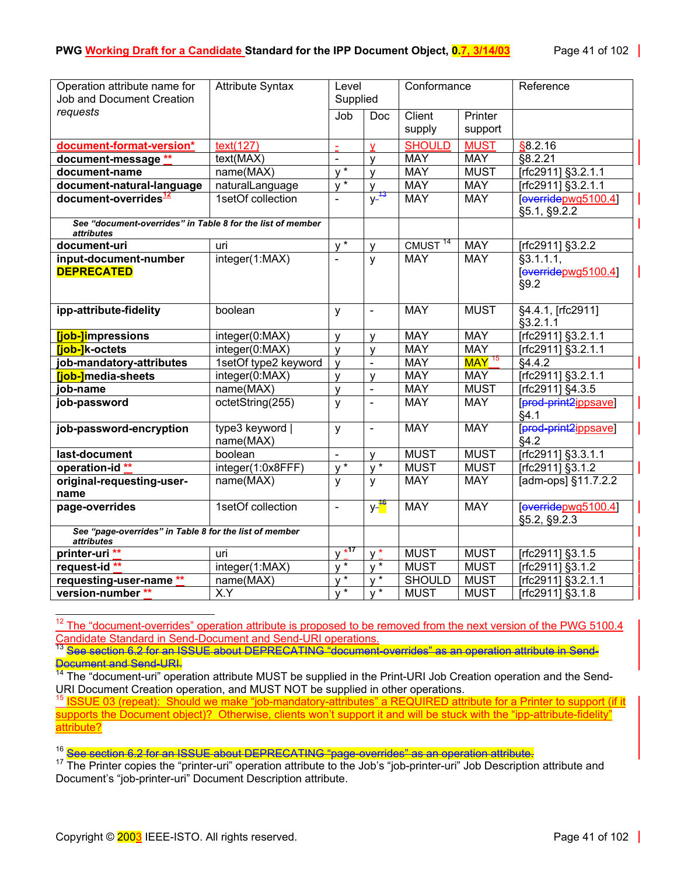| Operation attribute name for                                                    | <b>Attribute Syntax</b>      | Level                      |                      | Conformance         |                     | Reference                                         |
|---------------------------------------------------------------------------------|------------------------------|----------------------------|----------------------|---------------------|---------------------|---------------------------------------------------|
| Job and Document Creation                                                       |                              | Supplied                   |                      |                     |                     |                                                   |
| requests                                                                        |                              | Job                        | <b>Doc</b>           | Client              | Printer             |                                                   |
|                                                                                 |                              |                            |                      | supply              | support             |                                                   |
| document-format-version*                                                        | text(127)                    | $\omega$                   | $\mathbf v$          | <b>SHOULD</b>       | <b>MUST</b>         | \$8.2.16                                          |
| document-message **                                                             | text(MAX)                    | $\blacksquare$             | y                    | <b>MAY</b>          | <b>MAY</b>          | \$8.2.21                                          |
| document-name                                                                   | name(MAX)                    | $\sqrt{\frac{1}{x}}$       | $\mathsf{V}$         | <b>MAY</b>          | <b>MUST</b>         | [rfc2911] §3.2.1.1                                |
| document-natural-language                                                       | naturalLanguage              | $V^*$                      | y                    | <b>MAY</b>          | <b>MAY</b>          | [rfc2911] §3.2.1.1                                |
| document-overrides <sup>12</sup>                                                | 1setOf collection            | $\blacksquare$             | $y^{-13}$            | <b>MAY</b>          | <b>MAY</b>          | [overidepwg5100.4]<br>§5.1, §9.2.2                |
| See "document-overrides" in Table 8 for the list of member<br><i>attributes</i> |                              |                            |                      |                     |                     |                                                   |
| document-uri                                                                    | uri                          | $\overline{v^*}$           | $\mathsf{V}$         | CMUST <sup>14</sup> | <b>MAY</b>          | [rfc2911] §3.2.2                                  |
| input-document-number<br><b>DEPRECATED</b>                                      | integer(1:MAX)               |                            | y                    | <b>MAY</b>          | <b>MAY</b>          | $\sqrt{$3.1.1.1}$ ,<br>[overidepwg5100.4]<br>§9.2 |
| ipp-attribute-fidelity                                                          | boolean                      | y                          | $\bar{\phantom{a}}$  | <b>MAY</b>          | <b>MUST</b>         | §4.4.1, [rfc2911]<br>§3.2.1.1                     |
| [job-]impressions                                                               | integer(0:MAX)               | $\mathsf{V}$               | $\mathsf{V}$         | <b>MAY</b>          | <b>MAY</b>          | [rfc2911] §3.2.1.1                                |
| [job-]k-octets                                                                  | integer(0:MAX)               | $\mathsf{v}$               | y                    | <b>MAY</b>          | <b>MAY</b>          | [rfc2911] §3.2.1.1                                |
| job-mandatory-attributes                                                        | 1setOf type2 keyword         | $\mathsf{v}$               | $\overline{a}$       | <b>MAY</b>          | $MAY$ <sup>15</sup> | §4.4.2                                            |
| [job-]media-sheets                                                              | integer(0:MAX)               | $\mathsf{v}$               | $\mathsf{v}$         | <b>MAY</b>          | <b>MAY</b>          | [rfc2911] §3.2.1.1                                |
| job-name                                                                        | name(MAX)                    | $\mathsf{V}$               | $\blacksquare$       | <b>MAY</b>          | <b>MUST</b>         | [rfc2911] §4.3.5                                  |
| job-password                                                                    | octetString(255)             | y                          | $\blacksquare$       | <b>MAY</b>          | <b>MAY</b>          | prod-print2ippsave<br>§4.1                        |
| job-password-encryption                                                         | type3 keyword  <br>name(MAX) | y                          | $\blacksquare$       | <b>MAY</b>          | <b>MAY</b>          | prod-print2ippsave<br>§4.2                        |
| last-document                                                                   | boolean                      | $\blacksquare$             | $\mathsf{v}$         | <b>MUST</b>         | <b>MUST</b>         | [rfc2911] §3.3.1.1                                |
| operation-id**                                                                  | integer(1:0x8FFF)            | $\sqrt{*}$                 | $\sqrt{\frac{1}{x}}$ | <b>MUST</b>         | <b>MUST</b>         | [rfc2911] §3.1.2                                  |
| original-requesting-user-<br>name                                               | name(MAX)                    | y                          | y                    | <b>MAY</b>          | <b>MAY</b>          | [adm-ops] §11.7.2.2                               |
| page-overrides                                                                  | 1setOf collection            | $\Box$                     | y- <sup>16</sup>     | <b>MAY</b>          | <b>MAY</b>          | [everridepwg5100.4]<br>§5.2, §9.2.3               |
| See "page-overrides" in Table 8 for the list of member<br>attributes            |                              |                            |                      |                     |                     |                                                   |
| printer-uri **                                                                  | uri                          | $\star$ 17<br>$\mathsf{v}$ | $v^*$                | <b>MUST</b>         | <b>MUST</b>         | [rfc2911] §3.1.5                                  |
| request-id **                                                                   | integer(1:MAX)               | $V^*$                      | $v^*$                | <b>MUST</b>         | <b>MUST</b>         | [rfc2911] §3.1.2                                  |
| requesting-user-name **                                                         | name(MAX)                    | $v^*$                      |                      | <b>SHOULD</b>       | <b>MUST</b>         | [rfc2911] §3.2.1.1                                |
| version-number **                                                               | X.Y                          | $y^{\frac{1}{*}}$          | $V^*$                | <b>MUST</b>         | <b>MUST</b>         | [rfc2911] §3.1.8                                  |

<span id="page-40-0"></span> $12$  The "document-overrides" operation attribute is proposed to be removed from the next version of the PWG 5100.4 Candidate Standard in Send-Document and Send-URI operations.<br><sup>13</sup> See section 6.2 for an ISSUE about DEPRECATING "document-overrides" as an operation attribute in Send-

<span id="page-40-1"></span>Document and Send-URI.

<span id="page-40-2"></span><sup>14</sup> The "document-uri" operation attribute MUST be supplied in the Print-URI Job Creation operation and the Send-URI Document Creation operation, and MUST NOT be supplied in other operations.

<span id="page-40-3"></span>15 ISSUE 03 (repeat): Should we make "job-mandatory-attributes" a REQUIRED attribute for a Printer to support (if it supports the Document object)? Otherwise, clients won't support it and will be stuck with the "ipp-attribute-fidelity" attribute?

<span id="page-40-4"></span><sup>16</sup> See section 6.2 for an ISSUE about DEPRECATING "page overrides" as an operation attribute.

<span id="page-40-5"></span><sup>17</sup> The Printer copies the "printer-uri" operation attribute to the Job's "job-printer-uri" Job Description attribute and Document's "job-printer-uri" Document Description attribute.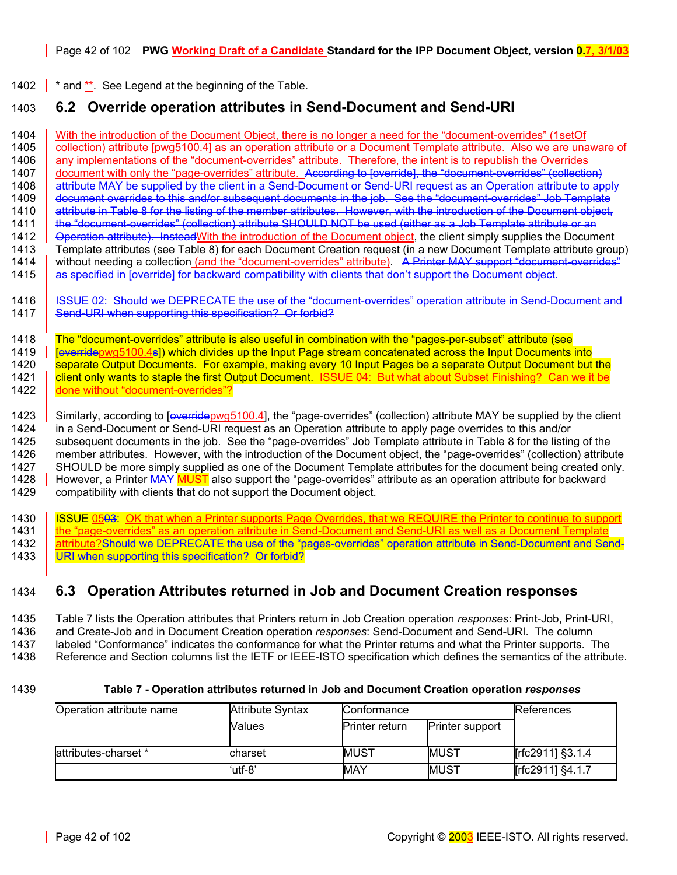1402  $\frac{1}{2}$  \* and  $\frac{1}{2}$ . See Legend at the beginning of the Table.

# 1403 **6.2 Override operation attributes in Send-Document and Send-URI**

1404 With the introduction of the Document Object, there is no longer a need for the "document-overrides" (1setOf<br>1405 collection) attribute [pwq5100.4] as an operation attribute or a Document Template attribute. Also we a collection) attribute [pwg5100.4] as an operation attribute or a Document Template attribute. Also we are unaware of 1406 | any implementations of the "document-overrides" attribute. Therefore, the intent is to republish the Overrides 1407 document with only the "page-overrides" attribute. According to [override], the "document-overrides" (collection) 1408 attribute MAY be supplied by the client in a Send-Document or Send-URI request as an Operation attribute to apply 1409 document overrides to this and/or subsequent documents in the job. See the "document-overrides" Job Template 1410 attribute in [Table 8](#page-43-0) for the listing of the member attributes. However, with the introduction of the Document object, 1411 | the "document-overrides" (collection) attribute SHOULD NOT be used (either as a Job Template attribute or an 1412 **Operation attribute). Instead With the introduction of the Document object**, the client simply supplies the Document 1413 Template attributes (see [Table 8\)](#page-43-0) for each Document Creation request (in a new Document Template attribute group)<br>1414 vithout needing a collection (and the "document-overrides" attribute). A Printer MAY support "docu without needing a collection (and the "document-overrides" attribute). A Printer MAY support "document-overrides" 1415 as specified in [override] for backward compatibility with clients that don't support the Document object.

1416 | <del>ISSUE 02: Should we DEPRECATE the use of the "document-overrides" operation attribute in Send-Document and</del> 1417 Send-URI when supporting this specification? Or forbid?

1418 The "document-overrides" attribute is also useful in combination with the "pages-per-subset" attribute (see 1419 | **[overridepwg5100.4s]) which divides up the Input Page stream concatenated across the Input Documents into** 1420 separate Output Documents. For example, making every 10 Input Pages be a separate Output Document but the<br>1421 Lolient only wants to staple the first Output Document. ISSUE 04: But what about Subset Finishing? Can we client only wants to staple the first Output Document. ISSUE 04: But what about Subset Finishing? Can we it be 1422 **done without "document-overrides"?** 

1423 Similarly, according to [overridepwg5100.4], the "page-overrides" (collection) attribute MAY be supplied by the client 1424 in a Send-Document or Send-URI request as an Operation attribute to apply page overrides to this and/or 1425 subsequent documents in the job. See the "page-overrides" Job Template attribute in [Table 8](#page-43-0) for the listing of the 1426 member attributes. However, with the introduction of the Document object, the "page-overrides" (collection) attribute 1427 SHOULD be more simply supplied as one of the Document Template attributes for the document being created only. 1428 However, a Printer MAY MUST also support the "page-overrides" attribute as an operation attribute for backward 1429 compatibility with clients that do not support the Document object.

1430 | ISSUE 0503: OK that when a Printer supports Page Overrides, that we REQUIRE the Printer to continue to support 1431 | the "page-overrides" as an operation attribute in Send-Document and Send-URI as well as a Document Template 1432 attribute?Should we DEPRECATE the use of the "pages-overrides" operation attribute in Send-Document and Send-1433 | URI when supporting this specification? Or forbid?

# 1434 **6.3 Operation Attributes returned in Job and Document Creation responses**

1435 [Table 7](#page-41-0) lists the Operation attributes that Printers return in Job Creation operation *responses*: Print-Job, Print-URI, 1436 and Create-Job and in Document Creation operation *responses*: Send-Document and Send-URI. The column 1437 labeled "Conformance" indicates the conformance for what the Printer returns and what the Printer supports. The 1438 Reference and Section columns list the IETF or IEEE-ISTO specification which defines the semantics of the attribute.

#### 1439 **Table 7 - Operation attributes returned in Job and Document Creation operation** *responses*

<span id="page-41-0"></span>

| Operation attribute name | <b>Attribute Syntax</b> | Conformance           | References             |                  |
|--------------------------|-------------------------|-----------------------|------------------------|------------------|
|                          | Values                  | <b>Printer return</b> | <b>Printer support</b> |                  |
|                          |                         |                       |                        |                  |
| attributes-charset *     | charset                 | <b>MUST</b>           | <b>MUST</b>            | [rfc2911] §3.1.4 |
|                          | 'utf-8'                 | MAY                   | <b>MUST</b>            | [rfc2911] §4.1.7 |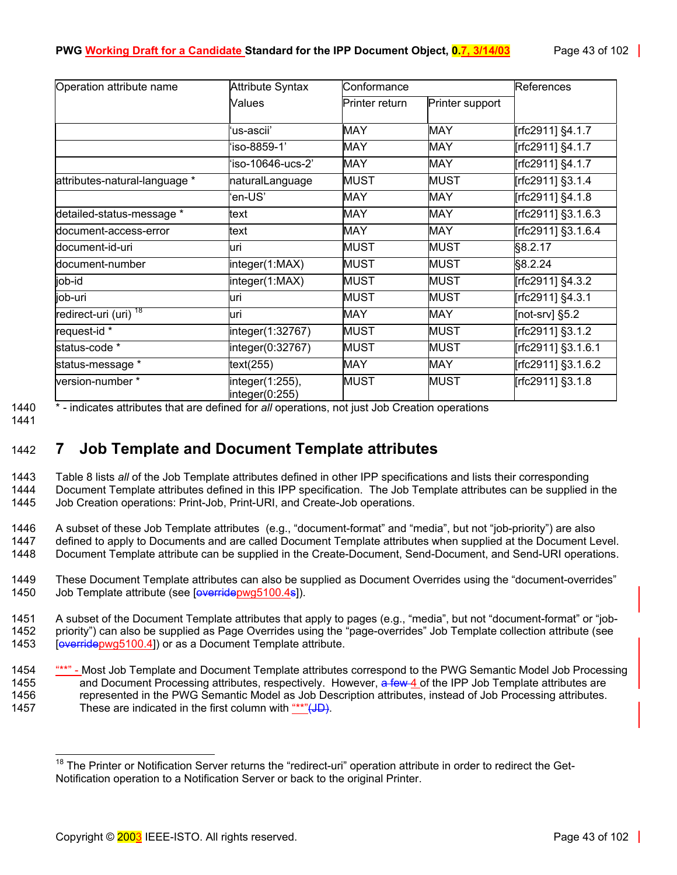| Operation attribute name         | <b>Attribute Syntax</b>           | Conformance           |                 | References         |  |
|----------------------------------|-----------------------------------|-----------------------|-----------------|--------------------|--|
|                                  | Values                            | <b>Printer return</b> | Printer support |                    |  |
|                                  | ʻus-ascii'                        | <b>MAY</b>            | <b>MAY</b>      | [rfc2911] §4.1.7   |  |
|                                  | 'iso-8859-1'                      | <b>MAY</b>            | <b>MAY</b>      | [rfc2911] §4.1.7   |  |
|                                  | 'iso-10646-ucs-2'                 | <b>MAY</b>            | <b>MAY</b>      | [rfc2911] §4.1.7   |  |
| attributes-natural-language *    | naturalLanguage                   | <b>MUST</b>           | <b>MUST</b>     | [rfc2911] §3.1.4   |  |
|                                  | 'en-US'                           | <b>MAY</b>            | <b>MAY</b>      | Trfc2911] §4.1.8   |  |
| detailed-status-message *        | text                              | <b>MAY</b>            | <b>MAY</b>      | [rfc2911] §3.1.6.3 |  |
| document-access-error            | text                              | <b>MAY</b>            | MAY             | [rfc2911] §3.1.6.4 |  |
| document-id-uri                  | uri                               | <b>MUST</b>           | <b>MUST</b>     | §8.2.17            |  |
| document-number                  | integer(1:MAX)                    | <b>MUST</b>           | <b>MUST</b>     | §8.2.24            |  |
| job-id                           | integer(1:MAX)                    | <b>MUST</b>           | MUST            | [rfc2911] §4.3.2   |  |
| job-uri                          | uri                               | <b>MUST</b>           | <b>MUST</b>     | [rfc2911] §4.3.1   |  |
| redirect-uri (uri) <sup>18</sup> | uri                               | <b>MAY</b>            | MAY             | [not-srv] $§5.2$   |  |
| request-id *                     | integer(1:32767)                  | <b>MUST</b>           | <b>MUST</b>     | [rfc2911] §3.1.2   |  |
| status-code *                    | integer(0:32767)                  | <b>MUST</b>           | <b>MUST</b>     | [rfc2911] §3.1.6.1 |  |
| status-message *                 | text $(255)$                      | MAY                   | MAY             | [rfc2911] §3.1.6.2 |  |
| version-number*                  | integer(1:255),<br>integer(0:255) | <b>MUST</b>           | <b>MUST</b>     | [rfc2911] §3.1.8   |  |

1440 \* - indicates attributes that are defined for *all* operations, not just Job Creation operations

1441

# 1442 **7 Job Template and Document Template attributes**

1443 [Table 8](#page-43-0) lists *all* of the Job Template attributes defined in other IPP specifications and lists their corresponding 1444 Document Template attributes defined in this IPP specification. The Job Template attributes can be supplied in the 1445 Job Creation operations: Print-Job, Print-URI, and Create-Job operations.

1446 A subset of these Job Template attributes (e.g., "document-format" and "media", but not "job-priority") are also defined to apply to Documents and are called Document Template attributes when supplied at the Document Level. 1448 Document Template attribute can be supplied in the Create-Document, Send-Document, and Send-URI operations.

1449 These Document Template attributes can also be supplied as Document Overrides using the "document-overrides" 1450 Job Template attribute (see [overridepwg5100.4s]).

1451 A subset of the Document Template attributes that apply to pages (e.g., "media", but not "document-format" or "job-1452 priority") can also be supplied as Page Overrides using the "page-overrides" Job Template collection attribute (see 1453 [overridepwg5100.4]) or as a Document Template attribute.

1454 "\*\*" - Most Job Template and Document Template attributes correspond to the PWG Semantic Model Job Processing 1455 and Document Processing attributes, respectively. However, a few 4 of the IPP Job Template attributes are 1456 represented in the PWG Semantic Model as Job Description attributes, instead of Job Processing attributes. 1457 These are indicated in the first column with "\*\*"(JD).

<span id="page-42-0"></span>l <sup>18</sup> The Printer or Notification Server returns the "redirect-uri" operation attribute in order to redirect the Get-Notification operation to a Notification Server or back to the original Printer.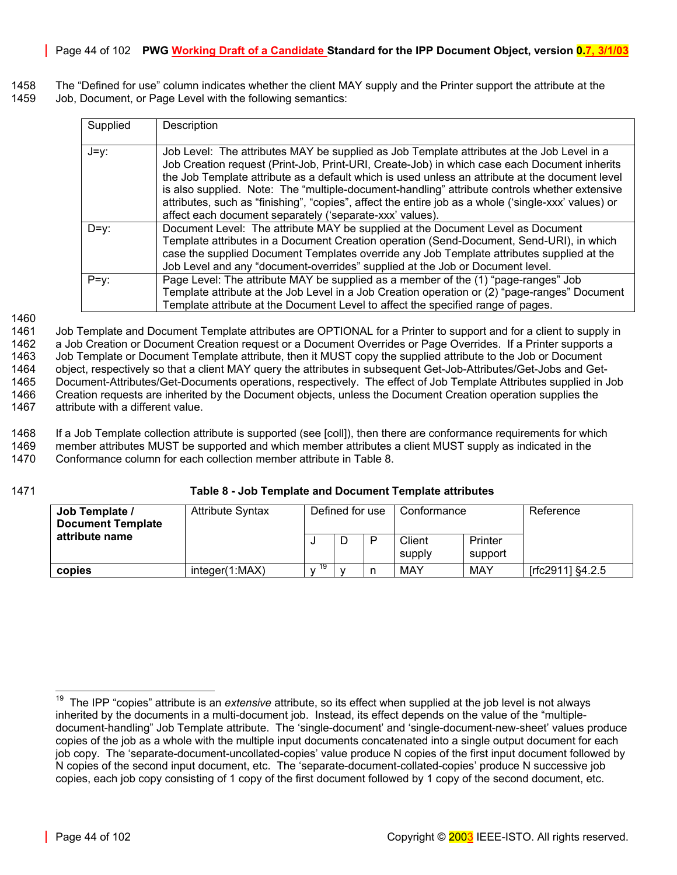1458 The "Defined for use" column indicates whether the client MAY supply and the Printer support the attribute at the 1459 Job, Document, or Page Level with the following semantics:

| Supplied | Description                                                                                          |
|----------|------------------------------------------------------------------------------------------------------|
|          |                                                                                                      |
|          |                                                                                                      |
| $J=y$ :  | Job Level: The attributes MAY be supplied as Job Template attributes at the Job Level in a           |
|          |                                                                                                      |
|          | Job Creation request (Print-Job, Print-URI, Create-Job) in which case each Document inherits         |
|          | the Job Template attribute as a default which is used unless an attribute at the document level      |
|          | is also supplied. Note: The "multiple-document-handling" attribute controls whether extensive        |
|          |                                                                                                      |
|          | attributes, such as "finishing", "copies", affect the entire job as a whole ('single-xxx' values) or |
|          | affect each document separately ('separate-xxx' values).                                             |
|          |                                                                                                      |
| $D=v$ :  | Document Level: The attribute MAY be supplied at the Document Level as Document                      |
|          | Template attributes in a Document Creation operation (Send-Document, Send-URI), in which             |
|          | case the supplied Document Templates override any Job Template attributes supplied at the            |
|          | Job Level and any "document-overrides" supplied at the Job or Document level.                        |
|          |                                                                                                      |
| $P=y$ :  | Page Level: The attribute MAY be supplied as a member of the (1) "page-ranges" Job                   |
|          | Template attribute at the Job Level in a Job Creation operation or (2) "page-ranges" Document        |
|          | Template attribute at the Document Level to affect the specified range of pages.                     |

1460

1461 Job Template and Document Template attributes are OPTIONAL for a Printer to support and for a client to supply in 1462 a Job Creation or Document Creation request or a Document Overrides or Page Overrides. If a Printer supports a 1463 Job Template or Document Template attribute, then it MUST copy the supplied attribute to the Job or Document 1464 object, respectively so that a client MAY query the attributes in subsequent Get-Job-Attributes/Get-Jobs and Get-1465 Document-Attributes/Get-Documents operations, respectively. The effect of Job Template Attributes supplied in Job 1466 Creation requests are inherited by the Document objects, unless the Document Creation operation supplies the 1467 attribute with a different value. attribute with a different value.

1468 If a Job Template collection attribute is supported (see [coll]), then there are conformance requirements for which 1469 member attributes MUST be supported and which member attributes a client MUST supply as indicated in the 1470 Conformance column for each collection member attribute in [Table 8.](#page-43-0)

1471 **Table 8 - Job Template and Document Template attributes** 

<span id="page-43-0"></span>

| Job Template /<br><b>Document Template</b> | <b>Attribute Syntax</b> |     | Defined for use |   | Conformance      |                    | Reference        |
|--------------------------------------------|-------------------------|-----|-----------------|---|------------------|--------------------|------------------|
| attribute name                             |                         |     |                 | P | Client<br>supply | Printer<br>support |                  |
| copies                                     | interder(1:MAX)         | -19 |                 |   | MAY              | MAY                | [rfc2911] §4.2.5 |

<span id="page-43-1"></span><sup>19</sup> The IPP "copies" attribute is an *extensive* attribute, so its effect when supplied at the job level is not always inherited by the documents in a multi-document job. Instead, its effect depends on the value of the "multipledocument-handling" Job Template attribute. The 'single-document' and 'single-document-new-sheet' values produce copies of the job as a whole with the multiple input documents concatenated into a single output document for each job copy. The 'separate-document-uncollated-copies' value produce N copies of the first input document followed by N copies of the second input document, etc. The 'separate-document-collated-copies' produce N successive job copies, each job copy consisting of 1 copy of the first document followed by 1 copy of the second document, etc.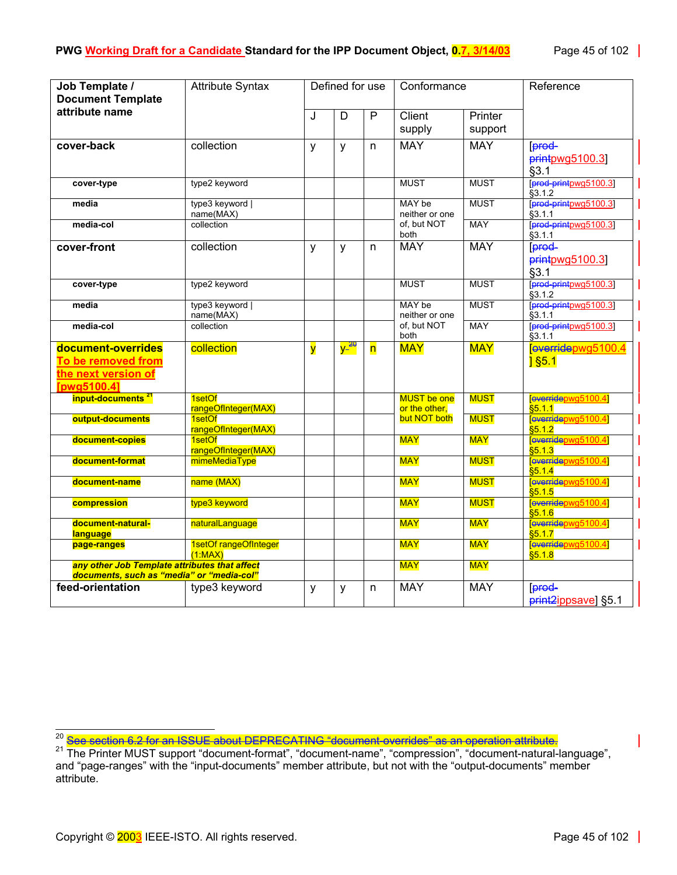| Job Template /<br><b>Document Template</b>                                                 | <b>Attribute Syntax</b>          |                         | Defined for use              |                | Conformance                  |                    | Reference                                     |
|--------------------------------------------------------------------------------------------|----------------------------------|-------------------------|------------------------------|----------------|------------------------------|--------------------|-----------------------------------------------|
| attribute name                                                                             |                                  | J                       | $\overline{D}$               | $\overline{P}$ | Client<br>supply             | Printer<br>support |                                               |
| cover-back                                                                                 | collection                       | y                       | y                            | n.             | <b>MAY</b>                   | <b>MAY</b>         | <b>Fered-</b><br>printpvq5100.3<br>§3.1       |
| cover-type                                                                                 | type2 keyword                    |                         |                              |                | <b>MUST</b>                  | <b>MUST</b>        | [prod-printpwg5100.3]<br>$\overline{\$3.1.2}$ |
| media                                                                                      | type3 keyword  <br>name(MAX)     |                         |                              |                | MAY be<br>neither or one     | <b>MUST</b>        | [prod-printpwg5100.3]<br>\$3.1.1              |
| media-col                                                                                  | collection                       |                         |                              |                | of. but NOT<br>both          | <b>MAY</b>         | [prod-printpwg5100.3]<br>§3.1.1               |
| cover-front                                                                                | collection                       | y                       | y                            | n              | <b>MAY</b>                   | <b>MAY</b>         | <b>Forod</b><br>printpwg5100.3<br>§3.1        |
| cover-type                                                                                 | type2 keyword                    |                         |                              |                | <b>MUST</b>                  | <b>MUST</b>        | prod-printpwg5100.3<br>\$3.12                 |
| media                                                                                      | type3 keyword  <br>name(MAX)     |                         |                              |                | MAY be<br>neither or one     | <b>MUST</b>        | [prod-printpwg5100.3]<br>83.1.1               |
| media-col                                                                                  | collection                       |                         |                              |                | of, but NOT<br>both          | <b>MAY</b>         | [prod-printpwg5100.3]<br>\$3.1.1              |
| document-overrides<br>To be removed from<br>the next version of<br>[pwg5100.4]             | collection                       | $\overline{\mathsf{y}}$ | <mark>y-<sup>20</sup></mark> | 'n             | <b>MAY</b>                   | <b>MAY</b>         | leverridepwg5100.4<br>$1$ §5.1                |
| input-documents <sup>21</sup>                                                              | 1setOf<br>rangeOfInteger(MAX)    |                         |                              |                | MUST be one<br>or the other, | <b>MUST</b>        | [everridepwg5100.4]<br>\$5.1.1                |
| output-documents                                                                           | 1setOf<br>rangeOfInteger(MAX)    |                         |                              |                | but NOT both                 | <b>MUST</b>        | [everridepwg5100.4]<br>\$5.1.2                |
| document-copies                                                                            | 1setOf<br>rangeOfInteger(MAX)    |                         |                              |                | <b>MAY</b>                   | <b>MAY</b>         | everridepwg5100.4<br>\$5.1.3                  |
| document-format                                                                            | mimeMediaType                    |                         |                              |                | <b>MAY</b>                   | <b>MUST</b>        | everridepwg5100.4<br>\$5.1.4                  |
| document-name                                                                              | name (MAX)                       |                         |                              |                | <b>MAY</b>                   | <b>MUST</b>        | [everridepwg5100.4]<br>\$5.1.5                |
| compression                                                                                | type3 keyword                    |                         |                              |                | <b>MAY</b>                   | <b>MUST</b>        | everridepwg5100.4]<br>\$5.16                  |
| document-natural-<br>language                                                              | naturalLanguage                  |                         |                              |                | <b>MAY</b>                   | <b>MAY</b>         | everridepwg5100.4]<br>\$5.1.7                 |
| page-ranges                                                                                | 1setOf rangeOfInteger<br>(1:MAX) |                         |                              |                | <b>MAY</b>                   | <b>MAY</b>         | everridepwg5100.4]<br>\$5.18                  |
| any other Job Template attributes that affect<br>documents, such as "media" or "media-col" |                                  |                         |                              |                | <b>MAY</b>                   | <b>MAY</b>         |                                               |
| feed-orientation                                                                           | type3 keyword                    | y                       | y                            | n              | <b>MAY</b>                   | <b>MAY</b>         | [prod-<br>print <sub>2</sub> ippsave] §5.1    |

l

<span id="page-44-1"></span><span id="page-44-0"></span><sup>20</sup> <mark>See section 6.2 for an ISSUE about DEPRECATING "document-overrides" as an operation attribute.</mark><br><sup>21</sup> The Printer MUST support "document-format", "document-name", "compression", "document-natural-language", and "page-ranges" with the "input-documents" member attribute, but not with the "output-documents" member attribute.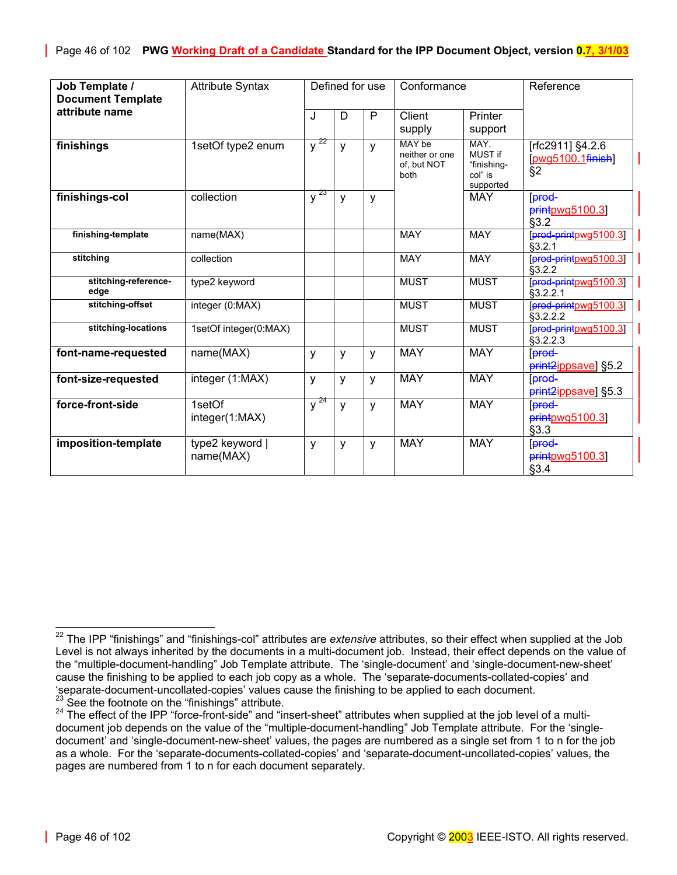| Job Template /                             | <b>Attribute Syntax</b>      |                     | Defined for use |   | Conformance                                     |                                                               | Reference                                        |
|--------------------------------------------|------------------------------|---------------------|-----------------|---|-------------------------------------------------|---------------------------------------------------------------|--------------------------------------------------|
| <b>Document Template</b><br>attribute name |                              | J                   | D               | P | Client                                          | Printer                                                       |                                                  |
|                                            |                              |                     |                 |   | supply                                          | support                                                       |                                                  |
| finishings                                 | 1setOf type2 enum            | $y^{22}$            | y               | y | MAY be<br>neither or one<br>of. but NOT<br>both | MAY,<br><b>MUST if</b><br>"finishing-<br>col" is<br>supported | [rfc2911] §4.2.6<br>$[pwq5100.1$ finish<br>$\S2$ |
| finishings-col                             | collection                   | $y^{\overline{23}}$ | y               | y |                                                 | <b>MAY</b>                                                    | lprod-<br>printpwg5100.3]<br>§3.2                |
| finishing-template                         | name(MAX)                    |                     |                 |   | <b>MAY</b>                                      | <b>MAY</b>                                                    | prod-printpwg5100.3<br>§3.2.1                    |
| stitching                                  | collection                   |                     |                 |   | <b>MAY</b>                                      | <b>MAY</b>                                                    | [prod-printpwg5100.3]<br>\$3.2.2                 |
| stitching-reference-<br>edge               | type2 keyword                |                     |                 |   | <b>MUST</b>                                     | <b>MUST</b>                                                   | [prod-printpwg5100.3]<br>§3.2.2.1                |
| stitching-offset                           | integer (0:MAX)              |                     |                 |   | <b>MUST</b>                                     | <b>MUST</b>                                                   | [prod-printpwg5100.3]<br>§3.2.2.2                |
| stitching-locations                        | 1setOf integer(0:MAX)        |                     |                 |   | <b>MUST</b>                                     | <b>MUST</b>                                                   | prod-printpwg5100.3<br>§3.2.2.3                  |
| font-name-requested                        | name(MAX)                    | y                   | y               | y | <b>MAY</b>                                      | <b>MAY</b>                                                    | [prod-<br>print <sub>2</sub> ippsave] §5.2       |
| font-size-requested                        | integer (1:MAX)              | y                   | y               | y | <b>MAY</b>                                      | <b>MAY</b>                                                    | Fered-<br>print <sub>2</sub> ippsave] §5.3       |
| force-front-side                           | 1setOf<br>integer(1:MAX)     | $y^{24}$            | y               | y | <b>MAY</b>                                      | <b>MAY</b>                                                    | lprod-<br>$p$ rint $p$ wg5100.3<br>§3.3          |
| imposition-template                        | type2 keyword  <br>name(MAX) | y                   | y               | y | <b>MAY</b>                                      | <b>MAY</b>                                                    | [prod-<br>$p$ rintpwg5100.3]<br>§3.4             |

 $\overline{a}$ 

<span id="page-45-0"></span><sup>22</sup> The IPP "finishings" and "finishings-col" attributes are *extensive* attributes, so their effect when supplied at the Job Level is not always inherited by the documents in a multi-document job. Instead, their effect depends on the value of the "multiple-document-handling" Job Template attribute. The 'single-document' and 'single-document-new-sheet' cause the finishing to be applied to each job copy as a whole. The 'separate-documents-collated-copies' and 'separate-document-uncollated-copies' values cause the finishing to be applied to each document.

<span id="page-45-2"></span><span id="page-45-1"></span><sup>&</sup>lt;sup>23</sup> See the footnote on the "finishings" attribute.<br><sup>24</sup> The effect of the IPP "force-front-side" and "insert-sheet" attributes when supplied at the job level of a multidocument job depends on the value of the "multiple-document-handling" Job Template attribute. For the 'singledocument' and 'single-document-new-sheet' values, the pages are numbered as a single set from 1 to n for the job as a whole. For the 'separate-documents-collated-copies' and 'separate-document-uncollated-copies' values, the pages are numbered from 1 to n for each document separately.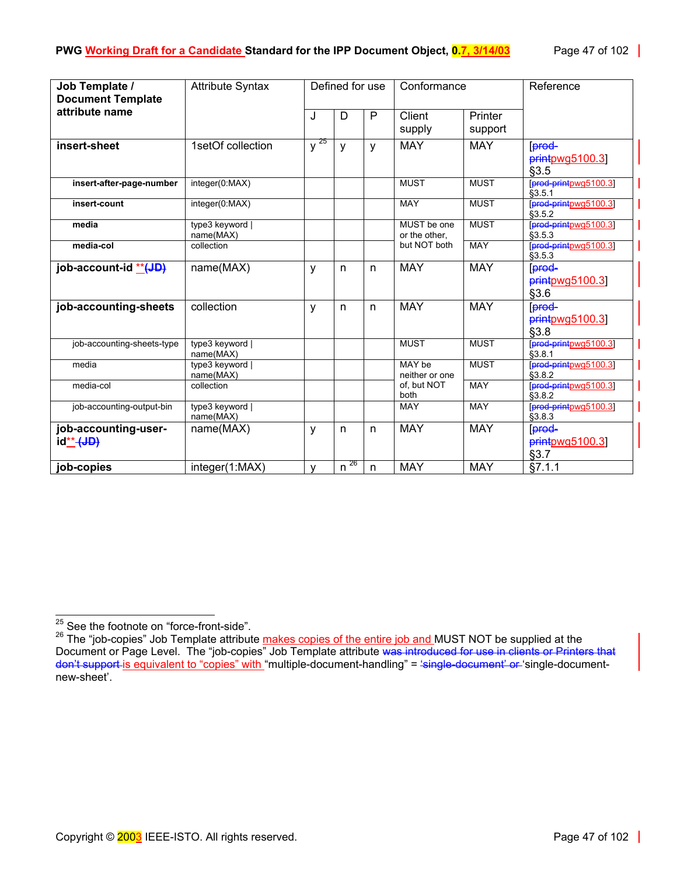| Job Template /                             | <b>Attribute Syntax</b>      | Defined for use |          | Conformance |                               | Reference   |                                 |
|--------------------------------------------|------------------------------|-----------------|----------|-------------|-------------------------------|-------------|---------------------------------|
| <b>Document Template</b><br>attribute name |                              |                 |          |             |                               |             |                                 |
|                                            |                              | J               | D        | P           | Client                        | Printer     |                                 |
|                                            |                              |                 |          |             | supply                        | support     |                                 |
| insert-sheet                               | 1setOf collection            | $y^{25}$        | y        | y           | <b>MAY</b>                    | <b>MAY</b>  | [prod-                          |
|                                            |                              |                 |          |             |                               |             | $printpwg5100.3$                |
|                                            |                              |                 |          |             |                               |             | §3.5                            |
| insert-after-page-number                   | integer(0:MAX)               |                 |          |             | <b>MUST</b>                   | <b>MUST</b> | prod-printpwg5100.3<br>\$3.5.1  |
| insert-count                               | integer(0:MAX)               |                 |          |             | <b>MAY</b>                    | <b>MUST</b> | [prod-printpwg5100.3]<br>§3.5.2 |
| media                                      | type3 keyword                |                 |          |             | MUST be one                   | <b>MUST</b> | [prod-printpwg5100.3]           |
| media-col                                  | name(MAX)<br>collection      |                 |          |             | or the other,<br>but NOT both | <b>MAY</b>  | \$3.5.3<br>prod-printpwg5100.3  |
|                                            |                              |                 |          |             |                               |             | \$3.5.3                         |
| job-account-id **(JD)                      | name(MAX)                    | y               | n        | n           | <b>MAY</b>                    | <b>MAY</b>  | [prod-                          |
|                                            |                              |                 |          |             |                               |             | printpwg5100.3]                 |
|                                            |                              |                 |          |             |                               |             | §3.6                            |
| job-accounting-sheets                      | collection                   | У               | n        | n           | <b>MAY</b>                    | <b>MAY</b>  | [prod-                          |
|                                            |                              |                 |          |             |                               |             | printpwg5100.3]                 |
|                                            |                              |                 |          |             |                               |             | §3.8                            |
| job-accounting-sheets-type                 | type3 keyword  <br>name(MAX) |                 |          |             | <b>MUST</b>                   | <b>MUST</b> | prod-printpwg5100.3]<br>§3.8.1  |
| media                                      | type3 keyword                |                 |          |             | MAY be                        | <b>MUST</b> | [prod-printpwg5100.3]           |
|                                            | name(MAX)                    |                 |          |             | neither or one                |             | §3.8.2                          |
| media-col                                  | collection                   |                 |          |             | of, but NOT<br>both           | <b>MAY</b>  | [prod-printpwg5100.3]<br>§3.8.2 |
| job-accounting-output-bin                  | type3 keyword                |                 |          |             | <b>MAY</b>                    | <b>MAY</b>  | [prod-printpwg5100.3]           |
|                                            | name(MAX)                    |                 |          |             |                               |             | §3.8.3                          |
| job-accounting-user-                       | name(MAX)                    | y               | n        | n           | <b>MAY</b>                    | <b>MAY</b>  | prod-                           |
| id** <del>(JD)</del>                       |                              |                 |          |             |                               |             | $p$ rintpwg5100.3               |
|                                            |                              |                 |          |             |                               |             | §3.7                            |
| job-copies                                 | integer(1:MAX)               | v               | $n^{26}$ | n           | <b>MAY</b>                    | <b>MAY</b>  | §7.1.1                          |

<span id="page-46-0"></span>l  $25$  See the footnote on "force-front-side".

<span id="page-46-1"></span><sup>&</sup>lt;sup>26</sup> The "job-copies" Job Template attribute makes copies of the entire job and MUST NOT be supplied at the Document or Page Level. The "job-copies" Job Template attribute was introduced for use in clients or Printers that don't support is equivalent to "copies" with "multiple-document-handling" = 'single-document' or 'single-documentnew-sheet'.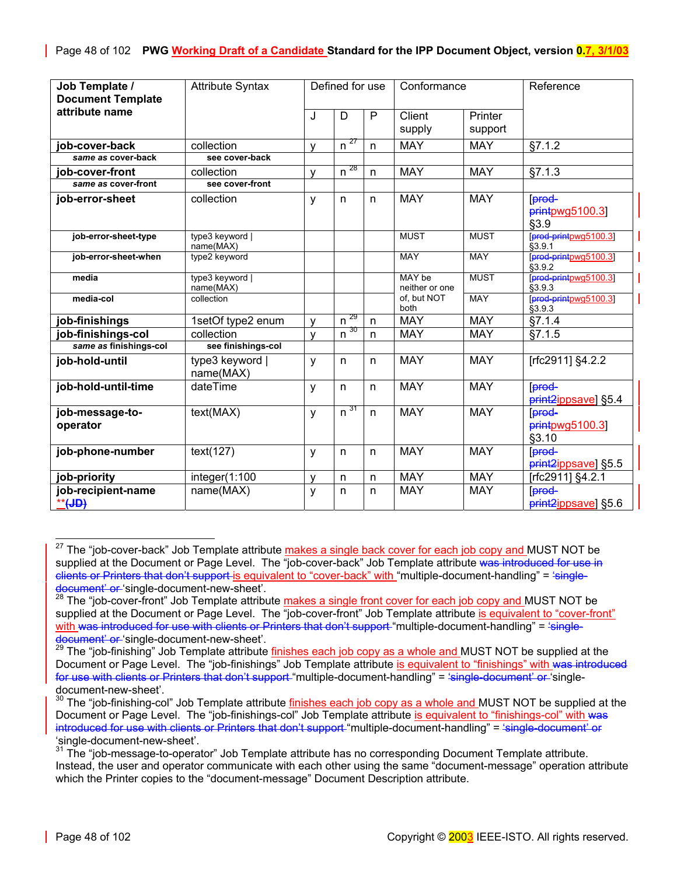| Job Template /           | <b>Attribute Syntax</b>      | Defined for use |          | Conformance |                          | Reference   |                                 |
|--------------------------|------------------------------|-----------------|----------|-------------|--------------------------|-------------|---------------------------------|
| <b>Document Template</b> |                              |                 |          |             |                          |             |                                 |
| attribute name           |                              | J               | D        | P           | Client                   | Printer     |                                 |
|                          |                              |                 |          |             | supply                   | support     |                                 |
| job-cover-back           | collection                   | v               | $n^{27}$ | n           | <b>MAY</b>               | <b>MAY</b>  | §7.1.2                          |
| same as cover-back       | see cover-back               |                 |          |             |                          |             |                                 |
| job-cover-front          | collection                   | ٧               | $n^{28}$ | n           | <b>MAY</b>               | <b>MAY</b>  | §7.1.3                          |
| same as cover-front      | see cover-front              |                 |          |             |                          |             |                                 |
| job-error-sheet          | collection                   | у               | n        | n           | <b>MAY</b>               | <b>MAY</b>  | prod-                           |
|                          |                              |                 |          |             |                          |             | printpvq5100.3<br>§3.9          |
| job-error-sheet-type     | type3 keyword  <br>name(MAX) |                 |          |             | <b>MUST</b>              | <b>MUST</b> | prod-printpwg5100.3<br>§3.9.1   |
| job-error-sheet-when     | type2 keyword                |                 |          |             | MAY                      | <b>MAY</b>  | [prod-printpwg5100.3]<br>§3.9.2 |
| media                    | type3 keyword  <br>name(MAX) |                 |          |             | MAY be<br>neither or one | <b>MUST</b> | prod-printpwg5100.3<br>§3.9.3   |
| media-col                | collection                   |                 |          |             | of, but NOT<br>both      | <b>MAY</b>  | [prod-printpwg5100.3]<br>§3.9.3 |
| job-finishings           | 1setOf type2 enum            | v               | $n^{29}$ | n           | <b>MAY</b>               | <b>MAY</b>  | §7.1.4                          |
| job-finishings-col       | collection                   | v               | $n^{30}$ | n           | <b>MAY</b>               | <b>MAY</b>  | §7.1.5                          |
| same as finishings-col   | see finishings-col           |                 |          |             |                          |             |                                 |
| job-hold-until           | type3 keyword  <br>name(MAX) | y               | n        | n           | <b>MAY</b>               | <b>MAY</b>  | [rfc2911] §4.2.2                |
| job-hold-until-time      | dateTime                     | y               | n        | n           | <b>MAY</b>               | <b>MAY</b>  | lprod-<br>print2ippsave] §5.4   |
| job-message-to-          | text(MAX)                    | y               | $n^{31}$ | n           | <b>MAY</b>               | <b>MAY</b>  | prod-                           |
| operator                 |                              |                 |          |             |                          |             | printpwg5100.3]<br>§3.10        |
| job-phone-number         | text(127)                    | y               | n        | n           | <b>MAY</b>               | <b>MAY</b>  | prod-<br>print2ippsave] §5.5    |
| job-priority             | integer(1:100                | v               | n        | n           | <b>MAY</b>               | <b>MAY</b>  | [rfc2911] §4.2.1                |
| job-recipient-name       | name(MAX)                    | y               | n        | n           | <b>MAY</b>               | <b>MAY</b>  | [prod-                          |
| <u>**</u> (JD)           |                              |                 |          |             |                          |             | print2ippsave] §5.6             |

<span id="page-47-0"></span><sup>&</sup>lt;sup>27</sup> The "job-cover-back" Job Template attribute makes a single back cover for each job copy and MUST NOT be supplied at the Document or Page Level. The "job-cover-back" Job Template attribute was introduced for use in clients or Printers that don't support-is equivalent to "cover-back" with "multiple-document-handling" = 'single-<br>document' or 'single-document-new-sheet'.<br><sup>28</sup> The "iob-cover-front" Joh Template attribute makes a single f

<span id="page-47-1"></span>The "job-cover-front" Job Template attribute makes a single front cover for each job copy and MUST NOT be supplied at the Document or Page Level. The "job-cover-front" Job Template attribute is equivalent to "cover-front" with was introduced for use with clients or Printers that don't support "multiple-document-handling" = 'single-

<span id="page-47-2"></span><sup>&</sup>lt;del>document' or </del>'single-document-new-sheet'.<br><sup>29</sup> The "job-finishing" Job Template attribute <u>finishes each job copy as a whole and </u>MUST NOT be supplied at the Document or Page Level. The "job-finishings" Job Template attribute is equivalent to "finishings" with was introduced for use with clients or Printers that don't support "multiple-document-handling" = 'single-document' or 'singledocument-new-sheet'.

<span id="page-47-3"></span><sup>&</sup>lt;sup>30</sup> The "job-finishing-col" Job Template attribute <u>finishes each job copy as a whole and </u>MUST NOT be supplied at the Document or Page Level. The "job-finishings-col" Job Template attribute is equivalent to "finishings-col" with was introduced for use with clients or Printers that don't support "multiple-document-handling" = 'single-document' or 'single-document-new-sheet'.<br><sup>31</sup> The "ich-message to costa

<span id="page-47-4"></span>The "job-message-to-operator" Job Template attribute has no corresponding Document Template attribute. Instead, the user and operator communicate with each other using the same "document-message" operation attribute which the Printer copies to the "document-message" Document Description attribute.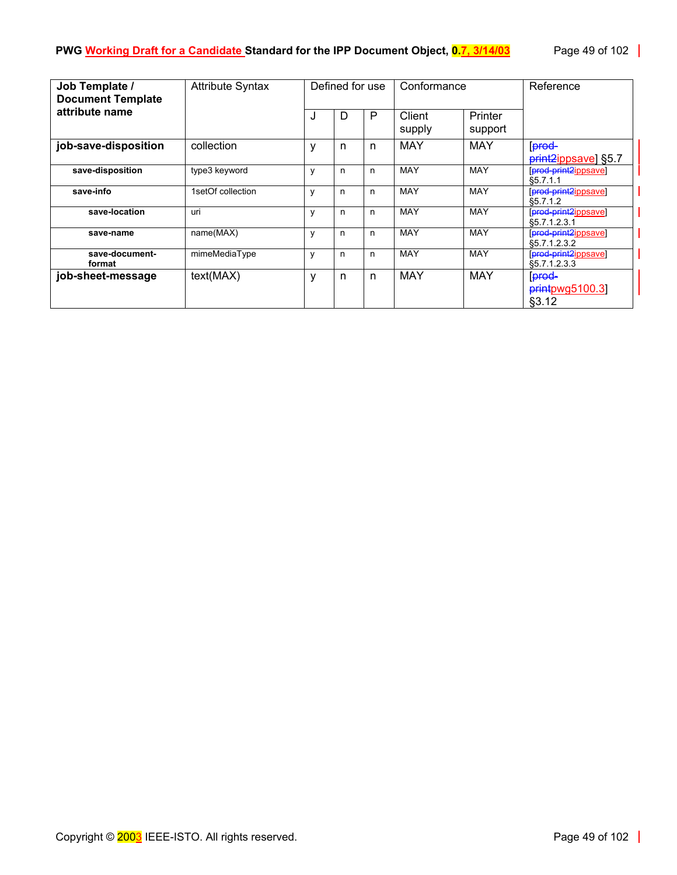| Job Template /<br><b>Document Template</b> | <b>Attribute Syntax</b> | Defined for use |   | Conformance |                  | Reference          |                                                          |
|--------------------------------------------|-------------------------|-----------------|---|-------------|------------------|--------------------|----------------------------------------------------------|
| attribute name                             |                         | J               | D | P           | Client<br>supply | Printer<br>support |                                                          |
| job-save-disposition                       | collection              | у               | n | n           | MAY              | MAY                | prod-<br>print <sub>2ippsave</sub> ] §5.7                |
| save-disposition                           | type3 keyword           | y               | n | n           | <b>MAY</b>       | <b>MAY</b>         | [prod-print2ippsave]<br>§5.7.1.1                         |
| save-info                                  | 1setOf collection       | ٧               | n | n           | <b>MAY</b>       | MAY                | [prod-print2ippsave]<br>\$5.7.1.2                        |
| save-location                              | uri                     | y               | n | n           | <b>MAY</b>       | <b>MAY</b>         | [prod-print2ippsave]<br>\$5.7.1.2.3.1                    |
| save-name                                  | name(MAX)               | y               | n | n           | <b>MAY</b>       | <b>MAY</b>         | [prod-print2ippsave]<br>\$5.7.1.2.3.2                    |
| save-document-<br>format                   | mimeMediaType           | ٧               | n | n           | <b>MAY</b>       | MAY                | [prod-print2jppsave]<br>\$5.7.1.2.3.3                    |
| job-sheet-message                          | text(MAX)               | у               | n | n           | <b>MAY</b>       | <b>MAY</b>         | <b>prod</b><br>$p$ <sub>rint</sub> $p$ wg5100.3<br>§3.12 |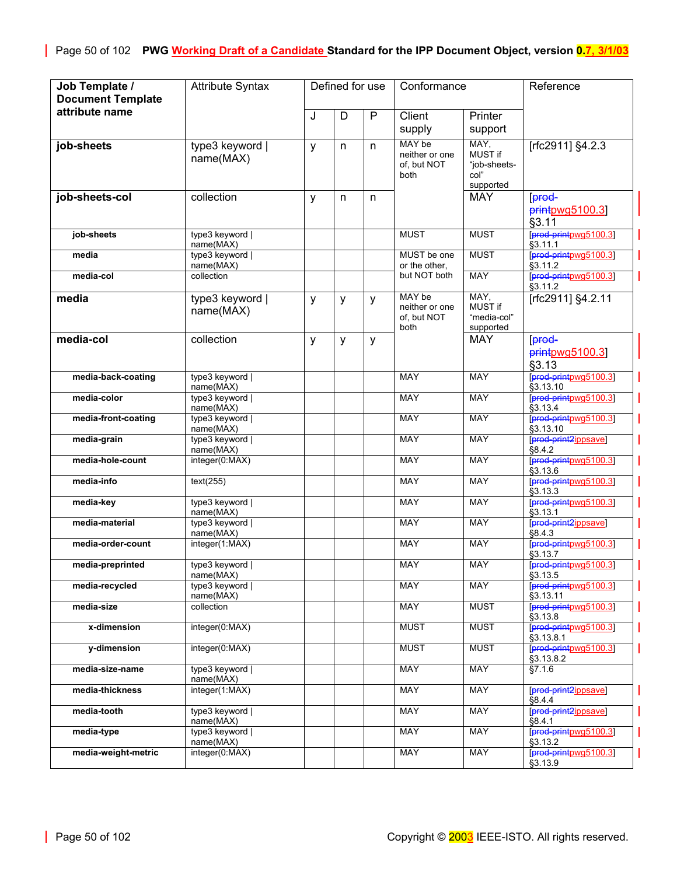| Job Template /<br><b>Document Template</b> | <b>Attribute Syntax</b>      |   | Defined for use |   | Conformance                                     |                                                      | Reference                             |
|--------------------------------------------|------------------------------|---|-----------------|---|-------------------------------------------------|------------------------------------------------------|---------------------------------------|
| attribute name                             |                              | J | D               | P | Client<br>supply                                | Printer<br>support                                   |                                       |
| job-sheets                                 | type3 keyword  <br>name(MAX) | y | n               | n | MAY be<br>neither or one<br>of, but NOT<br>both | MAY,<br>MUST if<br>"job-sheets-<br>col"<br>supported | [rfc2911] §4.2.3                      |
| job-sheets-col                             | collection                   | у | n               | n |                                                 | <b>MAY</b>                                           | prod-<br>printpvq5100.3<br>§3.11      |
| job-sheets                                 | type3 keyword  <br>name(MAX) |   |                 |   | <b>MUST</b>                                     | <b>MUST</b>                                          | [prod-printpwg5100.3]<br>§3.11.1      |
| media                                      | type3 keyword  <br>name(MAX) |   |                 |   | MUST be one<br>or the other,                    | <b>MUST</b>                                          | [prod-printpwg5100.3]<br>\$3.11.2     |
| media-col                                  | collection                   |   |                 |   | but NOT both                                    | <b>MAY</b>                                           | [prod-printpwg5100.3]<br>§3.11.2      |
| media                                      | type3 keyword  <br>name(MAX) | y | у               | y | MAY be<br>neither or one<br>of, but NOT<br>both | MAY,<br>MUST if<br>"media-col"<br>supported          | [rfc2911] §4.2.11                     |
| media-col                                  | collection                   | y | y               | y |                                                 | <b>MAY</b>                                           | prod-<br>printpwg5100.3]<br>§3.13     |
| media-back-coating                         | type3 keyword  <br>name(MAX) |   |                 |   | <b>MAY</b>                                      | <b>MAY</b>                                           | prod-printpwg5100.3<br>§3.13.10       |
| media-color                                | type3 keyword  <br>name(MAX) |   |                 |   | <b>MAY</b>                                      | <b>MAY</b>                                           | [prod-printpwg5100.3]<br>\$3.13.4     |
| media-front-coating                        | type3 keyword  <br>name(MAX) |   |                 |   | <b>MAY</b>                                      | <b>MAY</b>                                           | [prod-printpwg5100.3]<br>§3.13.10     |
| media-grain                                | type3 keyword  <br>name(MAX) |   |                 |   | <b>MAY</b>                                      | <b>MAY</b>                                           | [prod-print2jppsave]<br>\$8.4.2       |
| media-hole-count                           | integer(0:MAX)               |   |                 |   | <b>MAY</b>                                      | <b>MAY</b>                                           | [prod-printpwg5100.3]<br>§3.13.6      |
| media-info                                 | text(255)                    |   |                 |   | <b>MAY</b>                                      | <b>MAY</b>                                           | [prod-printpwg5100.3]<br>§3.13.3      |
| media-key                                  | type3 keyword  <br>name(MAX) |   |                 |   | <b>MAY</b>                                      | <b>MAY</b>                                           | [prod-printpwg5100.3]<br>§3.13.1      |
| media-material                             | type3 keyword  <br>name(MAX) |   |                 |   | <b>MAY</b>                                      | <b>MAY</b>                                           | [prod-print2ippsave]<br>§8.4.3        |
| media-order-count                          | integer(1:MAX)               |   |                 |   | <b>MAY</b>                                      | <b>MAY</b>                                           | [prod-printpwg5100.3]<br>§3.13.7      |
| media-preprinted                           | type3 keyword  <br>name(MAX) |   |                 |   | <b>MAY</b>                                      | <b>MAY</b>                                           | [prod-printpwg5100.3]<br>§3.13.5      |
| media-recycled                             | type3 keyword  <br>name(MAX) |   |                 |   | MAY                                             | MAY                                                  | prod-printpwg5100.3<br>\$3.13.11      |
| media-size                                 | collection                   |   |                 |   | MAY                                             | <b>MUST</b>                                          | [prod-printpwg5100.3]<br>\$3.13.8     |
| x-dimension                                | integer(0:MAX)               |   |                 |   | <b>MUST</b>                                     | <b>MUST</b>                                          | [prod-printpwg5100.3]<br>§3.13.8.1    |
| y-dimension                                | integer(0:MAX)               |   |                 |   | <b>MUST</b>                                     | <b>MUST</b>                                          | [prod-printpwg5100.3]<br>§3.13.8.2    |
| media-size-name                            | type3 keyword  <br>name(MAX) |   |                 |   | MAY                                             | <b>MAY</b>                                           | §7.1.6                                |
| media-thickness                            | integer(1:MAX)               |   |                 |   | MAY                                             | <b>MAY</b>                                           | [prod-print2ippsave]<br><b>88.4.4</b> |
| media-tooth                                | type3 keyword  <br>name(MAX) |   |                 |   | MAY                                             | MAY                                                  | [prod-print2ippsave]<br>\$8.4.1       |
| media-type                                 | type3 keyword  <br>name(MAX) |   |                 |   | <b>MAY</b>                                      | <b>MAY</b>                                           | [prod-printpwg5100.3]<br>§3.13.2      |
| media-weight-metric                        | integer(0:MAX)               |   |                 |   | MAY                                             | <b>MAY</b>                                           | [prod-printpwg5100.3]<br>§3.13.9      |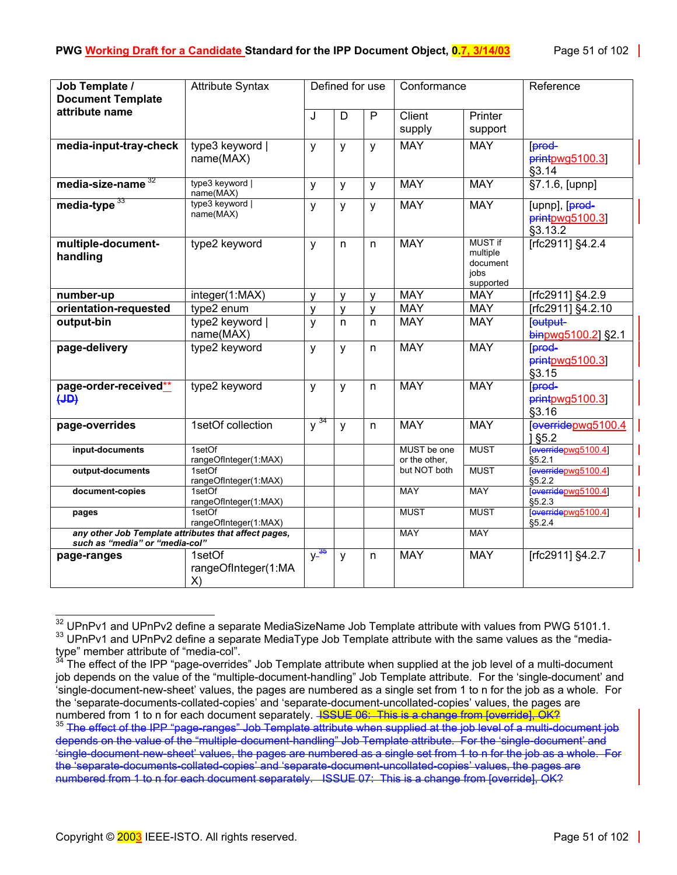| Job Template /<br><b>Document Template</b>                                             | <b>Attribute Syntax</b>             |                     | Defined for use |                | Conformance                  |                                                             | Reference                                    |
|----------------------------------------------------------------------------------------|-------------------------------------|---------------------|-----------------|----------------|------------------------------|-------------------------------------------------------------|----------------------------------------------|
| attribute name                                                                         |                                     | J                   | D               | $\overline{P}$ | Client<br>supply             | Printer<br>support                                          |                                              |
| media-input-tray-check                                                                 | type3 keyword  <br>name(MAX)        | y                   | y               | y              | <b>MAY</b>                   | <b>MAY</b>                                                  | [prod-<br>printpwg5100.3<br>§3.14            |
| media-size-name $32$                                                                   | type3 keyword  <br>name(MAX)        | y                   | y               | y              | <b>MAY</b>                   | <b>MAY</b>                                                  | $\S7.1.6$ , [upnp]                           |
| media-type <sup>33</sup>                                                               | type3 keyword  <br>name(MAX)        | y                   | y               | y              | <b>MAY</b>                   | <b>MAY</b>                                                  | [upnp], [prod-<br>printpwg5100.3]<br>§3.13.2 |
| multiple-document-<br>handling                                                         | type2 keyword                       | y                   | n               | n.             | <b>MAY</b>                   | <b>MUST if</b><br>multiple<br>document<br>jobs<br>supported | [rfc2911] §4.2.4                             |
| number-up                                                                              | integer(1:MAX)                      | $\mathsf{v}$        | $\mathsf{V}$    | $\mathsf{v}$   | <b>MAY</b>                   | <b>MAY</b>                                                  | [rfc2911] §4.2.9                             |
| orientation-requested                                                                  | type2 enum                          | $\mathsf{V}$        | $\mathsf{V}$    | $\mathsf{v}$   | <b>MAY</b>                   | <b>MAY</b>                                                  | [rfc2911] §4.2.10                            |
| output-bin                                                                             | type2 keyword  <br>name(MAX)        | y                   | n.              | n.             | <b>MAY</b>                   | <b>MAY</b>                                                  | eutput-<br>binpwg5100.2] §2.1                |
| page-delivery                                                                          | type2 keyword                       | $\mathsf{V}$        | y               | n.             | <b>MAY</b>                   | <b>MAY</b>                                                  | [prod-<br>printpwg5100.3]<br>§3.15           |
| page-order-received**<br>$\left(\text{JD}\right)$                                      | type2 keyword                       | $\mathsf{V}$        | y               | n.             | <b>MAY</b>                   | <b>MAY</b>                                                  | <b>Forod</b><br>$p$ rintpwg5100.3]<br>§3.16  |
| page-overrides                                                                         | 1setOf collection                   | $y^{34}$            | $\mathsf{y}$    | n.             | <b>MAY</b>                   | <b>MAY</b>                                                  | everridepwg5100.4<br>1 § 5.2                 |
| input-documents                                                                        | 1setOf<br>rangeOfInteger(1:MAX)     |                     |                 |                | MUST be one<br>or the other. | <b>MUST</b>                                                 | [everridepwg5100.4]<br>\$5.2.1               |
| output-documents                                                                       | 1setOf<br>rangeOfInteger(1:MAX)     |                     |                 |                | but NOT both                 | <b>MUST</b>                                                 | everridepwg5100.4]<br>\$5.2.2                |
| document-copies                                                                        | 1setOf<br>rangeOfInteger(1:MAX)     |                     |                 |                | <b>MAY</b>                   | <b>MAY</b>                                                  | everridepwg5100.4]<br>§5.2.3                 |
| pages                                                                                  | 1setOf<br>rangeOfInteger(1:MAX)     |                     |                 |                | <b>MUST</b>                  | <b>MUST</b>                                                 | [everridepwg5100.4]<br>§5.2.4                |
| any other Job Template attributes that affect pages,<br>such as "media" or "media-col" |                                     |                     |                 |                | <b>MAY</b>                   | MAY                                                         |                                              |
| page-ranges                                                                            | 1setOf<br>rangeOfInteger(1:MA<br>X) | $y$ $\frac{35}{36}$ | y               | n              | <b>MAY</b>                   | <b>MAY</b>                                                  | [rfc2911] §4.2.7                             |

<span id="page-50-1"></span><span id="page-50-0"></span>l <sup>32</sup> UPnPv1 and UPnPv2 define a separate MediaSizeName Job Template attribute with values from PWG 5101.1.<br><sup>33</sup> UPnPv1 and UPnPv2 define a separate MediaType Job Template attribute with the same values as the "mediatype" member attribute of "media-col".

<span id="page-50-2"></span>The effect of the IPP "page-overrides" Job Template attribute when supplied at the job level of a multi-document job depends on the value of the "multiple-document-handling" Job Template attribute. For the 'single-document' and 'single-document-new-sheet' values, the pages are numbered as a single set from 1 to n for the job as a whole. For the 'separate-documents-collated-copies' and 'separate-document-uncollated-copies' values, the pages are numbered from 1 to n for each document separately. <del>ISSUE 06: This is a change from [override], OK?</del><br><sup>35</sup> The effect of the IPP "page-ranges" Job Template attribute when supplied at the job level of a multi-document job

<span id="page-50-3"></span>depends on the value of the "multiple-document-handling" Job Template attribute. For the 'single-document' and 'single-document-new-sheet' values, the pages are numbered as a single set from 1 to n for the job as a whole. For the 'separate-documents-collated-copies' and 'separate-document-uncollated-copies' values, the pages are numbered from 1 to n for each document separately. ISSUE 07: This is a change from [override], OK?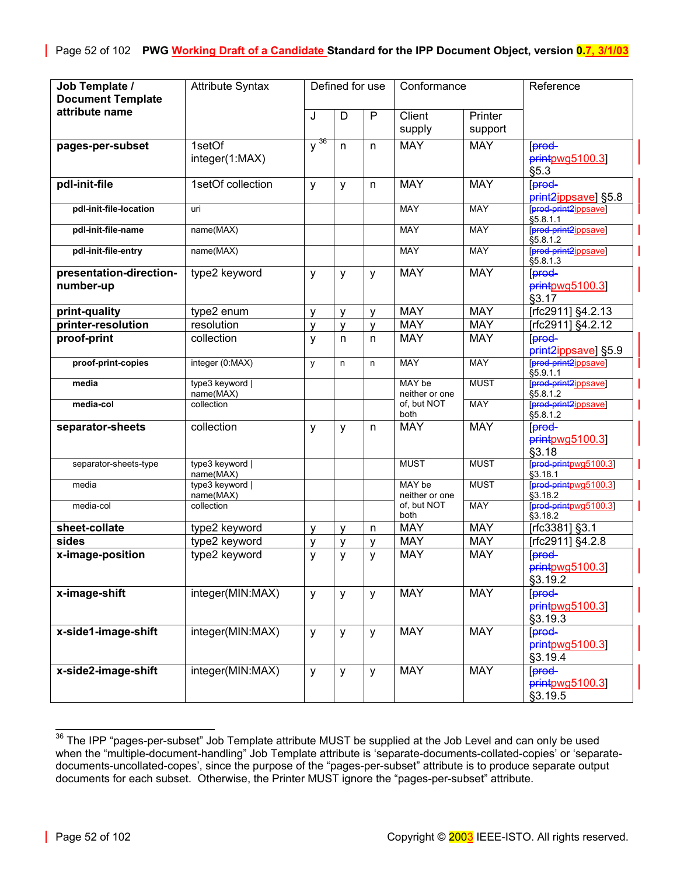| Job Template /<br><b>Document Template</b> | <b>Attribute Syntax</b>      |              | Defined for use |              | Conformance              |                    | Reference                                            |
|--------------------------------------------|------------------------------|--------------|-----------------|--------------|--------------------------|--------------------|------------------------------------------------------|
| attribute name                             |                              | J            | D               | $\mathsf{P}$ | Client<br>supply         | Printer<br>support |                                                      |
| pages-per-subset                           | 1setOf<br>integer(1:MAX)     | $y^{36}$     | n               | n            | <b>MAY</b>               | <b>MAY</b>         | [prod-<br>printpwg5100.3<br>§5.3                     |
| pdl-init-file                              | 1setOf collection            | у            | у               | n            | <b>MAY</b>               | <b>MAY</b>         | [prod-<br>print <sub>2ippsave</sub> ] §5.8           |
| pdl-init-file-location                     | uri                          |              |                 |              | <b>MAY</b>               | <b>MAY</b>         | [prod-print2ippsave]<br>\$5.8.1.1                    |
| pdl-init-file-name                         | name(MAX)                    |              |                 |              | <b>MAY</b>               | <b>MAY</b>         | [prod-print2ippsave]<br>\$5.8.1.2                    |
| pdl-init-file-entry                        | name(MAX)                    |              |                 |              | <b>MAY</b>               | MAY                | [prod-print2ippsave]<br>\$5.8.1.3                    |
| presentation-direction-<br>number-up       | type2 keyword                | y            | y               | y            | <b>MAY</b>               | <b>MAY</b>         | [prod-<br>printpwg5100.3]<br>§3.17                   |
| print-quality                              | type2 enum                   | V            | $\mathsf{V}$    | v            | <b>MAY</b>               | <b>MAY</b>         | [rfc2911] §4.2.13                                    |
| printer-resolution                         | resolution                   | V            | V               | $\mathsf{V}$ | <b>MAY</b>               | <b>MAY</b>         | [rfc2911] §4.2.12                                    |
| proof-print                                | collection                   | y            | n               | n            | <b>MAY</b>               | <b>MAY</b>         | prod-<br>print2jppsave] §5.9                         |
| proof-print-copies                         | integer (0:MAX)              | y            | n               | n.           | <b>MAY</b>               | <b>MAY</b>         | [prod-print2ippsave]<br>§5.9.1.1                     |
| media                                      | type3 keyword  <br>name(MAX) |              |                 |              | MAY be<br>neither or one | <b>MUST</b>        | [prod-print2ippsave]<br>\$5.8.1.2                    |
| media-col                                  | collection                   |              |                 |              | of, but NOT<br>both      | <b>MAY</b>         | [prod-print2ippsave]<br>\$5.8.1.2                    |
| separator-sheets                           | collection                   | y            | y               | n            | <b>MAY</b>               | <b>MAY</b>         | [prod-<br>printpwg5100.3]<br>§3.18                   |
| separator-sheets-type                      | type3 keyword  <br>name(MAX) |              |                 |              | <b>MUST</b>              | <b>MUST</b>        | [prod-printpwg5100.3]<br>\$3.18.1                    |
| media                                      | type3 keyword  <br>name(MAX) |              |                 |              | MAY be<br>neither or one | <b>MUST</b>        | [prod-printpwg5100.3]<br>§3.18.2                     |
| media-col                                  | collection                   |              |                 |              | of, but NOT<br>both      | <b>MAY</b>         | [prod-printpwg5100.3]<br>§3.18.2                     |
| sheet-collate                              | type2 keyword                | $\mathsf{v}$ | v               | n            | <b>MAY</b>               | <b>MAY</b>         | [rfc3381] §3.1                                       |
| sides                                      | type2 keyword                | ٧            | v               | v            | <b>MAY</b>               | <b>MAY</b>         | [rfc2911] §4.2.8                                     |
| x-image-position                           | type2 keyword                | y            | y               | y            | <b>MAY</b>               | <b>MAY</b>         | [prod-<br>printpwg5100.3<br>§3.19.2                  |
| x-image-shift                              | integer(MIN:MAX)             | y            | y               | y            | <b>MAY</b>               | <b>MAY</b>         | prod-<br>$p$ <sub>rint</sub> $p$ wg5100.3<br>§3.19.3 |
| x-side1-image-shift                        | integer(MIN:MAX)             | y            | y               | y            | <b>MAY</b>               | <b>MAY</b>         | [prod-<br>$p$ rintpwg5100.3]<br>§3.19.4              |
| x-side2-image-shift                        | integer(MIN:MAX)             | y            | y               | y            | <b>MAY</b>               | <b>MAY</b>         | [prod-<br>$p$ rintpwg5100.3]<br>§3.19.5              |

<span id="page-51-0"></span> $36$  The IPP "pages-per-subset" Job Template attribute MUST be supplied at the Job Level and can only be used when the "multiple-document-handling" Job Template attribute is 'separate-documents-collated-copies' or 'separatedocuments-uncollated-copes', since the purpose of the "pages-per-subset" attribute is to produce separate output documents for each subset. Otherwise, the Printer MUST ignore the "pages-per-subset" attribute.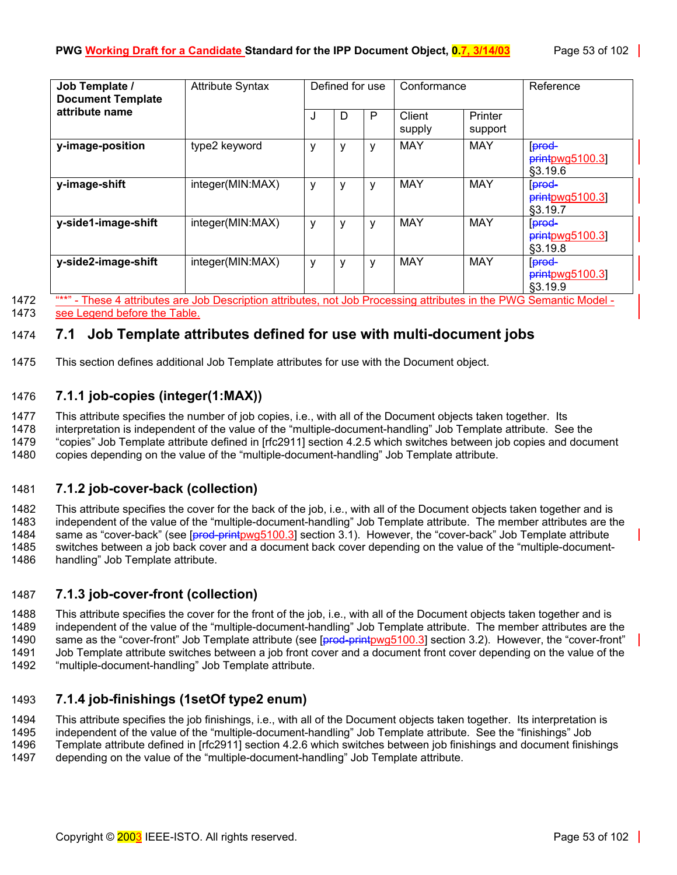| Job Template /<br><b>Document Template</b> | <b>Attribute Syntax</b>                                    |   | Defined for use |   | Conformance      |                    | Reference                                               |
|--------------------------------------------|------------------------------------------------------------|---|-----------------|---|------------------|--------------------|---------------------------------------------------------|
| attribute name                             |                                                            | J | D               | P | Client<br>supply | Printer<br>support |                                                         |
| y-image-position                           | type2 keyword                                              | у | ٧               | v | <b>MAY</b>       | <b>MAY</b>         | [prod-<br>$printpwg5100.3$<br>§3.19.6                   |
| y-image-shift                              | integer(MIN:MAX)                                           | у | ٧               | ۷ | <b>MAY</b>       | <b>MAY</b>         | prod-<br>printpwg5100.3]<br>§3.19.7                     |
| y-side1-image-shift                        | integer(MIN:MAX)                                           | у | ٧               | v | <b>MAY</b>       | <b>MAY</b>         | <b>prod</b><br>printpwg5100.3]<br>\$3.19.8              |
| y-side2-image-shift                        | integer(MIN:MAX)<br>THE PRIMARY RIES PRIMARY CHARGE PARTIE | у | ٧               | v | <b>MAY</b>       | <b>MAY</b>         | <b>prod-</b><br>$p$ <sub>rintpwg5100.3</sub><br>§3.19.9 |

1472 "\*\*" - These 4 attributes are Job Description attributes, not Job Processing attributes in the PWG Semantic Model - 1473 see Legend before the Table.

# 1474 **7.1 Job Template attributes defined for use with multi-document jobs**

1475 This section defines additional Job Template attributes for use with the Document object.

# <span id="page-52-0"></span>1476 **7.1.1 job-copies (integer(1:MAX))**

1477 This attribute specifies the number of job copies, i.e., with all of the Document objects taken together. Its

1478 interpretation is independent of the value of the "multiple-document-handling" Job Template attribute. See the 1479 "copies" Job Template attribute defined in [rfc2911] section 4.2.5 which switches between job copies and document

1480 copies depending on the value of the "multiple-document-handling" Job Template attribute.

# <span id="page-52-1"></span>1481 **7.1.2 job-cover-back (collection)**

1482 This attribute specifies the cover for the back of the job, i.e., with all of the Document objects taken together and is 1483 independent of the value of the "multiple-document-handling" Job Template attribute. The member attributes are the 1484 same as "cover-back" (see [prod-printpwg5100.3] section 3.1). However, the "cover-back" Job Template attribute 1485 switches between a job back cover and a document back cover depending on the value of the "multiple-document-1486 handling" Job Template attribute.

# <span id="page-52-2"></span>1487 **7.1.3 job-cover-front (collection)**

1488 This attribute specifies the cover for the front of the job, i.e., with all of the Document objects taken together and is 1489 independent of the value of the "multiple-document-handling" Job Template attribute. The member attributes are the 1490 same as the "cover-front" Job Template attribute (see [prod-printpwg5100.3] section 3.2). However, the "cover-front" 1491 Job Template attribute switches between a job front cover and a document front cover depending on the value of the 1492 "multiple-document-handling" Job Template attribute.

# <span id="page-52-3"></span>1493 **7.1.4 job-finishings (1setOf type2 enum)**

1494 This attribute specifies the job finishings, i.e., with all of the Document objects taken together. Its interpretation is 1495 independent of the value of the "multiple-document-handling" Job Template attribute. See the "finishings" Job

1496 Template attribute defined in [rfc2911] section 4.2.6 which switches between job finishings and document finishings

1497 depending on the value of the "multiple-document-handling" Job Template attribute.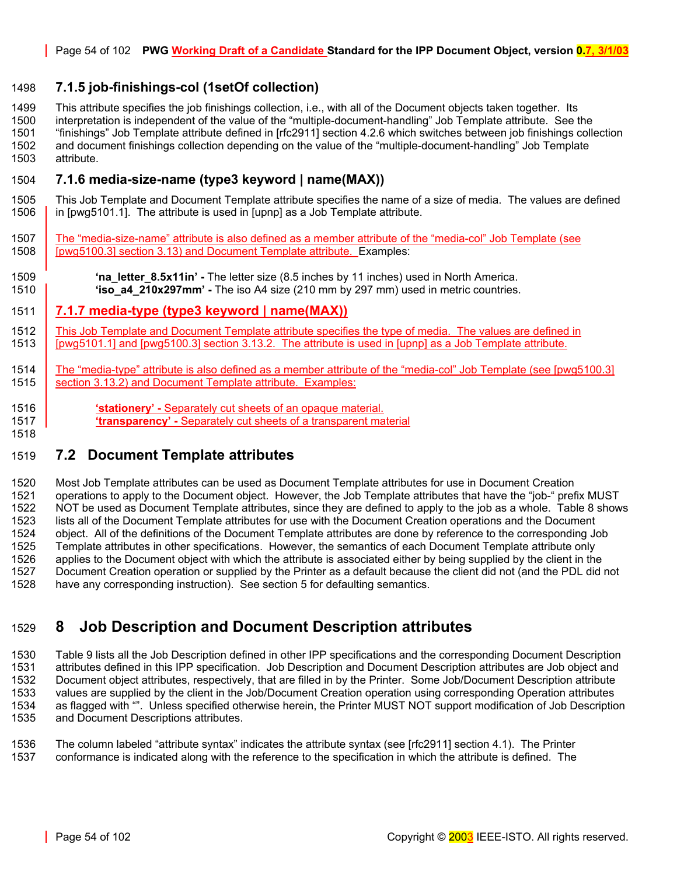## <span id="page-53-0"></span>1498 **7.1.5 job-finishings-col (1setOf collection)**

1499 This attribute specifies the job finishings collection, i.e., with all of the Document objects taken together. Its 1500 interpretation is independent of the value of the "multiple-document-handling" Job Template attribute. See the 1501 "finishings" Job Template attribute defined in [rfc2911] section 4.2.6 which switches between job finishings collection 1502 and document finishings collection depending on the value of the "multiple-document-handling" Job Template 1503 attribute.

#### <span id="page-53-1"></span>1504 **7.1.6 media-size-name (type3 keyword | name(MAX))**

1505 This Job Template and Document Template attribute specifies the name of a size of media. The values are defined 1506 in [pwg5101.1]. The attribute is used in [upnp] as a Job Template attribute.

1507 The "media-size-name" attribute is also defined as a member attribute of the "media-col" Job Template (see 1508 [pwg5100.3] section 3.13) and Document Template attribute. Examples:

1509 **'na\_letter\_8.5x11in' -** The letter size (8.5 inches by 11 inches) used in North America. 1510 **'iso\_a4\_210x297mm' -** The iso A4 size (210 mm by 297 mm) used in metric countries.

#### 1511 **7.1.7 media-type (type3 keyword | name(MAX))**

1512 This Job Template and Document Template attribute specifies the type of media. The values are defined in 1513 [pwg5101.1] and [pwg5100.3] section 3.13.2. The attribute is used in [upnp] as a Job Template attribute.

1514 The "media-type" attribute is also defined as a member attribute of the "media-col" Job Template (see [pwg5100.3] 1515 **Section 3.13.2) and Document Template attribute. Examples:** 

1516 **'stationery' -** Separately cut sheets of an opaque material. 1517 **'transparency' -** Separately cut sheets of a transparent material

# 1519 **7.2 Document Template attributes**

1518

1520 Most Job Template attributes can be used as Document Template attributes for use in Document Creation 1521 operations to apply to the Document object. However, the Job Template attributes that have the "job-" prefix MUST 1522 NOT be used as Document Template attributes, since they are defined to apply to the job as a whole. [Table 8](#page-43-0) shows 1523 lists all of the Document Template attributes for use with the Document Creation operations and the Document 1524 object. All of the definitions of the Document Template attributes are done by reference to the corresponding Job 1525 Template attributes in other specifications. However, the semantics of each Document Template attribute only<br>1526 applies to the Document object with which the attribute is associated either by being supplied by the c applies to the Document object with which the attribute is associated either by being supplied by the client in the 1527 Document Creation operation or supplied by the Printer as a default because the client did not (and the PDL did not 1528 have any corresponding instruction). See section [5 f](#page-36-0)or defaulting semantics.

# 1529 **8 Job Description and Document Description attributes**

1530 [Table 9](#page-54-0) lists all the Job Description defined in other IPP specifications and the corresponding Document Description 1531 attributes defined in this IPP specification. Job Description and Document Description attributes are Job object and 1532 Document object attributes, respectively, that are filled in by the Printer. Some Job/Document Description attribute values are supplied by the client in the Job/Document Creation operation using corresponding Operation attributes 1534 as flagged with "". Unless specified otherwise herein, the Printer MUST NOT support modification of Job Description 1535 and Document Descriptions attributes.

1536 The column labeled "attribute syntax" indicates the attribute syntax (see [rfc2911] section 4.1). The Printer 1537 conformance is indicated along with the reference to the specification in which the attribute is defined. The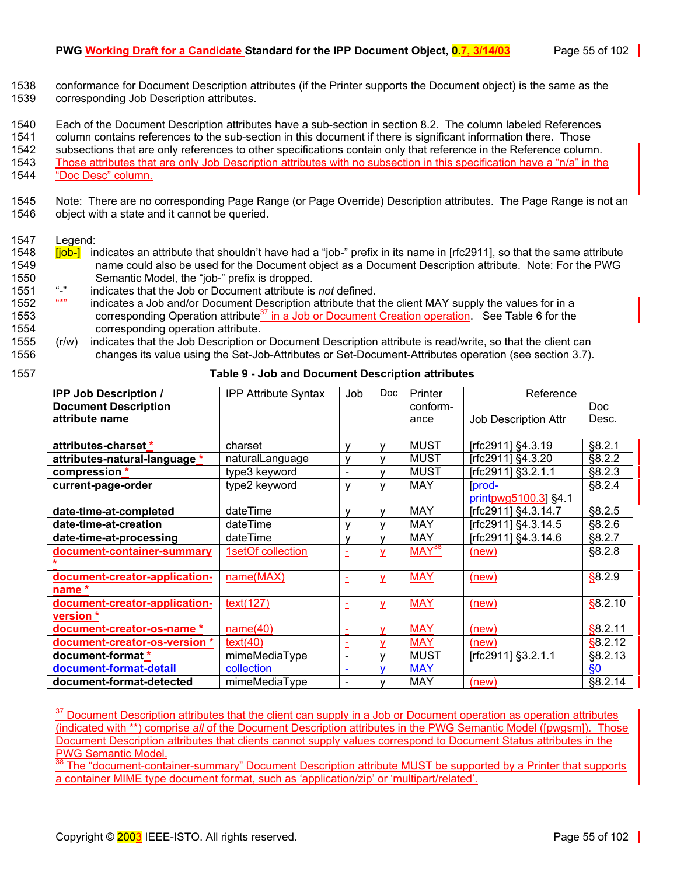1538 conformance for Document Description attributes (if the Printer supports the Document object) is the same as the 1539 corresponding Job Description attributes.

1540 Each of the Document Description attributes have a sub-section in section [8.2.](#page-57-0) The column labeled References

1541 column contains references to the sub-section in this document if there is significant information there. Those

1542 subsections that are only references to other specifications contain only that reference in the Reference column. 1543 Those attributes that are only Job Description attributes with no subsection in this specification have a "n/a" in the 1544 "Doc Desc" column.

1545 Note: There are no corresponding Page Range (or Page Override) Description attributes. The Page Range is not an 1546 object with a state and it cannot be queried.

#### 1547 Legend:

- 1548 **[job-]** indicates an attribute that shouldn't have had a "job-" prefix in its name in [rfc2911], so that the same attribute 1549 name could also be used for the Document object as a Document Description attribute. Note: For the PWG 1550 Semantic Model, the "job-" prefix is dropped.<br>1551 "-" indicates that the Job or Document attribute is
- 1551 "-" indicates that the Job or Document attribute is *not* defined.
- 1552 "\*" indicates a Job and/or Document Description attribute that the client MAY supply the values for in a 1553 corresponding Operation attribute<sup>37</sup> in a Job or Document Creation operation. See [Table 6](#page-39-0) for the 1554 corresponding operation attribute.
- 1555 (r/w) indicates that the Job Description or Document Description attribute is read/write, so that the client can 1556 changes its value using the Set-Job-Attributes or Set-Document-Attributes operation (see section [3.7\)](#page-26-0).

| × |  |
|---|--|
|---|--|

<span id="page-54-0"></span>1557 **Table 9 - Job and Document Description attributes** 

| <b>IPP Job Description /</b>  | <b>IPP Attribute Syntax</b> | Job                          | <b>Doc</b>   | Printer           | Reference                   |                 |
|-------------------------------|-----------------------------|------------------------------|--------------|-------------------|-----------------------------|-----------------|
| <b>Document Description</b>   |                             |                              |              | conform-          |                             | Doc.            |
| attribute name                |                             |                              |              | ance              | <b>Job Description Attr</b> | Desc.           |
|                               |                             |                              |              |                   |                             |                 |
| attributes-charset *          | charset                     | ٧                            | v            | <b>MUST</b>       | [rfc2911] §4.3.19           | §8.2.1          |
| attributes-natural-language * | naturalLanguage             | v                            | v            | <b>MUST</b>       | [rfc2911] §4.3.20           | §8.2.2          |
| compression *                 | type3 keyword               | $\blacksquare$               | v            | <b>MUST</b>       | [rfc2911] §3.2.1.1          | §8.2.3          |
| current-page-order            | type2 keyword               | ٧                            | y            | <b>MAY</b>        | prod-                       | §8.2.4          |
|                               |                             |                              |              |                   | printpwg5100.3] §4.1        |                 |
| date-time-at-completed        | dateTime                    | v                            | $\mathsf{v}$ | <b>MAY</b>        | [rfc2911] §4.3.14.7         | §8.2.5          |
| date-time-at-creation         | dateTime                    | v                            | $\mathsf{v}$ | <b>MAY</b>        | [rfc2911] §4.3.14.5         | §8.2.6          |
| date-time-at-processing       | dateTime                    | v                            | $\mathsf{V}$ | <b>MAY</b>        | [rfc2911] §4.3.14.6         | §8.2.7          |
| document-container-summary    | 1setOf collection           |                              | y            | MAY <sup>38</sup> | (new)                       | §8.2.8          |
|                               |                             |                              |              |                   |                             |                 |
| document-creator-application- | name(MAX)                   |                              | <b>V</b>     | <b>MAY</b>        | (new)                       | \$8.2.9         |
| name *                        |                             |                              |              |                   |                             |                 |
| document-creator-application- | text(127)                   |                              | y            | <b>MAY</b>        | (new)                       | \$8.2.10        |
| version *                     |                             |                              |              |                   |                             |                 |
| document-creator-os-name *    | name(40)                    |                              | $\mathbf v$  | <b>MAY</b>        | (new)                       | \$8.2.11        |
| document-creator-os-version * | text(40)                    | ۰                            | v            | <b>MAY</b>        | (new)                       | \$8.2.12        |
| document-format *             | mimeMediaType               | $\qquad \qquad \blacksquare$ | v            | <b>MUST</b>       | [rfc2911] §3.2.1.1          | §8.2.13         |
| document-format-detail        | collection                  | $\blacksquare$               | ¥            | <b>MAY</b>        |                             | $\frac{60}{30}$ |
| document-format-detected      | mimeMediaType               |                              | $\mathsf{v}$ | <b>MAY</b>        | (new)                       | §8.2.14         |

<span id="page-54-1"></span> $37\,$ Document Description attributes that the client can supply in a Job or Document operation as operation attributes (indicated with \*\*) comprise *all* of the Document Description attributes in the PWG Semantic Model ([pwgsm]). Those Document Description attributes that clients cannot supply values correspond to Document Status attributes in the PWG Semantic Model.

<span id="page-54-2"></span><sup>38</sup> The "document-container-summary" Document Description attribute MUST be supported by a Printer that supports a container MIME type document format, such as 'application/zip' or 'multipart/related'.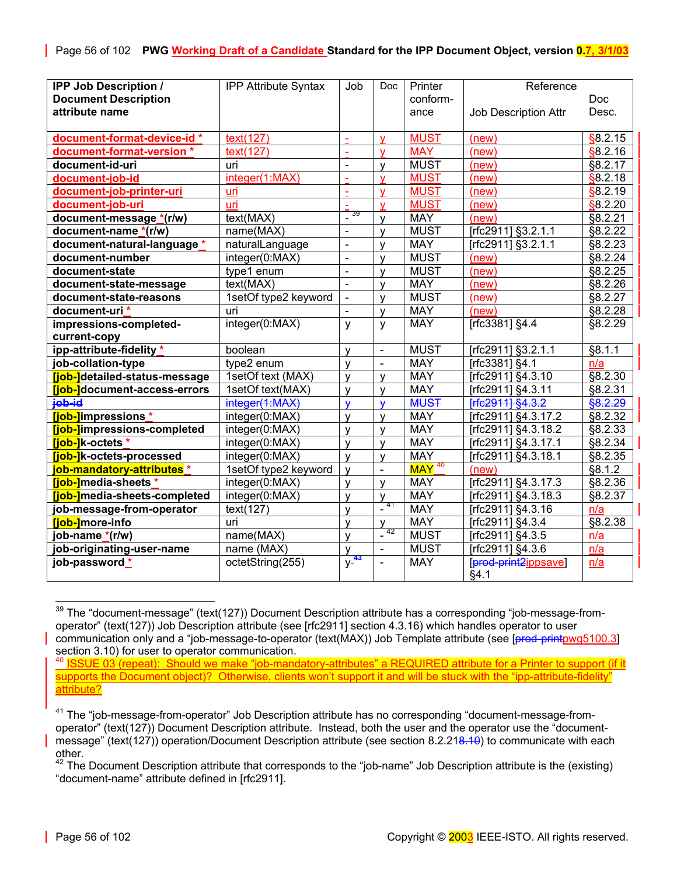| <b>IPP Job Description /</b>          | <b>IPP Attribute Syntax</b> | Job                | Doc.                         | Printer                        | Reference                   |            |
|---------------------------------------|-----------------------------|--------------------|------------------------------|--------------------------------|-----------------------------|------------|
| <b>Document Description</b>           |                             |                    |                              | conform-                       |                             | <b>Doc</b> |
| attribute name                        |                             |                    |                              | ance                           | <b>Job Description Attr</b> | Desc.      |
|                                       |                             |                    |                              |                                |                             |            |
| document-format-device-id*            | text(127)                   | $\blacksquare$     | V                            | <b>MUST</b>                    | (new)                       | §8.2.15    |
| document-format-version *             | text(127)                   | ä,                 | $\overline{\mathsf{v}}$      | <b>MAY</b>                     | (new)                       | \$8.2.16   |
| document-id-uri                       | uri                         | $\sim$             | $\mathsf{V}$                 | <b>MUST</b>                    | (new)                       | §8.2.17    |
| document-job-id                       | integer(1:MAX)              | ÷.                 | $\overline{\mathsf{v}}$      | <b>MUST</b>                    | (new)                       | \$8.2.18   |
| document-job-printer-uri              | uri                         | ÷.                 | v                            | <b>MUST</b>                    | (new)                       | \$8.2.19   |
| document-job-uri                      | uri                         | ÷                  | $\overline{\mathsf{v}}$      | <b>MUST</b>                    | (new)                       | \$8.2.20   |
| document-message *(r/w)               | text(MAX)                   | $\frac{1}{2}$      | $\mathsf{V}$                 | <b>MAY</b>                     | (new)                       | §8.2.21    |
| document-name *(r/w)                  | name(MAX)                   | $\blacksquare$     | $\mathsf{V}$                 | <b>MUST</b>                    | [rfc2911] §3.2.1.1          | §8.2.22    |
| document-natural-language *           | naturalLanguage             | $\Box$             | $\mathsf{v}$                 | <b>MAY</b>                     | [rfc2911] §3.2.1.1          | §8.2.23    |
| document-number                       | integer(0:MAX)              | $\mathbf{r}$       | $\mathsf{v}$                 | <b>MUST</b>                    | (new)                       | §8.2.24    |
| document-state                        | type1 enum                  | $\mathbf{r}$       | $\mathsf{v}$                 | <b>MUST</b>                    | (new)                       | §8.2.25    |
| document-state-message                | text(MAX)                   | $\mathbf{r}$       | v                            | <b>MAY</b>                     | (new)                       | §8.2.26    |
| document-state-reasons                | 1setOf type2 keyword        | $\blacksquare$     | $\mathsf{V}$                 | <b>MUST</b>                    | (new)                       | §8.2.27    |
| document-uri*                         | uri                         | $\blacksquare$     | V                            | <b>MAY</b>                     | (new)                       | §8.2.28    |
| impressions-completed-                | integer(0:MAX)              | y                  | y                            | <b>MAY</b>                     | [rfc3381] §4.4              | §8.2.29    |
| current-copy                          |                             |                    |                              |                                |                             |            |
| ipp-attribute-fidelity *              | boolean                     | $\mathsf{v}$       | $\blacksquare$               | <b>MUST</b>                    | [rfc2911] §3.2.1.1          | §8.1.1     |
| job-collation-type                    | type2 enum                  | $\mathsf{V}$       | $\blacksquare$               | <b>MAY</b>                     | [rfc3381] §4.1              | n/a        |
| [job-]detailed-status-message         | 1setOf text (MAX)           | $\mathsf{V}$       | $\mathsf{v}$                 | <b>MAY</b>                     | [rfc2911] §4.3.10           | §8.2.30    |
| [job-]document-access-errors          | 1setOf text(MAX)            | $\mathsf{V}$       | $\mathsf{V}$                 | <b>MAY</b>                     | [rfc2911] §4.3.11           | §8.2.31    |
| job-id                                | integer(1:MAX)              | $\mathbf{\hat{y}}$ | $\mathbf{\mathbf{y}}$        | <b>MUST</b>                    | Frfc2911 §4.3.2             | §8.2.29    |
| [job-]impressions *                   | integer(0:MAX)              | $\mathsf{V}$       | $\mathsf{V}$                 | <b>MAY</b>                     | [rfc2911] §4.3.17.2         | §8.2.32    |
| <b>[job-]</b> impressions-completed   | integer(0:MAX)              | $\mathsf{V}$       | V                            | <b>MAY</b>                     | [rfc2911] §4.3.18.2         | §8.2.33    |
| [job-]k-octets *                      | integer(0:MAX)              | y                  | V                            | <b>MAY</b>                     | [rfc2911] §4.3.17.1         | §8.2.34    |
| [job-]k-octets-processed              | integer(0:MAX)              | V                  | y                            | <b>MAY</b>                     | [rfc2911] §4.3.18.1         | §8.2.35    |
| job-mandatory-attributes <sup>*</sup> | 1setOf type2 keyword        | $\mathsf{V}$       | $\qquad \qquad \blacksquare$ | $\overline{\mathsf{MAY}}^{40}$ | (new)                       | §8.1.2     |
| [job-]media-sheets *                  | integer(0:MAX)              | V                  | V                            | <b>MAY</b>                     | Trfc2911] §4.3.17.3         | §8.2.36    |
| [job-]media-sheets-completed          | integer(0:MAX)              | y                  | V<br>41                      | <b>MAY</b>                     | [rfc2911] §4.3.18.3         | §8.2.37    |
| job-message-from-operator             | text(127)                   | $\mathsf{V}$       |                              | <b>MAY</b>                     | [rfc2911] §4.3.16           | n/a        |
| <b>Tiob-1</b> more-info               | uri                         | y                  | v                            | <b>MAY</b>                     | [rfc2911] §4.3.4            | §8.2.38    |
| job-name *(r/w)                       | name(MAX)                   | $\mathsf{V}$       | 42                           | <b>MUST</b>                    | [rfc2911] §4.3.5            | n/a        |
| job-originating-user-name             | name (MAX)                  | $\mathsf{V}$       | $\blacksquare$               | <b>MUST</b>                    | [rfc2911] §4.3.6            | n/a        |
| job-password*                         | octetString(255)            | $y^{-43}$          | $\overline{\phantom{0}}$     | <b>MAY</b>                     | [prod-print2ippsave]        | n/a        |
|                                       |                             |                    |                              |                                | §4.1                        |            |

<span id="page-55-4"></span><span id="page-55-0"></span>l  $^{39}$  The "document-message" (text(127)) Document Description attribute has a corresponding "job-message-fromoperator" (text(127)) Job Description attribute (see [rfc2911] section 4.3.16) which handles operator to user communication only and a "job-message-to-operator (text(MAX)) Job Template attribute (see [prod-printpwg5100.3] section 3.10) for user to operator communication.

<span id="page-55-1"></span><sup>40</sup> ISSUE 03 (repeat): Should we make "job-mandatory-attributes" a REQUIRED attribute for a Printer to support (if it supports the Document object)? Otherwise, clients won't support it and will be stuck with the "ipp-attribute-fidelity attribute?

<span id="page-55-2"></span><sup>41</sup> The "job-message-from-operator" Job Description attribute has no corresponding "document-message-fromoperator" (text(127)) Document Description attribute. Instead, both the user and the operator use the "documentmessage" (text(127)) operation/Document Description attribute (see section 8.2.218.10) to communicate with each other.

<span id="page-55-3"></span> $42$  The Document Description attribute that corresponds to the "job-name" Job Description attribute is the (existing) "document-name" attribute defined in [rfc2911].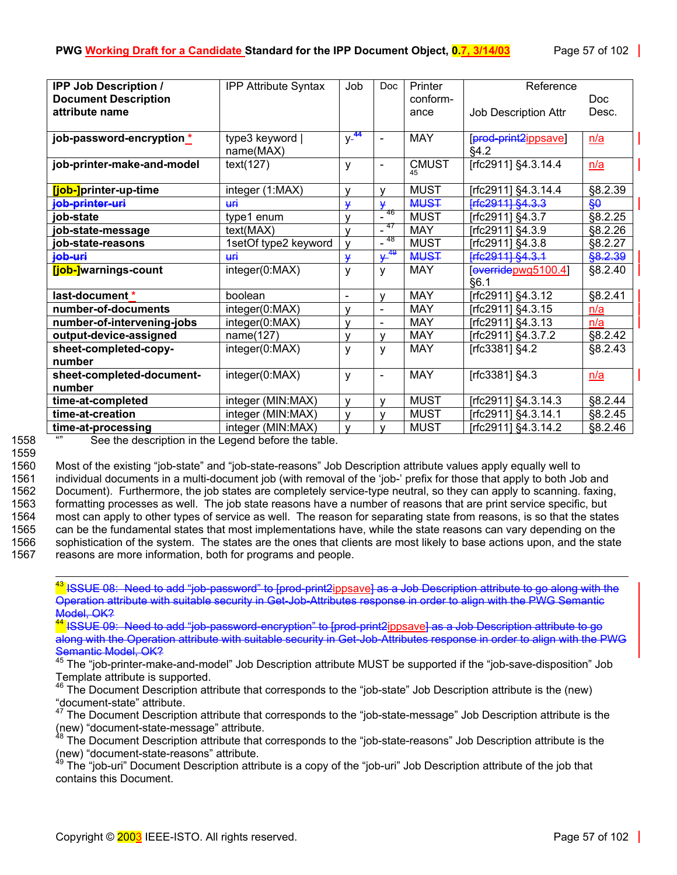| <b>IPP Job Description /</b> | <b>IPP Attribute Syntax</b> | Job             | <b>Doc</b>                   | Printer      | Reference            |                 |
|------------------------------|-----------------------------|-----------------|------------------------------|--------------|----------------------|-----------------|
| <b>Document Description</b>  |                             |                 |                              | conform-     |                      | Doc.            |
| attribute name               |                             |                 |                              | ance         | Job Description Attr | Desc.           |
|                              |                             |                 |                              |              |                      |                 |
| job-password-encryption *    | type3 keyword               | $y^{-44}$       | $\qquad \qquad \blacksquare$ | <b>MAY</b>   | [prod-print2ippsave] | n/a             |
|                              | name(MAX)                   |                 |                              |              | §4.2                 |                 |
| job-printer-make-and-model   | text(127)                   | y               | $\overline{\phantom{0}}$     | <b>CMUST</b> | [rfc2911] §4.3.14.4  | n/a             |
|                              |                             |                 |                              | 45           |                      |                 |
| [job-]printer-up-time        | integer (1:MAX)             | v               | v                            | <b>MUST</b>  | [rfc2911] §4.3.14.4  | §8.2.39         |
| job-printer-uri              | ₩Ĥ                          | $\mathbf \star$ | ₩                            | <b>MUST</b>  | Frfe29111 §4.3.3     | $\frac{60}{30}$ |
| iob-state                    | type1 enum                  | $\mathsf{v}$    | 46                           | <b>MUST</b>  | [rfc2911] §4.3.7     | §8.2.25         |
| job-state-message            | text(MAX)                   | $\mathsf{v}$    | -47                          | <b>MAY</b>   | [rfc2911] §4.3.9     | §8.2.26         |
| job-state-reasons            | 1setOf type2 keyword        | v               | -48<br>$\blacksquare$        | <b>MUST</b>  | [rfc2911] §4.3.8     | §8.2.27         |
| job-uri                      | ₩Ĥ                          | ¥               | $y^{49}$                     | <b>MUST</b>  | Frfc2911] §4.3.1     | §8.2.39         |
| [job-]warnings-count         | integer(0:MAX)              | y               | ٧                            | <b>MAY</b>   | [overidepwg5100.4]   | §8.2.40         |
|                              |                             |                 |                              |              | §6.1                 |                 |
| last-document *              | boolean                     | $\blacksquare$  | v                            | <b>MAY</b>   | [rfc2911] §4.3.12    | §8.2.41         |
| number-of-documents          | integer(0:MAX)              | v               | $\overline{\phantom{0}}$     | <b>MAY</b>   | [rfc2911] §4.3.15    | n/a             |
| number-of-intervening-jobs   | integer(0:MAX)              | v               | $\overline{\phantom{0}}$     | <b>MAY</b>   | [rfc2911] §4.3.13    | n/a             |
| output-device-assigned       | name(127)                   | $\mathsf{v}$    | v                            | <b>MAY</b>   | [rfc2911] §4.3.7.2   | §8.2.42         |
| sheet-completed-copy-        | integer(0:MAX)              | y               | у                            | <b>MAY</b>   | [rfc3381] §4.2       | §8.2.43         |
| number                       |                             |                 |                              |              |                      |                 |
| sheet-completed-document-    | integer(0:MAX)              | y               | $\overline{\phantom{0}}$     | <b>MAY</b>   | [rfc3381] §4.3       | n/a             |
| number                       |                             |                 |                              |              |                      |                 |
| time-at-completed            | integer (MIN:MAX)           | v               | v                            | <b>MUST</b>  | [rfc2911] §4.3.14.3  | §8.2.44         |
| time-at-creation             | integer (MIN:MAX)           | v               | v                            | <b>MUST</b>  | [rfc2911] §4.3.14.1  | §8.2.45         |
| time-at-processing           | integer (MIN:MAX)           | $\mathsf{v}$    | v                            | <b>MUST</b>  | [rfc2911] §4.3.14.2  | §8.2.46         |

1559

1558 "" See the description in the Legend before the table.

1560 Most of the existing "job-state" and "job-state-reasons" Job Description attribute values apply equally well to 1561 individual documents in a multi-document job (with removal of the 'job-' prefix for those that apply to both Job and 1562 Document). Furthermore, the job states are completely service-type neutral, so they can apply to scanning. faxing, 1563 formatting processes as well. The job state reasons have a number of reasons that are print service specific, but 1564 most can apply to other types of service as well. The reason for separating state from reasons, is so that the states 1565 can be the fundamental states that most implementations have, while the state reasons can vary depending on the 1566 sophistication of the system. The states are the ones that clients are most likely to base actions upon, and the state 1567 reasons are more information, both for programs and people.

 43 ISSUE 08: Need to add "job-password" to [prod-print2ippsave] as a Job Description attribute to go along with the Operation attribute with suitable security in Get-Job-Attributes response in order to align with the PWG Semantic Model, OK?

<span id="page-56-0"></span><sup>44</sup> ISSUE 09: Need to add "job-password-encryption" to [prod-print2<u>ippsave] as a Job Description attribute to g</u>o along with the Operation attribute with suitable security in Get Job Attributes response in order to align with the PWG Semantic Model, OK?

<span id="page-56-1"></span><sup>45</sup> The "job-printer-make-and-model" Job Description attribute MUST be supported if the "job-save-disposition" Job Template attribute is supported.

<span id="page-56-2"></span> $46$  The Document Description attribute that corresponds to the "job-state" Job Description attribute is the (new) "document-state" attribute.

<span id="page-56-3"></span>The Document Description attribute that corresponds to the "job-state-message" Job Description attribute is the (new) "document-state-message" attribute.

<span id="page-56-4"></span><sup>48</sup> The Document Description attribute that corresponds to the "job-state-reasons" Job Description attribute is the (new) "document-state-reasons" attribute.<br><sup>49</sup> The "iob-uri" Document 51<sup>49</sup>

<span id="page-56-5"></span>49 The "job-uri" Document Description attribute is a copy of the "job-uri" Job Description attribute of the job that contains this Document.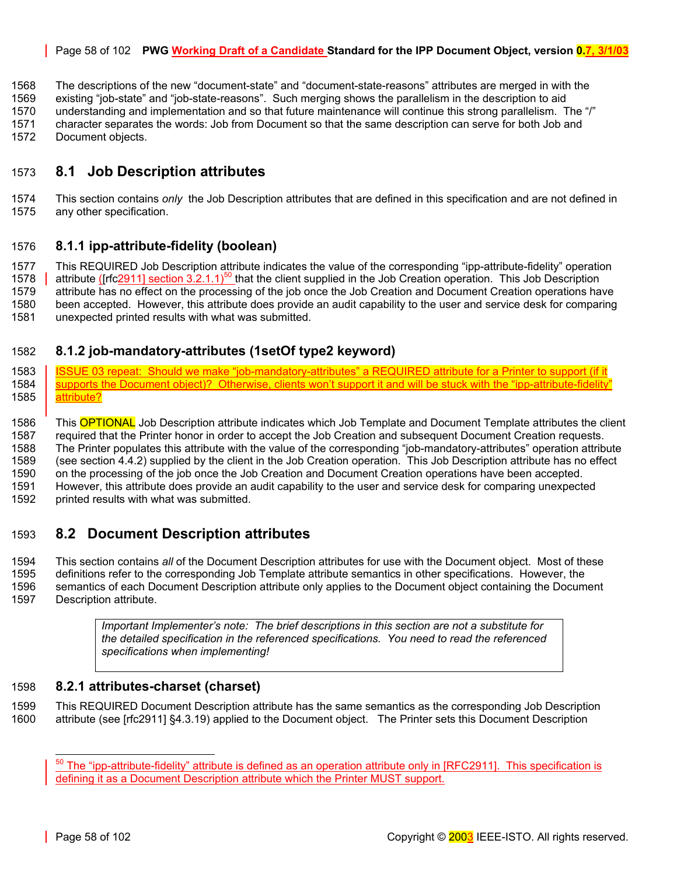#### Page 58 of 102 **PWG Working Draft of a Candidate Standard for the IPP Document Object, version 0.7, 3/1/03**

1568 The descriptions of the new "document-state" and "document-state-reasons" attributes are merged in with the

1569 existing "job-state" and "job-state-reasons". Such merging shows the parallelism in the description to aid

1570 understanding and implementation and so that future maintenance will continue this strong parallelism. The "/" 1571 character separates the words: Job from Document so that the same description can serve for both Job and

1572 Document objects.

# 1573 **8.1 Job Description attributes**

1574 This section contains *only* the Job Description attributes that are defined in this specification and are not defined in 1575 any other specification.

#### <span id="page-57-2"></span>1576 **8.1.1 ipp-attribute-fidelity (boolean)**

1577 This REQUIRED Job Description attribute indicates the value of the corresponding "ipp-attribute-fidelity" operation 1578  $\parallel$  attribute ([rfc2911] section 3.2.1.1)<sup>50</sup> that the client supplied in the Job Creation operation. This Job Description 1579 attribute has no effect on the processing of the job once the Job Creation and Document Creation operations have 1580 been accepted. However, this attribute does provide an audit capability to the user and service desk for comparing 1581 unexpected printed results with what was submitted.

## <span id="page-57-3"></span>1582 **8.1.2 job-mandatory-attributes (1setOf type2 keyword)**

1583 STER ISSUE 03 repeat: Should we make "job-mandatory-attributes" a REQUIRED attribute for a Printer to support (if it<br>1584 Supports the Document object)? Otherwise, clients won't support it and will be stuck with the " supports the Document object)? Otherwise, clients won't support it and will be stuck with the "ipp-attribute-fidelity" 1585 attribute?

1586 This **OPTIONAL** Job Description attribute indicates which Job Template and Document Template attributes the client 1587 required that the Printer honor in order to accept the Job Creation and subsequent Document Creation requests. 1588 The Printer populates this attribute with the value of the corresponding "job-mandatory-attributes" operation attribute 1589 (see section [4.4.2\)](#page-34-1) supplied by the client in the Job Creation operation. This Job Description attribute has no effect 1590 on the processing of the job once the Job Creation and Document Creation operations have been accepted. 1591 However, this attribute does provide an audit capability to the user and service desk for comparing unexpected 1592 printed results with what was submitted.

# <span id="page-57-0"></span>1593 **8.2 Document Description attributes**

1594 This section contains *all* of the Document Description attributes for use with the Document object. Most of these 1595 definitions refer to the corresponding Job Template attribute semantics in other specifications. However, the 1596 semantics of each Document Description attribute only applies to the Document object containing the Document 1597 Description attribute.

> <span id="page-57-1"></span>*Important Implementer's note: The brief descriptions in this section are not a substitute for the detailed specification in the referenced specifications. You need to read the referenced specifications when implementing!*

#### 1598 **8.2.1 attributes-charset (charset)**

1599 This REQUIRED Document Description attribute has the same semantics as the corresponding Job Description 1600 attribute (see [rfc2911] §4.3.19) applied to the Document object. The Printer sets this Document Description

<span id="page-57-4"></span> $50$  The "ipp-attribute-fidelity" attribute is defined as an operation attribute only in [RFC2911]. This specification is defining it as a Document Description attribute which the Printer MUST support.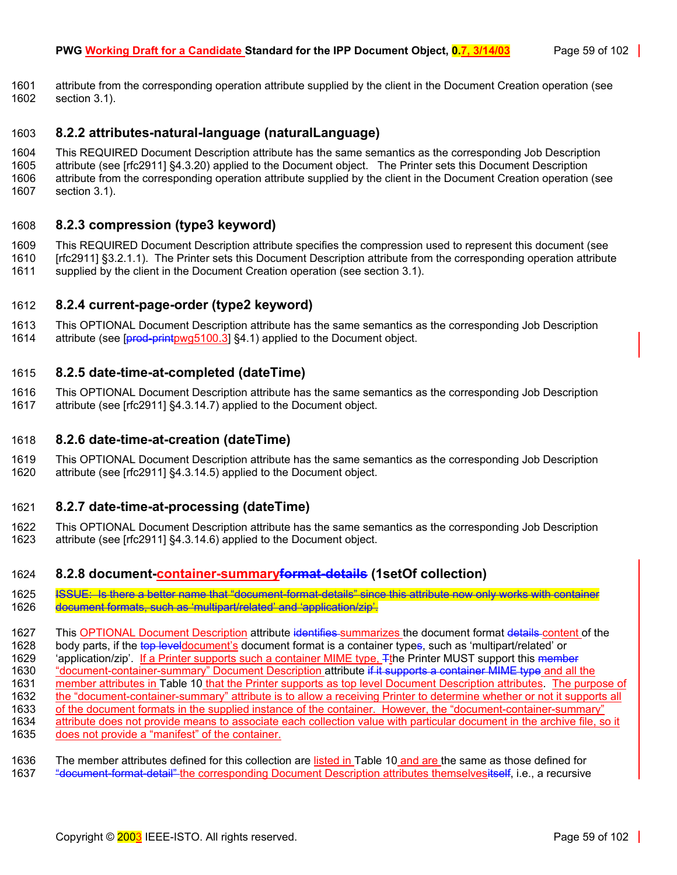1601 attribute from the corresponding operation attribute supplied by the client in the Document Creation operation (see 1602 section [3.1\)](#page-14-0).

#### <span id="page-58-1"></span>1603 **8.2.2 attributes-natural-language (naturalLanguage)**

1604 This REQUIRED Document Description attribute has the same semantics as the corresponding Job Description 1605 attribute (see [rfc2911] §4.3.20) applied to the Document object. The Printer sets this Document Description 1606 attribute from the corresponding operation attribute supplied by the client in the Document Creation operation (see 1607 section [3.1\)](#page-14-0).

#### <span id="page-58-2"></span>1608 **8.2.3 compression (type3 keyword)**

1609 This REQUIRED Document Description attribute specifies the compression used to represent this document (see 1610 [rfc2911] §3.2.1.1). The Printer sets this Document Description attribute from the corresponding operation attribute 1611 supplied by the client in the Document Creation operation (see section [3.1\)](#page-14-0).

#### <span id="page-58-3"></span>1612 **8.2.4 current-page-order (type2 keyword)**

1613 This OPTIONAL Document Description attribute has the same semantics as the corresponding Job Description 1614 attribute (see [prod-printpwg5100.3] §4.1) applied to the Document object.

#### <span id="page-58-4"></span>1615 **8.2.5 date-time-at-completed (dateTime)**

1616 This OPTIONAL Document Description attribute has the same semantics as the corresponding Job Description 1617 attribute (see [rfc2911] §4.3.14.7) applied to the Document object.

#### <span id="page-58-5"></span>1618 **8.2.6 date-time-at-creation (dateTime)**

1619 This OPTIONAL Document Description attribute has the same semantics as the corresponding Job Description 1620 attribute (see [rfc2911] §4.3.14.5) applied to the Document object.

#### <span id="page-58-6"></span>1621 **8.2.7 date-time-at-processing (dateTime)**

1622 This OPTIONAL Document Description attribute has the same semantics as the corresponding Job Description 1623 attribute (see [rfc2911] §4.3.14.6) applied to the Document object.

#### <span id="page-58-0"></span>1624 **8.2.8 document-container-summaryformat-details (1setOf collection)**

1625 ISSUE: Is there a better name that "document-format-details" since this attribute now only works with container

1626 document formats, such as 'multipart/related' and 'application/zip'.

1627 This OPTIONAL Document Description attribute identifies summarizes the document format details content of the

1628 body parts, if the top leveldocument's document format is a container types, such as 'multipart/related' or

'application/zip'. If a Printer supports such a container MIME type, Tthe Printer MUST support this member

1630 "document-container-summary" Document Description attribute if it supports a container MIME type and all the

1631 member attributes in [Table 10](#page-59-0) that the Printer supports as top level Document Description attributes. The purpose of 1632 the "document-container-summary" attribute is to allow a receiving Printer to determine whether or not it supports all

- 1633 of the document formats in the supplied instance of the container. However, the "document-container-summary"
- 1634 attribute does not provide means to associate each collection value with particular document in the archive file, so it
- 1635 does not provide a "manifest" of the container.

1636 The member attributes defined for this collection are listed in [Table 10](#page-59-0) and are the same as those defined for 1637 "Homent-format-detail" the corresponding Document Description attributes themselvesitself, i.e., a recursive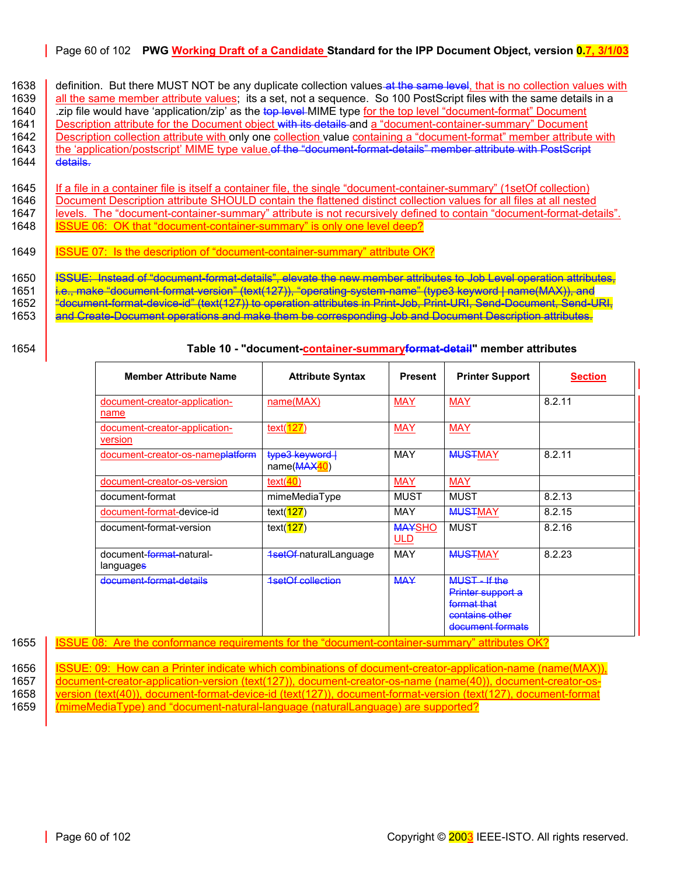#### Page 60 of 102 **PWG Working Draft of a Candidate Standard for the IPP Document Object, version 0.7, 3/1/03**

1638 definition. But there MUST NOT be any duplicate collection values at the same level, that is no collection values with 1639 all the same member attribute values; its a set, not a sequence. So 100 PostScript files with the same details in a 1640 and the same details in a 1640 and the same details in a 1640 and the same details in a 1640 and 1640 zip file would have 'application/zip' as the top level-MIME type for the top level "document-format" Document<br>1641 Bescription attribute for the Document object with its details and a "document-container-summary" Docu Description attribute for the Document object with its details and a "document-container-summary" Document 1642 Description collection attribute with only one collection value containing a "document-format" member attribute with 1643 the 'application/postscript' MIME type value.of the "document-format-details" member attribute with PostScript 1644  $\overline{$  details.

1645 If a file in a container file is itself a container file, the single "document-container-summary" (1setOf collection)<br>1646 Document Description attribute SHOULD contain the flattened distinct collection values for all 1646 Document Description attribute SHOULD contain the flattened distinct collection values for all files at all nested<br>1647 levels. The "document-container-summary" attribute is not recursively defined to contain "documen levels. The "document-container-summary" attribute is not recursively defined to contain "document-format-details". 1648 | **ISSUE 06: OK that "document-container-summary"** is only one level deep?

1649 ISSUE 07: Is the description of "document-container-summary" attribute OK?

1650 | <del>ISSUE: Instead of "document-format-details", elevate the new member attributes to Job Level operation attributes,</del>

1651 k.<del>e., make "document-format-version" (text(127)), "operating-system-name" (type3 keyword | name(MAX)), and<br>1652 keep to the format-device-id" (text(127)) to operation attributes in Print-Job. Print-URI. Send-Document</del>

1652 "document-format-device-id" (text(127)) to operation attributes in Print-Job, Print-URI, Send-Document, Send-URI,

and Create-Document operations and make them be corresponding Job and Document Description attributes.

# 1654 **Table 10 - "document-container-summaryformat-detail" member attributes**

<span id="page-59-0"></span>

| <b>Member Attribute Name</b>                       | <b>Attribute Syntax</b>        | <b>Present</b>              | <b>Printer Support</b>                                                                | <b>Section</b> |
|----------------------------------------------------|--------------------------------|-----------------------------|---------------------------------------------------------------------------------------|----------------|
| document-creator-application-<br>name              | name(MAX)                      | <b>MAY</b>                  | <b>MAY</b>                                                                            | 8.2.11         |
| document-creator-application-<br>version           | text(127)                      | <b>MAY</b>                  | <b>MAY</b>                                                                            |                |
| document-creator-os-nameplatform                   | type3 keyword  <br>name(MAX40) | MAY                         | <b>MUSTMAY</b>                                                                        | 8.2.11         |
| document-creator-os-version                        | text $(40)$                    | <b>MAY</b>                  | <b>MAY</b>                                                                            |                |
| document-format                                    | mimeMediaType                  | MUST                        | <b>MUST</b>                                                                           | 8.2.13         |
| document-format-device-id                          | text( <b>127</b> )             | MAY                         | <b>MUSTMAY</b>                                                                        | 8.2.15         |
| document-format-version                            | text( <b>127</b> )             | <b>MAYSHO</b><br><b>ULD</b> | <b>MUST</b>                                                                           | 8.2.16         |
| document- <del>format</del> -natural-<br>languages | <b>1setOf-naturalLanguage</b>  | MAY                         | <b>MUSTMAY</b>                                                                        | 8.2.23         |
| document format details                            | <b>1setOf collection</b>       | <b>MAY</b>                  | MUST-If the<br>Printer support a<br>format that<br>contains other<br>document formats |                |

1655 | ISSUE 08: Are the conformance requirements for the "document-container-summary" attributes OK?

1656 | <u>ISSUE: 09: How can a Printer indicate which combinations of document-creator-application-name (name(MAX)),</u><br>1657 | document-creator-application-version (text(127)), document-creator-os-name (name(40)), document-cre 1657 document-creator-application-version (text(127)), document-creator-os-name (name(40)), document-creator-os-<br>1658 version (text(40)), document-format-device-id (text(127)), document-format-version (text(127), document-1658 version (text(40)), document-format-device-id (text(127)), document-format-version (text(127), document-format

1659 (mimeMediaType) and "document-natural-language (naturalLanguage) are supported?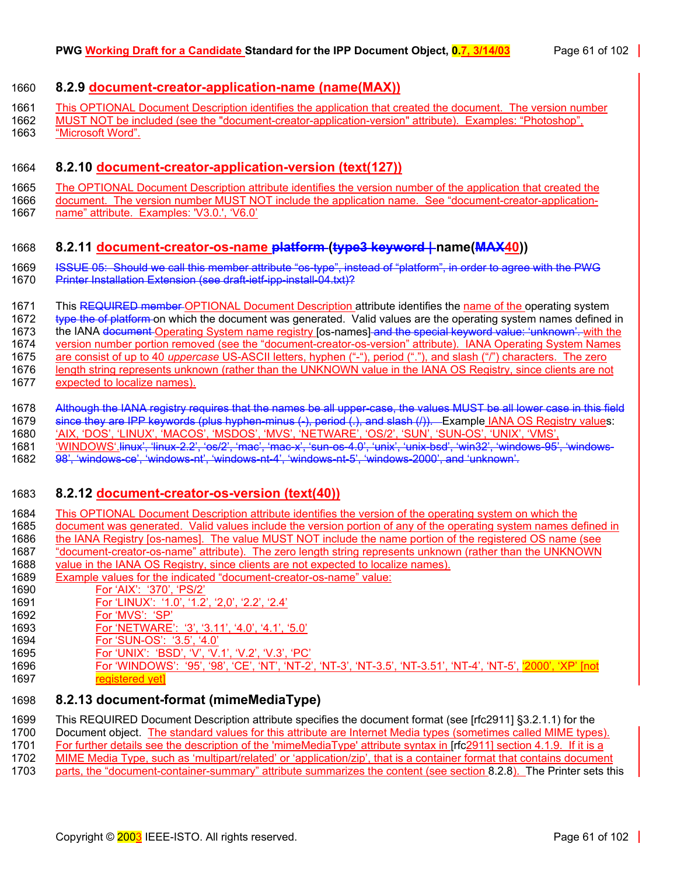#### <span id="page-60-0"></span>1660 **8.2.9 document-creator-application-name (name(MAX))**

1661 This OPTIONAL Document Description identifies the application that created the document. The version number

1662 MUST NOT be included (see the "document-creator-application-version" attribute). Examples: "Photoshop", 1663 "Microsoft Word".

### <span id="page-60-1"></span>1664 **8.2.10 document-creator-application-version (text(127))**

1665 The OPTIONAL Document Description attribute identifies the version number of the application that created the<br>1666 document. The version number MUST NOT include the application name. See "document-creator-application-

document. The version number MUST NOT include the application name. See "document-creator-application-1667 name" attribute. Examples: 'V3.0.', 'V6.0'

- <span id="page-60-2"></span>1668 **8.2.11 document-creator-os-name platform (type3 keyword | name(MAX40))**  1669 ISSUE 05: Should we call this member attribute "os-type", instead of "platform", in order to agree with the PWG
- 1670 Printer Installation Extension (see draft ietf-ipp-install-04.txt)?
- 1671 This REQUIRED member OPTIONAL Document Description attribute identifies the name of the operating system

1672 type the of platform on which the document was generated. Valid values are the operating system names defined in

1673 the IANA document Operating System name registry [os-names] and the special keyword value: 'unknown'. with the

1674 version number portion removed (see the "document-creator-os-version" attribute). IANA Operating System Names 1675 are consist of up to 40 *uppercase* US-ASCII letters, hyphen ("-"), period ("."), and slash ("/") characters. The zero

- 1676 length string represents unknown (rather than the UNKNOWN value in the IANA OS Registry, since clients are not
- 1677 expected to localize names).
- 1678 Although the IANA registry requires that the names be all upper-case, the values MUST be all lower case in this field 1679 since they are IPP keywords (plus hyphen-minus (-), period (.), and slash (/)). Example IANA OS Registry values:
- 1680 'AIX, 'DOS', 'LINUX', 'MACOS', 'MSDOS', 'MVS', 'NETWARE', 'OS/2', 'SUN', 'SUN-OS', 'UNIX', 'VMS',
- 1681 'WINDOWS'.linux', 'linux-2.2', 'os/2', 'mac', 'mac-x', 'sun-os-4.0', 'unix', 'unix-bsd', 'win32', 'windows-95', 'windows-
- 1682 98', 'windows-ce', 'windows-nt', 'windows-nt-4', 'windows-nt-5', 'windows-2000', and 'unknown'.

# <span id="page-60-3"></span>1683 **8.2.12 document-creator-os-version (text(40))**

- 1684 This OPTIONAL Document Description attribute identifies the version of the operating system on which the 1685 document was generated. Valid values include the version portion of any of the operating system names defined in
- 1686 the IANA Registry [os-names]. The value MUST NOT include the name portion of the registered OS name (see
- 1687 "document-creator-os-name" attribute). The zero length string represents unknown (rather than the UNKNOWN<br>1688 value in the IANA OS Registry, since clients are not expected to localize names).
- value in the IANA OS Registry, since clients are not expected to localize names).
- 1689 Example values for the indicated "document-creator-os-name" value:
- 1690 For 'AIX': '370', 'PS/2'<br>1691 For 'LINUX': '1.0', '1.2
- 1691 For 'LINUX': '1.0', '1.2', '2,0', '2.2', '2.4'
- 1692 For 'MVS': 'SP'
- 1693 For 'NETWARE': '3', '3.11', '4.0', '4.1', '5.0'
- 1694 For 'SUN-OS': '3.5', '4.0'
- 1695 For 'UNIX': 'BSD', 'V', 'V.1', 'V.2', 'V.3', 'PC'
- 1696 For 'WINDOWS': '95', '98', 'CE', 'NT', 'NT-2', 'NT-3', 'NT-3.5', 'NT-3.51', 'NT-4', 'NT-5', '2000', 'XP' [not 1697 **registered vet**

# <span id="page-60-4"></span>1698 **8.2.13 document-format (mimeMediaType)**

- 1699 This REQUIRED Document Description attribute specifies the document format (see [rfc2911] §3.2.1.1) for the
- 1700 Document object. The standard values for this attribute are Internet Media types (sometimes called MIME types).
- 1701 For further details see the description of the 'mimeMediaType' attribute syntax in [rfc2911] section 4.1.9. If it is a
- 1702 MIME Media Type, such as 'multipart/related' or 'application/zip', that is a container format that contains document
- 1703 parts, the "document-container-summary" attribute summarizes the content (see section [8.2.8\)](#page-58-0). The Printer sets this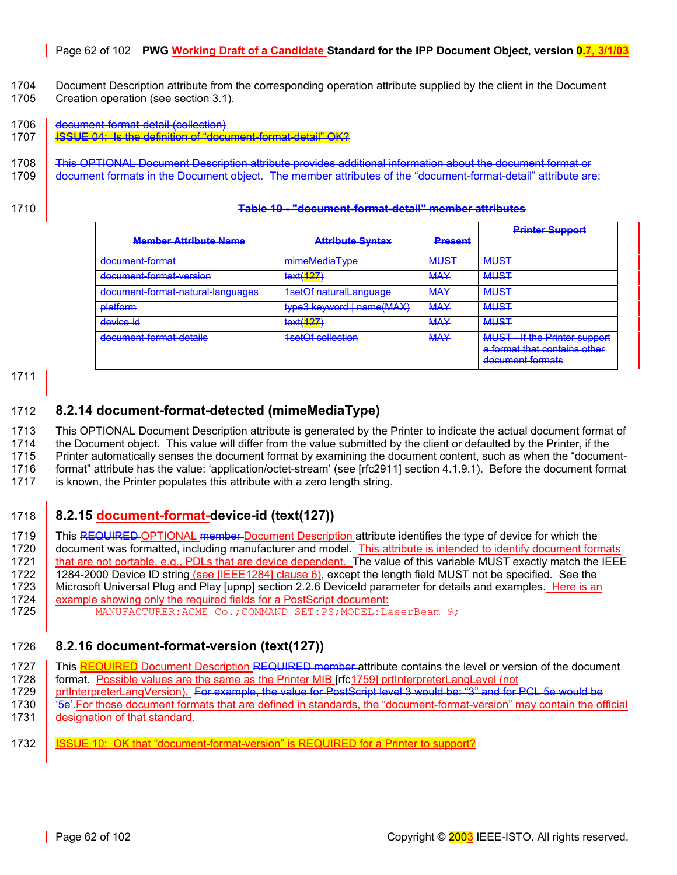#### Page 62 of 102 **PWG Working Draft of a Candidate Standard for the IPP Document Object, version 0.7, 3/1/03**

- 1704 Document Description attribute from the corresponding operation attribute supplied by the client in the Document 1705 Creation operation (see section [3.1\)](#page-14-0).
- <span id="page-61-2"></span>1706 document-format-detail (collection)
- 1707 **I**SSUE 04: Is the definition of "document-format-detail" OK?
- 1708 This OPTIONAL Document Description attribute provides additional information about the document format or 1709 document formats in the Document object. The member attributes of the "document-format-detail" attribute are:
- 

| 1710<br><u>TUMO TV – UOVUINOIN IVINUU VOIUN TIIVIIIIVO UNIIMAIVO</u> |
|----------------------------------------------------------------------|
|----------------------------------------------------------------------|

|                                   |                               |                | <b>Printer Support</b>                                                                   |
|-----------------------------------|-------------------------------|----------------|------------------------------------------------------------------------------------------|
| <b>Member Attribute Name</b>      | <b>Attribute Syntax</b>       | <b>Present</b> |                                                                                          |
| document format                   | mimeMediaType                 | <b>MUST</b>    | <b>MUST</b>                                                                              |
| document format version           | text(127)                     | <b>MAY</b>     | <b>MUST</b>                                                                              |
| document-format-natural-languages | <b>1setOf naturalLanguage</b> | <b>MAY</b>     | <b>MUST</b>                                                                              |
| <b>platform</b>                   | type3 keyword   name(MAX)     | <b>MAY</b>     | <b>MUST</b>                                                                              |
| device-id                         | text( <mark>127)</mark>       | <b>MAY</b>     | <b>MUST</b>                                                                              |
| document-format-details           | <b>1setOf collection</b>      | <b>MAY</b>     | <b>MUST - If the Printer support</b><br>a format that contains other<br>document formats |

1711

# <span id="page-61-3"></span>1712 **8.2.14 document-format-detected (mimeMediaType)**

1713 This OPTIONAL Document Description attribute is generated by the Printer to indicate the actual document format of 1714 the Document object. This value will differ from the value submitted by the client or defaulted by the Printer, if the 1715 Printer automatically senses the document format by examining the document content, such as when the "document-1716 format" attribute has the value: 'application/octet-stream' (see [rfc2911] section 4.1.9.1). Before the document format

1717 is known, the Printer populates this attribute with a zero length string.

# <span id="page-61-0"></span>1718 **8.2.15 document-format-device-id (text(127))**

1719 This REQUIRED OPTIONAL member Document Description attribute identifies the type of device for which the 1720 document was formatted, including manufacturer and model. This attribute is intended to identify document formats 1721 | that are not portable, e.g., PDLs that are device dependent. The value of this variable MUST exactly match the IEEE 1722 1284-2000 Device ID string (see [IEEE1284] clause 6), except the length field MUST not be specified. See the 1723 Microsoft Universal Plug and Play [upnp] section 2.2.6 DeviceId parameter for details and examples. Here is an 1724 **example showing only the required fields for a PostScript document:** 

1725 MANUFACTURER: ACME Co.; COMMAND SET: PS; MODEL: LaserBeam 9;

# <span id="page-61-1"></span>1726 **8.2.16 document-format-version (text(127))**

- 1727 This REQUIRED Document Description REQUIRED member attribute contains the level or version of the document 1728 | format. Possible values are the same as the Printer MIB [rfc1759] prtInterpreterLangLevel (not
- 1729 prtInterpreterLangVersion). For example, the value for PostScript level 3 would be: "3" and for PCL 5e would be<br>1730 See For those document formats that are defined in standards, the "document-format-version" may cont
- 1730 '5e'.For those document formats that are defined in standards, the "document-format-version" may contain the official 1731 **designation of that standard.**
- 1732 I ISSUE 10: OK that "document-format-version" is REQUIRED for a Printer to support?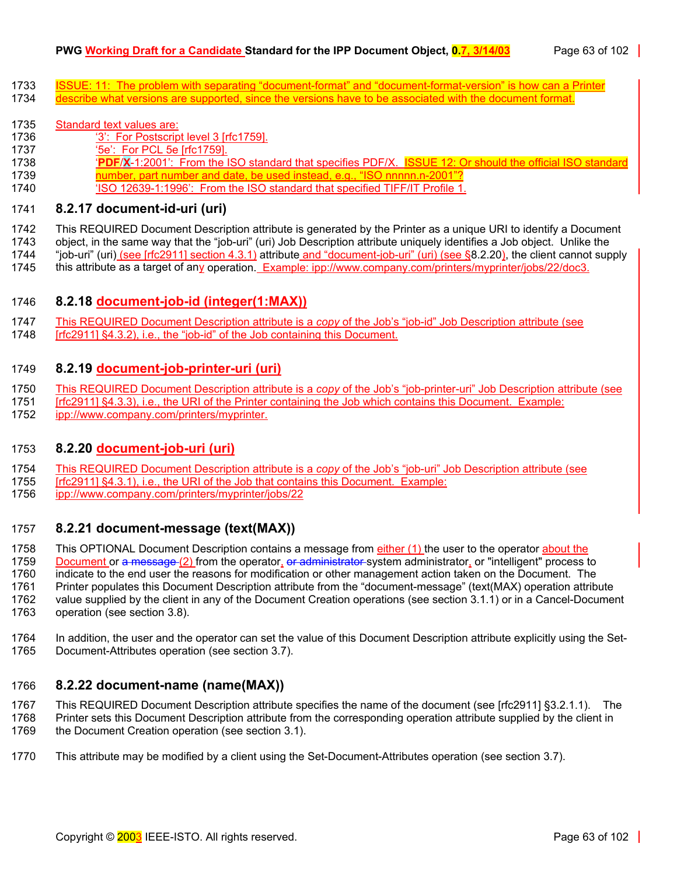- 1733 ISSUE: 11: The problem with separating "document-format" and "document-format-version" is how can a Printer
- 1734 describe what versions are supported, since the versions have to be associated with the document format.

#### 1735 Standard text values are:

- 1736 '3': For Postscript level 3 [rfc1759].
- 1737 '5e': For PCL 5e [rfc1759].
- 1738 '**PDF**/**X**-1:2001': From the ISO standard that specifies PDF/X. ISSUE 12: Or should the official ISO standard
- 1739 **number, part number and date, be used instead, e.g., "ISO nnnnn.n-2001"?**
- 1740 'ISO 12639-1:1996': From the ISO standard that specified TIFF/IT Profile 1.

## <span id="page-62-1"></span>1741 **8.2.17 document-id-uri (uri)**

1742 This REQUIRED Document Description attribute is generated by the Printer as a unique URI to identify a Document

1743 object, in the same way that the "job-uri" (uri) Job Description attribute uniquely identifies a Job object. Unlike the

1744 "job-uri" (uri) (see [rfc2911] section 4.3.1) attribute and "document-job-uri" (uri) (see §[8.2.20\)](#page-62-4), the client cannot supply<br>1745 this attribute as a target of any operation. Example: ipp://www.company.com/printers/my this attribute as a target of any operation. Example: ipp://www.company.com/printers/myprinter/jobs/22/doc3.

# <span id="page-62-2"></span>1746 **8.2.18 document-job-id (integer(1:MAX))**

- 1747 This REQUIRED Document Description attribute is a *copy* of the Job's "job-id" Job Description attribute (see
- [rfc2911] §4.3.2), i.e., the "job-id" of the Job containing this Document.

## <span id="page-62-3"></span>1749 **8.2.19 document-job-printer-uri (uri)**

- 1750 This REQUIRED Document Description attribute is a *copy* of the Job's "job-printer-uri" Job Description attribute (see
- 1751 [rfc2911] §4.3.3), i.e., the URI of the Printer containing the Job which contains this Document. Example:
- 1752 ipp://www.company.com/printers/myprinter.

# <span id="page-62-4"></span>1753 **8.2.20 document-job-uri (uri)**

- 1754 This REQUIRED Document Description attribute is a *copy* of the Job's "job-uri" Job Description attribute (see
- 1755 [rfc2911] §4.3.1), i.e., the URI of the Job that contains this Document. Example:
- 1756 ipp://www.company.com/printers/myprinter/jobs/22

# <span id="page-62-0"></span>1757 **8.2.21 document-message (text(MAX))**

1758 This OPTIONAL Document Description contains a message from either (1) the user to the operator about the

1759 Document or a message (2) from the operator, or administrator system administrator, or "intelligent" process to

1760 indicate to the end user the reasons for modification or other management action taken on the Document. The

1761 Printer populates this Document Description attribute from the "document-message" (text(MAX) operation attribute

1762 value supplied by the client in any of the Document Creation operations (see section [3.1.1\)](#page-15-0) or in a Cancel-Document 1763 operation (see section [3.8\)](#page-29-0).

1764 In addition, the user and the operator can set the value of this Document Description attribute explicitly using the Set-1765 Document-Attributes operation (see section [3.7\)](#page-26-0).

# <span id="page-62-5"></span>1766 **8.2.22 document-name (name(MAX))**

1767 This REQUIRED Document Description attribute specifies the name of the document (see [rfc2911] §3.2.1.1). The 1768 Printer sets this Document Description attribute from the corresponding operation attribute supplied by the client in

1769 the Document Creation operation (see section [3.1\)](#page-14-0).

1770 This attribute may be modified by a client using the Set-Document-Attributes operation (see section [3.7\).](#page-26-0)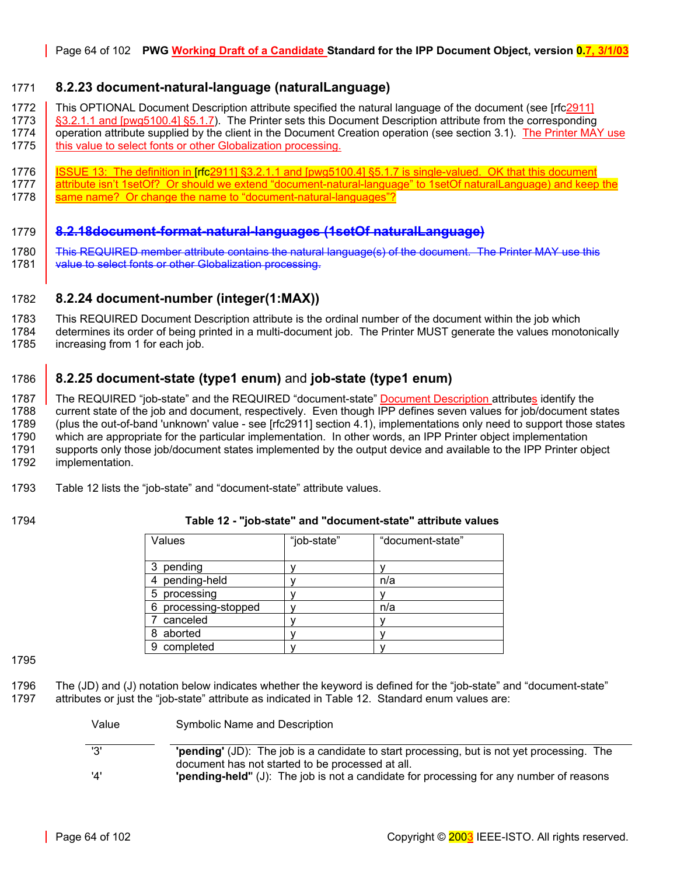### <span id="page-63-1"></span>1771 **8.2.23 document-natural-language (naturalLanguage)**

1772 This OPTIONAL Document Description attribute specified the natural language of the document (see [rfc2911] 1773 \ §3.2.1.1 and [pwg5100.4] §5.1.7). The Printer sets this Document Description attribute from the corresponding 1774 operation attribute supplied by the client in the Document Creation operation (see section [3.1\)](#page-14-0). The Printer MAY use

- 1775 **this value to select fonts or other Globalization processing.**
- 1776 ISSUE 13: The definition in [rfc2911] §3.2.1.1 and [pwg5100.4] §5.1.7 is single-valued. OK that this document 1777 attribute isn't 1setOf? Or should we extend "document-natural-language" to 1setOf naturalLanguage) and keep the 1778 same name? Or change the name to "document-natural-languages"?
- 1779 **8.2.18document-format-natural-languages (1setOf naturalLanguage)**
- 1780 This REQUIRED member attribute contains the natural language(s) of the document. The Printer MAY use this
- 1781 value to select fonts or other Globalization processing.

#### <span id="page-63-0"></span>1782 **8.2.24 document-number (integer(1:MAX))**

1783 This REQUIRED Document Description attribute is the ordinal number of the document within the job which 1784 determines its order of being printed in a multi-document job. The Printer MUST generate the values monotonically 1785 increasing from 1 for each job.

# <span id="page-63-2"></span>1786 **8.2.25 document-state (type1 enum)** and **job-state (type1 enum)**

1787 The REQUIRED "job-state" and the REQUIRED "document-state" Document Description attributes identify the 1788 current state of the job and document, respectively. Even though IPP defines seven values for job/document states 1789 (plus the out-of-band 'unknown' value - see [rfc2911] section 4.1), implementations only need to support those states 1790 which are appropriate for the particular implementation which are appropriate for the particular implementation. In other words, an IPP Printer object implementation 1791 supports only those job/document states implemented by the output device and available to the IPP Printer object 1792 implementation.

1793 [Table 12](#page-63-3) lists the "job-state" and "document-state" attribute values.

Value Symbolic Name and Description

#### <span id="page-63-3"></span>1794 **Table 12 - "job-state" and "document-state" attribute values**

| Values                  | "job-state" | "document-state" |
|-------------------------|-------------|------------------|
|                         |             |                  |
| pending                 |             |                  |
| pending-held            |             | n/a              |
| processing<br>5         |             |                  |
| processing-stopped<br>6 |             | n/a              |
| canceled                |             |                  |
| aborted<br>8            |             |                  |
| completed<br>9          |             |                  |

1795

1796 The (JD) and (J) notation below indicates whether the keyword is defined for the "job-state" and "document-state" 1797 attributes or just the "job-state" attribute as indicated in [Table 12.](#page-63-3) Standard enum values are:

| valut | <b>Syllibolic INAILIE AIR DESCRIPTION</b>                                                         |
|-------|---------------------------------------------------------------------------------------------------|
| '3'   | <b>'pending'</b> (JD): The job is a candidate to start processing, but is not yet processing. The |
|       | document has not started to be processed at all.                                                  |
| '4'   | <b>pending-held"</b> (J): The job is not a candidate for processing for any number of reasons     |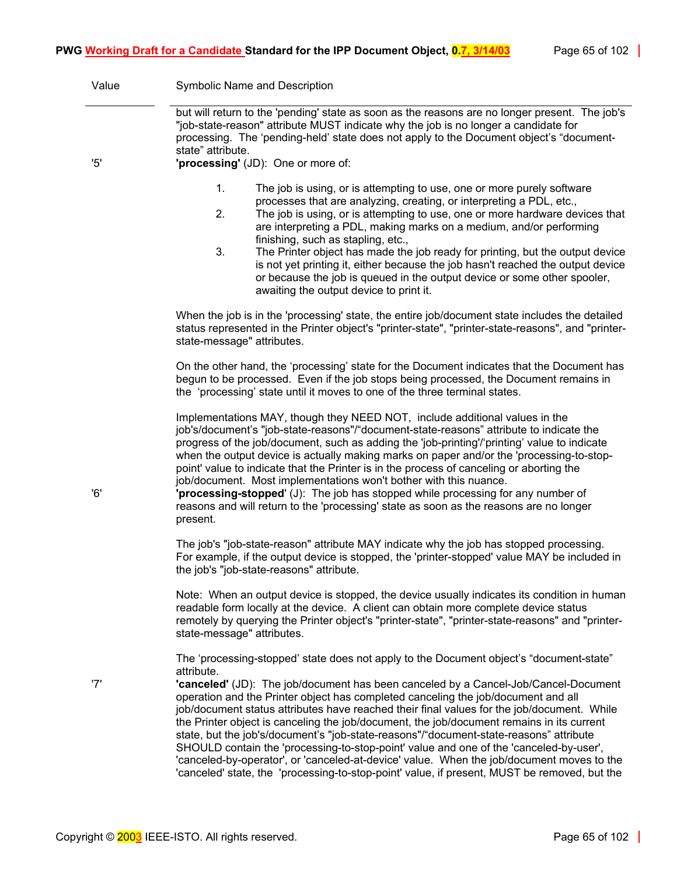| Value | Symbolic Name and Description                                                                                                                                                                                                                                                                                                                                                                                                                                                                                                                                                                                                                                                                                                                                                                                                                                 |
|-------|---------------------------------------------------------------------------------------------------------------------------------------------------------------------------------------------------------------------------------------------------------------------------------------------------------------------------------------------------------------------------------------------------------------------------------------------------------------------------------------------------------------------------------------------------------------------------------------------------------------------------------------------------------------------------------------------------------------------------------------------------------------------------------------------------------------------------------------------------------------|
|       | but will return to the 'pending' state as soon as the reasons are no longer present. The job's<br>"job-state-reason" attribute MUST indicate why the job is no longer a candidate for<br>processing. The 'pending-held' state does not apply to the Document object's "document-<br>state" attribute.                                                                                                                                                                                                                                                                                                                                                                                                                                                                                                                                                         |
| '5'   | 'processing' (JD): One or more of:                                                                                                                                                                                                                                                                                                                                                                                                                                                                                                                                                                                                                                                                                                                                                                                                                            |
|       | 1.<br>The job is using, or is attempting to use, one or more purely software<br>processes that are analyzing, creating, or interpreting a PDL, etc.,<br>2.<br>The job is using, or is attempting to use, one or more hardware devices that<br>are interpreting a PDL, making marks on a medium, and/or performing<br>finishing, such as stapling, etc.,<br>3.<br>The Printer object has made the job ready for printing, but the output device<br>is not yet printing it, either because the job hasn't reached the output device<br>or because the job is queued in the output device or some other spooler,<br>awaiting the output device to print it.                                                                                                                                                                                                      |
|       | When the job is in the 'processing' state, the entire job/document state includes the detailed<br>status represented in the Printer object's "printer-state", "printer-state-reasons", and "printer-<br>state-message" attributes.                                                                                                                                                                                                                                                                                                                                                                                                                                                                                                                                                                                                                            |
|       | On the other hand, the 'processing' state for the Document indicates that the Document has<br>begun to be processed. Even if the job stops being processed, the Document remains in<br>the 'processing' state until it moves to one of the three terminal states.                                                                                                                                                                                                                                                                                                                                                                                                                                                                                                                                                                                             |
| '6'   | Implementations MAY, though they NEED NOT, include additional values in the<br>job's/document's "job-state-reasons"/"document-state-reasons" attribute to indicate the<br>progress of the job/document, such as adding the 'job-printing'/'printing' value to indicate<br>when the output device is actually making marks on paper and/or the 'processing-to-stop-<br>point' value to indicate that the Printer is in the process of canceling or aborting the<br>job/document. Most implementations won't bother with this nuance.<br>"processing-stopped" (J): The job has stopped while processing for any number of<br>reasons and will return to the 'processing' state as soon as the reasons are no longer<br>present.                                                                                                                                 |
|       | The job's "job-state-reason" attribute MAY indicate why the job has stopped processing.<br>For example, if the output device is stopped, the 'printer-stopped' value MAY be included in<br>the job's "job-state-reasons" attribute.                                                                                                                                                                                                                                                                                                                                                                                                                                                                                                                                                                                                                           |
|       | Note: When an output device is stopped, the device usually indicates its condition in human<br>readable form locally at the device. A client can obtain more complete device status<br>remotely by querying the Printer object's "printer-state", "printer-state-reasons" and "printer-<br>state-message" attributes.                                                                                                                                                                                                                                                                                                                                                                                                                                                                                                                                         |
| '7'   | The 'processing-stopped' state does not apply to the Document object's "document-state"<br>attribute.<br>'canceled' (JD): The job/document has been canceled by a Cancel-Job/Cancel-Document<br>operation and the Printer object has completed canceling the job/document and all<br>job/document status attributes have reached their final values for the job/document. While<br>the Printer object is canceling the job/document, the job/document remains in its current<br>state, but the job's/document's "job-state-reasons"/"document-state-reasons" attribute<br>SHOULD contain the 'processing-to-stop-point' value and one of the 'canceled-by-user',<br>'canceled-by-operator', or 'canceled-at-device' value. When the job/document moves to the<br>'canceled' state, the 'processing-to-stop-point' value, if present, MUST be removed, but the |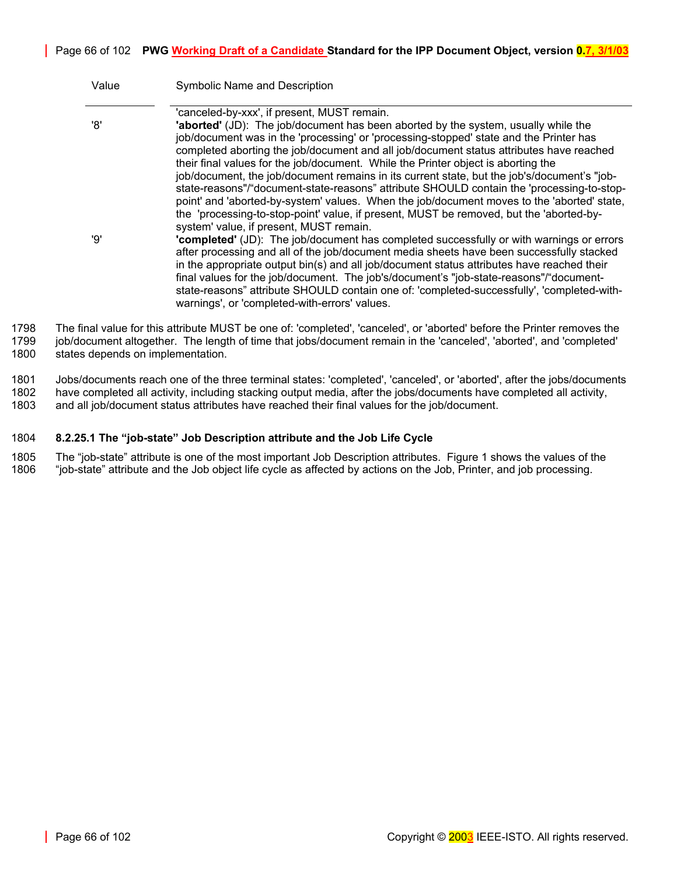| Value | Symbolic Name and Description                                                                                                                                                                                                                                                                                                                                                                                                                                                                                                                                                                                                                                                                                                                                                                    |
|-------|--------------------------------------------------------------------------------------------------------------------------------------------------------------------------------------------------------------------------------------------------------------------------------------------------------------------------------------------------------------------------------------------------------------------------------------------------------------------------------------------------------------------------------------------------------------------------------------------------------------------------------------------------------------------------------------------------------------------------------------------------------------------------------------------------|
| '8'   | 'canceled-by-xxx', if present, MUST remain.<br>'aborted' (JD): The job/document has been aborted by the system, usually while the<br>job/document was in the 'processing' or 'processing-stopped' state and the Printer has<br>completed aborting the job/document and all job/document status attributes have reached<br>their final values for the job/document. While the Printer object is aborting the<br>job/document, the job/document remains in its current state, but the job's/document's "job-<br>state-reasons"/"document-state-reasons" attribute SHOULD contain the 'processing-to-stop-<br>point' and 'aborted-by-system' values. When the job/document moves to the 'aborted' state,<br>the 'processing-to-stop-point' value, if present, MUST be removed, but the 'aborted-by- |
| 'פִי  | system' value, if present, MUST remain.<br>"completed" (JD): The job/document has completed successfully or with warnings or errors<br>after processing and all of the job/document media sheets have been successfully stacked<br>in the appropriate output bin(s) and all job/document status attributes have reached their<br>final values for the job/document. The job's/document's "job-state-reasons"/"document-<br>state-reasons" attribute SHOULD contain one of: 'completed-successfully', 'completed-with-<br>warnings', or 'completed-with-errors' values.                                                                                                                                                                                                                           |

1798 The final value for this attribute MUST be one of: 'completed', 'canceled', or 'aborted' before the Printer removes the 1799 job/document altogether. The length of time that jobs/document remain in the 'canceled', 'aborted', and 'completed' 1800 states depends on implementation.

1801 Jobs/documents reach one of the three terminal states: 'completed', 'canceled', or 'aborted', after the jobs/documents

1802 have completed all activity, including stacking output media, after the jobs/documents have completed all activity, 1803 and all job/document status attributes have reached their final values for the job/document.

#### 1804 **8.2.25.1 The "job-state" Job Description attribute and the Job Life Cycle**

1805 The "job-state" attribute is one of the most important Job Description attributes. [Figure 1 s](#page-66-0)hows the values of the 1806 "job-state" attribute and the Job object life cycle as affected by actions on the Job, Printer, and job processing.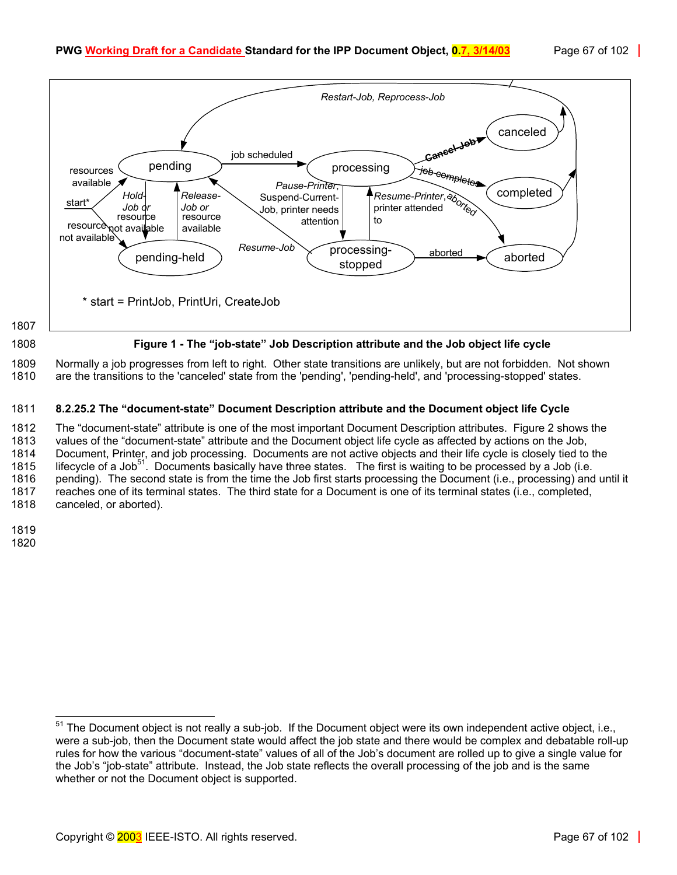<span id="page-66-0"></span>

1809 Normally a job progresses from left to right. Other state transitions are unlikely, but are not forbidden. Not shown 1810 are the transitions to the 'canceled' state from the 'pending', 'pending-held', and 'processing-stopped' states.

#### 1811 **8.2.25.2 The "document-state" Document Description attribute and the Document object life Cycle**

1812 The "document-state" attribute is one of the most important Document Description attributes. [Figure 2 s](#page-67-0)hows the 1813 values of the "document-state" attribute and the Document object life cycle as affected by actions on the Job, 1814 Document, Printer, and job processing. Documents are not active objects and their life cycle is closely tied to the 1815 lifecycle of a Job<sup>51</sup>[.](#page-66-1) Documents basically have three states. The first is waiting to be processed by a Job (i.e. 1816 pending). The second state is from the time the Job first starts processing the Document (i.e., processing) and until it 1817 reaches one of its terminal states. The third state for a Document is one of its terminal states (i.e., completed, 1818 canceled, or aborted).

1819 1820

<span id="page-66-1"></span> $51$  The Document object is not really a sub-job. If the Document object were its own independent active object, i.e., were a sub-job, then the Document state would affect the job state and there would be complex and debatable roll-up rules for how the various "document-state" values of all of the Job's document are rolled up to give a single value for the Job's "job-state" attribute. Instead, the Job state reflects the overall processing of the job and is the same whether or not the Document object is supported.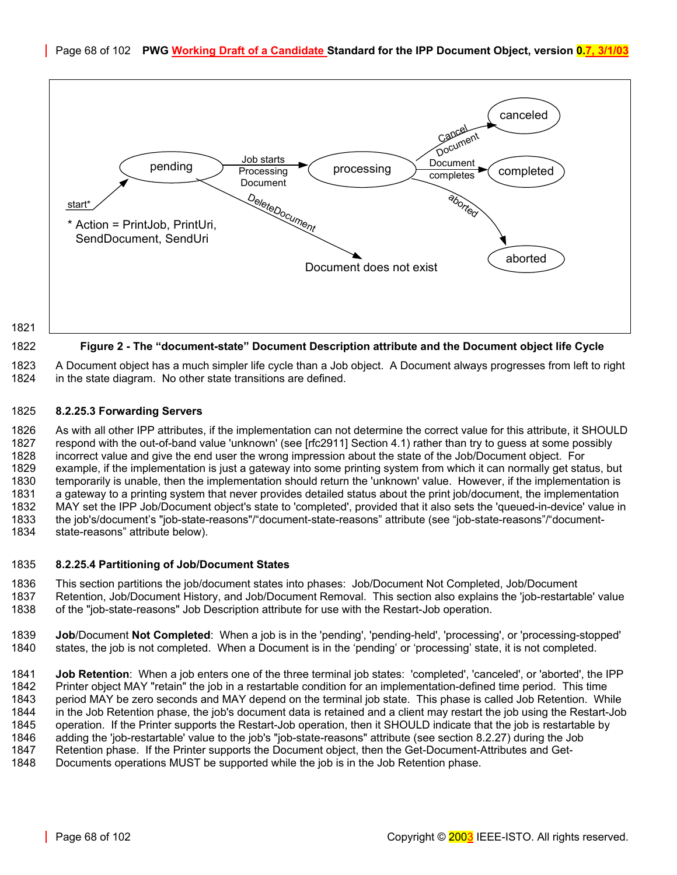<span id="page-67-0"></span>

1821

#### 1822 **Figure 2 - The "document-state" Document Description attribute and the Document object life Cycle**

1823 A Document object has a much simpler life cycle than a Job object. A Document always progresses from left to right 1824 in the state diagram. No other state transitions are defined.

#### 1825 **8.2.25.3 Forwarding Servers**

1826 As with all other IPP attributes, if the implementation can not determine the correct value for this attribute, it SHOULD 1827 respond with the out-of-band value 'unknown' (see [rfc2911] Section 4.1) rather than try to guess at some possibly<br>1828 incorrect value and give the end user the wrong impression about the state of the Job/Document ob 1828 incorrect value and give the end user the wrong impression about the state of the Job/Document object. For<br>1829 example, if the implementation is just a gateway into some printing system from which it can normally get example, if the implementation is just a gateway into some printing system from which it can normally get status, but 1830 temporarily is unable, then the implementation should return the 'unknown' value. However, if the implementation is 1831 a gateway to a printing system that never provides detailed status about the print job/document, the implementation 1832 MAY set the IPP Job/Document object's state to 'completed', provided that it also sets the 'queued-in-device' value in 1833 the job's/document's "job-state-reasons"/"document-state-reasons" attribute (see "job-state-reasons"/"document-1834 state-reasons" attribute below).

#### 1835 **8.2.25.4 Partitioning of Job/Document States**

1836 This section partitions the job/document states into phases: Job/Document Not Completed, Job/Document 1837 Retention, Job/Document History, and Job/Document Removal. This section also explains the 'job-restartable' value 1838 of the "job-state-reasons" Job Description attribute for use with the Restart-Job operation.

1839 **Job**/Document **Not Completed**: When a job is in the 'pending', 'pending-held', 'processing', or 'processing-stopped' 1840 states, the job is not completed. When a Document is in the 'pending' or 'processing' state, it is not completed.

1841 **Job Retention**: When a job enters one of the three terminal job states: 'completed', 'canceled', or 'aborted', the IPP 1842 Printer object MAY "retain" the job in a restartable condition for an implementation-defined time period. This time 1843 period MAY be zero seconds and MAY depend on the terminal job state. This phase is called Job Retention. While 1844 in the Job Retention phase, the job's document data is retained and a client may restart the job using the Restart-Job 1845 operation. If the Printer supports the Restart-Job operation, then it SHOULD indicate that the job is restartable by 1846 adding the 'job-restartable' value to the job's "job-state-reasons" attribute (see section [8.2.27\)](#page-68-1) during the Job 1847 Retention phase. If the Printer supports the Document object, then the Get-Document-Attributes and Get-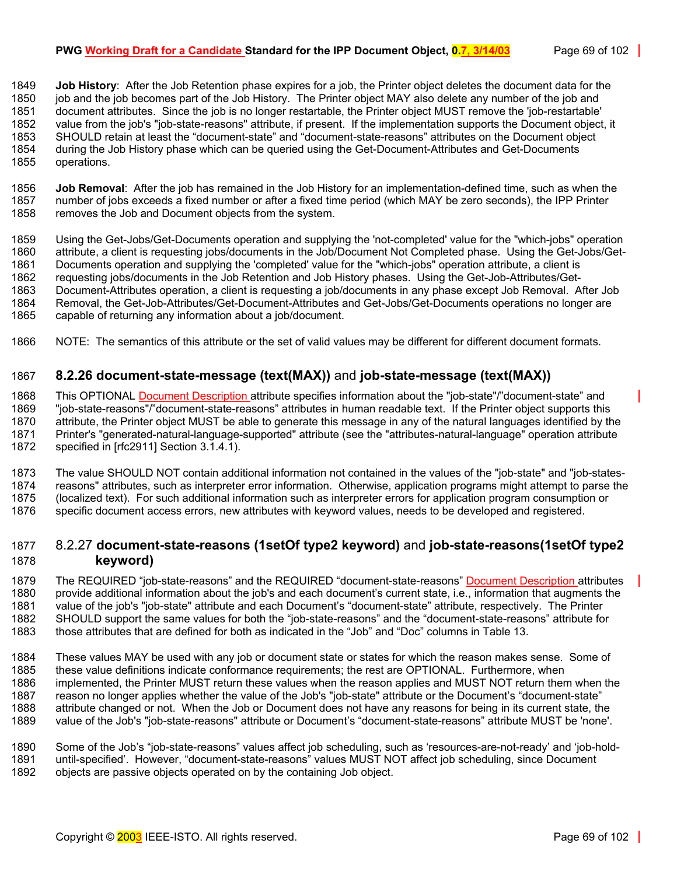#### **PWG Working Draft for a Candidate Standard for the IPP Document Object, 0.7, 3/14/03** Page 69 of 102

1849 **Job History**: After the Job Retention phase expires for a job, the Printer object deletes the document data for the 1850 job and the job becomes part of the Job History. The Printer object MAY also delete any number of the job and 1851 document attributes. Since the job is no longer restartable, the Printer object MUST remove the 'job-restartable' 1852 value from the job's "job-state-reasons" attribute, if present. If the implementation supports the Document object, it 1853 SHOULD retain at least the "document-state" and "document-state-reasons" attributes on the Document object 1854 during the Job History phase which can be queried using the Get-Document-Attributes and Get-Documents 1855 operations.

1856 **Job Removal**: After the job has remained in the Job History for an implementation-defined time, such as when the 1857 number of jobs exceeds a fixed number or after a fixed time period (which MAY be zero seconds), the IPP Printer 1858 removes the Job and Document objects from the system.

1859 Using the Get-Jobs/Get-Documents operation and supplying the 'not-completed' value for the "which-jobs" operation 1860 attribute, a client is requesting jobs/documents in the Job/Document Not Completed phase. Using the Get-Jobs/Get-1861 Documents operation and supplying the 'completed' value for the "which-jobs" operation attribute, a client is 1862 requesting jobs/documents in the Job Retention and Job History phases. Using the Get-Job-Attributes/Get-1863 Document-Attributes operation, a client is requesting a job/documents in any phase except Job Removal. After Job 1864 Removal, the Get-Job-Attributes/Get-Document-Attributes and Get-Jobs/Get-Documents operations no longer are 1865 capable of returning any information about a job/document.

1866 NOTE: The semantics of this attribute or the set of valid values may be different for different document formats.

#### <span id="page-68-0"></span>1867 **8.2.26 document-state-message (text(MAX))** and **job-state-message (text(MAX))**

1868 This OPTIONAL Document Description attribute specifies information about the "job-state"/"document-state" and 1869 "job-state-reasons"/"document-state-reasons" attributes in human readable text. If the Printer object supports this 1870 attribute, the Printer object MUST be able to generate this message in any of the natural languages identified by the 1871 Printer's "generated-natural-language-supported" attribute (see the "attributes-natural-language" operation attribute 1872 specified in [rfc2911] Section 3.1.4.1).

1873 The value SHOULD NOT contain additional information not contained in the values of the "job-state" and "job-states-1874 reasons" attributes, such as interpreter error information. Otherwise, application programs might attempt to parse the 1875 (localized text). For such additional information such as interpreter errors for application program consumption or 1876 specific document access errors, new attributes with keyword values, needs to be developed and registered.

#### <span id="page-68-1"></span>1877 8.2.27 **document-state-reasons (1setOf type2 keyword)** and **job-state-reasons(1setOf type2**  1878 **keyword)**

1879 The REQUIRED "job-state-reasons" and the REQUIRED "document-state-reasons" Document Description attributes 1880 provide additional information about the job's and each document's current state, i.e., information that augments the 1881 value of the job's "job-state" attribute and each Document's "document-state" attribute, respectively. The Printer 1882 SHOULD support the same values for both the "job-state-reasons" and the "document-state-reasons" attribute for 1883 those attributes that are defined for both as indicated in the "Job" and "Doc" columns in [Table 13.](#page-69-0)

1884 These values MAY be used with any job or document state or states for which the reason makes sense. Some of 1885 these value definitions indicate conformance requirements: the rest are OPTIONAL. Furthermore, when these value definitions indicate conformance requirements; the rest are OPTIONAL. Furthermore, when 1886 implemented, the Printer MUST return these values when the reason applies and MUST NOT return them when the 1887 reason no longer applies whether the value of the Job's "job-state" attribute or the Document's "document-state" 1888 attribute changed or not. When the Job or Document does not have any reasons for being in its current state, the 1889 value of the Job's "job-state-reasons" attribute or Document's "document-state-reasons" attribute MUST be 'none'.

1890 Some of the Job's "job-state-reasons" values affect job scheduling, such as 'resources-are-not-ready' and 'job-hold-1891 until-specified'. However, "document-state-reasons" values MUST NOT affect job scheduling, since Document 1892 objects are passive objects operated on by the containing Job object.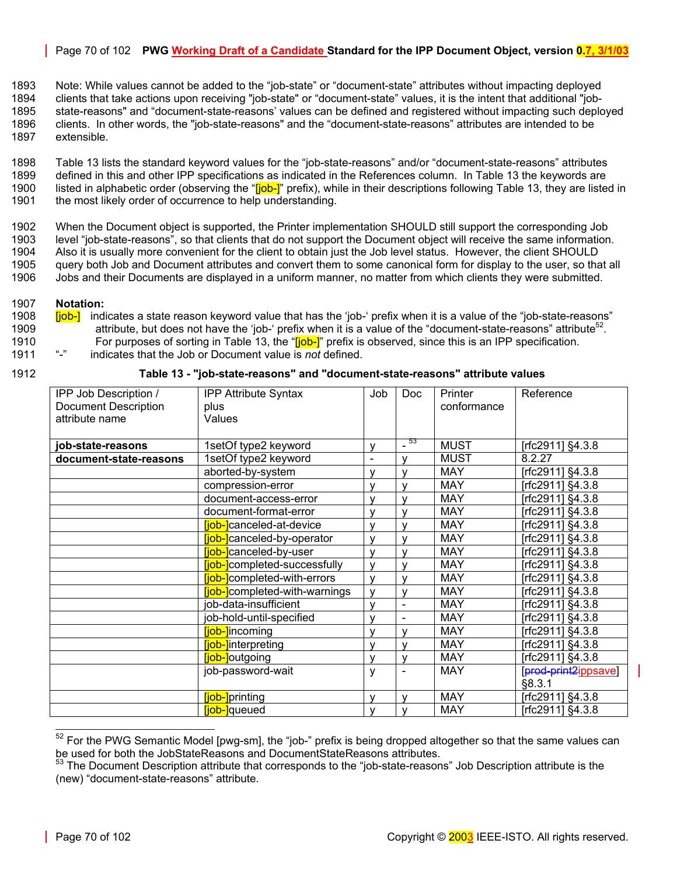#### Page 70 of 102 **PWG Working Draft of a Candidate Standard for the IPP Document Object, version 0.7, 3/1/03**

1893 Note: While values cannot be added to the "job-state" or "document-state" attributes without impacting deployed 1894 clients that take actions upon receiving "job-state" or "document-state" values, it is the intent that additional "job-1895 state-reasons" and "document-state-reasons' values can be defined and registered without impacting such deployed 1896 clients. In other words, the "job-state-reasons" and the "document-state-reasons" attributes are intended to be 1897 extensible.

1898 [Table 13](#page-69-0) lists the standard keyword values for the "job-state-reasons" and/or "document-state-reasons" attributes 1899 defined in this and other IPP specifications as indicated in the References column. In [Table 13](#page-69-0) the keywords are 1900 listed in alphabetic order (observing the "[job-]" prefix), while in their descriptions following [Table 13,](#page-69-0) they are listed in 1901 the most likely order of occurrence to help understanding.

1902 When the Document object is supported, the Printer implementation SHOULD still support the corresponding Job 1903 level "job-state-reasons", so that clients that do not support the Document object will receive the same information. 1904 Also it is usually more convenient for the client to obtain just the Job level status. However, the client SHOULD 1905 query both Job and Document attributes and convert them to some canonical form for display to the user, so that all 1906 Jobs and their Documents are displayed in a uniform manner, no matter from which clients they were submitted.

#### 1907 **Notation:**

- 1908 **[job-]** indicates a state reason keyword value that has the 'job-' prefix when it is a value of the "job-state-reasons" 1909 attribute, but does not have the 'job-' prefix when it is a value of the "document-state-reasons" attribute<sup>52</sup>. 1910 For purposes of sorting in [Table 13,](#page-69-0) the "**[job-]**" prefix is observed, since this is an IPP specification.<br>1911 "-" indicates that the Job or Document value is *not* defined 1911 "-" indicates that the Job or Document value is *not* defined.
- 

1912 **Table 13 - "job-state-reasons" and "document-state-reasons" attribute values** 

<span id="page-69-0"></span>

| IPP Job Description /       | <b>IPP Attribute Syntax</b>          | Job                      | <b>Doc</b>               | <b>Printer</b> | Reference            |
|-----------------------------|--------------------------------------|--------------------------|--------------------------|----------------|----------------------|
| <b>Document Description</b> | plus                                 |                          |                          | conformance    |                      |
| attribute name              | Values                               |                          |                          |                |                      |
|                             |                                      |                          |                          |                |                      |
| job-state-reasons           | 1setOf type2 keyword                 | v                        | $-53$                    | <b>MUST</b>    | [rfc2911] §4.3.8     |
| document-state-reasons      | 1setOf type2 keyword                 | $\overline{\phantom{0}}$ | $\mathbf v$              | <b>MUST</b>    | 8.2.27               |
|                             | aborted-by-system                    | $\mathsf{v}$             | $\mathsf{v}$             | <b>MAY</b>     | [rfc2911] §4.3.8     |
|                             | compression-error                    | v                        | v                        | <b>MAY</b>     | [rfc2911] §4.3.8     |
|                             | document-access-error                | v                        | $\mathbf{v}$             | <b>MAY</b>     | [rfc2911] §4.3.8     |
|                             | document-format-error                | v                        | v                        | <b>MAY</b>     | [rfc2911] §4.3.8     |
|                             | liob-lcanceled-at-device             | v                        | v                        | <b>MAY</b>     | [rfc2911] §4.3.8     |
|                             | liob-lcanceled-by-operator           | $\mathsf{v}$             | $\mathsf{V}$             | <b>MAY</b>     | [rfc2911] §4.3.8     |
|                             | liob-lcanceled-by-user               | $\mathsf{v}$             | v                        | <b>MAY</b>     | [rfc2911] §4.3.8     |
|                             | [job-]completed-successfully         | v                        | v                        | <b>MAY</b>     | [rfc2911] §4.3.8     |
|                             | <b>fjob-</b> completed-with-errors   | v                        |                          | <b>MAY</b>     | [rfc2911] §4.3.8     |
|                             | <b>fiob-</b> completed-with-warnings | v                        | v                        | <b>MAY</b>     | [rfc2911] §4.3.8     |
|                             | job-data-insufficient                | $\mathsf{v}$             | $\blacksquare$           | <b>MAY</b>     | [rfc2911] §4.3.8     |
|                             | job-hold-until-specified             | v                        | $\overline{\phantom{a}}$ | <b>MAY</b>     | [rfc2911] §4.3.8     |
|                             | [job-]incoming                       | v                        | v                        | <b>MAY</b>     | [rfc2911] §4.3.8     |
|                             | [job-]interpreting                   | $\mathsf{v}$             | v                        | <b>MAY</b>     | [rfc2911] §4.3.8     |
|                             | [job-]outgoing                       | v                        | v                        | <b>MAY</b>     | [rfc2911] §4.3.8     |
|                             | job-password-wait                    | y                        |                          | <b>MAY</b>     | [prod-print2ippsave] |
|                             |                                      |                          |                          |                | §8.3.1               |
|                             | [job-]printing                       | v                        | v                        | <b>MAY</b>     | [rfc2911] §4.3.8     |
|                             | <b>fjob-</b> queued                  | v                        | v                        | <b>MAY</b>     | [rfc2911] §4.3.8     |

<span id="page-69-1"></span> $52$  For the PWG Semantic Model [pwg-sm], the "job-" prefix is being dropped altogether so that the same values can be used for both the JobStateReasons and DocumentStateReasons attributes.

<span id="page-69-2"></span><sup>&</sup>lt;sup>53</sup> The Document Description attribute that corresponds to the "job-state-reasons" Job Description attribute is the (new) "document-state-reasons" attribute.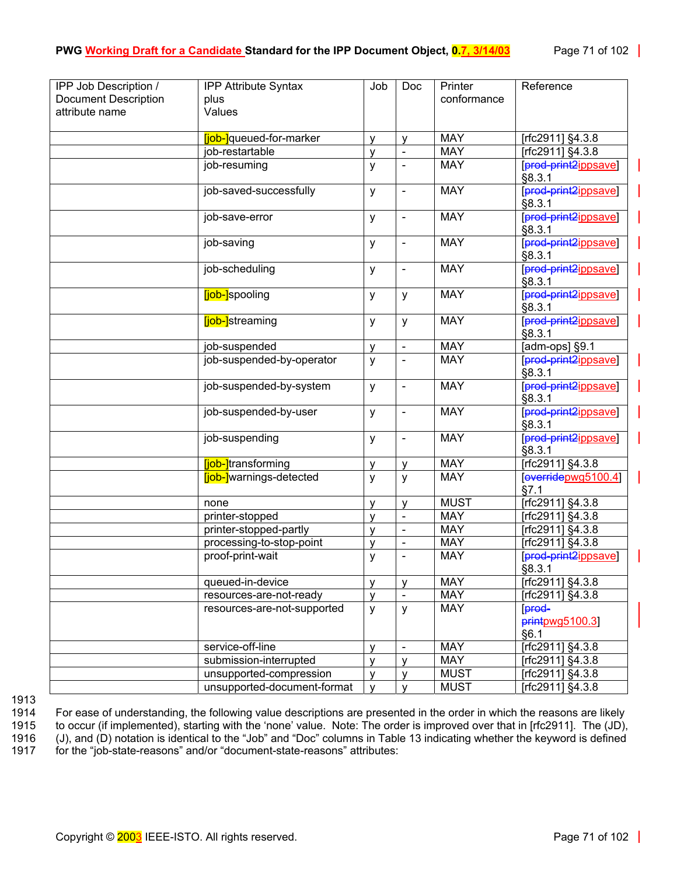| <b>Document Description</b><br>conformance<br>plus<br>attribute name<br>Values<br><b>MAY</b><br>[rfc2911] §4.3.8<br><b>[job-]</b> queued-for-marker<br>$\mathsf{V}$<br>V |  |
|--------------------------------------------------------------------------------------------------------------------------------------------------------------------------|--|
|                                                                                                                                                                          |  |
|                                                                                                                                                                          |  |
|                                                                                                                                                                          |  |
|                                                                                                                                                                          |  |
| <b>MAY</b><br>job-restartable<br>[rfc2911] §4.3.8<br>v<br>$\blacksquare$                                                                                                 |  |
| <b>MAY</b><br>[prod-print2ippsave]<br>job-resuming<br>у<br>§8.3.1                                                                                                        |  |
| job-saved-successfully<br><b>MAY</b><br>[prod-print2ippsave]<br>у<br>$\blacksquare$<br>§8.3.1                                                                            |  |
| <b>MAY</b><br>[prod-print2ippsave]<br>job-save-error<br>У<br>§8.3.1                                                                                                      |  |
| [prod-print2ippsave]<br><b>MAY</b><br>job-saving<br>y<br>$\blacksquare$<br>§8.3.1                                                                                        |  |
| <b>MAY</b><br>[prod-print2ippsave]<br>job-scheduling<br>y<br>$\blacksquare$<br>§8.3.1                                                                                    |  |
| [prod-print2ippsave]<br><b>MAY</b><br>[job-]spooling<br>y<br>у<br>§8.3.1                                                                                                 |  |
| [prod-print2ippsave]<br><b>MAY</b><br><b>[job-]</b> streaming<br>y<br>y<br>§8.3.1                                                                                        |  |
| <b>MAY</b><br>[adm-ops] §9.1<br>job-suspended<br>y<br>$\blacksquare$                                                                                                     |  |
| job-suspended-by-operator<br>[prod-print2ippsave]<br><b>MAY</b><br>y<br>$\overline{\phantom{a}}$<br>§8.3.1                                                               |  |
| prod print2ippsave<br><b>MAY</b><br>job-suspended-by-system<br>y<br>$\blacksquare$<br>§8.3.1                                                                             |  |
| [prod-print2ippsave]<br><b>MAY</b><br>job-suspended-by-user<br>y<br>$\blacksquare$<br>§8.3.1                                                                             |  |
| <b>MAY</b><br>[prod-print2ippsave]<br>job-suspending<br>у<br>$\blacksquare$<br>§8.3.1                                                                                    |  |
| <b>MAY</b><br>[job-]transforming<br>[rfc2911] §4.3.8<br>y<br>$\mathsf{V}$                                                                                                |  |
| [overidepwg5100.4]<br><b>[job-]</b> warnings-detected<br><b>MAY</b><br>y<br>у<br>§7.1                                                                                    |  |
| <b>MUST</b><br>[rfc2911] §4.3.8<br>none<br>$\mathsf{V}$<br>$\mathsf{V}$                                                                                                  |  |
| <b>MAY</b><br>[rfc2911] §4.3.8<br>printer-stopped<br>V<br>$\blacksquare$                                                                                                 |  |
| <b>MAY</b><br>[rfc2911] §4.3.8<br>printer-stopped-partly<br>v<br>$\blacksquare$                                                                                          |  |
| processing-to-stop-point<br><b>MAY</b><br>[rfc2911] §4.3.8<br>v<br>$\blacksquare$                                                                                        |  |
| <b>MAY</b><br>[prod-print2ippsave]<br>proof-print-wait<br>у<br>§8.3.1                                                                                                    |  |
| <b>MAY</b><br>[rfc2911] §4.3.8<br>queued-in-device<br>V<br>v                                                                                                             |  |
| <b>MAY</b><br>[rfc2911] §4.3.8<br>resources-are-not-ready<br>v                                                                                                           |  |
| <b>MAY</b><br>[prod-<br>resources-are-not-supported<br>y<br>y<br>$p$ <sub>rint</sub> $p$ wg5100.31<br>§6.1                                                               |  |
| <b>MAY</b><br>[rfc2911] §4.3.8<br>service-off-line<br>$\mathsf{V}$<br>$\blacksquare$                                                                                     |  |
| <b>MAY</b><br>submission-interrupted<br>$[rfc2911]$ §4.3.8<br>$\mathsf{V}$<br>$\mathsf{V}$                                                                               |  |
| <b>MUST</b><br>[rfc2911] §4.3.8<br>unsupported-compression<br>V<br>$\mathsf{V}$                                                                                          |  |
| <b>MUST</b><br>[rfc2911] §4.3.8<br>unsupported-document-format<br>$\mathsf{v}$<br>$\mathsf{V}$                                                                           |  |

1913<br>1914

1914 For ease of understanding, the following value descriptions are presented in the order in which the reasons are likely<br>1915 to occur (if implemented), starting with the 'none' value. Note: The order is improved over t to occur (if implemented), starting with the 'none' value. Note: The order is improved over that in [rfc2911]. The (JD), 1916 (J), and (D) notation is identical to the "Job" and "Doc" columns in [Table 13](#page-69-0) indicating whether the keyword is defined 1917 for the "job-state-reasons" and/or "document-state-reasons" attributes: for the "job-state-reasons" and/or "document-state-reasons" attributes: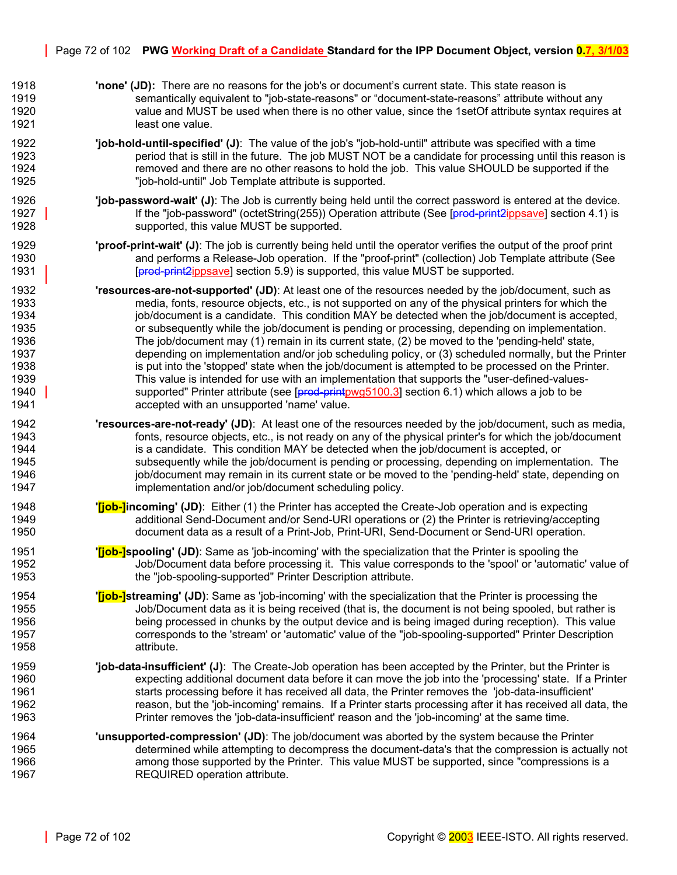- 1918 **'none' (JD):** There are no reasons for the job's or document's current state. This state reason is 1919 semantically equivalent to "job-state-reasons" or "document-state-reasons" attribute without any 1920 value and MUST be used when there is no other value, since the 1setOf attribute syntax requires at 1921 **least one value.**
- 1922 **'job-hold-until-specified' (J)**: The value of the job's "job-hold-until" attribute was specified with a time 1923 period that is still in the future. The job MUST NOT be a candidate for processing until this reason is 1924 removed and there are no other reasons to hold the job. This value SHOULD be supported if the 1925 "job-hold-until" Job Template attribute is supported.
- 1926 **'job-password-wait' (J)**: The Job is currently being held until the correct password is entered at the device. 1927 If the "job-password" (octetString(255)) Operation attribute (See [prod-print2ippsave] section 4.1) is 1928 supported, this value MUST be supported.
- 1929 **'proof-print-wait' (J)**: The job is currently being held until the operator verifies the output of the proof print 1930 and performs a Release-Job operation. If the "proof-print" (collection) Job Template attribute (See 1931 **Formal and Construct Constructs** [prod-print2ippsave] section 5.9) is supported, this value MUST be supported.
- 1932 **'resources-are-not-supported' (JD)**: At least one of the resources needed by the job/document, such as 1933 media, fonts, resource objects, etc., is not supported on any of the physical printers for which the 1934 job/document is a candidate. This condition MAY be detected when the job/document is accepted, 1935 or subsequently while the job/document is pending or processing, depending on implementation. 1936 The job/document may (1) remain in its current state, (2) be moved to the 'pending-held' state, 1937 depending on implementation and/or job scheduling policy, or (3) scheduled normally, but the Printer 1938 is put into the 'stopped' state when the job/document is attempted to be processed on the Printer. 1939 This value is intended for use with an implementation that supports the "user-defined-values-1940 supported" Printer attribute (see [prod-printpwg5100.3] section 6.1) which allows a job to be 1941 accepted with an unsupported 'name' value.
- 1942 **'resources-are-not-ready' (JD)**: At least one of the resources needed by the job/document, such as media, 1943 fonts, resource objects, etc., is not ready on any of the physical printer's for which the job/document 1944 is a candidate. This condition MAY be detected when the job/document is accepted, or 1945 subsequently while the job/document is pending or processing, depending on implementation. The 1946 in its current state or be moved to the 'pending-held' state, depending on it and the state, depending on 1947 implementation and/or job/document scheduling policy.
- 1948 **'[job-]incoming' (JD)**: Either (1) the Printer has accepted the Create-Job operation and is expecting 1949 additional Send-Document and/or Send-URI operations or (2) the Printer is retrieving/accepting 1950 document data as a result of a Print-Job, Print-URI, Send-Document or Send-URI operation.
- 1951 **'[job-]spooling' (JD)**: Same as 'job-incoming' with the specialization that the Printer is spooling the 1952 Job/Document data before processing it. This value corresponds to the 'spool' or 'automatic' value of 1953 the "job-spooling-supported" Printer Description attribute.
- 1954 **'[job-]streaming' (JD)**: Same as 'job-incoming' with the specialization that the Printer is processing the 1955 Job/Document data as it is being received (that is, the document is not being spooled, but rather is 1956 being processed in chunks by the output device and is being imaged during reception). This value 1957 corresponds to the 'stream' or 'automatic' value of the "job-spooling-supported" Printer Description 1958 attribute.
- 1959 **'job-data-insufficient' (J)**: The Create-Job operation has been accepted by the Printer, but the Printer is 1960 expecting additional document data before it can move the job into the 'processing' state. If a Printer 1961 starts processing before it has received all data, the Printer removes the 'job-data-insufficient'<br>1962 1962 starts preason, but the 'job-incoming' remains. If a Printer starts processing after it has received all da reason, but the 'job-incoming' remains. If a Printer starts processing after it has received all data, the 1963 Printer removes the 'job-data-insufficient' reason and the 'job-incoming' at the same time.
- 1964 **'unsupported-compression' (JD)**: The job/document was aborted by the system because the Printer 1965 determined while attempting to decompress the document-data's that the compression is actually not 1966 among those supported by the Printer. This value MUST be supported, since "compressions is a 1967 REQUIRED operation attribute.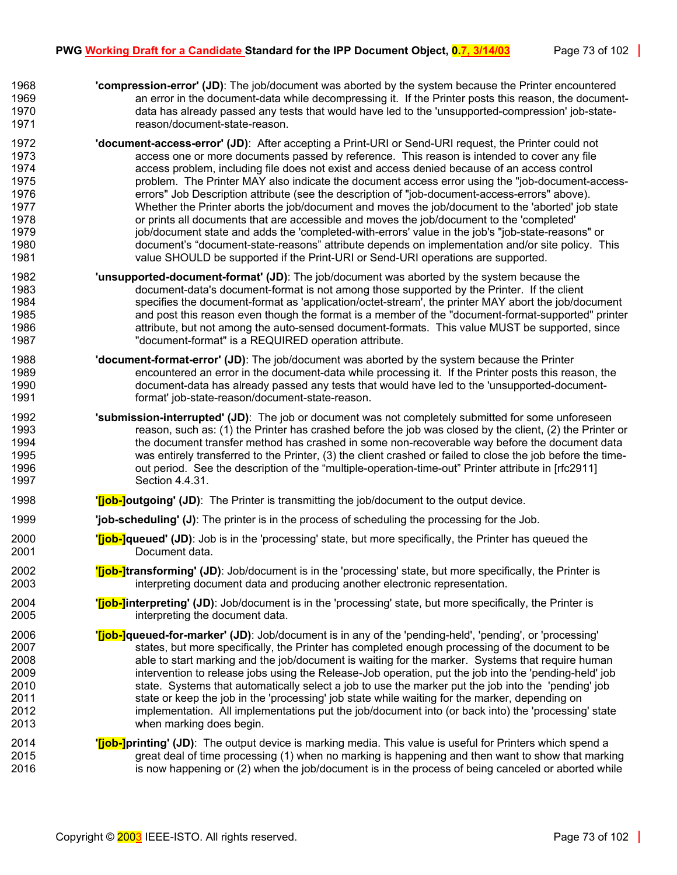- 1968 **'compression-error' (JD)**: The job/document was aborted by the system because the Printer encountered 1969 an error in the document-data while decompressing it. If the Printer posts this reason, the document-1970 data has already passed any tests that would have led to the 'unsupported-compression' job-state-1971 reason/document-state-reason.
- 1972 **'document-access-error' (JD)**: After accepting a Print-URI or Send-URI request, the Printer could not 1973 access one or more documents passed by reference. This reason is intended to cover any file 1974 access problem, including file does not exist and access denied because of an access control 1975 problem. The Printer MAY also indicate the document access error using the "job-document-access-1976 errors" Job Description attribute (see the description of "job-document-access-errors" above). 1977 Whether the Printer aborts the job/document and moves the job/document to the 'aborted' job state 1978 or prints all documents that are accessible and moves the job/document to the 'completed' 1979 job/document state and adds the 'completed-with-errors' value in the job's "job-state-reasons" or 1980 document's "document-state-reasons" attribute depends on implementation and/or site policy. This 1981 value SHOULD be supported if the Print-URI or Send-URI operations are supported.
- 1982 **'unsupported-document-format' (JD)**: The job/document was aborted by the system because the 1983 document-data's document-format is not among those supported by the Printer. If the client 1984 specifies the document-format as 'application/octet-stream', the printer MAY abort the job/document 1985 and post this reason even though the format is a member of the "document-format-supported" printer 1986 **attribute, but not among the auto-sensed document-formats.** This value MUST be supported, since 1987 "document-format" is a REQUIRED operation attribute.
- 1988 **'document-format-error' (JD)**: The job/document was aborted by the system because the Printer 1989 encountered an error in the document-data while processing it. If the Printer posts this reason, the 1990 document-data has already passed any tests that would have led to the 'unsupported-document-1991 format' job-state-reason/document-state-reason.
- 1992 **'submission-interrupted' (JD)**: The job or document was not completely submitted for some unforeseen 1993 reason, such as: (1) the Printer has crashed before the job was closed by the client, (2) the Printer or 1994 the document transfer method has crashed in some non-recoverable way before the document data 1995 was entirely transferred to the Printer, (3) the client crashed or failed to close the job before the time-1996 out period. See the description of the "multiple-operation-time-out" Printer attribute in [rfc2911] 1997 Section 4.4.31.
- 1998 **'[job-]outgoing' (JD)**: The Printer is transmitting the job/document to the output device.
- 1999 **'job-scheduling' (J)**: The printer is in the process of scheduling the processing for the Job.
- 2000 **'[job-]queued' (JD)**: Job is in the 'processing' state, but more specifically, the Printer has queued the 2001 Document data.
- 2002 **'[job-]transforming' (JD)**: Job/document is in the 'processing' state, but more specifically, the Printer is 2003 interpreting document data and producing another electronic representation.
- 2004 **'[job-]interpreting' (JD)**: Job/document is in the 'processing' state, but more specifically, the Printer is 2005 interpreting the document data.
- 2006 **'[job-]queued-for-marker' (JD)**: Job/document is in any of the 'pending-held', 'pending', or 'processing' 2007 states, but more specifically, the Printer has completed enough processing of the document to be 2008 able to start marking and the job/document is waiting for the marker. Systems that require human 2009 intervention to release jobs using the Release-Job operation, put the job into the 'pending-held' job 2010 state. Systems that automatically select a job to use the marker put the job into the 'pending' job 2011 state or keep the job in the 'processing' job state while waiting for the marker, depending on 2012 implementation. All implementations put the job/document into (or back into) the 'processing' state 2013 when marking does begin.
- 2014 **'[job-]printing' (JD)**: The output device is marking media. This value is useful for Printers which spend a 2015 great deal of time processing (1) when no marking is happening and then want to show that marking 2016 is now happening or (2) when the job/document is in the process of being canceled or aborted while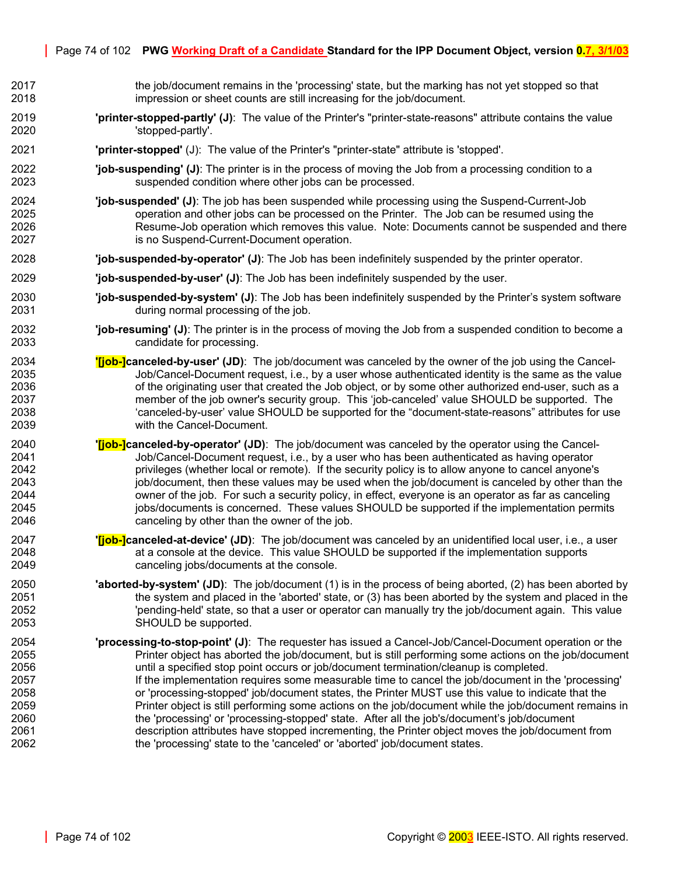- 2017 the job/document remains in the 'processing' state, but the marking has not yet stopped so that 2018 impression or sheet counts are still increasing for the job/document.
- 2019 **'printer-stopped-partly' (J)**: The value of the Printer's "printer-state-reasons" attribute contains the value 2020 'stopped-partly'.
- 2021 **'printer-stopped'** (J): The value of the Printer's "printer-state" attribute is 'stopped'.
- 2022 **'job-suspending' (J)**: The printer is in the process of moving the Job from a processing condition to a 2023 suspended condition where other jobs can be processed.
- 2024 **'job-suspended' (J)**: The job has been suspended while processing using the Suspend-Current-Job 2025 operation and other jobs can be processed on the Printer. The Job can be resumed using the 2026 Resume-Job operation which removes this value. Note: Documents cannot be suspended and there 2027 is no Suspend-Current-Document operation.
- 2028 **'job-suspended-by-operator' (J)**: The Job has been indefinitely suspended by the printer operator.
- 2029 **'job-suspended-by-user' (J)**: The Job has been indefinitely suspended by the user.
- 2030 **'job-suspended-by-system' (J)**: The Job has been indefinitely suspended by the Printer's system software 2031 during normal processing of the job.
- 2032 **'job-resuming' (J)**: The printer is in the process of moving the Job from a suspended condition to become a 2033 candidate for processing.
- 2034 **'[job-]canceled-by-user' (JD)**: The job/document was canceled by the owner of the job using the Cancel-2035 Job/Cancel-Document request, i.e., by a user whose authenticated identity is the same as the value 2036 **of the originating user that created the Job object, or by some other authorized end-user, such as a** 2037 member of the job owner's security group. This 'job-canceled' value SHOULD be supported. The 2038 'canceled-by-user' value SHOULD be supported for the "document-state-reasons" attributes for use 2039 with the Cancel-Document.
- 2040 **'[job-]canceled-by-operator' (JD)**: The job/document was canceled by the operator using the Cancel-Job/Cancel-Document request, i.e., by a user who has been authenticated as having operator 2042 privileges (whether local or remote). If the security policy is to allow anyone to cancel anyone's 2043 job/document, then these values may be used when the job/document is canceled by other than the 2044 owner of the job. For such a security policy, in effect, everyone is an operator as far as canceling 2045 jobs/documents is concerned. These values SHOULD be supported if the implementation permits 2046 canceling by other than the owner of the job.
- 2047 **'[job-]canceled-at-device' (JD)**: The job/document was canceled by an unidentified local user, i.e., a user 2048 at a console at the device. This value SHOULD be supported if the implementation supports 2049 canceling jobs/documents at the console.
- 2050 **'aborted-by-system' (JD)**: The job/document (1) is in the process of being aborted, (2) has been aborted by 2051 the system and placed in the 'aborted' state, or (3) has been aborted by the system and placed in the 2052 'pending-held' state, so that a user or operator can manually try the job/document again. This value 2053 SHOULD be supported.
- 2054 **'processing-to-stop-point' (J)**: The requester has issued a Cancel-Job/Cancel-Document operation or the 2055 Printer object has aborted the job/document, but is still performing some actions on the job/document 2056 until a specified stop point occurs or job/document termination/cleanup is completed. 2057 If the implementation requires some measurable time to cancel the job/document in the 'processing'<br>2058 2058 or 'processing-stopped' job/document states, the Printer MUST use this value to indicate that the or 'processing-stopped' job/document states, the Printer MUST use this value to indicate that the 2059 Printer object is still performing some actions on the job/document while the job/document remains in 2060 the 'processing' or 'processing-stopped' state. After all the job's/document's job/document<br>2061 consident interaction attributes have stopped incrementing, the Printer object moves the job/docume description attributes have stopped incrementing, the Printer object moves the job/document from 2062 the 'processing' state to the 'canceled' or 'aborted' job/document states.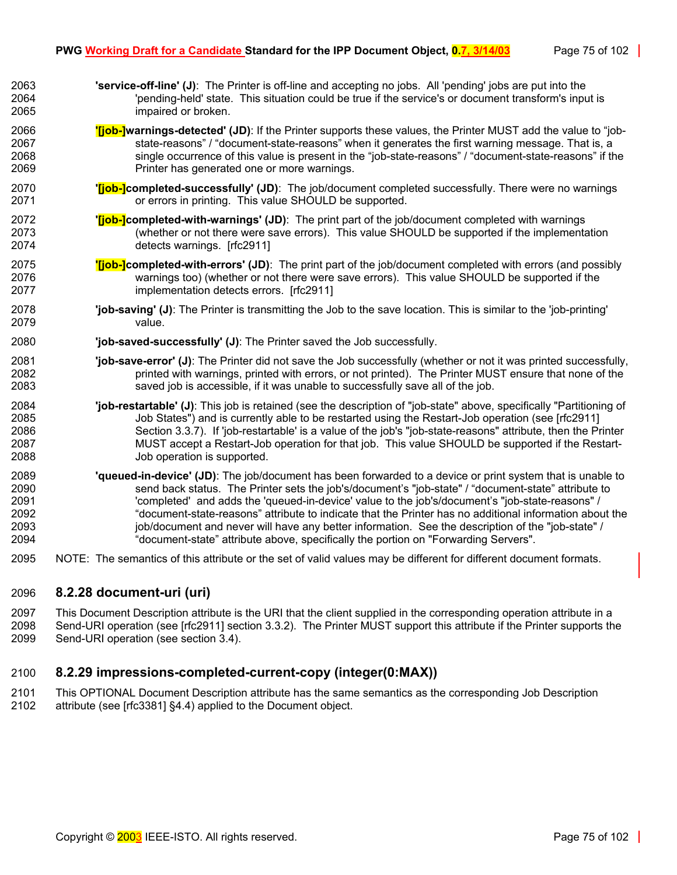- 2063 **'service-off-line' (J)**: The Printer is off-line and accepting no jobs. All 'pending' jobs are put into the 2064 'pending-held' state. This situation could be true if the service's or document transform's input is 2065 impaired or broken. 2066 **'[job-]warnings-detected' (JD)**: If the Printer supports these values, the Printer MUST add the value to "job-2067 state-reasons" / "document-state-reasons" when it generates the first warning message. That is, a 2068 single occurrence of this value is present in the "job-state-reasons" / "document-state-reasons" if the 2069 Printer has generated one or more warnings. 2070 **'[job-]completed-successfully' (JD)**: The job/document completed successfully. There were no warnings 2071 or errors in printing. This value SHOULD be supported. 2072 **'[job-]completed-with-warnings' (JD)**: The print part of the job/document completed with warnings 2073 (whether or not there were save errors). This value SHOULD be supported if the implementation 2074 detects warnings. [rfc2911] 2075 **'[job-]completed-with-errors' (JD)**: The print part of the job/document completed with errors (and possibly 2076 warnings too) (whether or not there were save errors). This value SHOULD be supported if the 2077 implementation detects errors. [rfc2911] 2078 **'job-saving' (J)**: The Printer is transmitting the Job to the save location. This is similar to the 'job-printing' 2079 value. 2080 **'job-saved-successfully' (J)**: The Printer saved the Job successfully. 2081 **'job-save-error' (J)**: The Printer did not save the Job successfully (whether or not it was printed successfully, 2082 printed with warnings, printed with errors, or not printed). The Printer MUST ensure that none of the 2083 saved job is accessible, if it was unable to successfully save all of the job. 2084 **'job-restartable' (J)**: This job is retained (see the description of "job-state" above, specifically "Partitioning of 2085 Job States") and is currently able to be restarted using the Restart-Job operation (see [rfc2911] 2086 Section 3.3.7). If 'job-restartable' is a value of the job's "job-state-reasons" attribute, then the Printer 2087 MUST accept a Restart-Job operation for that job. This value SHOULD be supported if the Restart-2088 Job operation is supported. 2089 **'queued-in-device' (JD)**: The job/document has been forwarded to a device or print system that is unable to 2090 send back status. The Printer sets the job's/document's "job-state" / "document-state" attribute to 2091 'completed' and adds the 'queued-in-device' value to the job's/document's "job-state-reasons" / 2092 "document-state-reasons" attribute to indicate that the Printer has no additional information about the 2093 incording intervals and never will have any better information. See the description of the "job-state" / 2094 "document-state" attribute above, specifically the portion on "Forwarding Servers".
- 2095 NOTE: The semantics of this attribute or the set of valid values may be different for different document formats.

## <span id="page-74-0"></span>2096 **8.2.28 document-uri (uri)**

2097 This Document Description attribute is the URI that the client supplied in the corresponding operation attribute in a 2098 Send-URI operation (see [rfc2911] section 3.3.2). The Printer MUST support this attribute if the Printer supports the 2099 Send-URI operation (see section [3.4\)](#page-21-0).

# <span id="page-74-1"></span>2100 **8.2.29 impressions-completed-current-copy (integer(0:MAX))**

2101 This OPTIONAL Document Description attribute has the same semantics as the corresponding Job Description 2102 attribute (see [rfc3381] §4.4) applied to the Document object.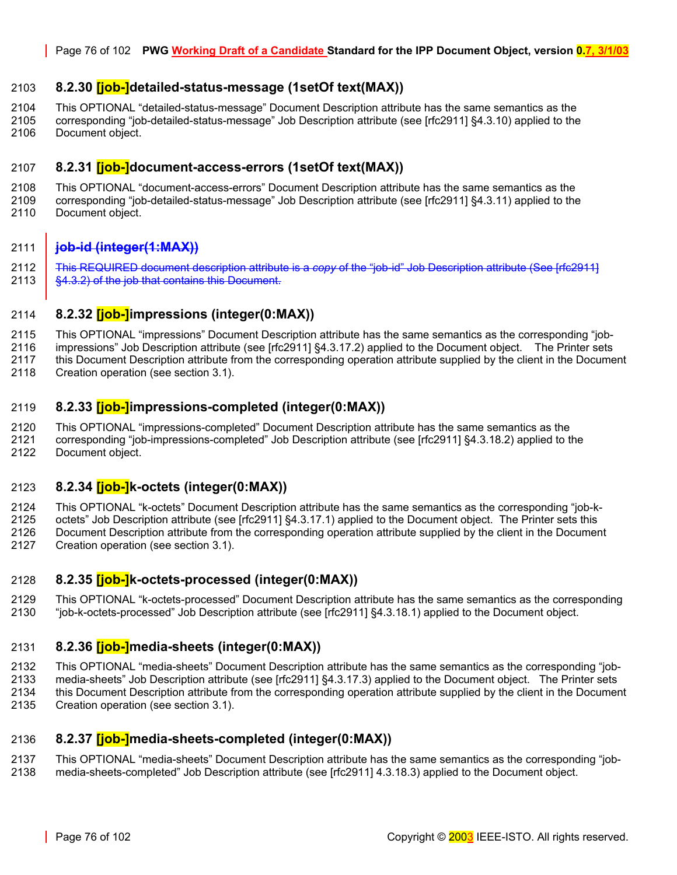## <span id="page-75-0"></span>2103 **8.2.30 [job-]detailed-status-message (1setOf text(MAX))**

2104 This OPTIONAL "detailed-status-message" Document Description attribute has the same semantics as the

2105 corresponding "job-detailed-status-message" Job Description attribute (see [rfc2911] §4.3.10) applied to the 2106 Document object.

## <span id="page-75-1"></span>2107 **8.2.31 [job-]document-access-errors (1setOf text(MAX))**

2108 This OPTIONAL "document-access-errors" Document Description attribute has the same semantics as the 2109<br>2109 Corresponding "job-detailed-status-message" Job Description attribute (see Irfc29111 §4.3.11) applied to th corresponding "job-detailed-status-message" Job Description attribute (see [rfc2911] §4.3.11) applied to the 2110 Document object.

### 2111 **job-id (integer(1:MAX))**

2112 This REQUIRED document description attribute is a *copy* of the "job-id" Job Description attribute (See [rfc2911] 2113 | §4.3.2) of the job that contains this Document.

## <span id="page-75-2"></span>2114 **8.2.32 [job-]impressions (integer(0:MAX))**

2115 This OPTIONAL "impressions" Document Description attribute has the same semantics as the corresponding "job-

2116 impressions" Job Description attribute (see [rfc2911] §4.3.17.2) applied to the Document object. The Printer sets

2117 this Document Description attribute from the corresponding operation attribute supplied by the client in the Document

2118 Creation operation (see section [3.1\)](#page-14-0).

## <span id="page-75-3"></span>2119 **8.2.33 [job-]impressions-completed (integer(0:MAX))**

2120 This OPTIONAL "impressions-completed" Document Description attribute has the same semantics as the

2121 corresponding "job-impressions-completed" Job Description attribute (see [rfc2911] §4.3.18.2) applied to the

2122 Document object.

## <span id="page-75-4"></span>2123 **8.2.34 [job-]k-octets (integer(0:MAX))**

2124 This OPTIONAL "k-octets" Document Description attribute has the same semantics as the corresponding "job-k-

2125 octets" Job Description attribute (see [rfc2911] §4.3.17.1) applied to the Document object. The Printer sets this

2126 Document Description attribute from the corresponding operation attribute supplied by the client in the Document 2127 Creation operation (see section [3.1\)](#page-14-0).

## <span id="page-75-5"></span>2128 **8.2.35 [job-]k-octets-processed (integer(0:MAX))**

2129 This OPTIONAL "k-octets-processed" Document Description attribute has the same semantics as the corresponding 2130 "job-k-octets-processed" Job Description attribute (see [rfc2911] §4.3.18.1) applied to the Document object.

## <span id="page-75-6"></span>2131 **8.2.36 [job-]media-sheets (integer(0:MAX))**

2132 This OPTIONAL "media-sheets" Document Description attribute has the same semantics as the corresponding "job-

2133 media-sheets" Job Description attribute (see [rfc2911] §4.3.17.3) applied to the Document object. The Printer sets 2134 this Document Description attribute from the corresponding operation attribute supplied by the client in the Document 2135 Creation operation (see section [3.1\)](#page-14-0).

## <span id="page-75-7"></span>2136 **8.2.37 [job-]media-sheets-completed (integer(0:MAX))**

2137 This OPTIONAL "media-sheets" Document Description attribute has the same semantics as the corresponding "job-

2138 media-sheets-completed" Job Description attribute (see [rfc2911] 4.3.18.3) applied to the Document object.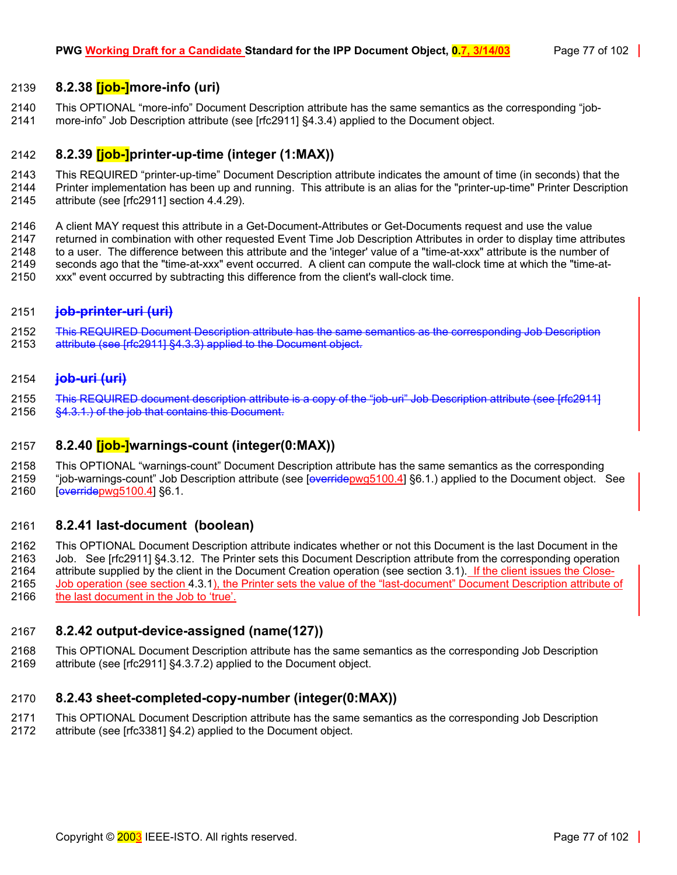## <span id="page-76-2"></span>2139 **8.2.38 [job-]more-info (uri)**

2140 This OPTIONAL "more-info" Document Description attribute has the same semantics as the corresponding "job-2141 more-info" Job Description attribute (see [rfc2911] §4.3.4) applied to the Document object.

## <span id="page-76-4"></span>2142 **8.2.39 [job-]printer-up-time (integer (1:MAX))**

2143 This REQUIRED "printer-up-time" Document Description attribute indicates the amount of time (in seconds) that the 2144 Printer implementation has been up and running. This attribute is an alias for the "printer-up-time" Printer Description

2145 attribute (see [rfc2911] section 4.4.29).

2146 A client MAY request this attribute in a Get-Document-Attributes or Get-Documents request and use the value 2147 returned in combination with other requested Event Time Job Description Attributes in order to display time attributes 2148 to a user. The difference between this attribute and the 'integer' value of a "time-at-xxx" attribute is the number of 2149 seconds ago that the "time-at-xxx" event occurred. A client can compute the wall-clock time at which the "time-at-2150 xxx" event occurred by subtracting this difference from the client's wall-clock time.

### <span id="page-76-0"></span>2151 **job-printer-uri (uri)**

2152 This REQUIRED Document Description attribute has the same semantics as the corresponding Job Description 2153 attribute (see [rfc2911] §4.3.3) applied to the Document object.

### 2154 **job-uri (uri)**

2155 This REQUIRED document description attribute is a copy of the "job-uri" Job Description attribute (see [rfc2911] 2156 §4.3.1.) of the job that contains this Document.

## <span id="page-76-6"></span>2157 **8.2.40 [job-]warnings-count (integer(0:MAX))**

2158 This OPTIONAL "warnings-count" Document Description attribute has the same semantics as the corresponding

2159 "iob-warnings-count" Job Description attribute (see [overridepwg5100.4] §6.1.) applied to the Document object. See 2160 **[everridepwg5100.4]** §6.1.

### <span id="page-76-1"></span>2161 **8.2.41 last-document (boolean)**

2162 This OPTIONAL Document Description attribute indicates whether or not this Document is the last Document in the 2163 Job. See [rfc2911] §4.3.12. The Printer sets this Document Description attribute from the corresponding operation 2164 attribute supplied by the client in the Document Creation operation (see section [3.1\)](#page-14-0). If the client issues the Close-2165 Job operation (see section [4.3.1\)](#page-32-0), the Printer sets the value of the "last-document" Document Description attribute of 2166 the last document in the Job to 'true'.

## <span id="page-76-3"></span>2167 **8.2.42 output-device-assigned (name(127))**

2168 This OPTIONAL Document Description attribute has the same semantics as the corresponding Job Description 2169 attribute (see [rfc2911] §4.3.7.2) applied to the Document object.

### <span id="page-76-5"></span>2170 **8.2.43 sheet-completed-copy-number (integer(0:MAX))**

2171 This OPTIONAL Document Description attribute has the same semantics as the corresponding Job Description 2172 attribute (see [rfc3381] §4.2) applied to the Document object.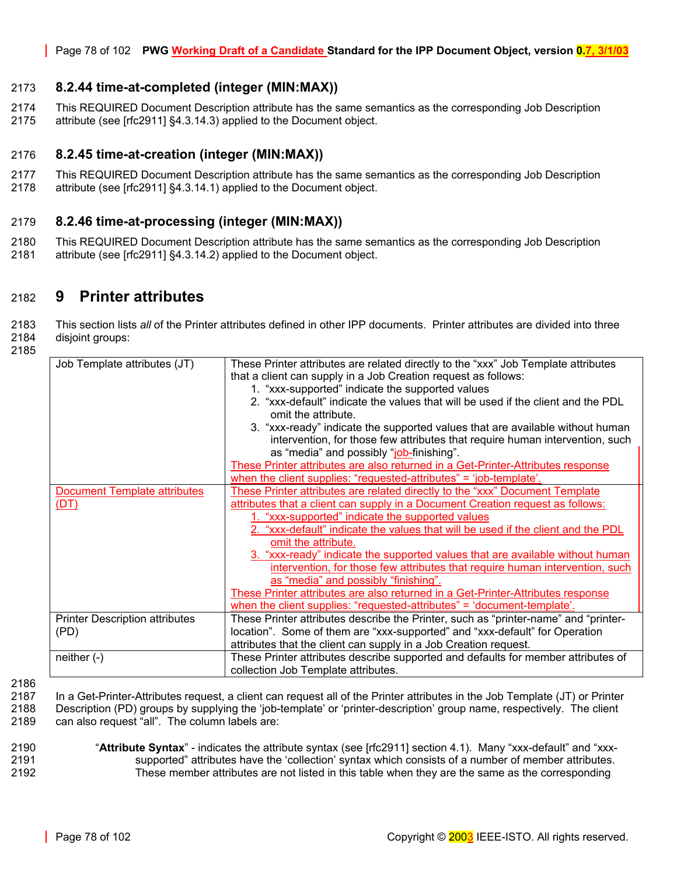### <span id="page-77-1"></span>2173 **8.2.44 time-at-completed (integer (MIN:MAX))**

2174 This REQUIRED Document Description attribute has the same semantics as the corresponding Job Description 2175 attribute (see [rfc2911] §4.3.14.3) applied to the Document object.

### <span id="page-77-2"></span>2176 **8.2.45 time-at-creation (integer (MIN:MAX))**

- 2177 This REQUIRED Document Description attribute has the same semantics as the corresponding Job Description
- 2178 attribute (see [rfc2911] §4.3.14.1) applied to the Document object.

### <span id="page-77-3"></span>2179 **8.2.46 time-at-processing (integer (MIN:MAX))**

2180 This REQUIRED Document Description attribute has the same semantics as the corresponding Job Description 2181 attribute (see [rfc2911] §4.3.14.2) applied to the Document object.

## 2182 **9 Printer attributes**

2183 This section lists *all* of the Printer attributes defined in other IPP documents. Printer attributes are divided into three 2184 disjoint groups:

2185

| Job Template attributes (JT)          | These Printer attributes are related directly to the "xxx" Job Template attributes  |
|---------------------------------------|-------------------------------------------------------------------------------------|
|                                       | that a client can supply in a Job Creation request as follows:                      |
|                                       | 1. "xxx-supported" indicate the supported values                                    |
|                                       | 2. "xxx-default" indicate the values that will be used if the client and the PDL    |
|                                       | omit the attribute.                                                                 |
|                                       | 3. "xxx-ready" indicate the supported values that are available without human       |
|                                       | intervention, for those few attributes that require human intervention, such        |
|                                       | as "media" and possibly "job-finishing".                                            |
|                                       | These Printer attributes are also returned in a Get-Printer-Attributes response     |
|                                       | when the client supplies: "requested-attributes" = 'job-template'.                  |
| <b>Document Template attributes</b>   | These Printer attributes are related directly to the "xxx" Document Template        |
| (DT)                                  | attributes that a client can supply in a Document Creation request as follows:      |
|                                       | 1. "xxx-supported" indicate the supported values                                    |
|                                       | 2. "xxx-default" indicate the values that will be used if the client and the PDL    |
|                                       | omit the attribute.                                                                 |
|                                       | 3. "xxx-ready" indicate the supported values that are available without human       |
|                                       | intervention, for those few attributes that require human intervention, such        |
|                                       | as "media" and possibly "finishing".                                                |
|                                       | These Printer attributes are also returned in a Get-Printer-Attributes response     |
|                                       | when the client supplies: "requested-attributes" = 'document-template'.             |
| <b>Printer Description attributes</b> | These Printer attributes describe the Printer, such as "printer-name" and "printer- |
| (PD)                                  | location". Some of them are "xxx-supported" and "xxx-default" for Operation         |
|                                       | attributes that the client can supply in a Job Creation request.                    |
| neither $(-)$                         | These Printer attributes describe supported and defaults for member attributes of   |
|                                       | collection Job Template attributes.                                                 |
|                                       |                                                                                     |

<span id="page-77-0"></span>2186

2187 In a Get-Printer-Attributes request, a client can request all of the Printer attributes in the Job Template (JT) or Printer 2188 Description (PD) groups by supplying the 'job-template' or 'printer-description' group name, respectively. The client

2189 can also request "all". The column labels are:

### 2190 "**Attribute Syntax**" - indicates the attribute syntax (see [rfc2911] section 4.1). Many "xxx-default" and "xxx-2191 supported" attributes have the 'collection' syntax which consists of a number of member attributes. 2192 These member attributes are not listed in this table when they are the same as the corresponding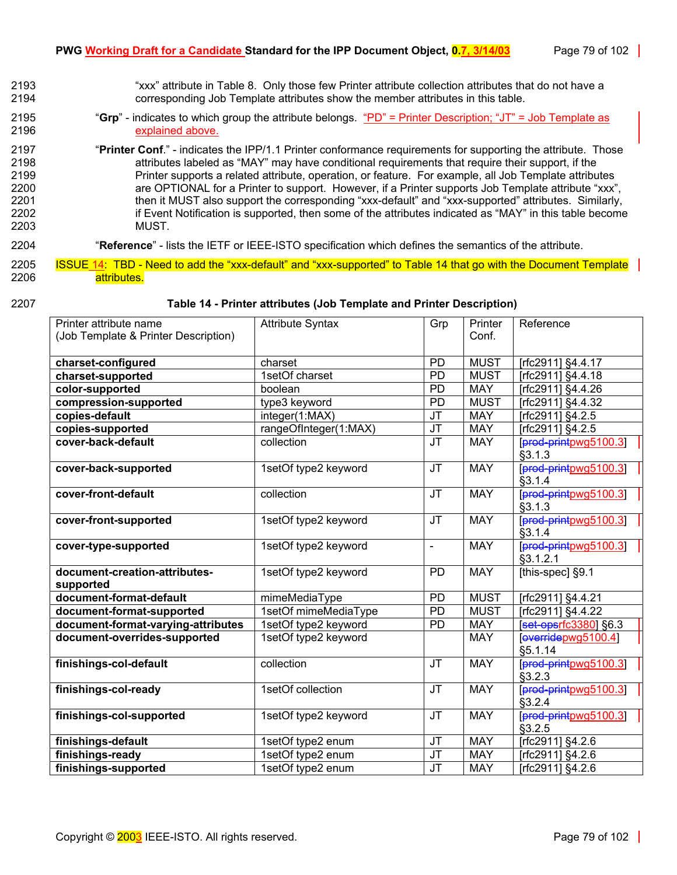- 2193 "xxx" attribute in [Table 8.](#page-43-0) Only those few Printer attribute collection attributes that do not have a 2194 corresponding Job Template attributes show the member attributes in this table.
- 2195 "**Grp**" indicates to which group the attribute belongs. "PD" = Printer Description; "JT" = Job Template as 2196 explained above.
- 2197 "**Printer Conf**." indicates the IPP/1.1 Printer conformance requirements for supporting the attribute. Those 2198 attributes labeled as "MAY" may have conditional requirements that require their support, if the 2199 Printer supports a related attribute, operation, or feature. For example, all Job Template attributes 2200 are OPTIONAL for a Printer to support. However, if a Printer supports Job Template attribute "xxx", 2201 then it MUST also support the corresponding "xxx-default" and "xxx-supported" attributes. Similarly, 2202 if Event Notification is supported, then some of the attributes indicated as "MAY" in this table become 2203 MUST.

### 2204 "**Reference**" - lists the IETF or IEEE-ISTO specification which defines the semantics of the attribute.

- 2205 ISSUE 14: TBD Need to add the "xxx-default" and "xxx-supported" to Table 14 that go with the Document Template 2206 attributes.
- 

### 2207 **Table 14 - Printer attributes (Job Template and Printer Description)**

| Printer attribute name                     | <b>Attribute Syntax</b> | Grp                               | Printer     | Reference               |
|--------------------------------------------|-------------------------|-----------------------------------|-------------|-------------------------|
| (Job Template & Printer Description)       |                         |                                   | Conf.       |                         |
| charset-configured                         | charset                 | <b>PD</b>                         | <b>MUST</b> | [rfc2911] §4.4.17       |
| charset-supported                          | 1setOf charset          | $\overline{PD}$                   | <b>MUST</b> | [rfc2911] §4.4.18       |
| color-supported                            | boolean                 | PD                                | <b>MAY</b>  | [rfc2911] §4.4.26       |
| compression-supported                      | type3 keyword           | <b>PD</b>                         | <b>MUST</b> | [rfc2911] §4.4.32       |
| copies-default                             | integer(1:MAX)          | $\overline{\mathsf{J}\mathsf{T}}$ | <b>MAY</b>  | [rfc2911] §4.2.5        |
| copies-supported                           | rangeOfInteger(1:MAX)   | <b>JT</b>                         | <b>MAY</b>  | [rfc2911] §4.2.5        |
| cover-back-default                         | collection              | $\overline{\mathsf{J}\mathsf{T}}$ | <b>MAY</b>  | [prod-printpwg5100.3]   |
|                                            |                         |                                   |             | §3.1.3                  |
| cover-back-supported                       | 1setOf type2 keyword    | <b>JT</b>                         | <b>MAY</b>  | [prod-printpwg5100.3]   |
|                                            |                         |                                   |             | §3.1.4                  |
| cover-front-default                        | collection              | $\overline{\mathsf{J}\mathsf{T}}$ | <b>MAY</b>  | [prod-printpwg5100.3]   |
|                                            |                         |                                   |             | §3.1.3                  |
| cover-front-supported                      | 1setOf type2 keyword    | <b>JT</b>                         | <b>MAY</b>  | [prod-printpwg5100.3]   |
|                                            |                         |                                   |             | §3.1.4                  |
| cover-type-supported                       | 1setOf type2 keyword    | $\overline{\phantom{a}}$          | <b>MAY</b>  | [prod-printpwg5100.3]   |
|                                            |                         |                                   |             | §3.1.2.1                |
| document-creation-attributes-<br>supported | 1setOf type2 keyword    | <b>PD</b>                         | <b>MAY</b>  | [this-spec] §9.1        |
| document-format-default                    | mimeMediaType           | <b>PD</b>                         | <b>MUST</b> | [rfc2911] §4.4.21       |
| document-format-supported                  | 1setOf mimeMediaType    | <b>PD</b>                         | <b>MUST</b> | [ $rfc2911$ ] $§4.4.22$ |
| document-format-varying-attributes         | 1setOf type2 keyword    | $\overline{PD}$                   | <b>MAY</b>  | [set-opsrfc3380] §6.3   |
| document-overrides-supported               | 1setOf type2 keyword    |                                   | <b>MAY</b>  | [everridepwg5100.4]     |
|                                            |                         |                                   |             | §5.1.14                 |
| finishings-col-default                     | collection              | $\overline{\mathsf{J}\mathsf{T}}$ | <b>MAY</b>  | [prod-printpwg5100.3]   |
|                                            |                         |                                   |             | §3.2.3                  |
| finishings-col-ready                       | 1setOf collection       | $\overline{\mathsf{J}\mathsf{T}}$ | <b>MAY</b>  | [prod-printpwg5100.3]   |
|                                            |                         |                                   |             | §3.2.4                  |
| finishings-col-supported                   | 1setOf type2 keyword    | <b>JT</b>                         | <b>MAY</b>  | [prod-printpwg5100.3]   |
|                                            |                         |                                   |             | §3.2.5                  |
| finishings-default                         | 1setOf type2 enum       | $\overline{\mathsf{J}\mathsf{T}}$ | <b>MAY</b>  | [rfc2911] §4.2.6        |
| finishings-ready                           | 1setOf type2 enum       | <b>JT</b>                         | <b>MAY</b>  | [rfc2911] §4.2.6        |
| finishings-supported                       | 1setOf type2 enum       | <b>JT</b>                         | <b>MAY</b>  | [rfc2911] §4.2.6        |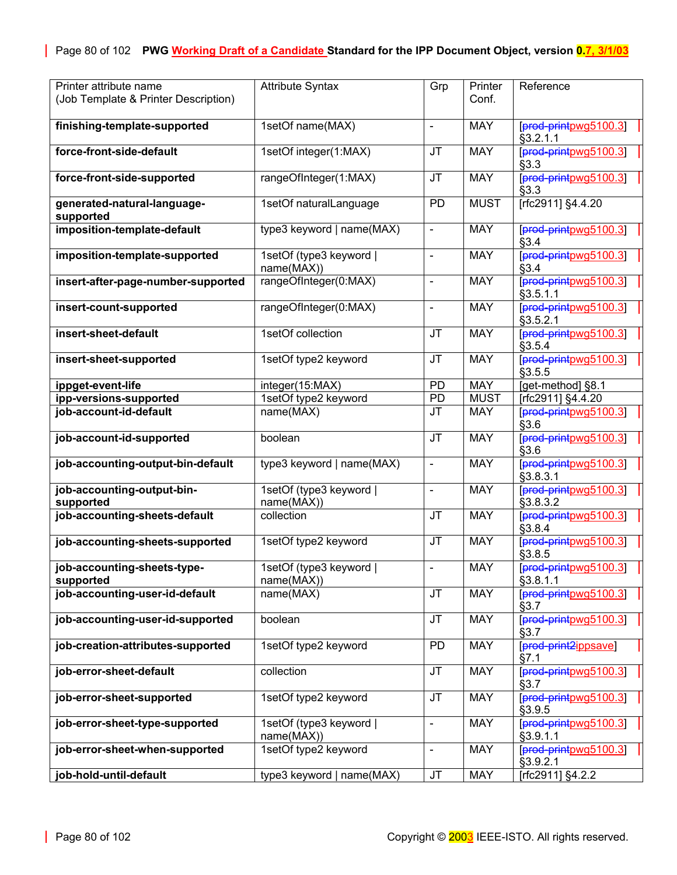| Printer attribute name<br>(Job Template & Printer Description) | <b>Attribute Syntax</b>               | Grp                               | Printer<br>Conf. | Reference                         |
|----------------------------------------------------------------|---------------------------------------|-----------------------------------|------------------|-----------------------------------|
| finishing-template-supported                                   | 1setOf name(MAX)                      | $\frac{1}{2}$                     | <b>MAY</b>       | [prod-printpwg5100.3]<br>§3.2.1.1 |
| force-front-side-default                                       | 1setOf integer(1:MAX)                 | <b>JT</b>                         | <b>MAY</b>       | [prod-printpwg5100.3]<br>§3.3     |
| force-front-side-supported                                     | rangeOfInteger(1:MAX)                 | <b>JT</b>                         | <b>MAY</b>       | [prod-printpwg5100.3]<br>§3.3     |
| generated-natural-language-<br>supported                       | 1setOf naturalLanguage                | PD                                | <b>MUST</b>      | [rfc2911] §4.4.20                 |
| imposition-template-default                                    | type3 keyword   name(MAX)             | $\overline{\phantom{a}}$          | <b>MAY</b>       | [prod-printpwg5100.3]<br>§3.4     |
| imposition-template-supported                                  | 1setOf (type3 keyword  <br>name(MAX)) | $\blacksquare$                    | <b>MAY</b>       | [prod-printpwg5100.3]<br>§3.4     |
| insert-after-page-number-supported                             | rangeOfInteger(0:MAX)                 | L,                                | <b>MAY</b>       | [prod-printpwg5100.3]<br>§3.5.1.1 |
| insert-count-supported                                         | rangeOfInteger(0:MAX)                 | $\overline{\phantom{0}}$          | <b>MAY</b>       | [prod-printpwg5100.3]<br>§3.5.2.1 |
| insert-sheet-default                                           | 1setOf collection                     | JT                                | <b>MAY</b>       | [prod-printpwg5100.3]<br>§3.5.4   |
| insert-sheet-supported                                         | 1setOf type2 keyword                  | <b>JT</b>                         | <b>MAY</b>       | [prod-printpwg5100.3]<br>§3.5.5   |
| ippget-event-life                                              | integer(15:MAX)                       | <b>PD</b>                         | <b>MAY</b>       | [get-method] §8.1                 |
| ipp-versions-supported                                         | 1setOf type2 keyword                  | PD                                | <b>MUST</b>      | [rfc2911] §4.4.20                 |
| job-account-id-default                                         | name(MAX)                             | <b>JT</b>                         | <b>MAY</b>       | [prod-printpwg5100.3]<br>§3.6     |
| job-account-id-supported                                       | boolean                               | <b>JT</b>                         | <b>MAY</b>       | [prod-printpwg5100.3]<br>§3.6     |
| job-accounting-output-bin-default                              | type3 keyword   name(MAX)             | $\qquad \qquad \blacksquare$      | <b>MAY</b>       | [prod-printpwg5100.3]<br>§3.8.3.1 |
| job-accounting-output-bin-<br>supported                        | 1setOf (type3 keyword  <br>name(MAX)) | $\qquad \qquad \blacksquare$      | <b>MAY</b>       | [prod-printpwg5100.3]<br>§3.8.3.2 |
| job-accounting-sheets-default                                  | collection                            | JT                                | <b>MAY</b>       | [prod-printpwg5100.3]<br>§3.8.4   |
| job-accounting-sheets-supported                                | 1setOf type2 keyword                  | <b>JT</b>                         | <b>MAY</b>       | [prod-printpwg5100.3]<br>§3.8.5   |
| job-accounting-sheets-type-<br>supported                       | 1setOf (type3 keyword  <br>name(MAX)) | $\blacksquare$                    | <b>MAY</b>       | [prod-printpwg5100.3]<br>§3.8.1.1 |
| job-accounting-user-id-default                                 | name(MAX)                             | $\overline{\mathsf{J}\mathsf{T}}$ | <b>MAY</b>       | [prod-printpwg5100.3]<br>§3.7     |
| job-accounting-user-id-supported                               | boolean                               | <b>JT</b>                         | <b>MAY</b>       | [prod-printpwg5100.3]<br>§3.7     |
| job-creation-attributes-supported                              | 1setOf type2 keyword                  | <b>PD</b>                         | <b>MAY</b>       | [prod-print2ippsave]<br>§7.1      |
| job-error-sheet-default                                        | collection                            | <b>JT</b>                         | <b>MAY</b>       | [prod-printpwg5100.3]<br>§3.7     |
| job-error-sheet-supported                                      | 1setOf type2 keyword                  | <b>JT</b>                         | <b>MAY</b>       | [prod-printpwg5100.3]<br>§3.9.5   |
| job-error-sheet-type-supported                                 | 1setOf (type3 keyword)<br>name(MAX))  | $\frac{1}{2}$                     | <b>MAY</b>       | [prod-printpwg5100.3]<br>§3.9.1.1 |
| job-error-sheet-when-supported                                 | 1setOf type2 keyword                  | $\blacksquare$                    | <b>MAY</b>       | [prod-printpwg5100.3]<br>§3.9.2.1 |
| job-hold-until-default                                         | type3 keyword   name(MAX)             | <b>JT</b>                         | <b>MAY</b>       | [rfc2911] §4.2.2                  |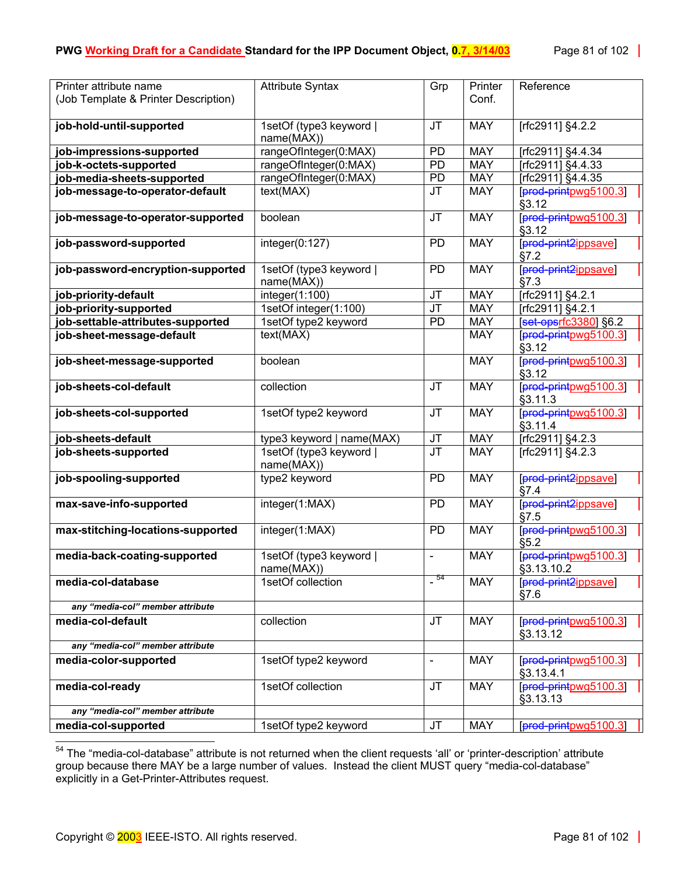| Printer attribute name               | <b>Attribute Syntax</b>               | Grp                               | Printer    | Reference                           |
|--------------------------------------|---------------------------------------|-----------------------------------|------------|-------------------------------------|
| (Job Template & Printer Description) |                                       |                                   | Conf.      |                                     |
|                                      |                                       | <b>JT</b>                         | <b>MAY</b> |                                     |
| job-hold-until-supported             | 1setOf (type3 keyword  <br>name(MAX)) |                                   |            | [rfc2911] §4.2.2                    |
| job-impressions-supported            | rangeOfInteger(0:MAX)                 | PD                                | <b>MAY</b> | [rfc2911] §4.4.34                   |
| job-k-octets-supported               | rangeOfInteger(0:MAX)                 | PD                                | <b>MAY</b> | [rfc2911] §4.4.33                   |
| job-media-sheets-supported           | rangeOfInteger(0:MAX)                 | PD                                | <b>MAY</b> | [rfc2911] §4.4.35                   |
| job-message-to-operator-default      | text(MAX)                             | <b>JT</b>                         | <b>MAY</b> | [prod-printpwg5100.3]<br>§3.12      |
| job-message-to-operator-supported    | boolean                               | $\overline{\mathsf{J}\mathsf{T}}$ | <b>MAY</b> | prod-printpwg5100.3<br>§3.12        |
| job-password-supported               | integer(0:127)                        | <b>PD</b>                         | <b>MAY</b> | [prod-print2ippsave]<br>§7.2        |
| job-password-encryption-supported    | 1setOf (type3 keyword  <br>name(MAX)) | <b>PD</b>                         | <b>MAY</b> | [prod-print2ippsave]<br>§7.3        |
| job-priority-default                 | integer(1:100)                        | JT                                | <b>MAY</b> | [rfc2911] §4.2.1                    |
| job-priority-supported               | 1setOf integer(1:100)                 | $\overline{\mathsf{J}\mathsf{T}}$ | <b>MAY</b> | [rfc2911] §4.2.1                    |
| job-settable-attributes-supported    | 1setOf type2 keyword                  | <b>PD</b>                         | <b>MAY</b> | $[set-opsrfc3380]$ §6.2             |
| job-sheet-message-default            | text( <b>MAX</b> )                    |                                   | <b>MAY</b> | [prod-printpwg5100.3]<br>§3.12      |
| job-sheet-message-supported          | boolean                               |                                   | <b>MAY</b> | [prod-printpwg5100.3]<br>§3.12      |
| job-sheets-col-default               | collection                            | <b>JT</b>                         | <b>MAY</b> | [prod-printpwg5100.3]<br>§3.11.3    |
| job-sheets-col-supported             | 1setOf type2 keyword                  | <b>JT</b>                         | <b>MAY</b> | [prod-printpwg5100.3]<br>§3.11.4    |
| job-sheets-default                   | type3 keyword   name(MAX)             | <b>JT</b>                         | <b>MAY</b> | [rfc2911] §4.2.3                    |
| job-sheets-supported                 | 1setOf (type3 keyword  <br>name(MAX)) | $\overline{\mathsf{J}\mathsf{T}}$ | <b>MAY</b> | [rfc2911] §4.2.3                    |
| job-spooling-supported               | type2 keyword                         | <b>PD</b>                         | <b>MAY</b> | [prod-print2ippsave]<br>§7.4        |
| max-save-info-supported              | integer(1:MAX)                        | <b>PD</b>                         | <b>MAY</b> | [prod-print2ippsave]<br>§7.5        |
| max-stitching-locations-supported    | integer(1:MAX)                        | <b>PD</b>                         | <b>MAY</b> | [prod-printpwg5100.3]<br>§5.2       |
| media-back-coating-supported         | 1setOf (type3 keyword  <br>name(MAX)) | $\blacksquare$                    | <b>MAY</b> | [prod-printpwg5100.3]<br>§3.13.10.2 |
| media-col-database                   | 1setOf collection                     | $-54$                             | <b>MAY</b> | [prod-print2ippsave]<br>§7.6        |
| any "media-col" member attribute     |                                       |                                   |            |                                     |
| media-col-default                    | collection                            | <b>JT</b>                         | <b>MAY</b> | [prod-printpwg5100.3]<br>§3.13.12   |
| any "media-col" member attribute     |                                       |                                   |            |                                     |
| media-color-supported                | 1setOf type2 keyword                  |                                   | <b>MAY</b> | [prod-printpwg5100.3]<br>§3.13.4.1  |
| media-col-ready                      | 1setOf collection                     | <b>JT</b>                         | <b>MAY</b> | [prod-printpwg5100.3]<br>§3.13.13   |
| any "media-col" member attribute     |                                       |                                   |            |                                     |
| media-col-supported                  | 1setOf type2 keyword                  | <b>JT</b>                         | <b>MAY</b> | [prod-printpwg5100.3]               |

<span id="page-80-0"></span><sup>&</sup>lt;sup>54</sup> The "media-col-database" attribute is not returned when the client requests 'all' or 'printer-description' attribute group because there MAY be a large number of values. Instead the client MUST query "media-col-database" explicitly in a Get-Printer-Attributes request.

 $\overline{a}$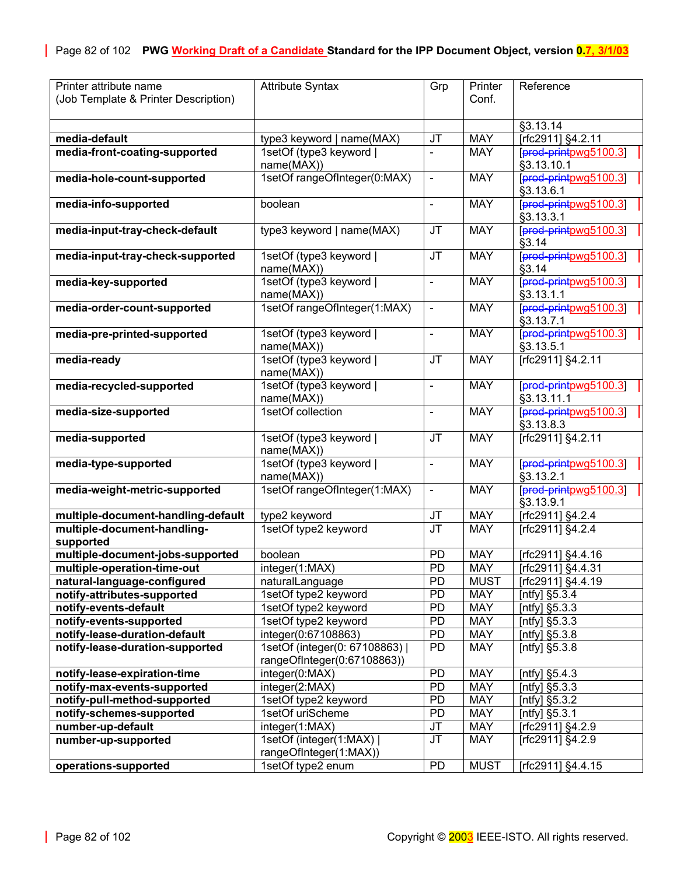| Printer attribute name               | <b>Attribute Syntax</b>      | Grp                               | Printer     | Reference             |
|--------------------------------------|------------------------------|-----------------------------------|-------------|-----------------------|
| (Job Template & Printer Description) |                              |                                   | Conf.       |                       |
|                                      |                              |                                   |             |                       |
|                                      |                              |                                   |             | §3.13.14              |
| media-default                        | type3 keyword   name(MAX)    | JT                                | <b>MAY</b>  | [rfc2911] §4.2.11     |
| media-front-coating-supported        | 1setOf (type3 keyword        | $\overline{\phantom{a}}$          | <b>MAY</b>  | [prod-printpwg5100.3] |
|                                      | name(MAX))                   |                                   |             | §3.13.10.1            |
| media-hole-count-supported           | 1setOf rangeOfInteger(0:MAX) | $\blacksquare$                    | <b>MAY</b>  | [prod-printpwg5100.3] |
|                                      |                              |                                   |             | §3.13.6.1             |
| media-info-supported                 | boolean                      | $\blacksquare$                    | <b>MAY</b>  | [prod-printpwg5100.3] |
|                                      |                              |                                   |             | §3.13.3.1             |
| media-input-tray-check-default       | type3 keyword   name(MAX)    | <b>JT</b>                         | <b>MAY</b>  | [prod-printpwg5100.3] |
|                                      |                              |                                   |             | §3.14                 |
| media-input-tray-check-supported     | 1setOf (type3 keyword        | <b>JT</b>                         | <b>MAY</b>  | [prod-printpwg5100.3] |
|                                      |                              |                                   |             | §3.14                 |
|                                      | name(MAX))                   |                                   |             |                       |
| media-key-supported                  | 1setOf (type3 keyword)       | $\blacksquare$                    | <b>MAY</b>  | [prod-printpwg5100.3] |
|                                      | name(MAX))                   |                                   |             | §3.13.1.1             |
| media-order-count-supported          | 1setOf rangeOfInteger(1:MAX) | $\blacksquare$                    | <b>MAY</b>  | [prod-printpwg5100.3] |
|                                      |                              |                                   |             | §3.13.7.1             |
| media-pre-printed-supported          | 1setOf (type3 keyword        | ä,                                | <b>MAY</b>  | [prod-printpwg5100.3] |
|                                      | name(MAX))                   |                                   |             | §3.13.5.1             |
| media-ready                          | 1setOf (type3 keyword)       | <b>JT</b>                         | <b>MAY</b>  | [rfc2911] §4.2.11     |
|                                      | name(MAX))                   |                                   |             |                       |
| media-recycled-supported             | 1setOf (type3 keyword        | $\blacksquare$                    | <b>MAY</b>  | [prod-printpwg5100.3] |
|                                      | name(MAX))                   |                                   |             | §3.13.11.1            |
| media-size-supported                 | 1setOf collection            | $\qquad \qquad \blacksquare$      | <b>MAY</b>  | [prod-printpwg5100.3] |
|                                      |                              |                                   |             | §3.13.8.3             |
| media-supported                      | 1setOf (type3 keyword        | JT                                | <b>MAY</b>  | [rfc2911] §4.2.11     |
|                                      | name(MAX))                   |                                   |             |                       |
| media-type-supported                 | 1setOf (type3 keyword        | $\frac{1}{2}$                     | <b>MAY</b>  | [prod-printpwg5100.3] |
|                                      | name(MAX))                   |                                   |             | §3.13.2.1             |
| media-weight-metric-supported        | 1setOf rangeOfInteger(1:MAX) | $\blacksquare$                    | <b>MAY</b>  | [prod-printpwg5100.3] |
|                                      |                              |                                   |             | §3.13.9.1             |
| multiple-document-handling-default   |                              | JT                                | <b>MAY</b>  |                       |
|                                      | type2 keyword                | $\overline{\mathsf{J}\mathsf{T}}$ |             | [rfc2911] §4.2.4      |
| multiple-document-handling-          | 1setOf type2 keyword         |                                   | <b>MAY</b>  | [rfc2911] §4.2.4      |
| supported                            | boolean                      |                                   | <b>MAY</b>  |                       |
| multiple-document-jobs-supported     |                              | <b>PD</b>                         |             | [rfc2911] §4.4.16     |
| multiple-operation-time-out          | integer(1:MAX)               | $\overline{PD}$                   | <b>MAY</b>  | [rfc2911] §4.4.31     |
| natural-language-configured          | naturalLanguage              | PD                                | <b>MUST</b> | [rfc2911] §4.4.19     |
| notify-attributes-supported          | 1setOf type2 keyword         | <b>PD</b>                         | <b>MAY</b>  | [ntfy] §5.3.4         |
| notify-events-default                | 1setOf type2 keyword         | PD                                | MAY         | [ntfy] §5.3.3         |
| notify-events-supported              | 1setOf type2 keyword         | PD                                | <b>MAY</b>  | [ntfy] §5.3.3         |
| notify-lease-duration-default        | integer(0:67108863)          | <b>PD</b>                         | <b>MAY</b>  | [ntfy] §5.3.8         |
| notify-lease-duration-supported      | 1setOf (integer(0: 67108863) | PD                                | <b>MAY</b>  | [ntfy] §5.3.8         |
|                                      | rangeOfInteger(0:67108863))  |                                   |             |                       |
| notify-lease-expiration-time         | integer(0:MAX)               | PD                                | <b>MAY</b>  | [ntfy] §5.4.3         |
| notify-max-events-supported          | integer(2:MAX)               | <b>PD</b>                         | <b>MAY</b>  | [ntfy] $§5.3.3$       |
| notify-pull-method-supported         | 1setOf type2 keyword         | PD                                | <b>MAY</b>  | [ntfy] §5.3.2         |
| notify-schemes-supported             | 1setOf uriScheme             | PD                                | <b>MAY</b>  | [ntfy] §5.3.1         |
| number-up-default                    | integer(1:MAX)               | JT                                | <b>MAY</b>  | [rfc2911] §4.2.9      |
| number-up-supported                  | 1setOf (integer(1:MAX)       | JT                                | <b>MAY</b>  | [rfc2911] §4.2.9      |
|                                      | rangeOfInteger(1:MAX))       |                                   |             |                       |
| operations-supported                 | 1setOf type2 enum            | PD                                | <b>MUST</b> | [rfc2911] §4.4.15     |
|                                      |                              |                                   |             |                       |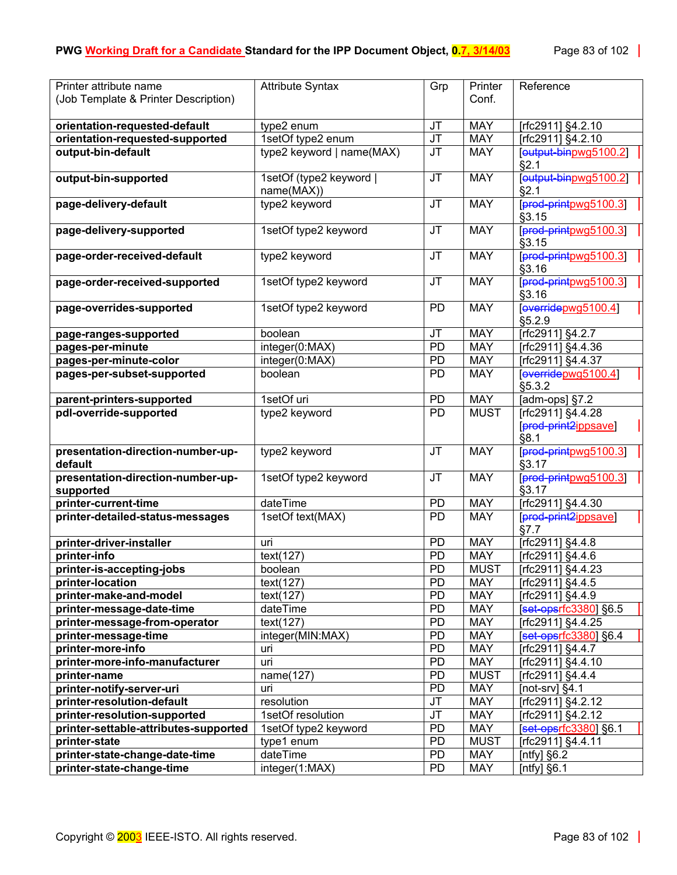| Printer attribute name                | <b>Attribute Syntax</b>   | Grp                    | Printer     | Reference                      |
|---------------------------------------|---------------------------|------------------------|-------------|--------------------------------|
| (Job Template & Printer Description)  |                           |                        | Conf.       |                                |
| orientation-requested-default         | type2 enum                | <b>JT</b>              | <b>MAY</b>  | [rfc2911] §4.2.10              |
| orientation-requested-supported       | 1setOf type2 enum         | JT                     | <b>MAY</b>  | [rfc2911] §4.2.10              |
| output-bin-default                    | type2 keyword   name(MAX) | <b>JT</b>              | <b>MAY</b>  | [output-binpwg5100.2]          |
|                                       |                           |                        |             | §2.1                           |
| output-bin-supported                  | 1setOf (type2 keyword     | <b>JT</b>              | <b>MAY</b>  | eutput-binpwg5100.2]           |
|                                       | name(MAX))                |                        | <b>MAY</b>  | §2.1                           |
| page-delivery-default                 | type2 keyword             | <b>JT</b>              |             | [prod-printpwg5100.3]<br>§3.15 |
| page-delivery-supported               | 1setOf type2 keyword      | <b>JT</b>              | <b>MAY</b>  | [prod-printpwg5100.3]<br>§3.15 |
| page-order-received-default           | type2 keyword             | <b>JT</b>              | <b>MAY</b>  | [prod-printpwg5100.3]<br>§3.16 |
| page-order-received-supported         | 1setOf type2 keyword      | <b>JT</b>              | <b>MAY</b>  | [prod-printpwg5100.3]          |
|                                       |                           |                        |             | §3.16                          |
| page-overrides-supported              | 1setOf type2 keyword      | PD                     | <b>MAY</b>  | [overidepwq5100.4]<br>§5.2.9   |
| page-ranges-supported                 | boolean                   | <b>JT</b>              | <b>MAY</b>  | [rfc2911] §4.2.7               |
| pages-per-minute                      | integer(0:MAX)            | PD                     | <b>MAY</b>  | [rfc2911] §4.4.36              |
| pages-per-minute-color                | integer(0:MAX)            | PD                     | <b>MAY</b>  | [rfc2911] §4.4.37              |
| pages-per-subset-supported            | boolean                   | <b>PD</b>              | <b>MAY</b>  | [overidepwg5100.4]             |
|                                       |                           |                        |             | §5.3.2                         |
| parent-printers-supported             | 1setOf uri                | PD                     | <b>MAY</b>  | [ $adm$ -ops] $§7.2$           |
| pdl-override-supported                | type2 keyword             | <b>PD</b>              | <b>MUST</b> | [rfc2911] §4.4.28              |
|                                       |                           |                        |             | [prod-print2ippsave]<br>§8.1   |
| presentation-direction-number-up-     | type2 keyword             | <b>JT</b>              | <b>MAY</b>  | [prod-printpwg5100.3]          |
| default                               |                           |                        |             | §3.17                          |
| presentation-direction-number-up-     | 1setOf type2 keyword      | <b>JT</b>              | <b>MAY</b>  | [prod-printpwg5100.3]          |
| supported                             |                           |                        |             | §3.17                          |
| printer-current-time                  | dateTime                  | PD                     | <b>MAY</b>  | [rfc2911] §4.4.30              |
| printer-detailed-status-messages      | 1setOf text(MAX)          | <b>PD</b>              | <b>MAY</b>  | [prod-print2ippsave]<br>§7.7   |
| printer-driver-installer              | uri                       | <b>PD</b>              | <b>MAY</b>  | [rfc2911] §4.4.8               |
| printer-info                          | text(127)                 | <b>PD</b>              | <b>MAY</b>  | [rfc2911] §4.4.6               |
| printer-is-accepting-jobs             | boolean                   | <b>PD</b>              | <b>MUST</b> | [rfc2911] §4.4.23              |
| printer-location                      | text(127)                 | <b>PD</b>              | <b>MAY</b>  | [rfc2911] §4.4.5               |
| printer-make-and-model                | text(127)                 | <b>PD</b>              | <b>MAY</b>  | [rfc2911] §4.4.9               |
| printer-message-date-time             | dateTime                  | <b>PD</b>              | <b>MAY</b>  | [set-opsrfc3380] §6.5          |
| printer-message-from-operator         | text(127)                 | <b>PD</b>              | <b>MAY</b>  | [rfc2911] §4.4.25              |
| printer-message-time                  | integer(MIN:MAX)          | <b>PD</b>              | <b>MAY</b>  | [set-opsrfc3380] §6.4          |
| printer-more-info                     | uri                       | <b>PD</b>              | <b>MAY</b>  | [rfc2911] §4.4.7               |
| printer-more-info-manufacturer        | uri                       | PD                     | <b>MAY</b>  | [rfc2911] §4.4.10              |
| printer-name                          | name(127)                 | <b>PD</b>              | <b>MUST</b> | [rfc2911] §4.4.4               |
| printer-notify-server-uri             | uri                       | <b>PD</b>              | <b>MAY</b>  | [not-srv] $§4.1$               |
| printer-resolution-default            | resolution                | JT                     | <b>MAY</b>  | [rfc2911] §4.2.12              |
| printer-resolution-supported          | 1setOf resolution         | <b>JT</b>              | <b>MAY</b>  | [rfc2911] §4.2.12              |
| printer-settable-attributes-supported | 1setOf type2 keyword      | <b>PD</b>              | <b>MAY</b>  | [set-opsrfc3380] §6.1          |
| printer-state                         | type1 enum                | <b>PD</b>              | <b>MUST</b> | [rfc2911] §4.4.11              |
| printer-state-change-date-time        | dateTime                  | <b>PD</b><br><b>PD</b> | <b>MAY</b>  | [ntfy] $§6.2$                  |
| printer-state-change-time             | integer(1:MAX)            |                        | <b>MAY</b>  | [ntfy] $§6.1$                  |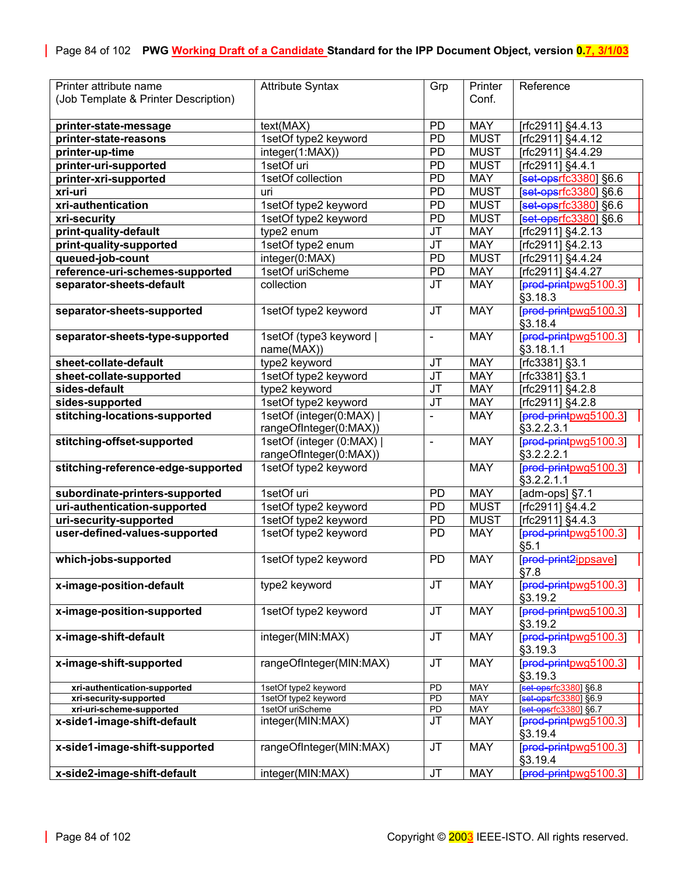<span id="page-83-0"></span>

| Printer attribute name                             | <b>Attribute Syntax</b>                  | Grp                          | Printer           | Reference                                           |
|----------------------------------------------------|------------------------------------------|------------------------------|-------------------|-----------------------------------------------------|
| (Job Template & Printer Description)               |                                          |                              | Conf.             |                                                     |
|                                                    |                                          |                              |                   |                                                     |
| printer-state-message                              | text(MAX)                                | <b>PD</b>                    | <b>MAY</b>        | [rfc2911] §4.4.13                                   |
| printer-state-reasons                              | 1setOf type2 keyword                     | <b>PD</b>                    | <b>MUST</b>       | [rfc2911] §4.4.12                                   |
|                                                    |                                          |                              |                   |                                                     |
| printer-up-time                                    | integer(1:MAX))                          | <b>PD</b>                    | <b>MUST</b>       | [rfc2911] §4.4.29                                   |
| printer-uri-supported                              | 1setOf uri                               | PD                           | <b>MUST</b>       | [rfc2911] §4.4.1                                    |
| printer-xri-supported                              | 1setOf collection                        | <b>PD</b>                    | <b>MAY</b>        | [set-opsrfc3380] §6.6                               |
| xri-uri                                            | uri                                      | <b>PD</b>                    | <b>MUST</b>       | [set-opsrfc3380] §6.6                               |
| xri-authentication                                 | 1setOf type2 keyword                     | <b>PD</b>                    | <b>MUST</b>       | set opsrfc3380 §6.6                                 |
| xri-security                                       | 1setOf type2 keyword                     | PD                           | <b>MUST</b>       | [set-opsrfc3380] §6.6                               |
| print-quality-default                              | type2 enum                               | <b>JT</b>                    | <b>MAY</b>        | [rfc2911] §4.2.13                                   |
| print-quality-supported                            | 1setOf type2 enum                        | <b>JT</b>                    | <b>MAY</b>        | [rfc2911] §4.2.13                                   |
| queued-job-count                                   | integer(0:MAX)                           | <b>PD</b>                    | <b>MUST</b>       | [rfc2911] §4.4.24                                   |
| reference-uri-schemes-supported                    | 1setOf uriScheme                         | PD                           | <b>MAY</b>        | [rfc2911] §4.4.27                                   |
| separator-sheets-default                           | collection                               | <b>JT</b>                    | <b>MAY</b>        | [prod-printpwg5100.3]                               |
|                                                    |                                          |                              |                   | §3.18.3                                             |
| separator-sheets-supported                         | 1setOf type2 keyword                     | <b>JT</b>                    | <b>MAY</b>        | [prod-printpwg5100.3]                               |
|                                                    |                                          |                              |                   | §3.18.4                                             |
| separator-sheets-type-supported                    | 1setOf (type3 keyword                    | $\qquad \qquad \blacksquare$ | <b>MAY</b>        | [prod-printpwg5100.3]                               |
|                                                    |                                          |                              |                   |                                                     |
|                                                    | name(MAX))                               |                              |                   | §3.18.1.1                                           |
| sheet-collate-default                              | type2 keyword                            | JT                           | <b>MAY</b>        | [rfc3381] §3.1                                      |
| sheet-collate-supported                            | 1setOf type2 keyword                     | JT                           | <b>MAY</b>        | [rfc3381] §3.1                                      |
| sides-default                                      | type2 keyword                            | JT                           | <b>MAY</b>        | [rfc2911] §4.2.8                                    |
| sides-supported                                    | 1setOf type2 keyword                     | JT                           | <b>MAY</b>        | [rfc2911] §4.2.8                                    |
| stitching-locations-supported                      | 1setOf (integer(0:MAX)                   |                              | <b>MAY</b>        | [prod-printpwg5100.3]                               |
|                                                    | rangeOfInteger(0:MAX))                   |                              |                   | §3.2.2.3.1                                          |
| stitching-offset-supported                         | 1setOf (integer (0:MAX)                  | L,                           | <b>MAY</b>        | [prod-printpwg5100.3]                               |
|                                                    | rangeOfInteger(0:MAX))                   |                              |                   | §3.2.2.2.1                                          |
| stitching-reference-edge-supported                 | 1setOf type2 keyword                     |                              | <b>MAY</b>        | [prod-printpwg5100.3]                               |
|                                                    |                                          |                              |                   | §3.2.2.1.1                                          |
| subordinate-printers-supported                     | 1setOf uri                               | <b>PD</b>                    | <b>MAY</b>        | [adm-ops] §7.1                                      |
| uri-authentication-supported                       | 1setOf type2 keyword                     | PD                           | <b>MUST</b>       | [rfc2911] §4.4.2                                    |
| uri-security-supported                             | 1setOf type2 keyword                     | <b>PD</b>                    | <b>MUST</b>       | [rfc2911] §4.4.3                                    |
| user-defined-values-supported                      | 1setOf type2 keyword                     | <b>PD</b>                    | <b>MAY</b>        | [prod-printpwg5100.3]                               |
|                                                    |                                          |                              |                   | §5.1                                                |
| which-jobs-supported                               | 1setOf type2 keyword                     | <b>PD</b>                    | <b>MAY</b>        | [prod-print2ippsave]                                |
|                                                    |                                          |                              |                   | §7.8                                                |
| x-image-position-default                           | type2 keyword                            | <b>JT</b>                    | <b>MAY</b>        | [prod-printpwg5100.3]                               |
|                                                    |                                          |                              |                   | §3.19.2                                             |
| x-image-position-supported                         | 1setOf type2 keyword                     | <b>JT</b>                    | <b>MAY</b>        | [prod-printpwg5100.3]                               |
|                                                    |                                          |                              |                   | §3.19.2                                             |
|                                                    |                                          |                              |                   | [prod-printpwg5100.3]                               |
| x-image-shift-default                              | integer(MIN:MAX)                         | JT                           | <b>MAY</b>        |                                                     |
|                                                    |                                          |                              |                   | §3.19.3                                             |
| x-image-shift-supported                            | rangeOfInteger(MIN:MAX)                  | JT                           | <b>MAY</b>        | [prod-printpwg5100.3]                               |
|                                                    |                                          |                              |                   | §3.19.3                                             |
| xri-authentication-supported                       | 1setOf type2 keyword                     | PD<br>$\overline{PD}$        | MAY<br><b>MAY</b> | <b>set-operfc3380</b> §6.8<br>[set-opsrfc3380] §6.9 |
| xri-security-supported<br>xri-uri-scheme-supported | 1setOf type2 keyword<br>1setOf uriScheme | PD                           | MAY               | $[set-opsrfc3380]$ §6.7                             |
| x-side1-image-shift-default                        | integer(MIN:MAX)                         | <b>JT</b>                    | <b>MAY</b>        | [prod-printpwg5100.3]                               |
|                                                    |                                          |                              |                   | §3.19.4                                             |
| x-side1-image-shift-supported                      | rangeOfInteger(MIN:MAX)                  | <b>JT</b>                    | <b>MAY</b>        |                                                     |
|                                                    |                                          |                              |                   | [prod-printpwg5100.3]                               |
|                                                    |                                          |                              |                   | §3.19.4                                             |
| x-side2-image-shift-default                        | integer(MIN:MAX)                         | <b>JT</b>                    | MAY               | [prod-printpwg5100.3]                               |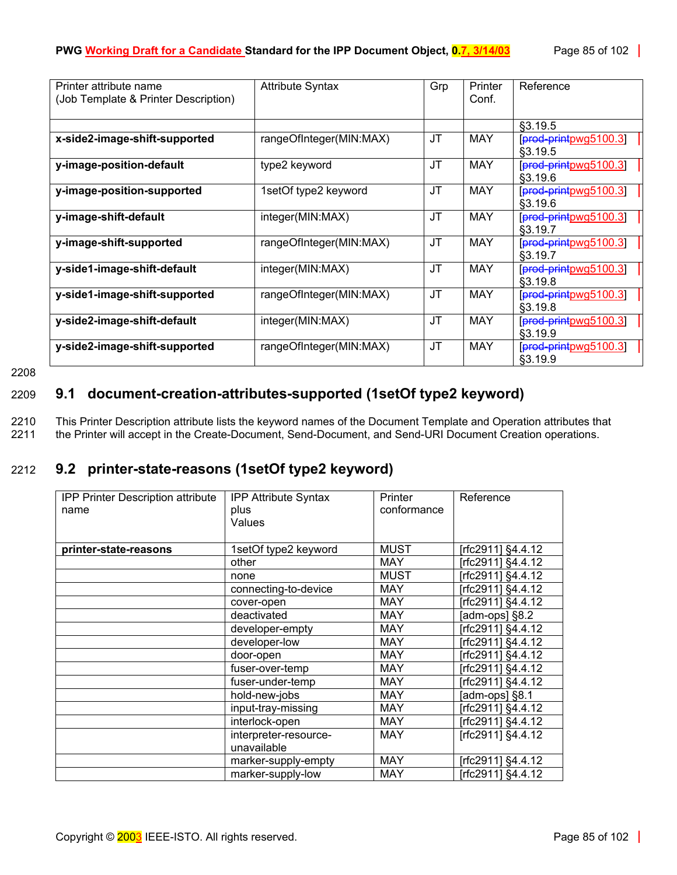| Printer attribute name<br>(Job Template & Printer Description) | <b>Attribute Syntax</b> | Grp | Printer<br>Conf. | Reference                          |
|----------------------------------------------------------------|-------------------------|-----|------------------|------------------------------------|
|                                                                |                         |     |                  |                                    |
|                                                                |                         |     |                  | \$3.19.5                           |
| x-side2-image-shift-supported                                  | rangeOfInteger(MIN:MAX) | JТ  | MAY              | [prod-printpwg5100.3]<br>§3.19.5   |
| y-image-position-default                                       | type2 keyword           | JT. | MAY              | [prod-printpwg5100.3]<br>\$3.19.6  |
| y-image-position-supported                                     | 1setOf type2 keyword    | JΤ  | MAY              | $[pred-printpwg5100.3]$<br>§3.19.6 |
| y-image-shift-default                                          | integer(MIN:MAX)        | JT. | MAY              | [prod-printpwg5100.3]<br>\$3.19.7  |
| y-image-shift-supported                                        | rangeOfInteger(MIN:MAX) | JΤ  | MAY              | [prod-printpwg5100.3]<br>\$3.19.7  |
| y-side1-image-shift-default                                    | integer(MIN:MAX)        | JT. | MAY              | [prod-printpwg5100.3]<br>§3.19.8   |
| y-side1-image-shift-supported                                  | rangeOfInteger(MIN:MAX) | JT  | MAY              | [prod-printpwg5100.3]<br>\$3.19.8  |
| y-side2-image-shift-default                                    | integer(MIN:MAX)        | JT  | MAY              | [prod-printpwg5100.3]<br>§3.19.9   |
| y-side2-image-shift-supported                                  | rangeOfInteger(MIN:MAX) | JΤ  | <b>MAY</b>       | [prod-printpwg5100.3]<br>§3.19.9   |

2208

## 2209 **9.1 document-creation-attributes-supported (1setOf type2 keyword)**

2210 This Printer Description attribute lists the keyword names of the Document Template and Operation attributes that 2211 the Printer will accept in the Create-Document, Send-Document, and Send-URI Document Creation operations.

# 2212 **9.2 printer-state-reasons (1setOf type2 keyword)**

| <b>IPP Printer Description attribute</b><br>name | <b>IPP Attribute Syntax</b><br>plus<br>Values | <b>Printer</b><br>conformance | Reference          |
|--------------------------------------------------|-----------------------------------------------|-------------------------------|--------------------|
| printer-state-reasons                            | 1setOf type2 keyword                          | <b>MUST</b>                   | [rfc2911] §4.4.12  |
|                                                  | other                                         | <b>MAY</b>                    | [rfc2911] §4.4.12  |
|                                                  | none                                          | <b>MUST</b>                   | [rfc2911] §4.4.12  |
|                                                  | connecting-to-device                          | <b>MAY</b>                    | [rfc2911] §4.4.12  |
|                                                  | cover-open                                    | <b>MAY</b>                    | [rfc2911] §4.4.12  |
|                                                  | deactivated                                   | <b>MAY</b>                    | [adm-ops] $\S 8.2$ |
|                                                  | developer-empty                               | <b>MAY</b>                    | [rfc2911] §4.4.12  |
|                                                  | developer-low                                 | <b>MAY</b>                    | [rfc2911] §4.4.12  |
|                                                  | door-open                                     | <b>MAY</b>                    | [rfc2911] §4.4.12  |
|                                                  | fuser-over-temp                               | <b>MAY</b>                    | [rfc2911] §4.4.12  |
|                                                  | fuser-under-temp                              | <b>MAY</b>                    | [rfc2911] §4.4.12  |
|                                                  | hold-new-jobs                                 | <b>MAY</b>                    | [adm-ops] §8.1     |
|                                                  | input-tray-missing                            | <b>MAY</b>                    | [rfc2911] §4.4.12  |
|                                                  | interlock-open                                | <b>MAY</b>                    | [rfc2911] §4.4.12  |
|                                                  | interpreter-resource-                         | <b>MAY</b>                    | [rfc2911] §4.4.12  |
|                                                  | unavailable                                   |                               |                    |
|                                                  | marker-supply-empty                           | <b>MAY</b>                    | [rfc2911] §4.4.12  |
|                                                  | marker-supply-low                             | <b>MAY</b>                    | [rfc2911] §4.4.12  |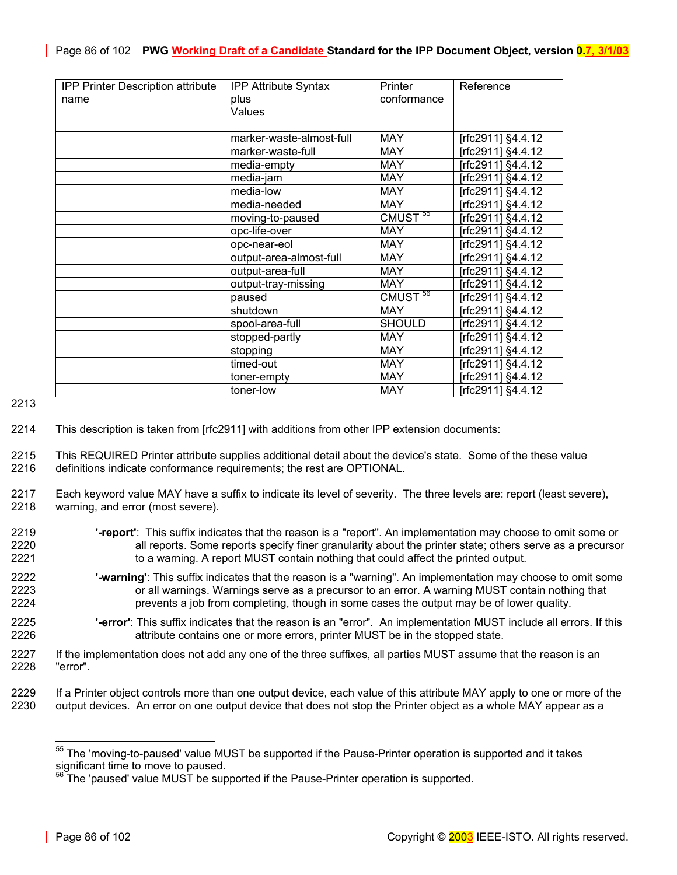| <b>IPP Printer Description attribute</b> | <b>IPP Attribute Syntax</b> | Printer             | Reference         |
|------------------------------------------|-----------------------------|---------------------|-------------------|
| name                                     | plus                        | conformance         |                   |
|                                          | Values                      |                     |                   |
|                                          |                             |                     |                   |
|                                          | marker-waste-almost-full    | <b>MAY</b>          | [rfc2911] §4.4.12 |
|                                          | marker-waste-full           | <b>MAY</b>          | [rfc2911] §4.4.12 |
|                                          | media-empty                 | <b>MAY</b>          | [rfc2911] §4.4.12 |
|                                          | media-jam                   | <b>MAY</b>          | [rfc2911] §4.4.12 |
|                                          | media-low                   | <b>MAY</b>          | [rfc2911] §4.4.12 |
|                                          | media-needed                | <b>MAY</b>          | [rfc2911] §4.4.12 |
|                                          | moving-to-paused            | CMUST <sup>55</sup> | [rfc2911] §4.4.12 |
|                                          | opc-life-over               | <b>MAY</b>          | [rfc2911] §4.4.12 |
|                                          | opc-near-eol                | <b>MAY</b>          | [rfc2911] §4.4.12 |
|                                          | output-area-almost-full     | <b>MAY</b>          | Trfc2911] §4.4.12 |
|                                          | output-area-full            | <b>MAY</b>          | [rfc2911] §4.4.12 |
|                                          | output-tray-missing         | <b>MAY</b>          | [rfc2911] §4.4.12 |
|                                          | paused                      | CMUST <sup>56</sup> | [rfc2911] §4.4.12 |
|                                          | shutdown                    | <b>MAY</b>          | [rfc2911] §4.4.12 |
|                                          | spool-area-full             | <b>SHOULD</b>       | [rfc2911] §4.4.12 |
|                                          | stopped-partly              | <b>MAY</b>          | [rfc2911] §4.4.12 |
|                                          | stopping                    | <b>MAY</b>          | [rfc2911] §4.4.12 |
|                                          | timed-out                   | <b>MAY</b>          | [rfc2911] §4.4.12 |
|                                          | toner-empty                 | <b>MAY</b>          | [rfc2911] §4.4.12 |
|                                          | toner-low                   | <b>MAY</b>          | [rfc2911] §4.4.12 |

2213

2214 This description is taken from [rfc2911] with additions from other IPP extension documents:

2215 This REQUIRED Printer attribute supplies additional detail about the device's state. Some of the these value 2216 definitions indicate conformance requirements; the rest are OPTIONAL.

- 2217 Each keyword value MAY have a suffix to indicate its level of severity. The three levels are: report (least severe), 2218 warning, and error (most severe).
- 2219 **'-report'**: This suffix indicates that the reason is a "report". An implementation may choose to omit some or 2220 all reports. Some reports specify finer granularity about the printer state; others serve as a precursor 2221 to a warning. A report MUST contain nothing that could affect the printed output.
- 2222 **'-warning'**: This suffix indicates that the reason is a "warning". An implementation may choose to omit some 2223 or all warnings. Warnings serve as a precursor to an error. A warning MUST contain nothing that 2224 **prevents a job from completing, though in some cases the output may be of lower quality.**
- 2225 **'-error'**: This suffix indicates that the reason is an "error". An implementation MUST include all errors. If this 2226 attribute contains one or more errors, printer MUST be in the stopped state.
- 2227 If the implementation does not add any one of the three suffixes, all parties MUST assume that the reason is an 2228 "error".
- 2229 If a Printer object controls more than one output device, each value of this attribute MAY apply to one or more of the 2230 output devices. An error on one output devices on one or more of the output devices. An error on one output device that does not stop the Printer object as a whole MAY appear as a

 $\overline{a}$ 

<span id="page-85-0"></span><sup>&</sup>lt;sup>55</sup> The 'moving-to-paused' value MUST be supported if the Pause-Printer operation is supported and it takes significant time to move to paused.

<span id="page-85-1"></span><sup>56</sup> The 'paused' value MUST be supported if the Pause-Printer operation is supported.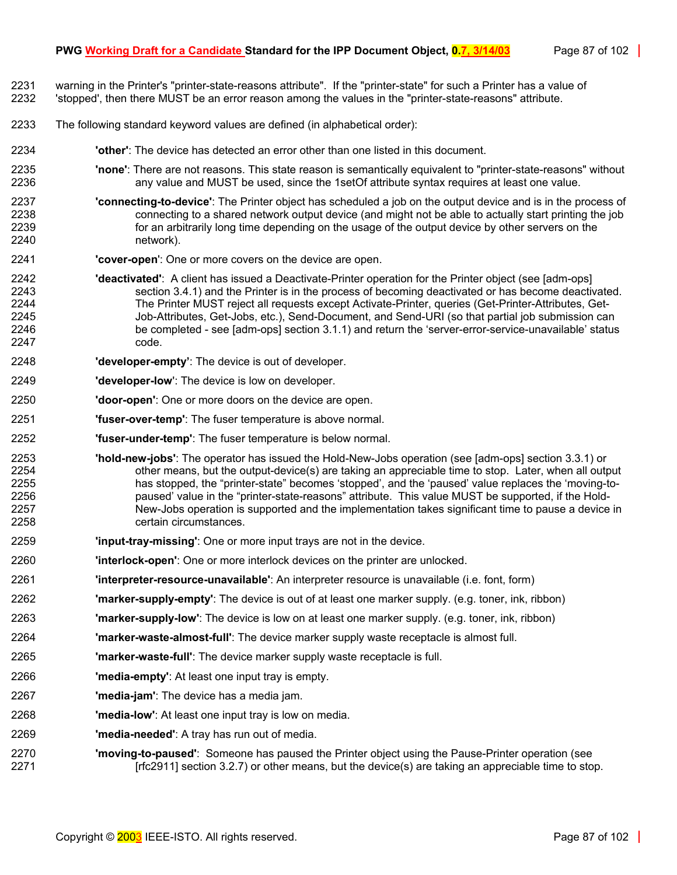- 2231 warning in the Printer's "printer-state-reasons attribute". If the "printer-state" for such a Printer has a value of
- 2232 'stopped', then there MUST be an error reason among the values in the "printer-state-reasons" attribute.
- 2233 The following standard keyword values are defined (in alphabetical order):
- 2234 **'other'**: The device has detected an error other than one listed in this document.
- 2235 **'none'**: There are not reasons. This state reason is semantically equivalent to "printer-state-reasons" without any value and MUST be used, since the 1setOf attribute syntax requires at least one value.
- 2237 **'connecting-to-device'**: The Printer object has scheduled a job on the output device and is in the process of 2238 connecting to a shared network output device (and might not be able to actually start printing the job 2239 for an arbitrarily long time depending on the usage of the output device by other servers on the 2240 network).
- 2241 **'cover-open**': One or more covers on the device are open.
- 2242 **'deactivated'**: A client has issued a Deactivate-Printer operation for the Printer object (see [adm-ops] section 3.4.1) and the Printer is in the process of becoming deactivated or has become deactivated. 2244 The Printer MUST reject all requests except Activate-Printer, queries (Get-Printer-Attributes, Get-2245 Job-Attributes, Get-Jobs, etc.), Send-Document, and Send-URI (so that partial job submission can 2246 be completed - see [adm-ops] section 3.1.1) and return the 'server-error-service-unavailable' status 2247 code.
- 2248 **'developer-empty'**: The device is out of developer.
- 2249 **'developer-low**': The device is low on developer.
- 2250 **'door-open'**: One or more doors on the device are open.
- 2251 **'fuser-over-temp'**: The fuser temperature is above normal.
- 2252 **'fuser-under-temp'**: The fuser temperature is below normal.
- 2253 **'hold-new-jobs'**: The operator has issued the Hold-New-Jobs operation (see [adm-ops] section 3.3.1) or 2254 other means, but the output-device(s) are taking an appreciable time to stop. Later, when all output 2255 has stopped, the "printer-state" becomes 'stopped', and the 'paused' value replaces the 'moving-to-2256 paused' value in the "printer-state-reasons" attribute. This value MUST be supported, if the Hold-2257 New-Jobs operation is supported and the implementation takes significant time to pause a device in 2258 certain circumstances.
- 2259 **'input-tray-missing'**: One or more input trays are not in the device.
- 2260 **'interlock-open'**: One or more interlock devices on the printer are unlocked.
- 2261 **'interpreter-resource-unavailable'**: An interpreter resource is unavailable (i.e. font, form)
- 2262 **'marker-supply-empty'**: The device is out of at least one marker supply. (e.g. toner, ink, ribbon)
- 2263 **'marker-supply-low'**: The device is low on at least one marker supply. (e.g. toner, ink, ribbon)
- 2264 **'marker-waste-almost-full'**: The device marker supply waste receptacle is almost full.
- 2265 **'marker-waste-full'**: The device marker supply waste receptacle is full.
- 2266 **'media-empty'**: At least one input tray is empty.
- 2267 **'media-jam'**: The device has a media jam.
- 2268 **'media-low'**: At least one input tray is low on media.
- 2269 **'media-needed'**: A tray has run out of media.
- 2270 **'moving-to-paused'**: Someone has paused the Printer object using the Pause-Printer operation (see 2271 [rfc2911] section 3.2.7) or other means, but the device(s) are taking an appreciable time to stop.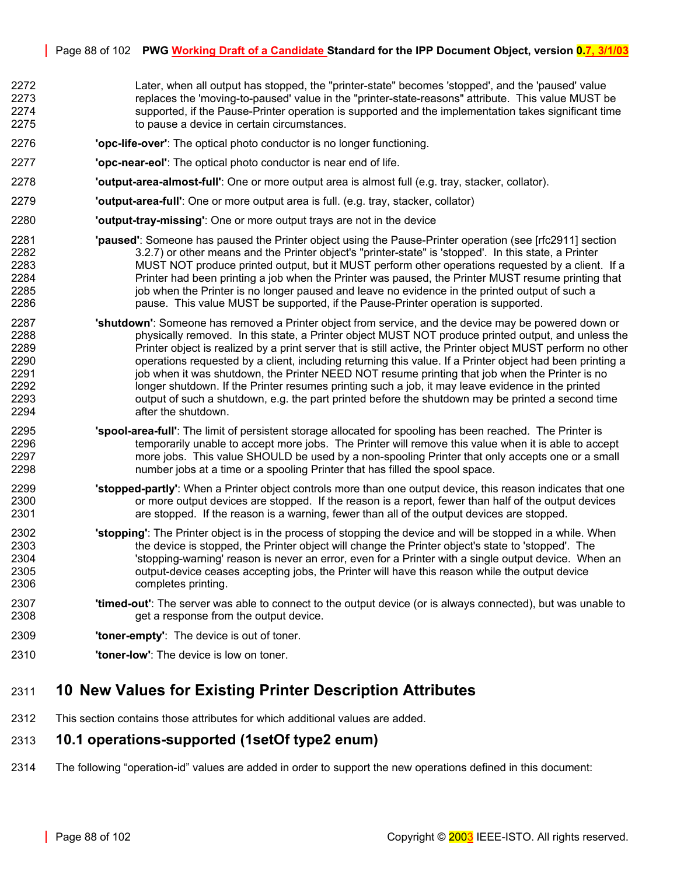- 2272 Later, when all output has stopped, the "printer-state" becomes 'stopped', and the 'paused' value 2273 replaces the 'moving-to-paused' value in the "printer-state-reasons" attribute. This value MUST be 2274 supported, if the Pause-Printer operation is supported and the implementation takes significant time 2275 to pause a device in certain circumstances.
- 2276 **'opc-life-over'**: The optical photo conductor is no longer functioning.
- 2277 **'opc-near-eol'**: The optical photo conductor is near end of life.
- 2278 **'output-area-almost-full'**: One or more output area is almost full (e.g. tray, stacker, collator).
- 2279 **'output-area-full'**: One or more output area is full. (e.g. tray, stacker, collator)
- 2280 **'output-tray-missing'**: One or more output trays are not in the device
- 2281 **'paused'**: Someone has paused the Printer object using the Pause-Printer operation (see [rfc2911] section 2282 3.2.7) or other means and the Printer object's "printer-state" is 'stopped'. In this state, a Printer 2283 MUST NOT produce printed output, but it MUST perform other operations requested by a client. If a 2284 Printer had been printing a job when the Printer was paused, the Printer MUST resume printing that 2285 job when the Printer is no longer paused and leave no evidence in the printed output of such a 2286 pause. This value MUST be supported, if the Pause-Printer operation is supported.
- 2287 **'shutdown'**: Someone has removed a Printer object from service, and the device may be powered down or 2288 physically removed. In this state, a Printer object MUST NOT produce printed output, and unless the 2289 Printer object is realized by a print server that is still active, the Printer object MUST perform no other 2290 operations requested by a client, including returning this value. If a Printer object had been printing a 2291 job when it was shutdown, the Printer NEED NOT resume printing that job when the Printer is no 2292 longer shutdown. If the Printer resumes printing such a job, it may leave evidence in the printed 2293 output of such a shutdown, e.g. the part printed before the shutdown may be printed a second time 2294 after the shutdown.
- 2295 **'spool-area-full'**: The limit of persistent storage allocated for spooling has been reached. The Printer is 2296 temporarily unable to accept more jobs. The Printer will remove this value when it is able to accept 2297 more jobs. This value SHOULD be used by a non-spooling Printer that only accepts one or a small 2298 number jobs at a time or a spooling Printer that has filled the spool space.
- 2299 **'stopped-partly'**: When a Printer object controls more than one output device, this reason indicates that one 2300 or more output devices are stopped. If the reason is a report, fewer than half of the output devices 2301 are stopped. If the reason is a warning, fewer than all of the output devices are stopped.
- 2302 **'stopping'**: The Printer object is in the process of stopping the device and will be stopped in a while. When 2303 the device is stopped, the Printer object will change the Printer object's state to 'stopped'. The 2304 2304 'stopping-warning' reason is never an error, even for a Printer with a single output device. When an 2305 output-device ceases accepting jobs, the Printer will have this reason while the output device 2306 completes printing.
- 2307 **'timed-out'**: The server was able to connect to the output device (or is always connected), but was unable to 2308 get a response from the output device.
- 2309 **'toner-empty'**: The device is out of toner.
- 2310 **'toner-low'**: The device is low on toner.

# <span id="page-87-0"></span>2311 **10 New Values for Existing Printer Description Attributes**

2312 This section contains those attributes for which additional values are added.

## 2313 **10.1 operations-supported (1setOf type2 enum)**

2314 The following "operation-id" values are added in order to support the new operations defined in this document: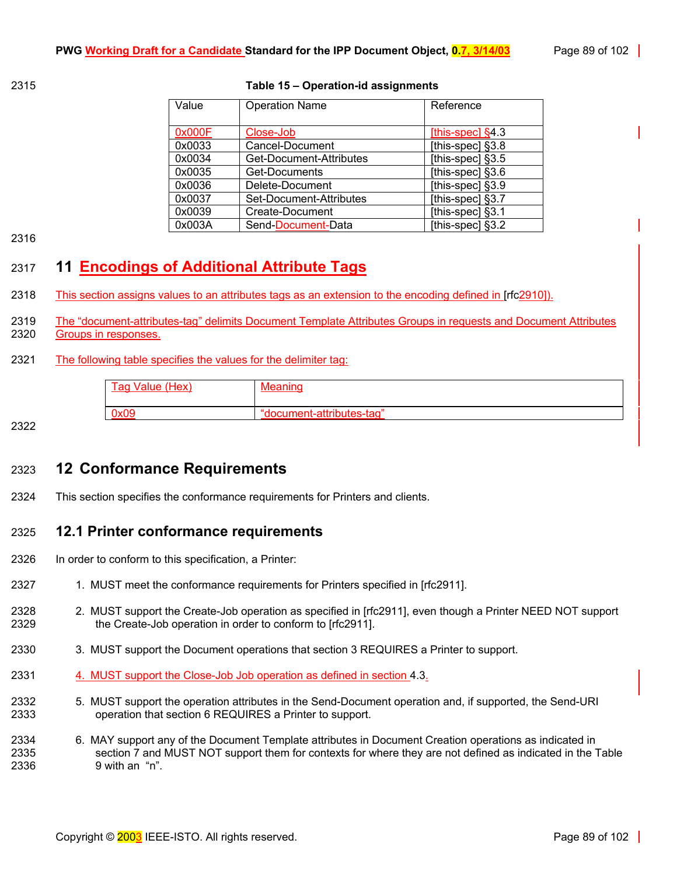### 2315 **Table 15 – Operation-id assignments**

| Value  | <b>Operation Name</b>   | Reference          |
|--------|-------------------------|--------------------|
|        |                         |                    |
| 0x000F | Close-Job               | [this-spec] $§4.3$ |
| 0x0033 | Cancel-Document         | [this-spec] $§3.8$ |
| 0x0034 | Get-Document-Attributes | [this-spec] $§3.5$ |
| 0x0035 | Get-Documents           | [this-spec] $§3.6$ |
| 0x0036 | Delete-Document         | [this-spec] §3.9   |
| 0x0037 | Set-Document-Attributes | [this-spec] §3.7   |
| 0x0039 | Create-Document         | [this-spec] §3.1   |
| 0x003A | Send-Document-Data      | [this-spec] §3.2   |

2316

# <span id="page-88-0"></span>2317 **11 Encodings of Additional Attribute Tags**

- 2318 This section assigns values to an attributes tags as an extension to the encoding defined in [rfc2910]).
- 2319 The "document-attributes-tag" delimits Document Template Attributes Groups in requests and Document Attributes 2320 Groups in responses.

### 2321 The following table specifies the values for the delimiter tag:

| (Hex)<br>Value<br>aa | ''''                         |
|----------------------|------------------------------|
| 0.00                 | <br>$+500$<br>.attribi itae. |

2322

# <span id="page-88-1"></span>2323 **12 Conformance Requirements**

2324 This section specifies the conformance requirements for Printers and clients.

## 2325 **12.1 Printer conformance requirements**

- 2326 In order to conform to this specification, a Printer:
- 2327 1. MUST meet the conformance requirements for Printers specified in [rfc2911].
- 2328 2328 2. MUST support the Create-Job operation as specified in [rfc2911], even though a Printer NEED NOT support 2329 the Create-Job operation in order to conform to [rfc2911].
- 2330 3. MUST support the Document operations that section [3 R](#page-13-0)EQUIRES a Printer to support.
- 2331 4. MUST support the Close-Job Job operation as defined in section [4.3.](#page-32-1)
- 2332 5. MUST support the operation attributes in the Send-Document operation and, if supported, the Send-URI 2333 operation that section [6 R](#page-39-0)EQUIRES a Printer to support.
- 2334 6. MAY support any of the Document Template attributes in Document Creation operations as indicated in 2335 section [7 a](#page-42-0)nd MUST NOT support them for contexts for where they are not defined as indicated in the [Table](#page-54-0)  2336 [9](#page-54-0) with an "n".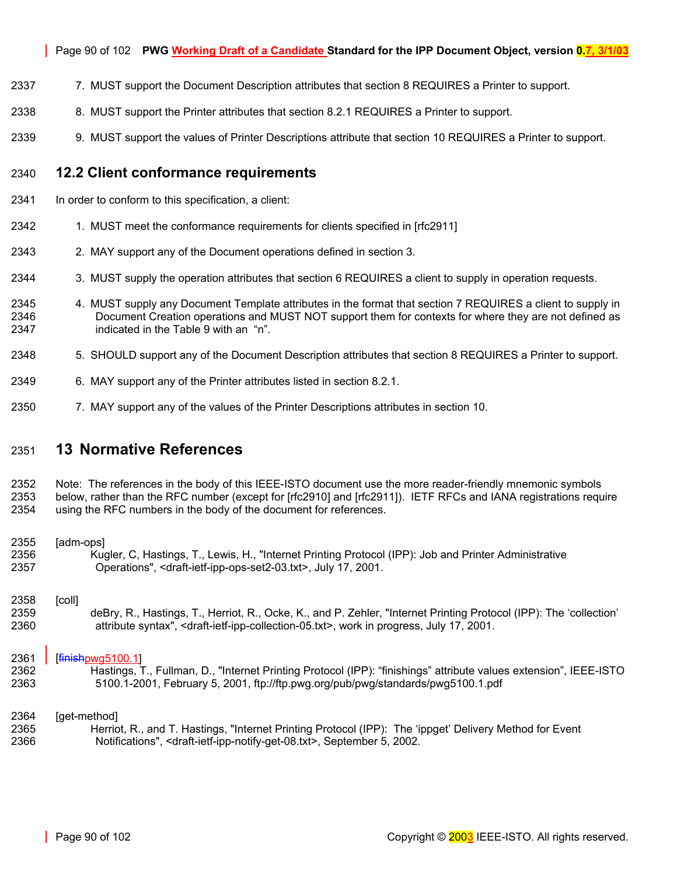- 2337 7. MUST support the Document Description attributes that section [8 R](#page-53-0)EQUIRES a Printer to support.
- 2338 8. MUST support the Printer attributes that section [8.2.1 R](#page-77-0)EQUIRES a Printer to support.
- 2339 9. MUST support the values of Printer Descriptions attribute that section [10 R](#page-87-0)EQUIRES a Printer to support.

### 2340 **12.2 Client conformance requirements**

- 2341 In order to conform to this specification, a client:
- 2342 1. MUST meet the conformance requirements for clients specified in [rfc2911]
- 2343 2. MAY support any of the Document operations defined in section [3.](#page-13-0)
- 2344 3. MUST supply the operation attributes that section [6 R](#page-39-0)EQUIRES a client to supply in operation requests.
- 2345 4. MUST supply any Document Template attributes in the format that section [7 R](#page-42-0)EQUIRES a client to supply in 2346 Document Creation operations and MUST NOT support them for contexts for where they are not defined as 2347 indicated in the [Table 9](#page-54-0) with an "n".
- 2348 5. SHOULD support any of the Document Description attributes that section [8 R](#page-53-0)EQUIRES a Printer to support.
- 2349 6. MAY support any of the Printer attributes listed in section [8.2.1.](#page-77-0)
- 2350 7. MAY support any of the values of the Printer Descriptions attributes in section [10.](#page-87-0)

## 2351 **13 Normative References**

2352 Note: The references in the body of this IEEE-ISTO document use the more reader-friendly mnemonic symbols 2353 below, rather than the RFC number (except for [rfc2910] and [rfc2911]). IETF RFCs and IANA registrations require 2354 using the RFC numbers in the body of the document for references.

### 2355 [adm-ops]

2356 Kugler, C, Hastings, T., Lewis, H., "Internet Printing Protocol (IPP): Job and Printer Administrative 2357 Operations", <draft-ietf-ipp-ops-set2-03.txt>, July 17, 2001.

#### 2358 [coll]

2359 deBry, R., Hastings, T., Herriot, R., Ocke, K., and P. Zehler, "Internet Printing Protocol (IPP): The 'collection' 2360 attribute syntax", <draft-ietf-ipp-collection-05.txt>, work in progress, July 17, 2001.

### 2361 | [finishpwg5100.1]

2362 Hastings, T., Fullman, D., "Internet Printing Protocol (IPP): "finishings" attribute values extension", IEEE-ISTO 2363 5100.1-2001, February 5, 2001, ftp://ftp.pwg.org/pub/pwg/standards/pwg5100.1.pdf

#### 2364 [get-method]

2365 Herriot, R., and T. Hastings, "Internet Printing Protocol (IPP): The 'ippget' Delivery Method for Event 2366 Notifications", <draft-ietf-ipp-notify-get-08.txt>, September 5, 2002.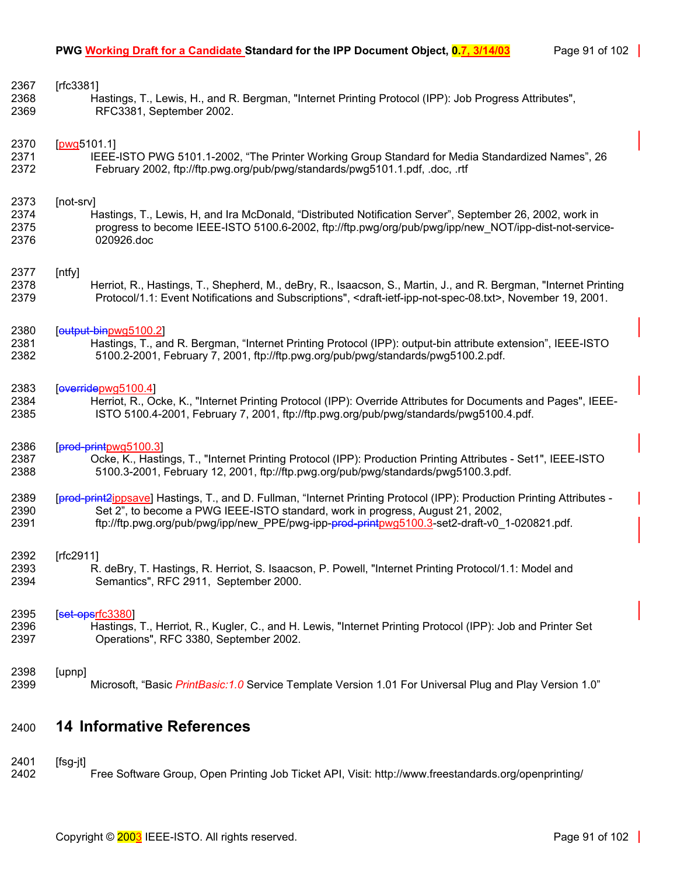| 2367 | [rfc3381]                                                                                                                                   |
|------|---------------------------------------------------------------------------------------------------------------------------------------------|
| 2368 | Hastings, T., Lewis, H., and R. Bergman, "Internet Printing Protocol (IPP): Job Progress Attributes",                                       |
| 2369 | RFC3381, September 2002.                                                                                                                    |
| 2370 | [pwq5101.1]                                                                                                                                 |
| 2371 | IEEE-ISTO PWG 5101.1-2002, "The Printer Working Group Standard for Media Standardized Names", 26                                            |
| 2372 | February 2002, ftp://ftp.pwg.org/pub/pwg/standards/pwg5101.1.pdf, .doc, .rtf                                                                |
| 2373 | [not-srv]                                                                                                                                   |
| 2374 | Hastings, T., Lewis, H, and Ira McDonald, "Distributed Notification Server", September 26, 2002, work in                                    |
| 2375 | progress to become IEEE-ISTO 5100.6-2002, ftp://ftp.pwg/org/pub/pwg/ipp/new NOT/ipp-dist-not-service-                                       |
| 2376 | 020926.doc                                                                                                                                  |
| 2377 | [ntfy]                                                                                                                                      |
| 2378 | Herriot, R., Hastings, T., Shepherd, M., deBry, R., Isaacson, S., Martin, J., and R. Bergman, "Internet Printing                            |
| 2379 | Protocol/1.1: Event Notifications and Subscriptions", <draft-ietf-ipp-not-spec-08.txt>, November 19, 2001.</draft-ietf-ipp-not-spec-08.txt> |
| 2380 | [output-binpwg5100.2]                                                                                                                       |
| 2381 | Hastings, T., and R. Bergman, "Internet Printing Protocol (IPP): output-bin attribute extension", IEEE-ISTO                                 |
| 2382 | 5100.2-2001, February 7, 2001, ftp://ftp.pwg.org/pub/pwg/standards/pwg5100.2.pdf.                                                           |
| 2383 | [overidepwg5100.4]                                                                                                                          |
| 2384 | Herriot, R., Ocke, K., "Internet Printing Protocol (IPP): Override Attributes for Documents and Pages", IEEE-                               |
| 2385 | ISTO 5100.4-2001, February 7, 2001, ftp://ftp.pwg.org/pub/pwg/standards/pwg5100.4.pdf.                                                      |
| 2386 | [prod-printpwg5100.3]                                                                                                                       |
| 2387 | Ocke, K., Hastings, T., "Internet Printing Protocol (IPP): Production Printing Attributes - Set1", IEEE-ISTO                                |
| 2388 | 5100.3-2001, February 12, 2001, ftp://ftp.pwg.org/pub/pwg/standards/pwg5100.3.pdf.                                                          |
| 2389 | [prod-print2ippsave] Hastings, T., and D. Fullman, "Internet Printing Protocol (IPP): Production Printing Attributes -                      |
| 2390 | Set 2", to become a PWG IEEE-ISTO standard, work in progress, August 21, 2002,                                                              |
| 2391 | ftp://ftp.pwg.org/pub/pwg/ipp/new_PPE/pwg-ipp-prod-printpwg5100.3-set2-draft-v0_1-020821.pdf.                                               |
| 2392 | [rfc2911]                                                                                                                                   |
| 2393 | R. deBry, T. Hastings, R. Herriot, S. Isaacson, P. Powell, "Internet Printing Protocol/1.1: Model and                                       |
| 2394 | Semantics", RFC 2911, September 2000.                                                                                                       |
| 2395 | [set-opsrfc3380]                                                                                                                            |
| 2396 | Hastings, T., Herriot, R., Kugler, C., and H. Lewis, "Internet Printing Protocol (IPP): Job and Printer Set                                 |
| 2397 | Operations", RFC 3380, September 2002.                                                                                                      |
| 2398 | [upnp]                                                                                                                                      |
| 2399 | Microsoft, "Basic PrintBasic: 1.0 Service Template Version 1.01 For Universal Plug and Play Version 1.0"                                    |
| 2400 | <b>14 Informative References</b>                                                                                                            |

2401 [fsg-jt]

Free Software Group, Open Printing Job Ticket API, Visit: http://www.freestandards.org/openprinting/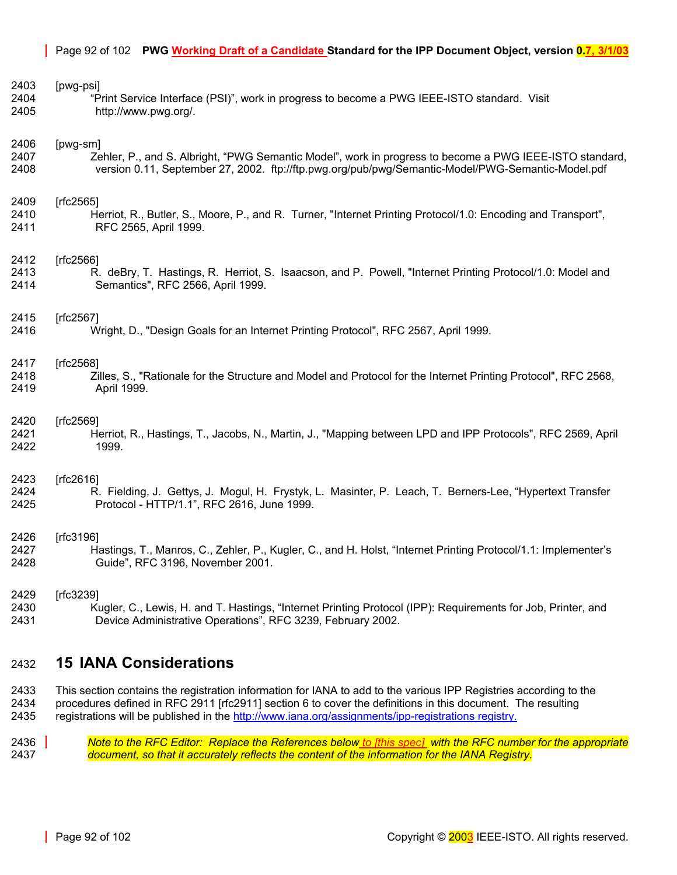| 2403 | [pwg-psi]                                                                                                      |
|------|----------------------------------------------------------------------------------------------------------------|
| 2404 | "Print Service Interface (PSI)", work in progress to become a PWG IEEE-ISTO standard. Visit                    |
| 2405 | http://www.pwg.org/.                                                                                           |
| 2406 | [pwg-sm]                                                                                                       |
| 2407 | Zehler, P., and S. Albright, "PWG Semantic Model", work in progress to become a PWG IEEE-ISTO standard,        |
| 2408 | version 0.11, September 27, 2002. ftp://ftp.pwg.org/pub/pwg/Semantic-Model/PWG-Semantic-Model.pdf              |
| 2409 | [rfc2565]                                                                                                      |
| 2410 | Herriot, R., Butler, S., Moore, P., and R. Turner, "Internet Printing Protocol/1.0: Encoding and Transport",   |
| 2411 | RFC 2565, April 1999.                                                                                          |
| 2412 | [rfc2566]                                                                                                      |
| 2413 | R. deBry, T. Hastings, R. Herriot, S. Isaacson, and P. Powell, "Internet Printing Protocol/1.0: Model and      |
| 2414 | Semantics", RFC 2566, April 1999.                                                                              |
| 2415 | [rfc2567]                                                                                                      |
| 2416 | Wright, D., "Design Goals for an Internet Printing Protocol", RFC 2567, April 1999.                            |
| 2417 | [rfc2568]                                                                                                      |
| 2418 | Zilles, S., "Rationale for the Structure and Model and Protocol for the Internet Printing Protocol", RFC 2568, |
| 2419 | April 1999.                                                                                                    |
| 2420 | [rfc2569]                                                                                                      |
| 2421 | Herriot, R., Hastings, T., Jacobs, N., Martin, J., "Mapping between LPD and IPP Protocols", RFC 2569, April    |
| 2422 | 1999.                                                                                                          |
| 2423 | [rfc2616]                                                                                                      |
| 2424 | R. Fielding, J. Gettys, J. Mogul, H. Frystyk, L. Masinter, P. Leach, T. Berners-Lee, "Hypertext Transfer       |
| 2425 | Protocol - HTTP/1.1", RFC 2616, June 1999.                                                                     |
| 2426 | [rfc3196]                                                                                                      |
| 2427 | Hastings, T., Manros, C., Zehler, P., Kugler, C., and H. Holst, "Internet Printing Protocol/1.1: Implementer's |
| 2428 | Guide", RFC 3196, November 2001.                                                                               |
| 2429 | [rfc3239]                                                                                                      |
| 2430 | Kugler, C., Lewis, H. and T. Hastings, "Internet Printing Protocol (IPP): Requirements for Job, Printer, and   |
| 2431 | Device Administrative Operations", RFC 3239, February 2002.                                                    |

# <span id="page-91-0"></span>2432 **15 IANA Considerations**

2433 This section contains the registration information for IANA to add to the various IPP Registries according to the 2434 procedures defined in RFC 2911 [rfc2911] section 6 to cover the definitions in this document. The resulting 2435 registrations will be published in the http://www.iana.org/assignments/ipp-registrations registry.

2436 *Note to the RFC Editor: Replace the References below to [this spec] with the RFC number for the appropriate*  2437 *document, so that it accurately reflects the content of the information for the IANA Registry.*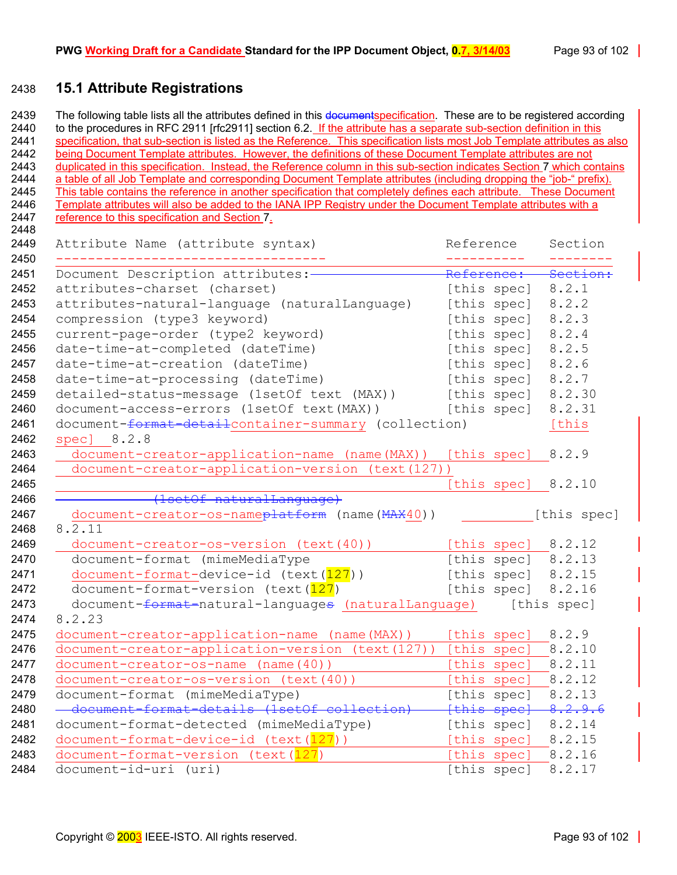## **15.1 Attribute Registrations**

2439 The following table lists all the attributes defined in this documentspecification. These are to be registered according 2440 to the procedures in RFC 2911 [rfc2911] section 6.2. If the attribute has a separate sub-section definition in this 2441 specification, that sub-section is listed as the Reference. This specification lists most Job Template attributes as also 2442 being Document Template attributes. However, the definitions of these Document Template attributes are not 2443 duplicated in this specification. Instead, the Reference column in this sub-section indicates Section [7 w](#page-42-0)hich contains 2444 a table of all Job Template and corresponding Document Template attributes (including dropping the "job-" prefix). 2445 This table contains the reference in another specification that completely defines each attribute. These Document 2446 Template attributes will also be added to the IANA IPP Registry under the Document Template attributes with a 2447 reference to this specification and Section [7.](#page-42-0)

| Attribute Name (attribute syntax)                                | Reference   | Section              |
|------------------------------------------------------------------|-------------|----------------------|
| Document Description attributes:-                                | Reference:  | Section:             |
| attributes-charset (charset)                                     | [this spec] | 8.2.1                |
| attributes-natural-language (naturalLanguage)                    | [this spec] | 8.2.2                |
| compression (type3 keyword)                                      | [this spec] | 8.2.3                |
| current-page-order (type2 keyword)                               | [this spec] | 8.2.4                |
| date-time-at-completed (dateTime)                                | [this spec] | 8.2.5                |
| date-time-at-creation (dateTime)                                 | [this spec] | 8.2.6                |
| date-time-at-processing (dateTime)                               | [this spec] | 8.2.7                |
| detailed-status-message (1setOf text (MAX))                      | [this spec] | 8.2.30               |
| document-access-errors (1setOf text(MAX))                        | [this spec] | 8.2.31               |
| document-format-detailcontainer-summary (collection)             |             | [this                |
| spec] 8.2.8                                                      |             |                      |
| document-creator-application-name (name(MAX))                    | [this spec] | 8.2.9                |
| document-creator-application-version (text(127))                 |             |                      |
|                                                                  | [this spec] | 8.2.10               |
|                                                                  |             |                      |
| document-creator-os-nameplatform (name (MAX40))                  |             | [this spec]          |
| 8.2.11                                                           |             |                      |
| document-creator-os-version (text(40))                           |             | [this spec] $8.2.12$ |
| document-format (mimeMediaType                                   |             | [this spec] $8.2.13$ |
| document-format-device-id (text(127))                            |             | [this spec] $8.2.15$ |
| document-format-version (text (127)                              | [this spec] | 8.2.16               |
| document- <del>format-</del> natural-languages (naturalLanguage) |             | [this spec]          |
| 8.2.23                                                           |             |                      |
| document-creator-application-name (name (MAX))                   | [this spec] | 8.2.9                |
| document-creator-application-version (text(127))                 | [this spec] | 8.2.10               |
| document-creator-os-name (name(40))                              | [this spec] | 8.2.11               |
| document-creator-os-version (text(40))                           | [this spec] | 8.2.12               |
| document-format (mimeMediaType)                                  | [this spec] | 8.2.13               |
| - document-format-details (1setOf collecti                       | fthis spec] | 8.2.9.6              |
| document-format-detected (mimeMediaType)                         | [this spec] | 8.2.14               |
| document-format-device-id (text(127))                            | [this spec] | 8.2.15               |
| document-format-version (text(127)                               | this spec]  | 8.2.16               |
|                                                                  | [this spec] | 8.2.17               |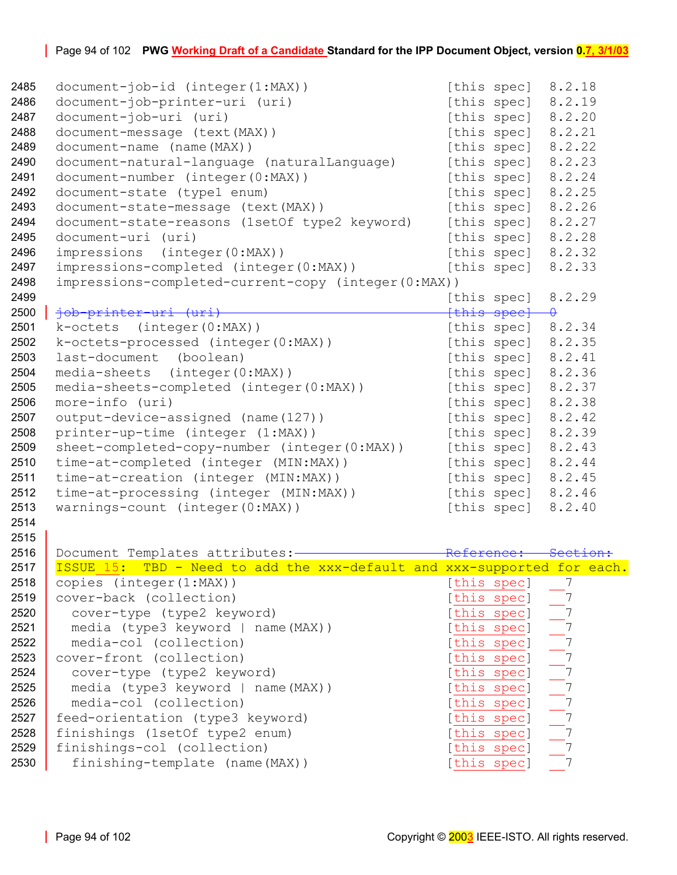| 2485 | document-job-id (integer(1:MAX))                                        |        | [this spec] 8.2.18   |                                                                                   |
|------|-------------------------------------------------------------------------|--------|----------------------|-----------------------------------------------------------------------------------|
| 2486 | document-job-printer-uri (uri)                                          |        | [this spec]          | 8.2.19                                                                            |
| 2487 | document-job-uri (uri)                                                  |        | [this spec]          | 8.2.20                                                                            |
| 2488 | document-message (text (MAX))                                           |        | [this spec]          | 8.2.21                                                                            |
| 2489 | document-name (name (MAX))                                              |        | [this spec]          | 8.2.22                                                                            |
| 2490 | document-natural-language (naturalLanguage)                             |        | [this spec]          | 8.2.23                                                                            |
| 2491 | document-number (integer(0:MAX))                                        |        | [this spec]          | 8.2.24                                                                            |
| 2492 | document-state (type1 enum)                                             |        | [this spec]          | 8.2.25                                                                            |
| 2493 | document-state-message (text (MAX))                                     |        | [this spec]          | 8.2.26                                                                            |
| 2494 | document-state-reasons (1setOf type2 keyword)                           |        | [this spec]          | 8.2.27                                                                            |
| 2495 | document-uri (uri)                                                      |        | [this spec]          | 8.2.28                                                                            |
| 2496 | impressions (integer(0:MAX))                                            |        | [this spec]          | 8.2.32                                                                            |
| 2497 | impressions-completed (integer(0:MAX))                                  |        | [this spec]          | 8.2.33                                                                            |
| 2498 | impressions-completed-current-copy (integer(0:MAX))                     |        |                      |                                                                                   |
| 2499 |                                                                         |        | [this spec]          | 8.2.29                                                                            |
| 2500 | iob-printer-uri (uri)                                                   |        | {this spee} 0        |                                                                                   |
| 2501 | k-octets (integer(0:MAX))                                               |        | [this spec]          | 8.2.34                                                                            |
| 2502 | k-octets-processed (integer(0:MAX))                                     |        | [this spec]          | 8.2.35                                                                            |
| 2503 | last-document<br>(boolean)                                              |        | [this spec]          | 8.2.41                                                                            |
| 2504 | media-sheets (integer(0:MAX))                                           |        | [this spec]          | 8.2.36                                                                            |
| 2505 | media-sheets-completed (integer(0:MAX))                                 |        | [this spec]          | 8.2.37                                                                            |
| 2506 | more-info (uri)                                                         |        | [this spec]          | 8.2.38                                                                            |
| 2507 | output-device-assigned (name(127))                                      |        | [this spec] $8.2.42$ |                                                                                   |
| 2508 | printer-up-time (integer (1:MAX))                                       |        | [this spec]          | 8.2.39                                                                            |
| 2509 | sheet-completed-copy-number (integer(0:MAX))                            |        | [this spec]          | 8.2.43                                                                            |
| 2510 | time-at-completed (integer (MIN:MAX))                                   |        | [this spec]          | 8.2.44                                                                            |
| 2511 | time-at-creation (integer (MIN:MAX))                                    |        | [this spec]          | 8.2.45                                                                            |
| 2512 | time-at-processing (integer (MIN:MAX))                                  |        | [this spec]          | 8.2.46                                                                            |
| 2513 | warnings-count (integer(0:MAX))                                         |        | [this spec]          | 8.2.40                                                                            |
| 2514 |                                                                         |        |                      |                                                                                   |
| 2515 |                                                                         |        |                      |                                                                                   |
| 2516 | Document Templates attributes:-                                         | Roforo |                      |                                                                                   |
| 2517 | ISSUE 15: TBD - Need to add the xxx-default and xxx-supported for each. |        |                      |                                                                                   |
| 2518 | copies (integer(1:MAX))                                                 |        | [this spec]          |                                                                                   |
| 2519 | cover-back (collection)                                                 |        | [this_spec]          |                                                                                   |
| 2520 | cover-type (type2 keyword)                                              |        | [this spec]          |                                                                                   |
| 2521 | media (type3 keyword   name(MAX))                                       |        | [this spec]          |                                                                                   |
| 2522 | media-col (collection)                                                  |        | [this spec]          |                                                                                   |
| 2523 | cover-front (collection)                                                |        | [this spec]          |                                                                                   |
| 2524 | cover-type (type2 keyword)                                              |        | [this spec]          |                                                                                   |
| 2525 | media (type3 keyword   name(MAX))                                       |        | [this spec]          |                                                                                   |
| 2526 | media-col (collection)                                                  |        | [this spec]          |                                                                                   |
| 2527 | feed-orientation (type3 keyword)                                        |        | [this spec]          | $\frac{1}{2}$<br>$\frac{7}{2}$<br>$\frac{7}{2}$<br>$\frac{7}{2}$<br>$\frac{7}{2}$ |
| 2528 | finishings (1setOf type2 enum)                                          |        | [this spec]          |                                                                                   |
| 2529 | finishings-col (collection)                                             |        | [this spec]          |                                                                                   |
| 2530 | finishing-template (name(MAX))                                          |        | [this spec]          |                                                                                   |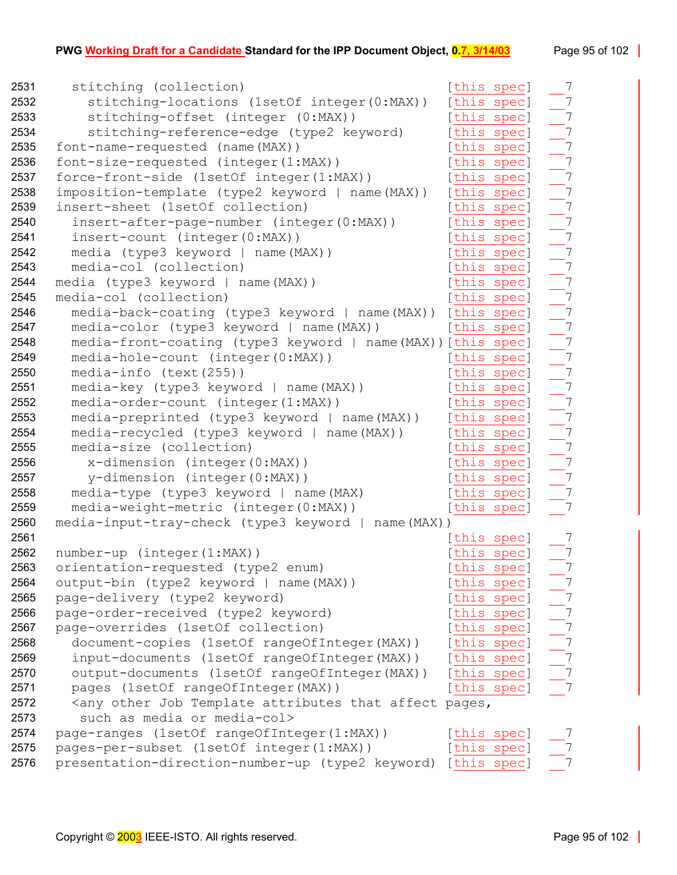| 2531 | stitching (collection)                                                                                     | [this spec] | $\overline{7}$                    |
|------|------------------------------------------------------------------------------------------------------------|-------------|-----------------------------------|
| 2532 | stitching-locations (1setOf integer(0:MAX))                                                                | [this spec] | $\overline{7}$                    |
| 2533 | stitching-offset (integer (0:MAX))                                                                         | [this spec] | $\overline{\phantom{a}}$          |
| 2534 | stitching-reference-edge (type2 keyword)                                                                   | [this spec] | $\overline{\phantom{0}}$ 7        |
| 2535 | font-name-requested (name(MAX))                                                                            | [this spec] | $-7$                              |
| 2536 | font-size-requested (integer(1:MAX))                                                                       | [this spec] | $\overline{7}$                    |
| 2537 | force-front-side (1setOf integer(1:MAX))                                                                   | [this spec] | $\overline{\phantom{0}}$          |
| 2538 | imposition-template (type2 keyword   name(MAX))                                                            | [this spec] | $\overline{\phantom{a}}$ 7        |
| 2539 | insert-sheet (1setOf collection)                                                                           | [this spec] | $\overline{\phantom{a}}$          |
| 2540 | insert-after-page-number (integer(0:MAX))                                                                  | [this spec] | $\overline{\phantom{a}}$ 7        |
| 2541 | insert-count (integer(0:MAX))                                                                              | [this spec] | $\frac{1}{2}$                     |
| 2542 | media (type3 keyword   name(MAX))                                                                          | [this spec] | $-7$                              |
| 2543 | media-col (collection)                                                                                     | [this spec] | $-7$                              |
| 2544 | media (type3 keyword   name(MAX))                                                                          | [this spec] | $-7$                              |
| 2545 | media-col (collection)                                                                                     | [this spec] | $\overline{\phantom{0}}$ 7        |
| 2546 | media-back-coating (type3 keyword   name(MAX)) [this spec]                                                 |             | $-7$                              |
| 2547 | media-color (type3 keyword   name(MAX))                                                                    | [this spec] | $-7$                              |
| 2548 | media-front-coating (type3 keyword   name(MAX)) [this spec]                                                |             | $\frac{1}{\frac{1}{\frac{1}{2}}}$ |
| 2549 | media-hole-count (integer(0:MAX))                                                                          | [this spec] |                                   |
| 2550 | $median-info$ (text(255))                                                                                  | [this spec] | $-7$                              |
| 2551 | media-key (type3 keyword   name(MAX))                                                                      | [this spec] | $= 7$                             |
| 2552 | media-order-count (integer(1:MAX))                                                                         | [this spec] | $\frac{1}{\sqrt{7}}$              |
| 2553 | media-preprinted (type3 keyword   name(MAX))                                                               | [this spec] |                                   |
| 2554 | media-recycled (type3 keyword   name(MAX))                                                                 | [this spec] | $-7$                              |
| 2555 | media-size (collection)                                                                                    | [this spec] | $\overline{7}$                    |
| 2556 | $x$ -dimension (integer $(0:MAX)$ )                                                                        | [this spec] | $\overline{\phantom{0}}$ 7        |
| 2557 | y-dimension (integer(0:MAX))                                                                               | [this spec] | $-7$                              |
| 2558 | media-type (type3 keyword   name(MAX)                                                                      | [this spec] | $\overline{7}$                    |
| 2559 | media-weight-metric (integer(0:MAX))                                                                       | [this spec] | $-7$                              |
| 2560 | media-input-tray-check (type3 keyword   name(MAX))                                                         |             |                                   |
| 2561 |                                                                                                            | [this spec] | 7                                 |
| 2562 | number-up (integer(1:MAX))                                                                                 | [this spec] | $\overline{7}$                    |
| 2563 | orientation-requested (type2 enum)                                                                         | [this spec] | $7\phantom{.0}$                   |
| 2564 | output-bin (type2 keyword   name (MAX))                                                                    | [this spec] | $\overline{7}$                    |
| 2565 | page-delivery (type2 keyword)                                                                              | [this spec] | $\overline{7}$                    |
| 2566 | page-order-received (type2 keyword)                                                                        | [this spec] |                                   |
| 2567 | page-overrides (1setOf collection)                                                                         | [this spec] | $\frac{1}{2}$                     |
| 2568 | document-copies (1setOf rangeOfInteger(MAX))                                                               | [this spec] |                                   |
| 2569 | input-documents (1setOf rangeOfInteger(MAX))                                                               | [this spec] | $-7$                              |
| 2570 | output-documents (1setOf rangeOfInteger (MAX))                                                             | [this spec] |                                   |
| 2571 | pages (1setOf rangeOfInteger(MAX))                                                                         | [this spec] |                                   |
| 2572 | <any affect="" attributes="" job="" other="" pages,<="" template="" th="" that=""><th></th><th></th></any> |             |                                   |
| 2573 | such as media or media-col>                                                                                |             |                                   |
| 2574 | page-ranges (1setOf rangeOfInteger(1:MAX))                                                                 | [this spec] |                                   |
| 2575 | pages-per-subset (1setOf integer(1:MAX))                                                                   | [this spec] |                                   |
| 2576 | presentation-direction-number-up (type2 keyword) [this spec]                                               |             |                                   |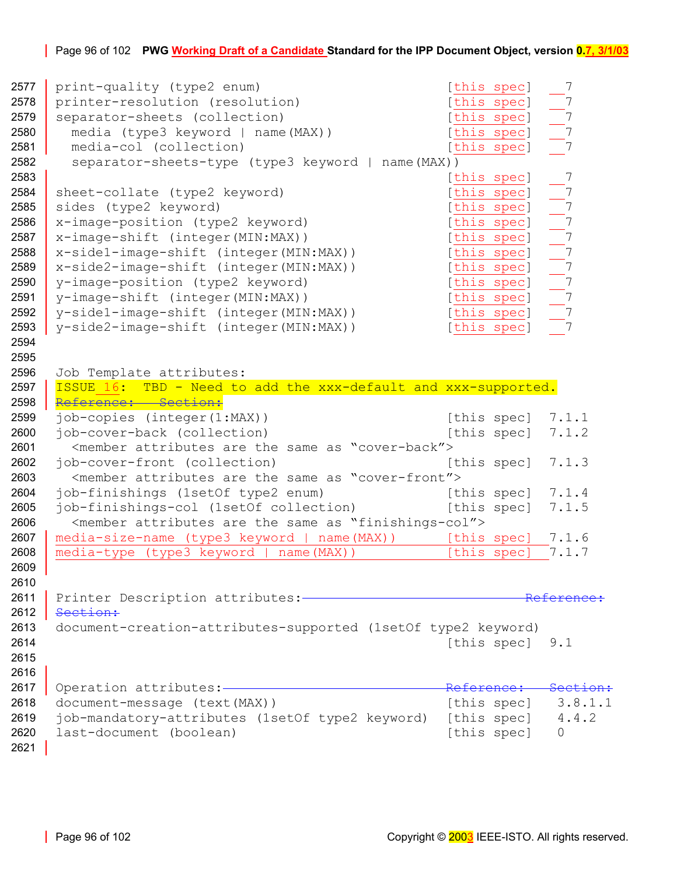### Page 96 of 102 **PWG Working Draft of a Candidate Standard for the IPP Document Object, version 0.7, 3/1/03**

```
7 print-quality (type2 enum) [this spec]
2578 printer-resolution (resolution) [this spec] 7 
2579 separator-sheets (collection) [this spec]
2580 media (type3 keyword | name(MAX)) [this spec] 7 
2581 media-col (collection) and the specific specific specific specific specific specific specific specific specific specific specific specific specific specific specific specific specific specific specific specific specif
2582 separator-sheets-type (type3 keyword | name(MAX)) 
2583 [this spec]
2584 sheet-collate (type2 keyword) [this spec]
2585 sides (type2 keyword) and the species of this species in the species of the species of the species of the species of the species of the species of the species of the species of the species of the species of the specie
2586 x-image-position (type2 keyword) [this spec]
7 x-image-shift (integer(MIN:MAX)) [this spec]
2588 x-side1-image-shift (integer(MIN:MAX)) [this spec]
2589 x-side2-image-shift (integer(MIN:MAX)) [this spec]
2590 y-image-position (type2 keyword) [this spec]
2591 y-image-shift (integer(MIN:MAX)) [this spec]
2592 y-side1-image-shift (integer(MIN:MAX)) [this spec]
2593 y-side2-image-shift (integer(MIN:MAX)) [this spec]
2594 
2595 
2596 Job Template attributes: 
2597 | ISSUE 16: TBD - Need to add the xxx-default and xxx-supported.
2598 Reference: Section:
2599 job-copies (integer(1:MAX)) [this spec] 7.1.1
2600 job-cover-back (collection) [this spec] 7.1.2
2601 <member attributes are the same as "cover-back"> 
2602 job-cover-front (collection) [this spec] 7.1.3
2603 <member attributes are the same as "cover-front"> 
2604 job-finishings (1setOf type2 enum) [this spec] 7.1.4
2605 iob-finishings-col (1setOf collection) [this spec] 7.1.5
2606 <member attributes are the same as "finishings-col"> 
2607 media-size-name (type3 keyword | name(MAX)) [this spec] 7.1.6
7.1.7
2609 
2610 
2611 Printer Description attributes: Reference: 
2612 Section:
2613 document-creation-attributes-supported (1setOf type2 keyword) 
2614 [this spec] 9.1
2615 
2616 
2617 Operation attributes: <u>- - - - - - - - - - Reference: Section:</u>
2618 document-message (text(MAX)) [this spec] 3.8.1.1 
2619 job-mandatory-attributes (1setOf type2 keyword) [this spec] 4.4.2 
0 last-document (boolean) (and this spec] 0
2621
```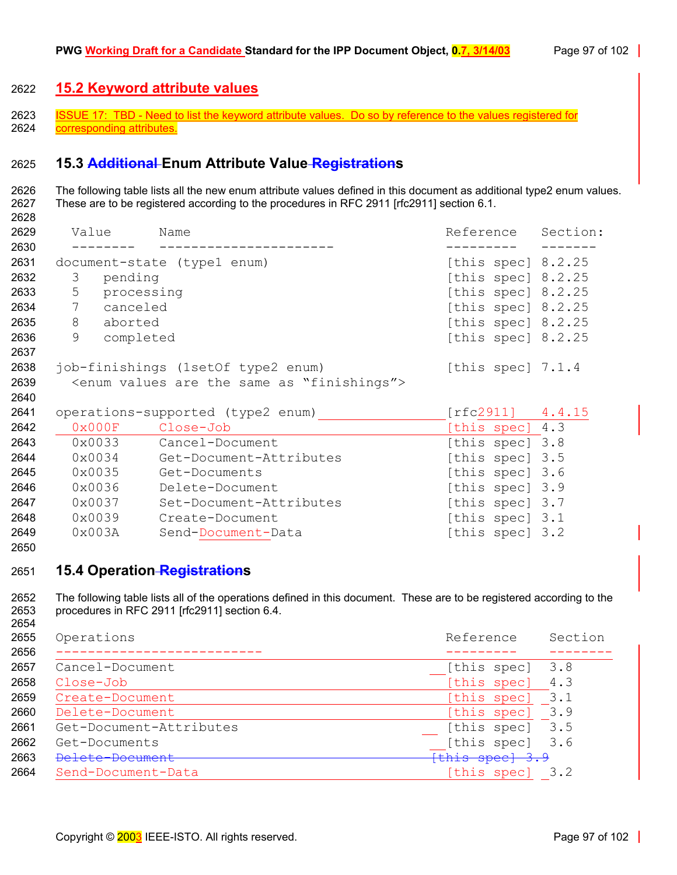## **15.2 Keyword attribute values**

2623 ISSUE 17: TBD - Need to list the keyword attribute values. Do so by reference to the values registered for 2624 corresponding attributes.

## **15.3 Additional Enum Attribute Value Registrations**

2626 The following table lists all the new enum attribute values defined in this document as additional type2 enum values. 2627 These are to be registered according to the procedures in RFC 2911 [rfc2911] section 6.1.

| 2629         | Value                       | Name                                                                | Reference                                    | Section: |
|--------------|-----------------------------|---------------------------------------------------------------------|----------------------------------------------|----------|
| 2630<br>2631 |                             |                                                                     |                                              |          |
| 2632         | pending<br>3                | document-state (type1 enum)                                         | [this spec] $8.2.25$<br>[this spec] $8.2.25$ |          |
| 2633         | 5 processing                |                                                                     | [this spec] $8.2.25$                         |          |
| 2634         | $7\phantom{.0}$<br>canceled |                                                                     | [this spec] $8.2.25$                         |          |
| 2635         | 8 aborted                   |                                                                     | [this spec] $8.2.25$                         |          |
| 2636         | 9<br>completed              |                                                                     | [this spec] $8.2.25$                         |          |
| 2637         |                             |                                                                     |                                              |          |
| 2638         |                             | job-finishings (1setOf type2 enum)                                  | [this spec] $7.1.4$                          |          |
| 2639         |                             | <enum "finishings"="" are="" as="" same="" the="" values=""></enum> |                                              |          |
| 2640         |                             |                                                                     |                                              |          |
| 2641         |                             | operations-supported (type2 enum)                                   | $[rfc2911]$ 4.4.15                           |          |
| 2642         |                             | 0x000F Close-Job                                                    | [this spec] 4.3                              |          |
| 2643         | $0 \times 0033$             | Cancel-Document                                                     | [this spec] 3.8                              |          |
| 2644         | $0 \times 0034$             | Get-Document-Attributes                                             | [this spec] 3.5                              |          |
| 2645         | $0 \times 0035$             | Get-Documents                                                       | [this spec] 3.6                              |          |
| 2646         | $0 \times 0036$             | Delete-Document                                                     | [this spec] 3.9                              |          |
| 2647         | $0 \times 0037$             | Set-Document-Attributes                                             | [this spec] 3.7                              |          |
| 2648         | 0x0039                      | Create-Document                                                     | [this spec] 3.1                              |          |
| 2649         | 0x003A                      | Send-Document-Data                                                  | [this spec] 3.2                              |          |

#### 

### **15.4 Operation Registrations**

2652 The following table lists all of the operations defined in this document. These are to be registered according to the 2653 procedures in RFC 2911 [rfc2911] section 6.4. 

| 2655 | Operations              | Reference       | Section |
|------|-------------------------|-----------------|---------|
| 2656 |                         |                 |         |
| 2657 | Cancel-Document         | [this spec]     | 3.8     |
| 2658 | Close-Job               | [this spec]     | 4.3     |
| 2659 | Create-Document         | [this spec]     | 3.1     |
| 2660 | Delete-Document         | [this spec]     | 3.9     |
| 2661 | Get-Document-Attributes | [this spec]     | 3.5     |
| 2662 | Get-Documents           | [this spec] 3.6 |         |
| 2663 | Delete-Document         | {this spec} 3.9 |         |
| 2664 | Send-Document-Data      | [this spec]     | 3.2     |
|      |                         |                 |         |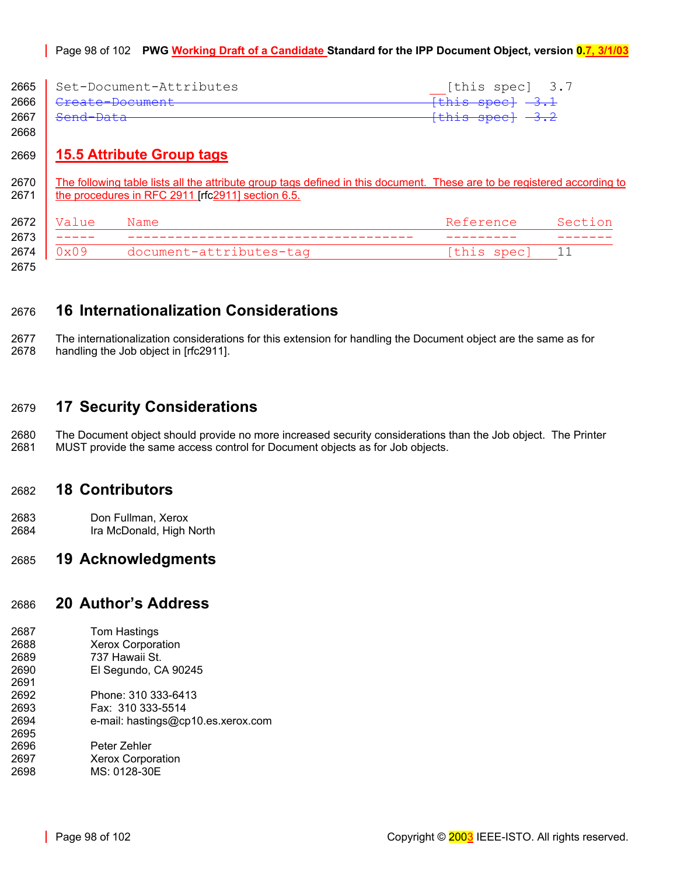|      | 2665   Set-Document-Attributes     | [this spec] 3.7             |
|------|------------------------------------|-----------------------------|
|      | 2666   <del>Create-Document-</del> | <del>[this spec] -3.1</del> |
| 2667 | <del>Send-Data</del>               | <del>[this spec] -3.2</del> |

# 2669 **15.5 Attribute Group tags**

2670 The following table lists all the attribute group tags defined in this document. These are to be registered according to 2671 **the procedures in RFC 2911 [rfc2911] section 6.5.** 

| 2672                 | Value  | Name                    | Reference   | $SA \cap T$ |
|----------------------|--------|-------------------------|-------------|-------------|
| 2673                 | ------ |                         |             |             |
| 2674                 | 0x09   | document-attributes-tag | [this spec] |             |
| $\sim$ $\sim$ $\sim$ |        |                         |             |             |

2675

2668

# 2676 **16 Internationalization Considerations**

2677 The internationalization considerations for this extension for handling the Document object are the same as for 2678 handling the Job object in [rfc2911].

# 2679 **17 Security Considerations**

2680 The Document object should provide no more increased security considerations than the Job object. The Printer 2681 MUST provide the same access control for Document objects as for Job objects.

## 2682 **18 Contributors**

2683 Don Fullman, Xerox 2684 Ira McDonald, High North

## 2685 **19 Acknowledgments**

## 2686 **20 Author's Address**

| 2687 | Tom Hastings                       |
|------|------------------------------------|
| 2688 | <b>Xerox Corporation</b>           |
| 2689 | 737 Hawaii St.                     |
| 2690 | El Segundo, CA 90245               |
| 2691 |                                    |
| 2692 | Phone: 310 333-6413                |
| 2693 | Fax: 310 333-5514                  |
| 2694 | e-mail: hastings@cp10.es.xerox.com |
| 2695 |                                    |
| 2696 | Peter Zehler                       |
| 2697 | <b>Xerox Corporation</b>           |
| 2698 | MS: 0128-30E                       |
|      |                                    |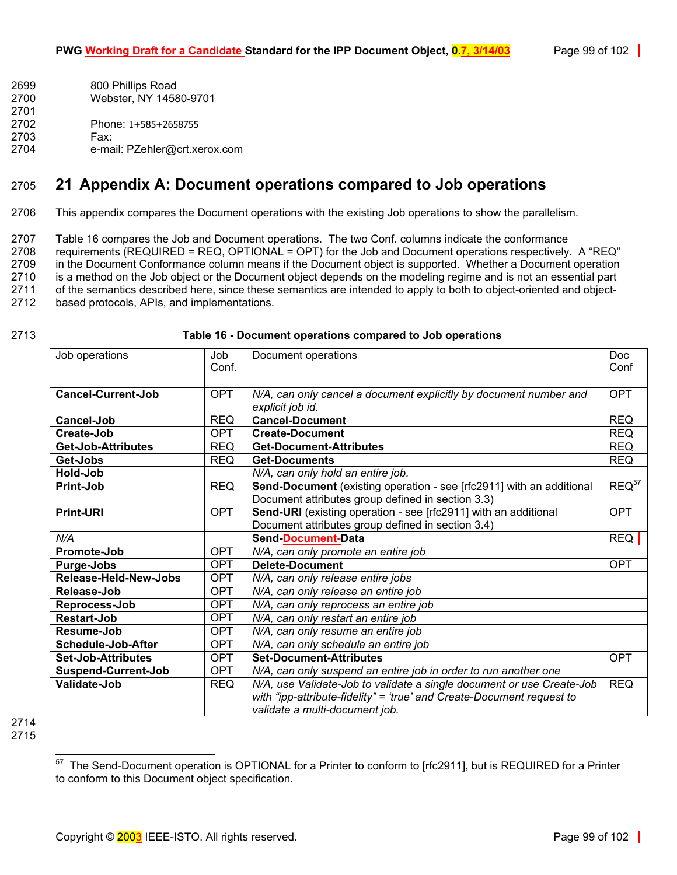- 2699 800 Phillips Road 2700 Webster, NY 14580-9701 2701 2702 Phone: 1+585+2658755
- 2703 Fax:
- 2704 e-mail: PZehler@crt.xerox.com

# 2705 **21 Appendix A: Document operations compared to Job operations**

2706 This appendix compares the Document operations with the existing Job operations to show the parallelism.

2707 [Table 16](#page-98-0) compares the Job and Document operations. The two Conf. columns indicate the conformance 2708 requirements (REQUIRED = REQ, OPTIONAL = OPT) for the Job and Document operations respectively. A "REQ" 2709 in the Document Conformance column means if the Document object is supported. Whether a Document operation 2710 is a method on the Job object or the Document object depends on the modeling regime and is not an essential part 2711 of the semantics described here, since these semantics are intended to apply to both to object-oriented and object-2712 based protocols, APIs, and implementations.

### 2713 **Table 16 - Document operations compared to Job operations**

<span id="page-98-0"></span>

| Job operations             | Job        | Document operations                                                   | <b>Doc</b> |
|----------------------------|------------|-----------------------------------------------------------------------|------------|
|                            | Conf.      |                                                                       | Conf       |
|                            |            |                                                                       |            |
| <b>Cancel-Current-Job</b>  | <b>OPT</b> | N/A, can only cancel a document explicitly by document number and     | <b>OPT</b> |
|                            |            | explicit job id.                                                      |            |
| Cancel-Job                 | <b>REQ</b> | <b>Cancel-Document</b>                                                | <b>REQ</b> |
| Create-Job                 | OPT        | <b>Create-Document</b>                                                | <b>REQ</b> |
| Get-Job-Attributes         | <b>REQ</b> | <b>Get-Document-Attributes</b>                                        | <b>REQ</b> |
| Get-Jobs                   | <b>REQ</b> | <b>Get-Documents</b>                                                  | <b>REQ</b> |
| Hold-Job                   |            | N/A, can only hold an entire job.                                     |            |
| Print-Job                  | <b>REQ</b> | Send-Document (existing operation - see [rfc2911] with an additional  | $REQ^{57}$ |
|                            |            | Document attributes group defined in section 3.3)                     |            |
| <b>Print-URI</b>           | <b>OPT</b> | Send-URI (existing operation - see [rfc2911] with an additional       | <b>OPT</b> |
|                            |            | Document attributes group defined in section 3.4)                     |            |
| N/A                        |            | <b>Send-Document-Data</b>                                             | <b>REQ</b> |
| Promote-Job                | <b>OPT</b> | N/A, can only promote an entire job                                   |            |
| Purge-Jobs                 | <b>OPT</b> | Delete-Document                                                       | <b>OPT</b> |
| Release-Held-New-Jobs      | <b>OPT</b> | N/A, can only release entire jobs                                     |            |
| Release-Job                | <b>OPT</b> | N/A, can only release an entire job                                   |            |
| Reprocess-Job              | <b>OPT</b> | N/A, can only reprocess an entire job                                 |            |
| <b>Restart-Job</b>         | <b>OPT</b> | N/A, can only restart an entire job                                   |            |
| Resume-Job                 | <b>OPT</b> | N/A, can only resume an entire job                                    |            |
| <b>Schedule-Job-After</b>  | <b>OPT</b> | N/A, can only schedule an entire job                                  |            |
| <b>Set-Job-Attributes</b>  | <b>OPT</b> | <b>Set-Document-Attributes</b>                                        | <b>OPT</b> |
| <b>Suspend-Current-Job</b> | <b>OPT</b> | N/A, can only suspend an entire job in order to run another one       |            |
| <b>Validate-Job</b>        | <b>REQ</b> | N/A, use Validate-Job to validate a single document or use Create-Job | <b>REQ</b> |
|                            |            | with "ipp-attribute-fidelity" = 'true' and Create-Document request to |            |
|                            |            | validate a multi-document job.                                        |            |

2714 2715

<span id="page-98-1"></span>l  $57$  The Send-Document operation is OPTIONAL for a Printer to conform to [rfc2911], but is REQUIRED for a Printer to conform to this Document object specification.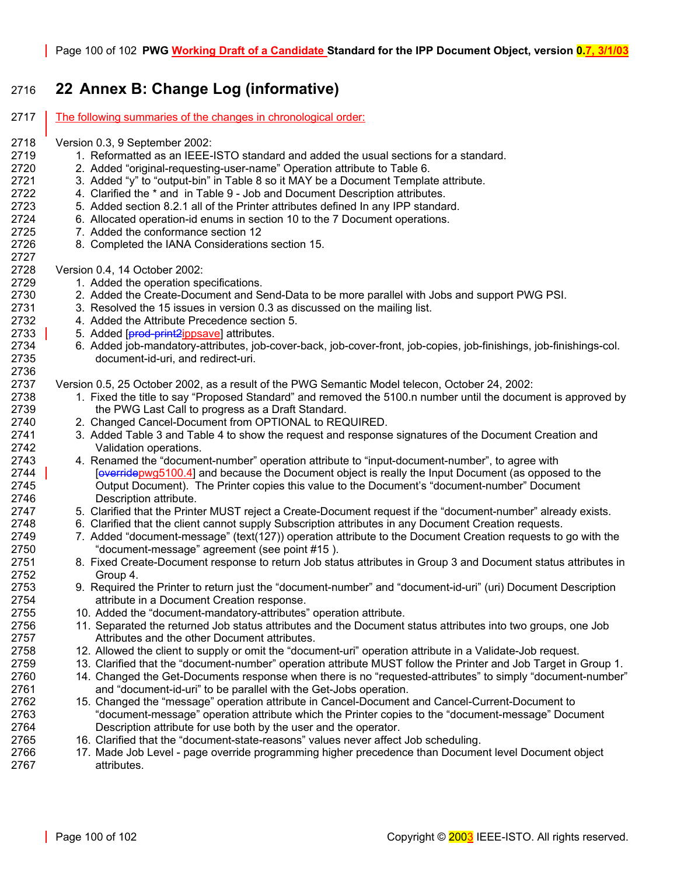# 2716 **22 Annex B: Change Log (informative)**

2717 The following summaries of the changes in chronological order:

- 2718 Version 0.3, 9 September 2002:
- 2719 1. Reformatted as an IEEE-ISTO standard and added the usual sections for a standard.
- 2720 2. Added "original-requesting-user-name" Operation attribute to [Table 6.](#page-39-1)
- 2721 3. Added "y" to "output-bin" in [Table 8 s](#page-43-0)o it MAY be a Document Template attribute.
- 2722 4. Clarified the \* and in [Table 9 Job and Document Description attributes.](#page-54-0)
- 2723 5. Added section [8.2.1 a](#page-77-0)ll of the Printer attributes defined In any IPP standard.
- 2724 6. Allocated operation-id enums in section [10 t](#page-87-0)o the 7 Document operations.
- 2725 7. Added the conformance section [12](#page-88-1)
- 2726 8. Completed the IANA Considerations section [15.](#page-91-0)

2728 Version 0.4, 14 October 2002:

2727

- 2729 1. Added the operation specifications.
- 2730 2. Added the Create-Document and Send-Data to be more parallel with Jobs and support PWG PSI.
- 2731 3. Resolved the 15 issues in version 0.3 as discussed on the mailing list.
- 2732 4. Added the Attribute Precedence section [5.](#page-36-0)
- 2733 3 5. Added [**prod-print2** <u>ippsave</u>] attributes.
- 2734 6. Added job-mandatory-attributes, job-cover-back, job-cover-front, job-copies, job-finishings, job-finishings-col. 2735 document-id-uri, and redirect-uri. 2736

2737 Version 0.5, 25 October 2002, as a result of the PWG Semantic Model telecon, October 24, 2002:

- 2738 1. Fixed the title to say "Proposed Standard" and removed the 5100.n number until the document is approved by 2739 the PWG Last Call to progress as a Draft Standard.
- 2740 2. Changed Cancel-Document from OPTIONAL to REQUIRED.
- 2741 3. Added [Table 3 a](#page-14-1)nd [Table 4](#page-14-2) to show the request and response signatures of the Document Creation and 2742 Validation operations.
- 2743 4. Renamed the "document-number" operation attribute to "input-document-number", to agree with 2744 | [overridepwg5100.4] and because the Document object is really the Input Document (as opposed to the 2745 Output Document). The Printer copies this value to the Document's "document-number" Document 2746 Description attribute.
- 2747 5. Clarified that the Printer MUST reject a Create-Document request if the "document-number" already exists.
- 2748 6. Clarified that the client cannot supply Subscription attributes in any Document Creation requests.
- 2749 7. Added "document-message" (text(127)) operation attribute to the Document Creation requests to go with the 2750 "document-message" agreement (see point #[15 \)](#page-99-0).
- 2751 8. Fixed Create-Document response to return Job status attributes in Group 3 and Document status attributes in 2752 Group 4.
- 2753 9. Required the Printer to return just the "document-number" and "document-id-uri" (uri) Document Description 2754 attribute in a Document Creation response.
- 2755 10. Added the "document-mandatory-attributes" operation attribute.
- 2756 11. Separated the returned Job status attributes and the Document status attributes into two groups, one Job 2757 Attributes and the other Document attributes.
- 2758 12. Allowed the client to supply or omit the "document-uri" operation attribute in a Validate-Job request.
- 2759 13. Clarified that the "document-number" operation attribute MUST follow the Printer and Job Target in Group 1.
- 2760 14. Changed the Get-Documents response when there is no "requested-attributes" to simply "document-number" 2761 and "document-id-uri" to be parallel with the Get-Jobs operation.
- <span id="page-99-0"></span>2762 15. Changed the "message" operation attribute in Cancel-Document and Cancel-Current-Document to 2763 "document-message" operation attribute which the Printer copies to the "document-message" Document 2764 Description attribute for use both by the user and the operator.
- 2765 16. Clarified that the "document-state-reasons" values never affect Job scheduling.
- 2766 17. Made Job Level page override programming higher precedence than Document level Document object 2767 attributes.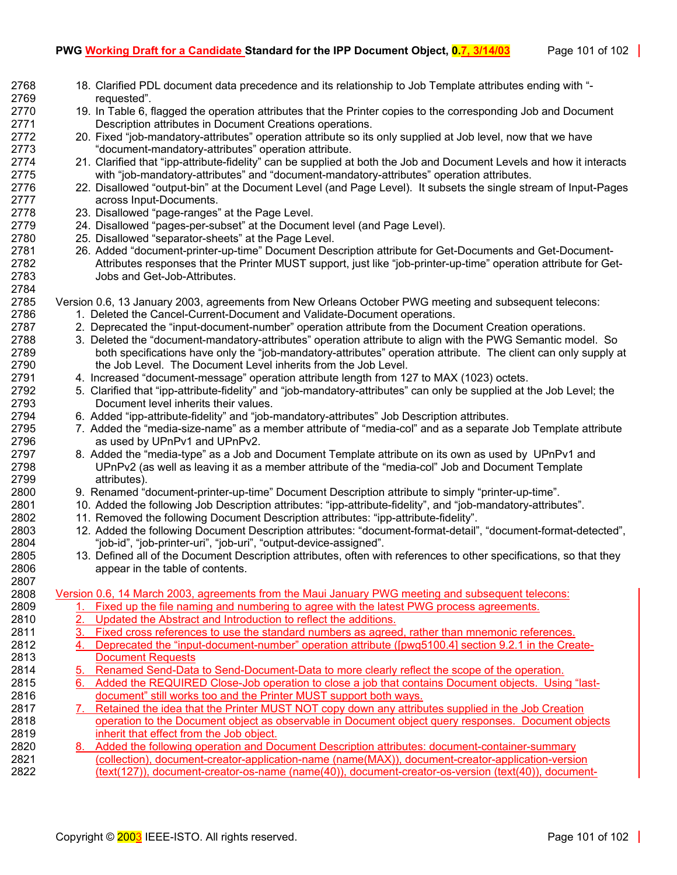| 2768         | 18. Clarified PDL document data precedence and its relationship to Job Template attributes ending with "-                                                               |
|--------------|-------------------------------------------------------------------------------------------------------------------------------------------------------------------------|
| 2769         | requested".                                                                                                                                                             |
| 2770         | 19. In Table 6, flagged the operation attributes that the Printer copies to the corresponding Job and Document                                                          |
| 2771         | Description attributes in Document Creations operations.                                                                                                                |
| 2772         | 20. Fixed "job-mandatory-attributes" operation attribute so its only supplied at Job level, now that we have                                                            |
| 2773         | "document-mandatory-attributes" operation attribute.                                                                                                                    |
| 2774         | 21. Clarified that "ipp-attribute-fidelity" can be supplied at both the Job and Document Levels and how it interacts                                                    |
| 2775         | with "job-mandatory-attributes" and "document-mandatory-attributes" operation attributes.                                                                               |
| 2776         | 22. Disallowed "output-bin" at the Document Level (and Page Level). It subsets the single stream of Input-Pages                                                         |
| 2777         | across Input-Documents.                                                                                                                                                 |
| 2778         | 23. Disallowed "page-ranges" at the Page Level.                                                                                                                         |
| 2779         | 24. Disallowed "pages-per-subset" at the Document level (and Page Level).                                                                                               |
| 2780         | 25. Disallowed "separator-sheets" at the Page Level.                                                                                                                    |
| 2781         | 26. Added "document-printer-up-time" Document Description attribute for Get-Documents and Get-Document-                                                                 |
| 2782         | Attributes responses that the Printer MUST support, just like "job-printer-up-time" operation attribute for Get-                                                        |
| 2783         | Jobs and Get-Job-Attributes.                                                                                                                                            |
| 2784<br>2785 | Version 0.6, 13 January 2003, agreements from New Orleans October PWG meeting and subsequent telecons:                                                                  |
| 2786         | 1. Deleted the Cancel-Current-Document and Validate-Document operations.                                                                                                |
| 2787         | 2. Deprecated the "input-document-number" operation attribute from the Document Creation operations.                                                                    |
| 2788         | 3. Deleted the "document-mandatory-attributes" operation attribute to align with the PWG Semantic model. So                                                             |
| 2789         | both specifications have only the "job-mandatory-attributes" operation attribute. The client can only supply at                                                         |
| 2790         | the Job Level. The Document Level inherits from the Job Level.                                                                                                          |
| 2791         | 4. Increased "document-message" operation attribute length from 127 to MAX (1023) octets.                                                                               |
| 2792         | 5. Clarified that "ipp-attribute-fidelity" and "job-mandatory-attributes" can only be supplied at the Job Level; the                                                    |
| 2793         | Document level inherits their values.                                                                                                                                   |
| 2794         | 6. Added "ipp-attribute-fidelity" and "job-mandatory-attributes" Job Description attributes.                                                                            |
| 2795         | 7. Added the "media-size-name" as a member attribute of "media-col" and as a separate Job Template attribute                                                            |
| 2796         | as used by UPnPv1 and UPnPv2.                                                                                                                                           |
| 2797         | 8. Added the "media-type" as a Job and Document Template attribute on its own as used by UPnPv1 and                                                                     |
| 2798         | UPnPv2 (as well as leaving it as a member attribute of the "media-col" Job and Document Template                                                                        |
| 2799         | attributes).                                                                                                                                                            |
| 2800         | 9. Renamed "document-printer-up-time" Document Description attribute to simply "printer-up-time".                                                                       |
| 2801         | 10. Added the following Job Description attributes: "ipp-attribute-fidelity", and "job-mandatory-attributes".                                                           |
| 2802         | 11. Removed the following Document Description attributes: "ipp-attribute-fidelity".                                                                                    |
| 2803         | 12. Added the following Document Description attributes: "document-format-detail", "document-format-detected",                                                          |
| 2804         | "job-id", "job-printer-uri", "job-uri", "output-device-assigned".                                                                                                       |
| 2805         | 13. Defined all of the Document Description attributes, often with references to other specifications, so that they                                                     |
| 2806         | appear in the table of contents.                                                                                                                                        |
| 2807         |                                                                                                                                                                         |
| 2808         | Version 0.6, 14 March 2003, agreements from the Maui January PWG meeting and subsequent telecons:                                                                       |
| 2809         | Fixed up the file naming and numbering to agree with the latest PWG process agreements.<br>1.                                                                           |
| 2810<br>2811 | 2.<br>Updated the Abstract and Introduction to reflect the additions.<br>Fixed cross references to use the standard numbers as agreed, rather than mnemonic references. |
| 2812         | 3.<br>Deprecated the "input-document-number" operation attribute ([pwg5100.4] section 9.2.1 in the Create-<br>4.                                                        |
| 2813         | <b>Document Requests</b>                                                                                                                                                |
| 2814         | 5. Renamed Send-Data to Send-Document-Data to more clearly reflect the scope of the operation.                                                                          |
| 2815         | Added the REQUIRED Close-Job operation to close a job that contains Document objects. Using "last-<br>6.                                                                |
| 2816         | document" still works too and the Printer MUST support both ways.                                                                                                       |
| 2817         | 7. Retained the idea that the Printer MUST NOT copy down any attributes supplied in the Job Creation                                                                    |
| 2818         | operation to the Document object as observable in Document object query responses. Document objects                                                                     |
| 2819         | inherit that effect from the Job object.                                                                                                                                |
| 2820         | 8. Added the following operation and Document Description attributes: document-container-summary                                                                        |
| 2821         | (collection), document-creator-application-name (name(MAX)), document-creator-application-version                                                                       |
| 2822         | (text(127)), document-creator-os-name (name(40)), document-creator-os-version (text(40)), document-                                                                     |
|              |                                                                                                                                                                         |